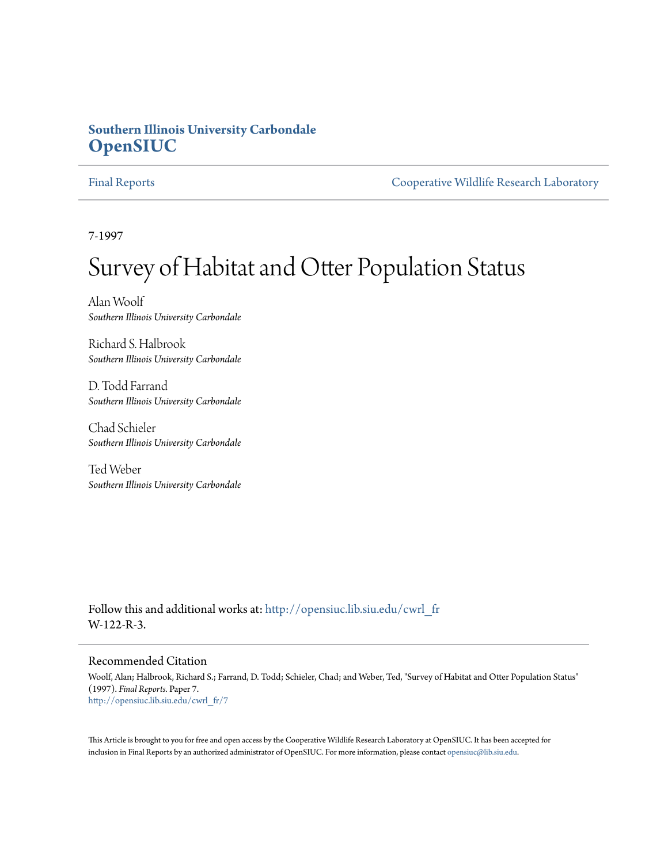# **Southern Illinois University Carbondale [OpenSIUC](http://opensiuc.lib.siu.edu?utm_source=opensiuc.lib.siu.edu%2Fcwrl_fr%2F7&utm_medium=PDF&utm_campaign=PDFCoverPages)**

[Final Reports](http://opensiuc.lib.siu.edu/cwrl_fr?utm_source=opensiuc.lib.siu.edu%2Fcwrl_fr%2F7&utm_medium=PDF&utm_campaign=PDFCoverPages) [Cooperative Wildlife Research Laboratory](http://opensiuc.lib.siu.edu/cwrl?utm_source=opensiuc.lib.siu.edu%2Fcwrl_fr%2F7&utm_medium=PDF&utm_campaign=PDFCoverPages)

7-1997

# Survey of Habitat and Otter Population Status

Alan Woolf *Southern Illinois University Carbondale*

Richard S. Halbrook *Southern Illinois University Carbondale*

D. Todd Farrand *Southern Illinois University Carbondale*

Chad Schieler *Southern Illinois University Carbondale*

Ted Weber *Southern Illinois University Carbondale*

Follow this and additional works at: [http://opensiuc.lib.siu.edu/cwrl\\_fr](http://opensiuc.lib.siu.edu/cwrl_fr?utm_source=opensiuc.lib.siu.edu%2Fcwrl_fr%2F7&utm_medium=PDF&utm_campaign=PDFCoverPages) W-122-R-3.

#### Recommended Citation

Woolf, Alan; Halbrook, Richard S.; Farrand, D. Todd; Schieler, Chad; and Weber, Ted, "Survey of Habitat and Otter Population Status" (1997). *Final Reports.* Paper 7. [http://opensiuc.lib.siu.edu/cwrl\\_fr/7](http://opensiuc.lib.siu.edu/cwrl_fr/7?utm_source=opensiuc.lib.siu.edu%2Fcwrl_fr%2F7&utm_medium=PDF&utm_campaign=PDFCoverPages)

This Article is brought to you for free and open access by the Cooperative Wildlife Research Laboratory at OpenSIUC. It has been accepted for inclusion in Final Reports by an authorized administrator of OpenSIUC. For more information, please contact [opensiuc@lib.siu.edu](mailto:opensiuc@lib.siu.edu).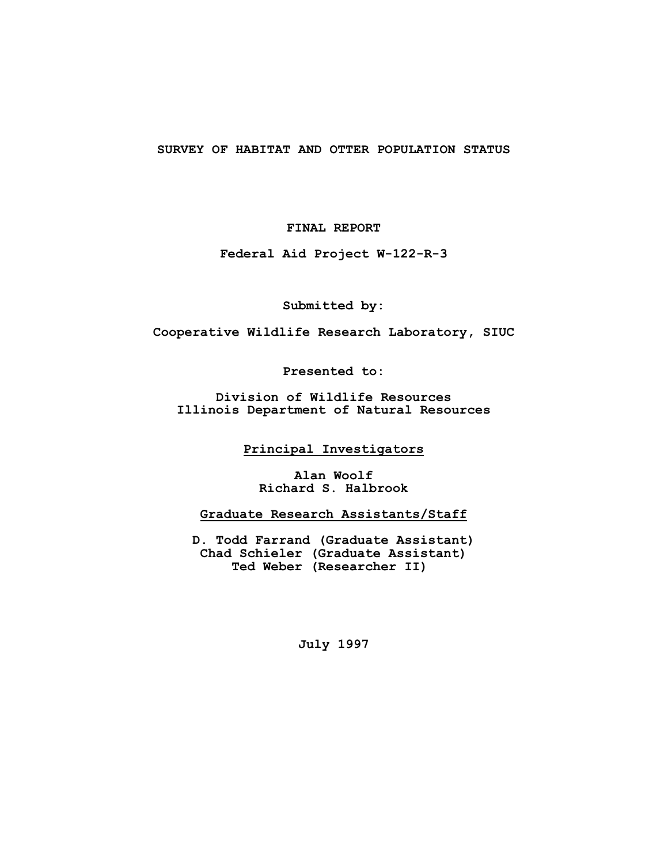#### **SURVEY OF HABITAT AND OTTER POPULATION STATUS**

**FINAL REPORT**

**Federal Aid Project W-122-R-3**

**Submitted by:**

**Cooperative Wildlife Research Laboratory, SIUC**

**Presented to:**

**Division of Wildlife Resources Illinois Department of Natural Resources**

**Principal Investigators**

**Alan Woolf Richard S. Halbrook**

**Graduate Research Assistants/Staff**

**D. Todd Farrand (Graduate Assistant) Chad Schieler (Graduate Assistant) Ted Weber (Researcher II)** 

**July 1997**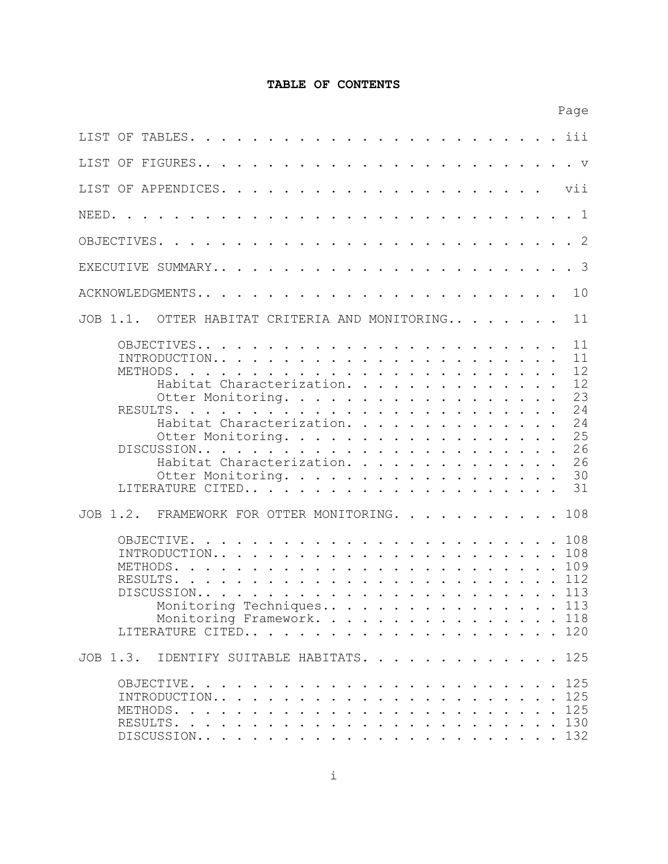# **TABLE OF CONTENTS**

|                                                                                                                                                                                                                                                                                                                                                                                                                 |  |  | Page                                                           |
|-----------------------------------------------------------------------------------------------------------------------------------------------------------------------------------------------------------------------------------------------------------------------------------------------------------------------------------------------------------------------------------------------------------------|--|--|----------------------------------------------------------------|
|                                                                                                                                                                                                                                                                                                                                                                                                                 |  |  |                                                                |
|                                                                                                                                                                                                                                                                                                                                                                                                                 |  |  |                                                                |
|                                                                                                                                                                                                                                                                                                                                                                                                                 |  |  | vii                                                            |
| NEED.                                                                                                                                                                                                                                                                                                                                                                                                           |  |  |                                                                |
|                                                                                                                                                                                                                                                                                                                                                                                                                 |  |  |                                                                |
|                                                                                                                                                                                                                                                                                                                                                                                                                 |  |  | $\mathcal{S}$                                                  |
|                                                                                                                                                                                                                                                                                                                                                                                                                 |  |  | 10                                                             |
| JOB 1.1. OTTER HABITAT CRITERIA AND MONITORING                                                                                                                                                                                                                                                                                                                                                                  |  |  | 11                                                             |
| INTRODUCTION<br>METHODS.<br>the contract of the contract of the contract of the contract of the contract of the contract of the contract of<br>Habitat Characterization.<br>Otter Monitoring.<br>RESULTS.<br><u>. A car a car a car a car a car a car a car a car a car a car a c</u><br>Habitat Characterization.<br>Otter Monitoring.<br>Habitat Characterization.<br>Otter Monitoring.<br>LITERATURE CITED31 |  |  | 11<br>11<br>12<br>12<br>23<br>24<br>24<br>25<br>26<br>26<br>30 |
| JOB 1.2. FRAMEWORK FOR OTTER MONITORING. 108                                                                                                                                                                                                                                                                                                                                                                    |  |  |                                                                |
| METHODS.<br>DISCUSSION113<br>Monitoring Techniques 113<br>Monitoring Framework. 118<br>LITERATURE CITED120                                                                                                                                                                                                                                                                                                      |  |  |                                                                |
| JOB 1.3. IDENTIFY SUITABLE HABITATS. 125                                                                                                                                                                                                                                                                                                                                                                        |  |  |                                                                |
|                                                                                                                                                                                                                                                                                                                                                                                                                 |  |  |                                                                |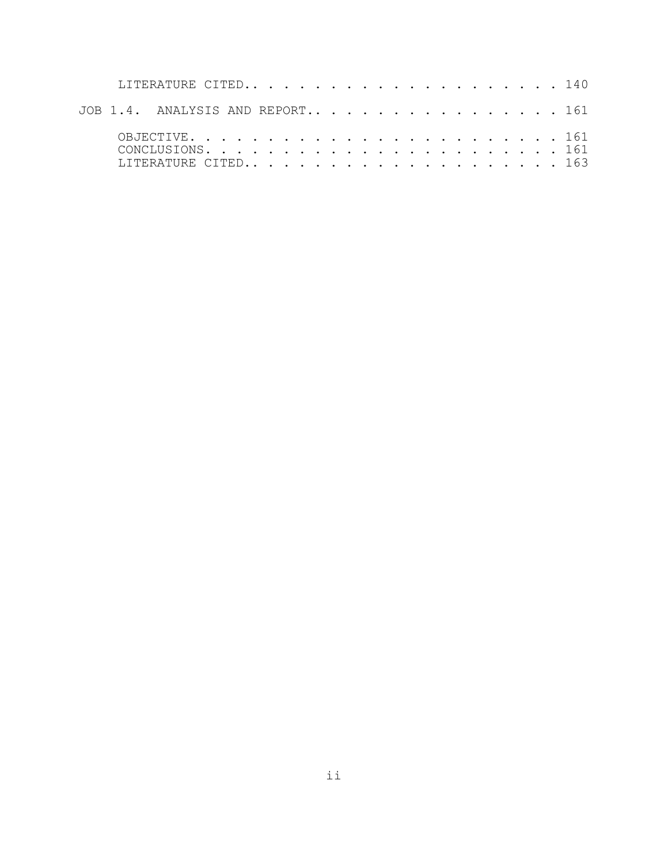|  | LITERATURE CITED 140            |  |  |  |  |  |  |  |  |  |  |  |
|--|---------------------------------|--|--|--|--|--|--|--|--|--|--|--|
|  | JOB 1.4. ANALYSIS AND REPORT161 |  |  |  |  |  |  |  |  |  |  |  |
|  | LITERATURE CITED163             |  |  |  |  |  |  |  |  |  |  |  |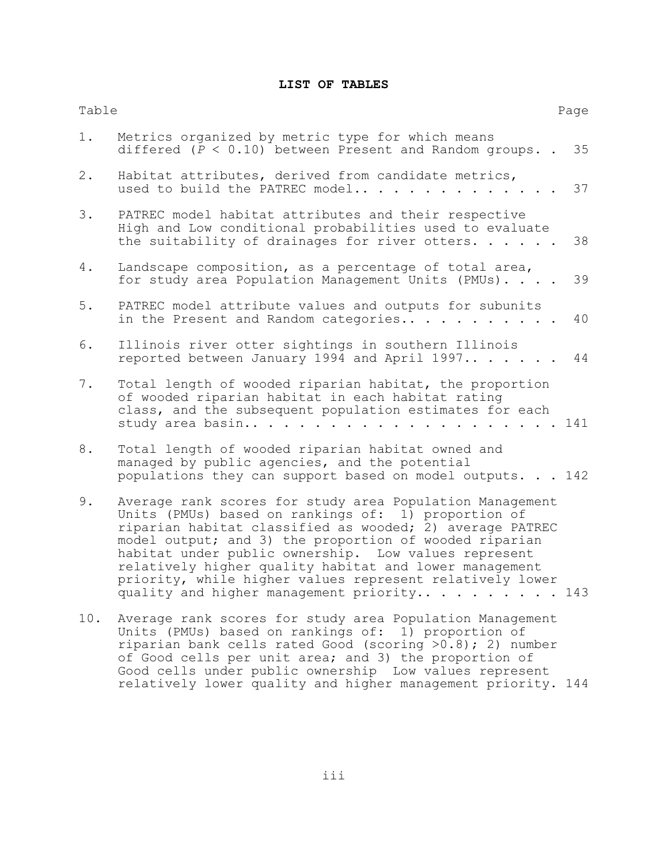# **LIST OF TABLES**

| Table |                                                                                                                                                                                                                                                                                                                                                                                                                                                               | Page |
|-------|---------------------------------------------------------------------------------------------------------------------------------------------------------------------------------------------------------------------------------------------------------------------------------------------------------------------------------------------------------------------------------------------------------------------------------------------------------------|------|
| 1.    | Metrics organized by metric type for which means<br>differed $(P < 0.10)$ between Present and Random groups                                                                                                                                                                                                                                                                                                                                                   | 35   |
| 2.    | Habitat attributes, derived from candidate metrics,<br>used to build the PATREC model                                                                                                                                                                                                                                                                                                                                                                         | 37   |
| 3.    | PATREC model habitat attributes and their respective<br>High and Low conditional probabilities used to evaluate<br>the suitability of drainages for river otters. $\ldots$ .                                                                                                                                                                                                                                                                                  | 38   |
| 4.    | Landscape composition, as a percentage of total area,<br>for study area Population Management Units (PMUs).                                                                                                                                                                                                                                                                                                                                                   | 39   |
| $5.$  | PATREC model attribute values and outputs for subunits<br>in the Present and Random categories                                                                                                                                                                                                                                                                                                                                                                | 40   |
| 6.    | Illinois river otter sightings in southern Illinois<br>reported between January 1994 and April 1997                                                                                                                                                                                                                                                                                                                                                           | 44   |
| $7$ . | Total length of wooded riparian habitat, the proportion<br>of wooded riparian habitat in each habitat rating<br>class, and the subsequent population estimates for each<br>study area basin<br>. 141<br>$\mathbf{1}$ $\mathbf{1}$ $\mathbf{1}$                                                                                                                                                                                                                |      |
| 8.    | Total length of wooded riparian habitat owned and<br>managed by public agencies, and the potential<br>populations they can support based on model outputs. 142                                                                                                                                                                                                                                                                                                |      |
| 9.    | Average rank scores for study area Population Management<br>Units (PMUs) based on rankings of: 1) proportion of<br>riparian habitat classified as wooded; 2) average PATREC<br>model output; and 3) the proportion of wooded riparian<br>habitat under public ownership. Low values represent<br>relatively higher quality habitat and lower management<br>priority, while higher values represent relatively lower<br>quality and higher management priority | 143  |
| 10.   | Average rank scores for study area Population Management<br>Units (PMUs) based on rankings of: 1) proportion of<br>riparian bank cells rated Good (scoring $>0.8$ ); 2) number<br>of Good cells per unit area; and 3) the proportion of<br>Good cells under public ownership Low values represent<br>relatively lower quality and higher management priority. 144                                                                                             |      |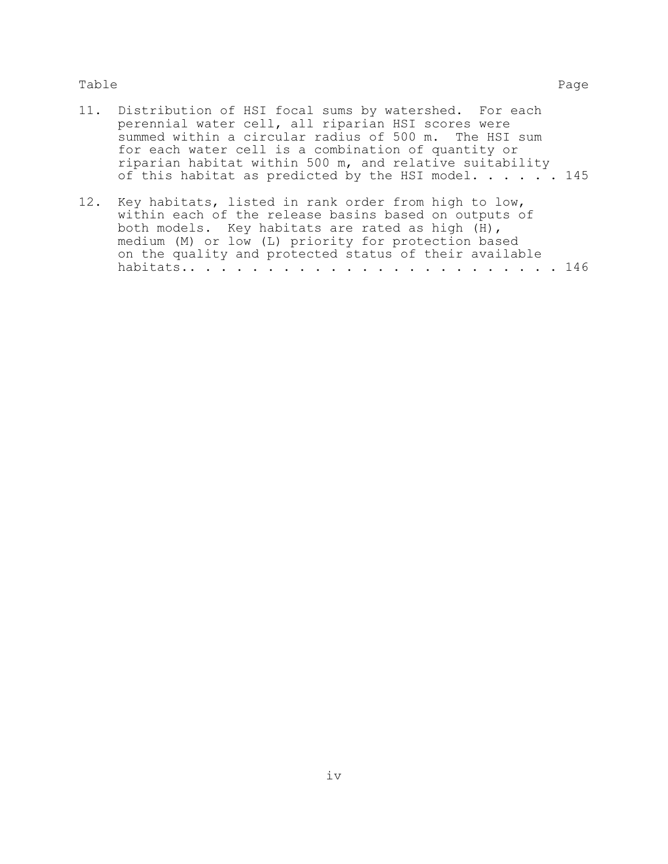### Table Page

- 11. Distribution of HSI focal sums by watershed. For each perennial water cell, all riparian HSI scores were summed within a circular radius of 500 m. The HSI sum for each water cell is a combination of quantity or riparian habitat within 500 m, and relative suitability of this habitat as predicted by the HSI model.  $\ldots$  . . . 145
- 12. Key habitats, listed in rank order from high to low, within each of the release basins based on outputs of both models. Key habitats are rated as high (H), medium (M) or low (L) priority for protection based on the quality and protected status of their available habitats.. . . . . . . . . . . . . . . . . . . . . . . . 146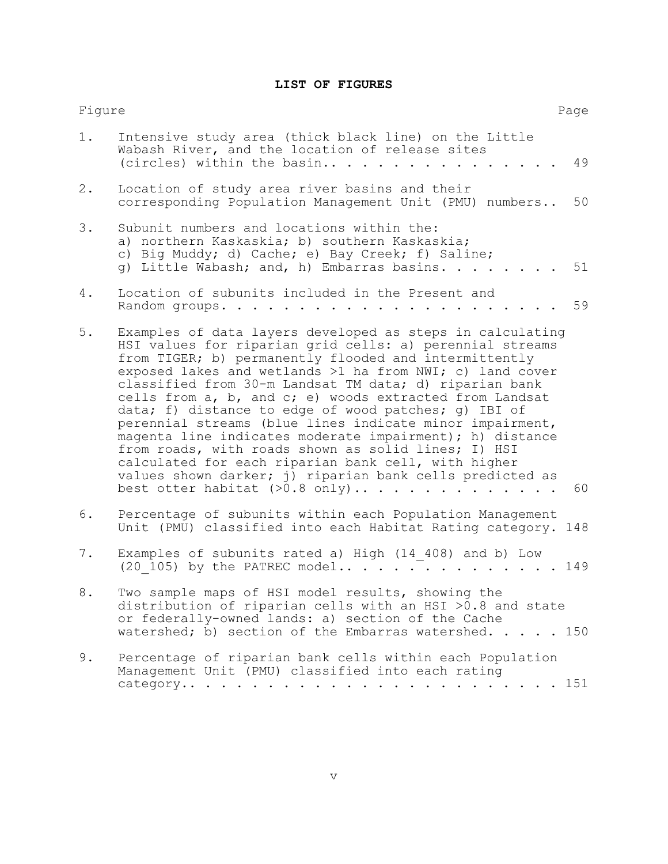# **LIST OF FIGURES**

| Figure |                                                                                                                                                                                                                                                                                                                                                                                                                                                                                                                                                                                                                                                                                                                                                               | Page |
|--------|---------------------------------------------------------------------------------------------------------------------------------------------------------------------------------------------------------------------------------------------------------------------------------------------------------------------------------------------------------------------------------------------------------------------------------------------------------------------------------------------------------------------------------------------------------------------------------------------------------------------------------------------------------------------------------------------------------------------------------------------------------------|------|
| $1$ .  | Intensive study area (thick black line) on the Little<br>Wabash River, and the location of release sites<br>(circles) within the basin<br>$\ddotsc$ $\ddotsc$                                                                                                                                                                                                                                                                                                                                                                                                                                                                                                                                                                                                 | 49   |
| 2.     | Location of study area river basins and their<br>corresponding Population Management Unit (PMU) numbers                                                                                                                                                                                                                                                                                                                                                                                                                                                                                                                                                                                                                                                       | 50   |
| 3.     | Subunit numbers and locations within the:<br>a) northern Kaskaskia; b) southern Kaskaskia;<br>c) Big Muddy; d) Cache; e) Bay Creek; f) Saline;<br>g) Little Wabash; and, h) Embarras basins.                                                                                                                                                                                                                                                                                                                                                                                                                                                                                                                                                                  | 51   |
| 4.     | Location of subunits included in the Present and<br>Random groups.                                                                                                                                                                                                                                                                                                                                                                                                                                                                                                                                                                                                                                                                                            | 59   |
| $5.$   | Examples of data layers developed as steps in calculating<br>HSI values for riparian grid cells: a) perennial streams<br>from TIGER; b) permanently flooded and intermittently<br>exposed lakes and wetlands >1 ha from NWI; c) land cover<br>classified from 30-m Landsat TM data; d) riparian bank<br>cells from a, b, and c; e) woods extracted from Landsat<br>data; f) distance to edge of wood patches; g) IBI of<br>perennial streams (blue lines indicate minor impairment,<br>magenta line indicates moderate impairment); h) distance<br>from roads, with roads shown as solid lines; I) HSI<br>calculated for each riparian bank cell, with higher<br>values shown darker; j) riparian bank cells predicted as<br>best otter habitat $(>0.8$ only) | 60   |
| 6.     | Percentage of subunits within each Population Management<br>Unit (PMU) classified into each Habitat Rating category. 148                                                                                                                                                                                                                                                                                                                                                                                                                                                                                                                                                                                                                                      |      |
| 7.     | Examples of subunits rated a) High (14 408) and b) Low<br>(20 105) by the PATREC model149                                                                                                                                                                                                                                                                                                                                                                                                                                                                                                                                                                                                                                                                     |      |
| 8      | Two sample maps of HSI model results, showing the<br>distribution of riparian cells with an HSI >0.8 and state<br>or federally-owned lands: a) section of the Cache<br>watershed; b) section of the Embarras watershed. 150                                                                                                                                                                                                                                                                                                                                                                                                                                                                                                                                   |      |
| 9.     | Percentage of riparian bank cells within each Population<br>Management Unit (PMU) classified into each rating<br>category<br>$\ddot{\phantom{0}}$                                                                                                                                                                                                                                                                                                                                                                                                                                                                                                                                                                                                             | 151  |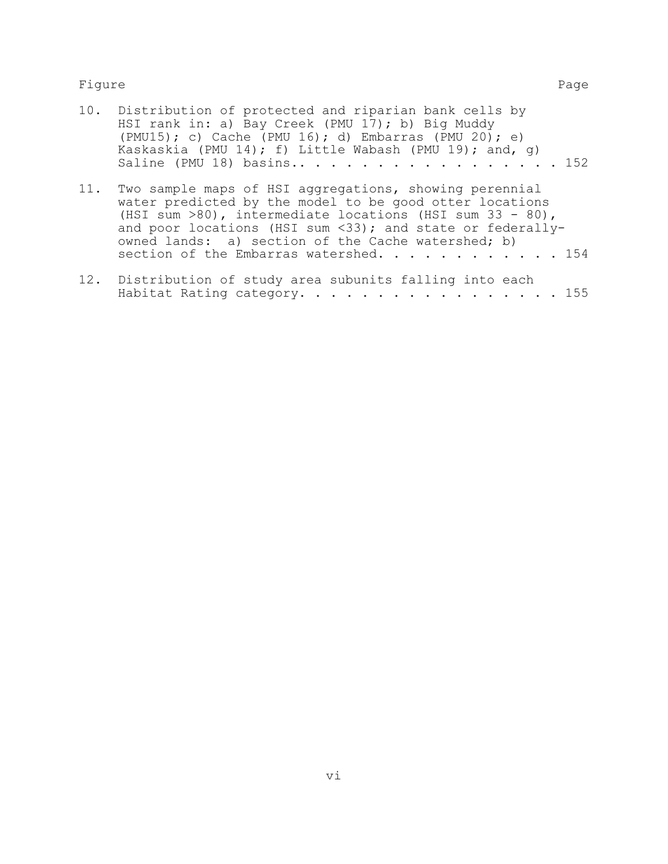### Figure Page

|     | 10. Distribution of protected and riparian bank cells by<br>HSI rank in: a) Bay Creek (PMU 17); b) Big Muddy<br>(PMU15); c) Cache (PMU 16); d) Embarras (PMU 20); e)<br>Kaskaskia (PMU 14); f) Little Wabash (PMU 19); and, q)                |
|-----|-----------------------------------------------------------------------------------------------------------------------------------------------------------------------------------------------------------------------------------------------|
| 11. | Two sample maps of HSI aggregations, showing perennial<br>water predicted by the model to be good otter locations<br>(HSI sum $>80$ ), intermediate locations (HSI sum 33 - 80),<br>and poor locations (HSI sum <33); and state or federally- |

| section of the Embarras watershed. 154                    |  |
|-----------------------------------------------------------|--|
| 12. Distribution of study area subunits falling into each |  |
| Habitat Rating category. 155                              |  |

owned lands: a) section of the Cache watershed; b)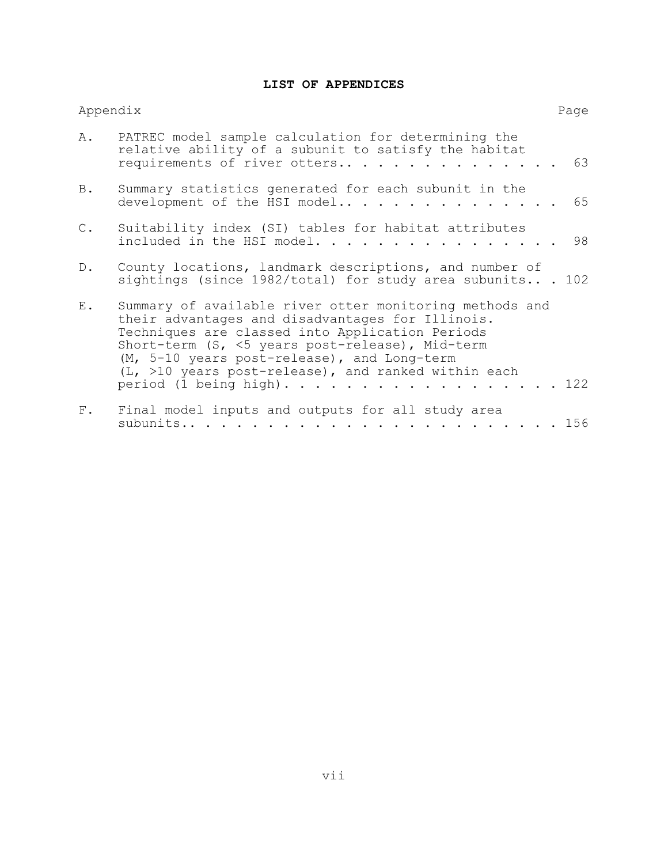## **LIST OF APPENDICES**

|                | Appendix                                                                                                                                                                                                                                                                                                                                                | Page |
|----------------|---------------------------------------------------------------------------------------------------------------------------------------------------------------------------------------------------------------------------------------------------------------------------------------------------------------------------------------------------------|------|
| Α.             | PATREC model sample calculation for determining the<br>relative ability of a subunit to satisfy the habitat<br>requirements of river otters                                                                                                                                                                                                             | 63   |
| B.             | Summary statistics generated for each subunit in the<br>development of the HSI model                                                                                                                                                                                                                                                                    | 65   |
| $\mathbb{C}$ . | Suitability index (SI) tables for habitat attributes<br>included in the HSI model.                                                                                                                                                                                                                                                                      | 98   |
| $D$ .          | County locations, landmark descriptions, and number of<br>sightings (since $1982/total$ ) for study area subunits 102                                                                                                                                                                                                                                   |      |
| $E$ .          | Summary of available river otter monitoring methods and<br>their advantages and disadvantages for Illinois.<br>Techniques are classed into Application Periods<br>Short-term (S, <5 years post-release), Mid-term<br>(M, 5-10 years post-release), and Long-term<br>$(L, >10$ years post-release), and ranked within each<br>period (1 being high). 122 |      |
| $F$ .          | Final model inputs and outputs for all study area                                                                                                                                                                                                                                                                                                       |      |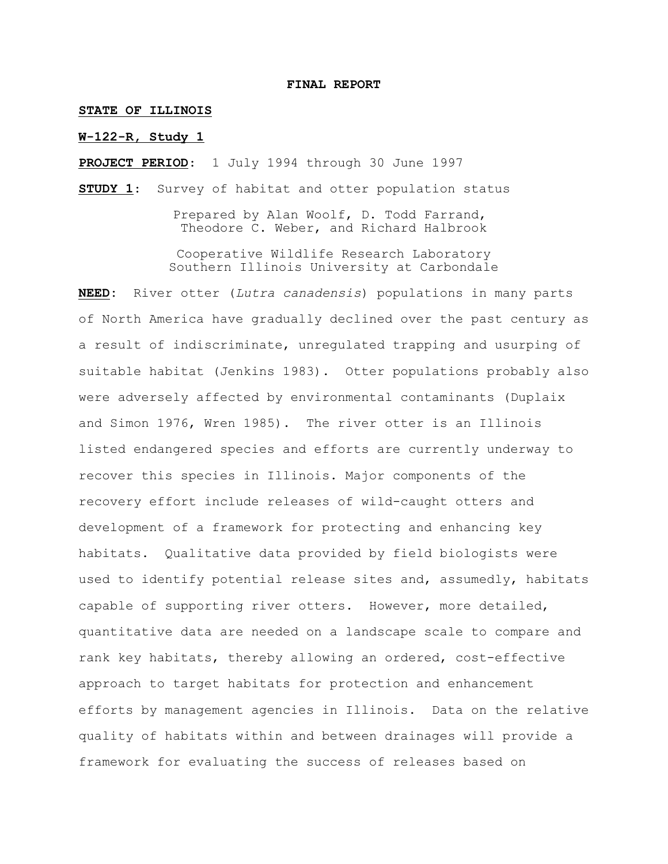#### **FINAL REPORT**

#### **STATE OF ILLINOIS**

#### **W-122-R, Study 1**

**PROJECT PERIOD**: 1 July 1994 through 30 June 1997

**STUDY 1**: Survey of habitat and otter population status

Prepared by Alan Woolf, D. Todd Farrand, Theodore C. Weber, and Richard Halbrook

Cooperative Wildlife Research Laboratory Southern Illinois University at Carbondale

**NEED:** River otter (*Lutra canadensis*) populations in many parts of North America have gradually declined over the past century as a result of indiscriminate, unregulated trapping and usurping of suitable habitat (Jenkins 1983). Otter populations probably also were adversely affected by environmental contaminants (Duplaix and Simon 1976, Wren 1985). The river otter is an Illinois listed endangered species and efforts are currently underway to recover this species in Illinois. Major components of the recovery effort include releases of wild-caught otters and development of a framework for protecting and enhancing key habitats. Qualitative data provided by field biologists were used to identify potential release sites and, assumedly, habitats capable of supporting river otters. However, more detailed, quantitative data are needed on a landscape scale to compare and rank key habitats, thereby allowing an ordered, cost-effective approach to target habitats for protection and enhancement efforts by management agencies in Illinois. Data on the relative quality of habitats within and between drainages will provide a framework for evaluating the success of releases based on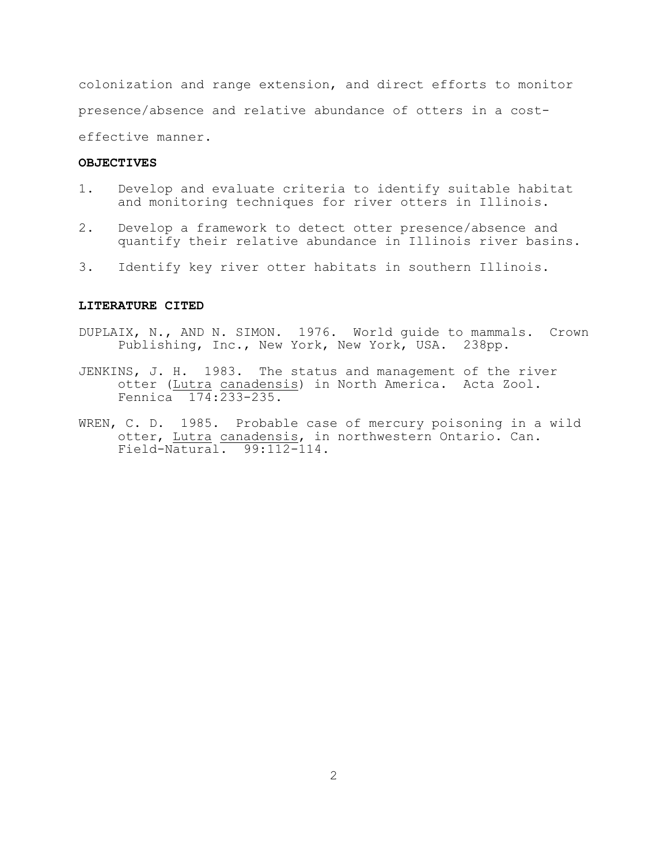colonization and range extension, and direct efforts to monitor presence/absence and relative abundance of otters in a costeffective manner.

#### **OBJECTIVES**

- 1. Develop and evaluate criteria to identify suitable habitat and monitoring techniques for river otters in Illinois.
- 2. Develop a framework to detect otter presence/absence and quantify their relative abundance in Illinois river basins.
- 3. Identify key river otter habitats in southern Illinois.

#### **LITERATURE CITED**

- DUPLAIX, N., AND N. SIMON. 1976. World guide to mammals. Crown Publishing, Inc., New York, New York, USA. 238pp.
- JENKINS, J. H. 1983. The status and management of the river otter (Lutra canadensis) in North America. Acta Zool. Fennica 174:233-235.
- WREN, C. D. 1985. Probable case of mercury poisoning in a wild otter, Lutra canadensis, in northwestern Ontario. Can. Field-Natural. 99:112-114.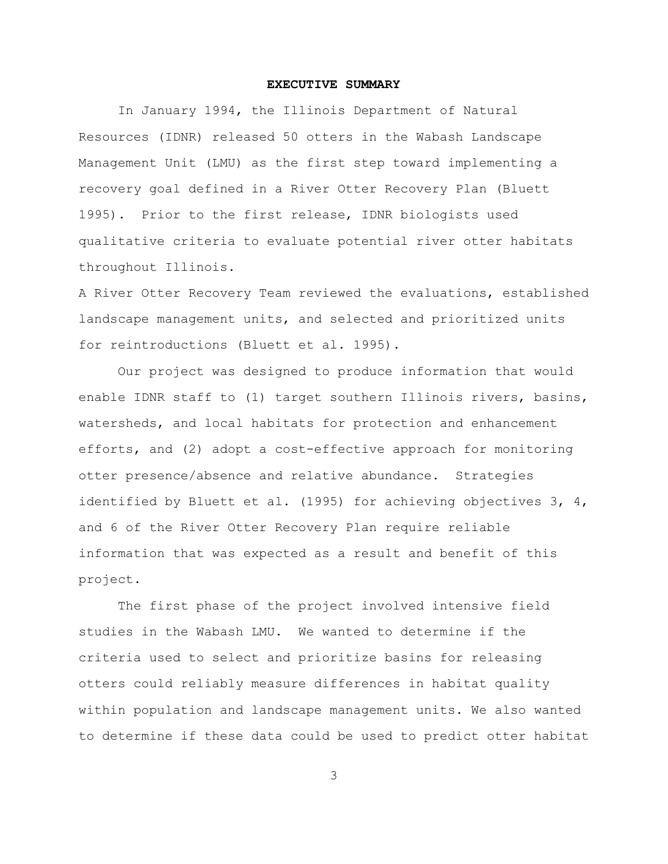#### **EXECUTIVE SUMMARY**

In January 1994, the Illinois Department of Natural Resources (IDNR) released 50 otters in the Wabash Landscape Management Unit (LMU) as the first step toward implementing a recovery goal defined in a River Otter Recovery Plan (Bluett 1995). Prior to the first release, IDNR biologists used qualitative criteria to evaluate potential river otter habitats throughout Illinois.

A River Otter Recovery Team reviewed the evaluations, established landscape management units, and selected and prioritized units for reintroductions (Bluett et al. 1995).

Our project was designed to produce information that would enable IDNR staff to (1) target southern Illinois rivers, basins, watersheds, and local habitats for protection and enhancement efforts, and (2) adopt a cost-effective approach for monitoring otter presence/absence and relative abundance. Strategies identified by Bluett et al. (1995) for achieving objectives 3, 4, and 6 of the River Otter Recovery Plan require reliable information that was expected as a result and benefit of this project.

The first phase of the project involved intensive field studies in the Wabash LMU. We wanted to determine if the criteria used to select and prioritize basins for releasing otters could reliably measure differences in habitat quality within population and landscape management units. We also wanted to determine if these data could be used to predict otter habitat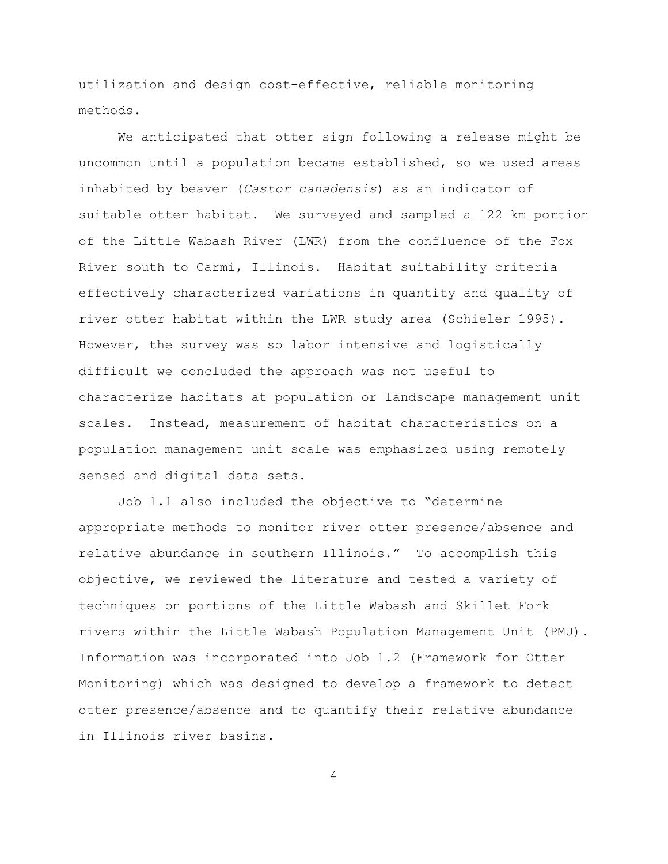utilization and design cost-effective, reliable monitoring methods.

We anticipated that otter sign following a release might be uncommon until a population became established, so we used areas inhabited by beaver (*Castor canadensis*) as an indicator of suitable otter habitat. We surveyed and sampled a 122 km portion of the Little Wabash River (LWR) from the confluence of the Fox River south to Carmi, Illinois. Habitat suitability criteria effectively characterized variations in quantity and quality of river otter habitat within the LWR study area (Schieler 1995). However, the survey was so labor intensive and logistically difficult we concluded the approach was not useful to characterize habitats at population or landscape management unit scales. Instead, measurement of habitat characteristics on a population management unit scale was emphasized using remotely sensed and digital data sets.

Job 1.1 also included the objective to "determine appropriate methods to monitor river otter presence/absence and relative abundance in southern Illinois." To accomplish this objective, we reviewed the literature and tested a variety of techniques on portions of the Little Wabash and Skillet Fork rivers within the Little Wabash Population Management Unit (PMU). Information was incorporated into Job 1.2 (Framework for Otter Monitoring) which was designed to develop a framework to detect otter presence/absence and to quantify their relative abundance in Illinois river basins.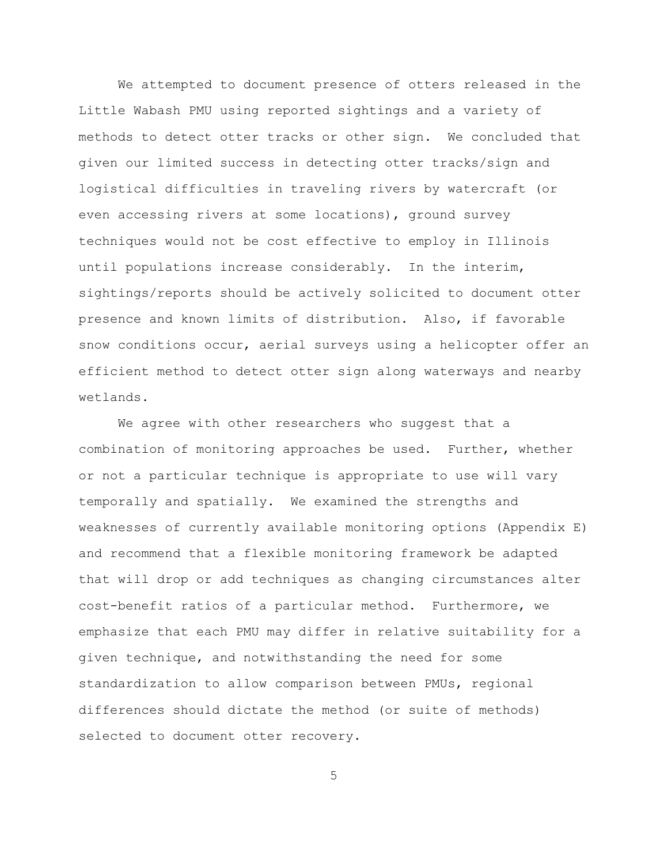We attempted to document presence of otters released in the Little Wabash PMU using reported sightings and a variety of methods to detect otter tracks or other sign. We concluded that given our limited success in detecting otter tracks/sign and logistical difficulties in traveling rivers by watercraft (or even accessing rivers at some locations), ground survey techniques would not be cost effective to employ in Illinois until populations increase considerably. In the interim, sightings/reports should be actively solicited to document otter presence and known limits of distribution. Also, if favorable snow conditions occur, aerial surveys using a helicopter offer an efficient method to detect otter sign along waterways and nearby wetlands.

We agree with other researchers who suggest that a combination of monitoring approaches be used. Further, whether or not a particular technique is appropriate to use will vary temporally and spatially. We examined the strengths and weaknesses of currently available monitoring options (Appendix E) and recommend that a flexible monitoring framework be adapted that will drop or add techniques as changing circumstances alter cost-benefit ratios of a particular method. Furthermore, we emphasize that each PMU may differ in relative suitability for a given technique, and notwithstanding the need for some standardization to allow comparison between PMUs, regional differences should dictate the method (or suite of methods) selected to document otter recovery.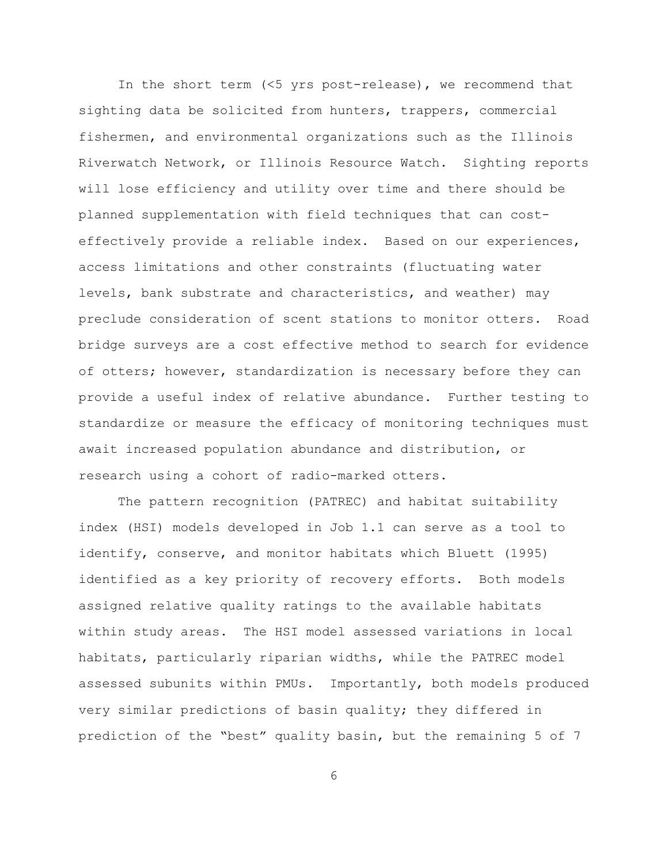In the short term (<5 yrs post-release), we recommend that sighting data be solicited from hunters, trappers, commercial fishermen, and environmental organizations such as the Illinois Riverwatch Network, or Illinois Resource Watch. Sighting reports will lose efficiency and utility over time and there should be planned supplementation with field techniques that can costeffectively provide a reliable index. Based on our experiences, access limitations and other constraints (fluctuating water levels, bank substrate and characteristics, and weather) may preclude consideration of scent stations to monitor otters. Road bridge surveys are a cost effective method to search for evidence of otters; however, standardization is necessary before they can provide a useful index of relative abundance. Further testing to standardize or measure the efficacy of monitoring techniques must await increased population abundance and distribution, or research using a cohort of radio-marked otters.

The pattern recognition (PATREC) and habitat suitability index (HSI) models developed in Job 1.1 can serve as a tool to identify, conserve, and monitor habitats which Bluett (1995) identified as a key priority of recovery efforts. Both models assigned relative quality ratings to the available habitats within study areas. The HSI model assessed variations in local habitats, particularly riparian widths, while the PATREC model assessed subunits within PMUs. Importantly, both models produced very similar predictions of basin quality; they differed in prediction of the "best" quality basin, but the remaining 5 of 7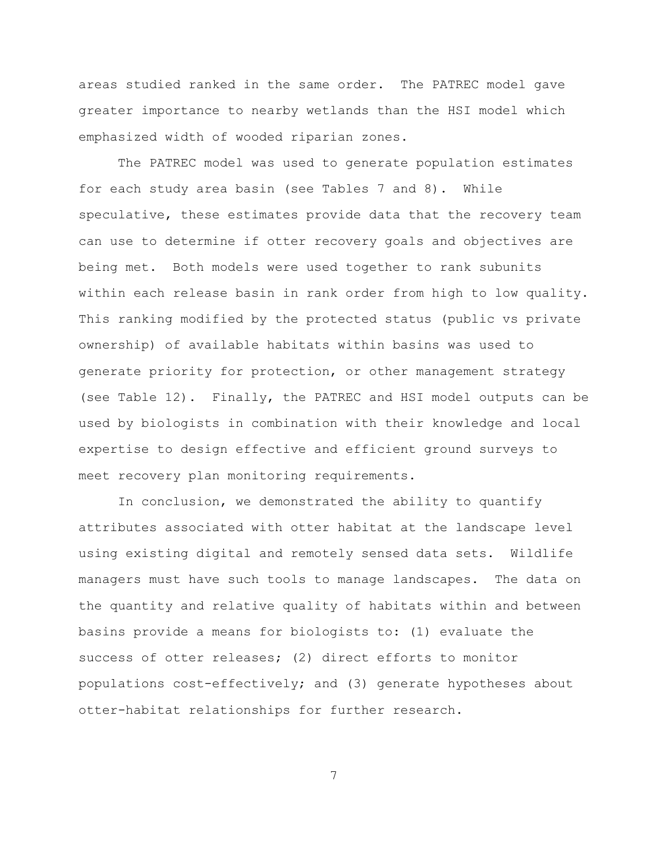areas studied ranked in the same order. The PATREC model gave greater importance to nearby wetlands than the HSI model which emphasized width of wooded riparian zones.

The PATREC model was used to generate population estimates for each study area basin (see Tables 7 and 8). While speculative, these estimates provide data that the recovery team can use to determine if otter recovery goals and objectives are being met. Both models were used together to rank subunits within each release basin in rank order from high to low quality. This ranking modified by the protected status (public vs private ownership) of available habitats within basins was used to generate priority for protection, or other management strategy (see Table 12). Finally, the PATREC and HSI model outputs can be used by biologists in combination with their knowledge and local expertise to design effective and efficient ground surveys to meet recovery plan monitoring requirements.

In conclusion, we demonstrated the ability to quantify attributes associated with otter habitat at the landscape level using existing digital and remotely sensed data sets. Wildlife managers must have such tools to manage landscapes. The data on the quantity and relative quality of habitats within and between basins provide a means for biologists to: (1) evaluate the success of otter releases; (2) direct efforts to monitor populations cost-effectively; and (3) generate hypotheses about otter-habitat relationships for further research.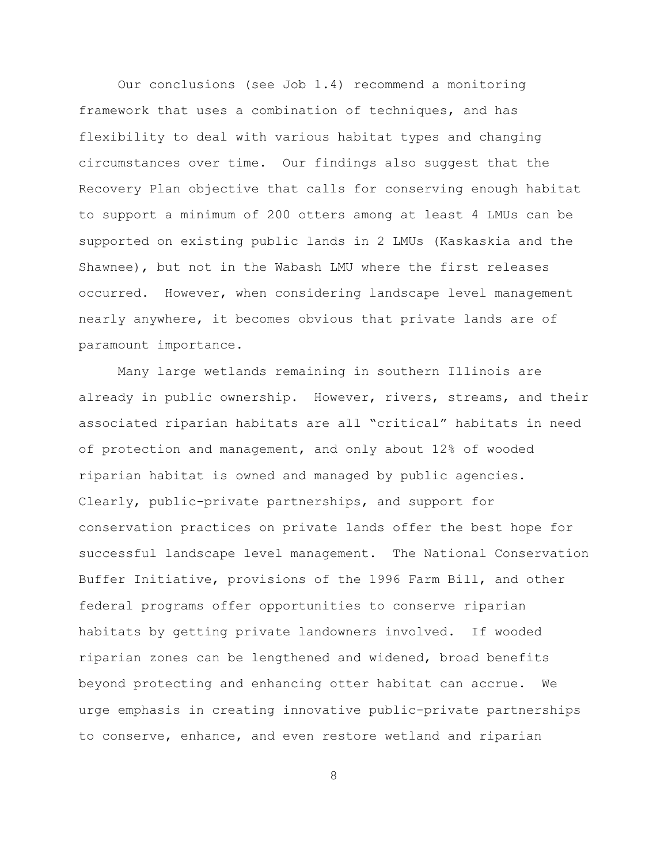Our conclusions (see Job 1.4) recommend a monitoring framework that uses a combination of techniques, and has flexibility to deal with various habitat types and changing circumstances over time. Our findings also suggest that the Recovery Plan objective that calls for conserving enough habitat to support a minimum of 200 otters among at least 4 LMUs can be supported on existing public lands in 2 LMUs (Kaskaskia and the Shawnee), but not in the Wabash LMU where the first releases occurred. However, when considering landscape level management nearly anywhere, it becomes obvious that private lands are of paramount importance.

Many large wetlands remaining in southern Illinois are already in public ownership. However, rivers, streams, and their associated riparian habitats are all "critical" habitats in need of protection and management, and only about 12% of wooded riparian habitat is owned and managed by public agencies. Clearly, public-private partnerships, and support for conservation practices on private lands offer the best hope for successful landscape level management. The National Conservation Buffer Initiative, provisions of the 1996 Farm Bill, and other federal programs offer opportunities to conserve riparian habitats by getting private landowners involved. If wooded riparian zones can be lengthened and widened, broad benefits beyond protecting and enhancing otter habitat can accrue. We urge emphasis in creating innovative public-private partnerships to conserve, enhance, and even restore wetland and riparian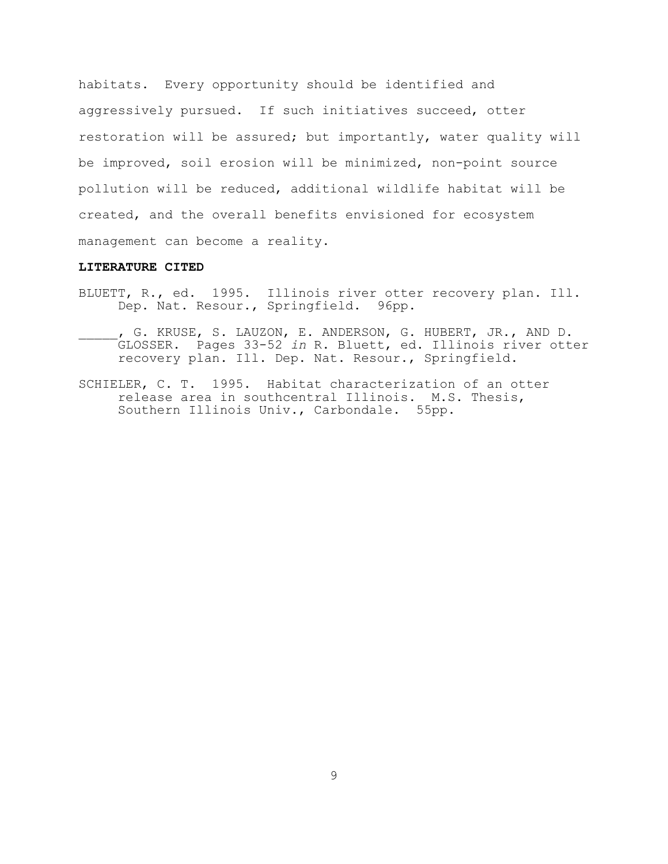habitats. Every opportunity should be identified and aggressively pursued. If such initiatives succeed, otter restoration will be assured; but importantly, water quality will be improved, soil erosion will be minimized, non-point source pollution will be reduced, additional wildlife habitat will be created, and the overall benefits envisioned for ecosystem management can become a reality.

#### **LITERATURE CITED**

- BLUETT, R., ed. 1995. Illinois river otter recovery plan. Ill. Dep. Nat. Resour., Springfield. 96pp.
- \_\_\_\_\_, G. KRUSE, S. LAUZON, E. ANDERSON, G. HUBERT, JR., AND D. GLOSSER. Pages 33-52 *in* R. Bluett, ed. Illinois river otter recovery plan. Ill. Dep. Nat. Resour., Springfield.
- SCHIELER, C. T. 1995. Habitat characterization of an otter release area in southcentral Illinois. M.S. Thesis, Southern Illinois Univ., Carbondale. 55pp.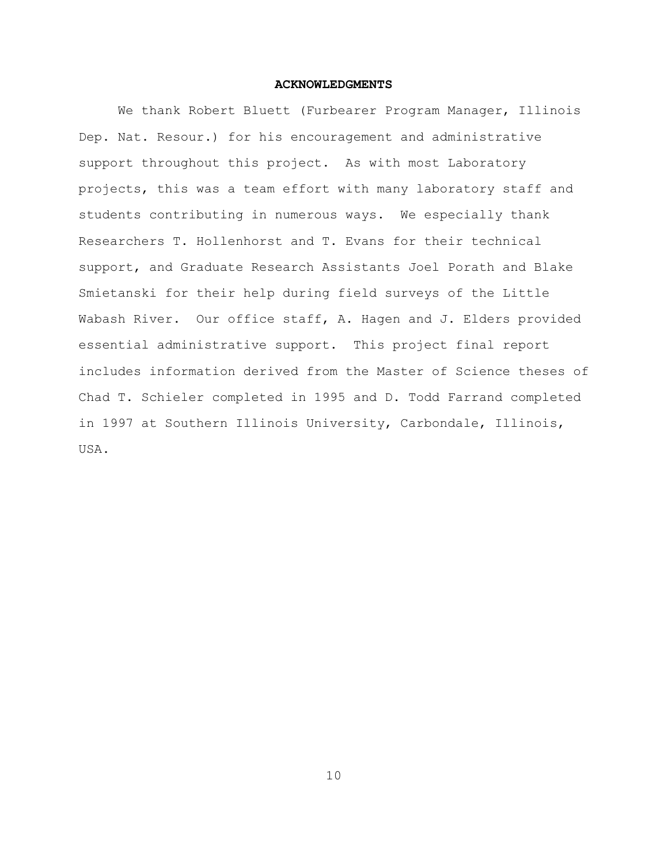#### **ACKNOWLEDGMENTS**

We thank Robert Bluett (Furbearer Program Manager, Illinois Dep. Nat. Resour.) for his encouragement and administrative support throughout this project. As with most Laboratory projects, this was a team effort with many laboratory staff and students contributing in numerous ways. We especially thank Researchers T. Hollenhorst and T. Evans for their technical support, and Graduate Research Assistants Joel Porath and Blake Smietanski for their help during field surveys of the Little Wabash River. Our office staff, A. Hagen and J. Elders provided essential administrative support. This project final report includes information derived from the Master of Science theses of Chad T. Schieler completed in 1995 and D. Todd Farrand completed in 1997 at Southern Illinois University, Carbondale, Illinois, USA.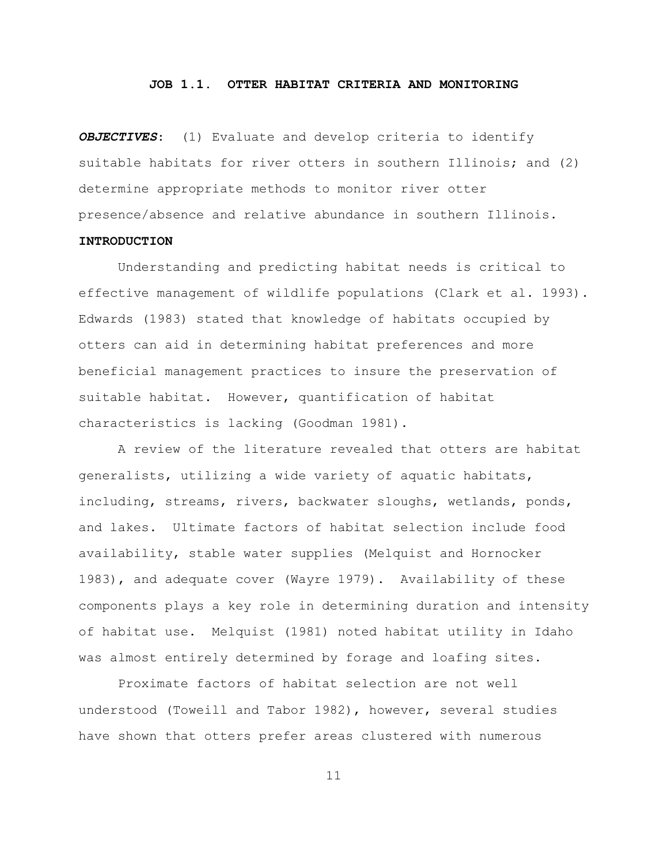#### **JOB 1.1. OTTER HABITAT CRITERIA AND MONITORING**

*OBJECTIVES*: (1) Evaluate and develop criteria to identify suitable habitats for river otters in southern Illinois; and (2) determine appropriate methods to monitor river otter presence/absence and relative abundance in southern Illinois.

### **INTRODUCTION**

Understanding and predicting habitat needs is critical to effective management of wildlife populations (Clark et al. 1993). Edwards (1983) stated that knowledge of habitats occupied by otters can aid in determining habitat preferences and more beneficial management practices to insure the preservation of suitable habitat. However, quantification of habitat characteristics is lacking (Goodman 1981).

A review of the literature revealed that otters are habitat generalists, utilizing a wide variety of aquatic habitats, including, streams, rivers, backwater sloughs, wetlands, ponds, and lakes. Ultimate factors of habitat selection include food availability, stable water supplies (Melquist and Hornocker 1983), and adequate cover (Wayre 1979). Availability of these components plays a key role in determining duration and intensity of habitat use. Melquist (1981) noted habitat utility in Idaho was almost entirely determined by forage and loafing sites.

Proximate factors of habitat selection are not well understood (Toweill and Tabor 1982), however, several studies have shown that otters prefer areas clustered with numerous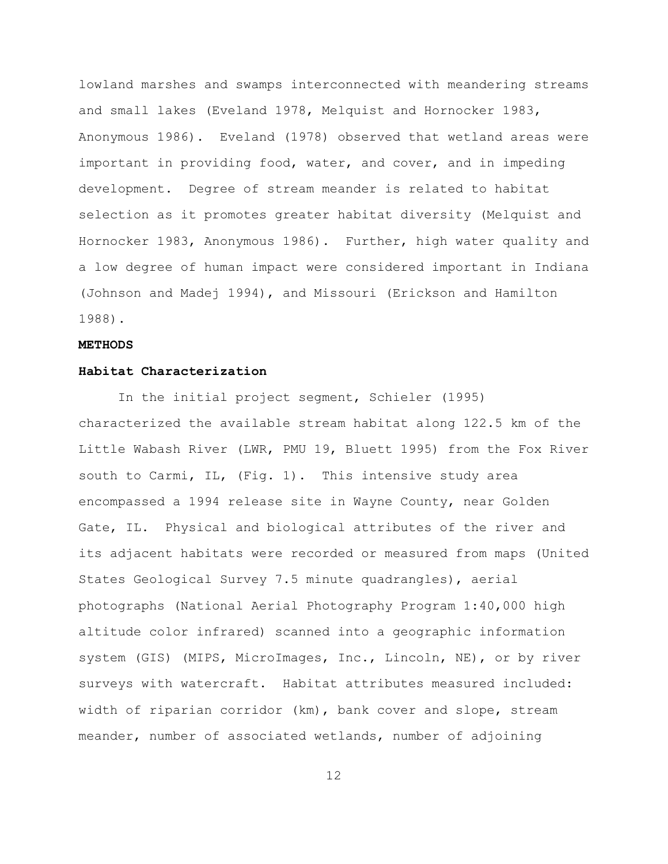lowland marshes and swamps interconnected with meandering streams and small lakes (Eveland 1978, Melquist and Hornocker 1983, Anonymous 1986). Eveland (1978) observed that wetland areas were important in providing food, water, and cover, and in impeding development. Degree of stream meander is related to habitat selection as it promotes greater habitat diversity (Melquist and Hornocker 1983, Anonymous 1986). Further, high water quality and a low degree of human impact were considered important in Indiana (Johnson and Madej 1994), and Missouri (Erickson and Hamilton 1988).

#### **METHODS**

#### **Habitat Characterization**

In the initial project segment, Schieler (1995) characterized the available stream habitat along 122.5 km of the Little Wabash River (LWR, PMU 19, Bluett 1995) from the Fox River south to Carmi, IL, (Fig. 1). This intensive study area encompassed a 1994 release site in Wayne County, near Golden Gate, IL. Physical and biological attributes of the river and its adjacent habitats were recorded or measured from maps (United States Geological Survey 7.5 minute quadrangles), aerial photographs (National Aerial Photography Program 1:40,000 high altitude color infrared) scanned into a geographic information system (GIS) (MIPS, MicroImages, Inc., Lincoln, NE), or by river surveys with watercraft. Habitat attributes measured included: width of riparian corridor (km), bank cover and slope, stream meander, number of associated wetlands, number of adjoining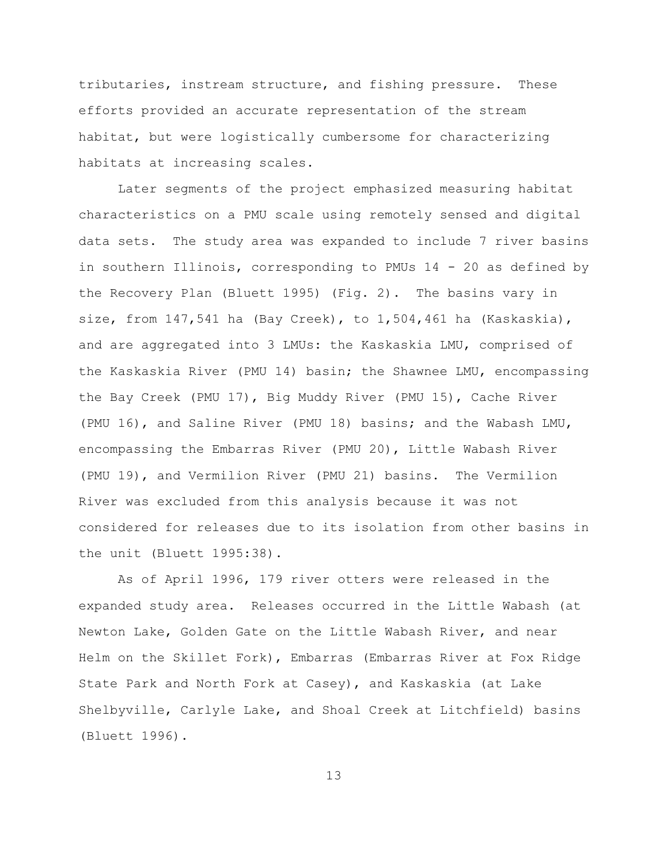tributaries, instream structure, and fishing pressure. These efforts provided an accurate representation of the stream habitat, but were logistically cumbersome for characterizing habitats at increasing scales.

Later segments of the project emphasized measuring habitat characteristics on a PMU scale using remotely sensed and digital data sets. The study area was expanded to include 7 river basins in southern Illinois, corresponding to PMUs 14 - 20 as defined by the Recovery Plan (Bluett 1995) (Fig. 2). The basins vary in size, from  $147,541$  ha (Bay Creek), to  $1,504,461$  ha (Kaskaskia), and are aggregated into 3 LMUs: the Kaskaskia LMU, comprised of the Kaskaskia River (PMU 14) basin; the Shawnee LMU, encompassing the Bay Creek (PMU 17), Big Muddy River (PMU 15), Cache River (PMU 16), and Saline River (PMU 18) basins; and the Wabash LMU, encompassing the Embarras River (PMU 20), Little Wabash River (PMU 19), and Vermilion River (PMU 21) basins. The Vermilion River was excluded from this analysis because it was not considered for releases due to its isolation from other basins in the unit (Bluett 1995:38).

As of April 1996, 179 river otters were released in the expanded study area. Releases occurred in the Little Wabash (at Newton Lake, Golden Gate on the Little Wabash River, and near Helm on the Skillet Fork), Embarras (Embarras River at Fox Ridge State Park and North Fork at Casey), and Kaskaskia (at Lake Shelbyville, Carlyle Lake, and Shoal Creek at Litchfield) basins (Bluett 1996).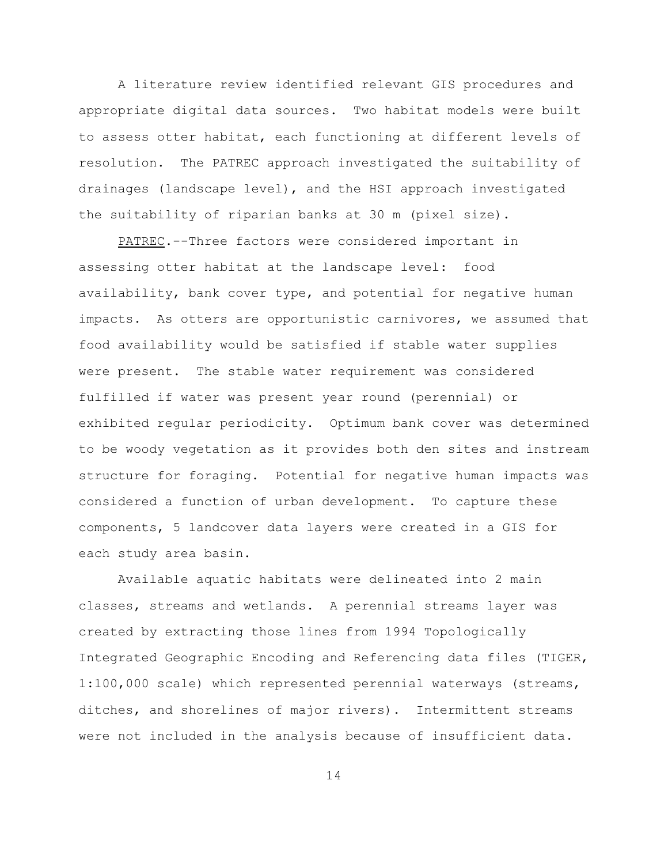A literature review identified relevant GIS procedures and appropriate digital data sources. Two habitat models were built to assess otter habitat, each functioning at different levels of resolution. The PATREC approach investigated the suitability of drainages (landscape level), and the HSI approach investigated the suitability of riparian banks at 30 m (pixel size).

PATREC.--Three factors were considered important in assessing otter habitat at the landscape level: food availability, bank cover type, and potential for negative human impacts. As otters are opportunistic carnivores, we assumed that food availability would be satisfied if stable water supplies were present. The stable water requirement was considered fulfilled if water was present year round (perennial) or exhibited regular periodicity. Optimum bank cover was determined to be woody vegetation as it provides both den sites and instream structure for foraging. Potential for negative human impacts was considered a function of urban development. To capture these components, 5 landcover data layers were created in a GIS for each study area basin.

Available aquatic habitats were delineated into 2 main classes, streams and wetlands. A perennial streams layer was created by extracting those lines from 1994 Topologically Integrated Geographic Encoding and Referencing data files (TIGER, 1:100,000 scale) which represented perennial waterways (streams, ditches, and shorelines of major rivers). Intermittent streams were not included in the analysis because of insufficient data.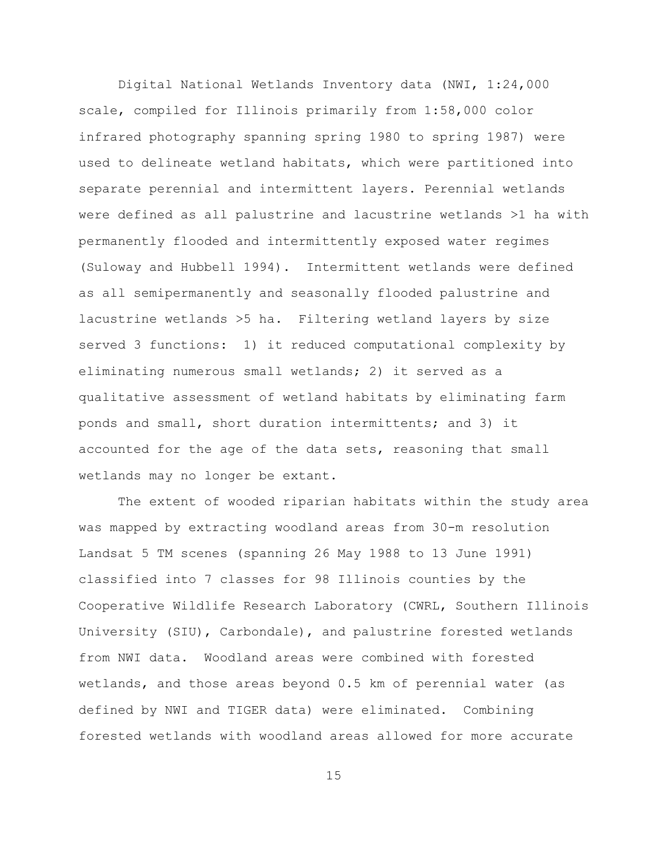Digital National Wetlands Inventory data (NWI, 1:24,000 scale, compiled for Illinois primarily from 1:58,000 color infrared photography spanning spring 1980 to spring 1987) were used to delineate wetland habitats, which were partitioned into separate perennial and intermittent layers. Perennial wetlands were defined as all palustrine and lacustrine wetlands >1 ha with permanently flooded and intermittently exposed water regimes (Suloway and Hubbell 1994). Intermittent wetlands were defined as all semipermanently and seasonally flooded palustrine and lacustrine wetlands >5 ha. Filtering wetland layers by size served 3 functions: 1) it reduced computational complexity by eliminating numerous small wetlands; 2) it served as a qualitative assessment of wetland habitats by eliminating farm ponds and small, short duration intermittents; and 3) it accounted for the age of the data sets, reasoning that small wetlands may no longer be extant.

The extent of wooded riparian habitats within the study area was mapped by extracting woodland areas from 30-m resolution Landsat 5 TM scenes (spanning 26 May 1988 to 13 June 1991) classified into 7 classes for 98 Illinois counties by the Cooperative Wildlife Research Laboratory (CWRL, Southern Illinois University (SIU), Carbondale), and palustrine forested wetlands from NWI data. Woodland areas were combined with forested wetlands, and those areas beyond 0.5 km of perennial water (as defined by NWI and TIGER data) were eliminated. Combining forested wetlands with woodland areas allowed for more accurate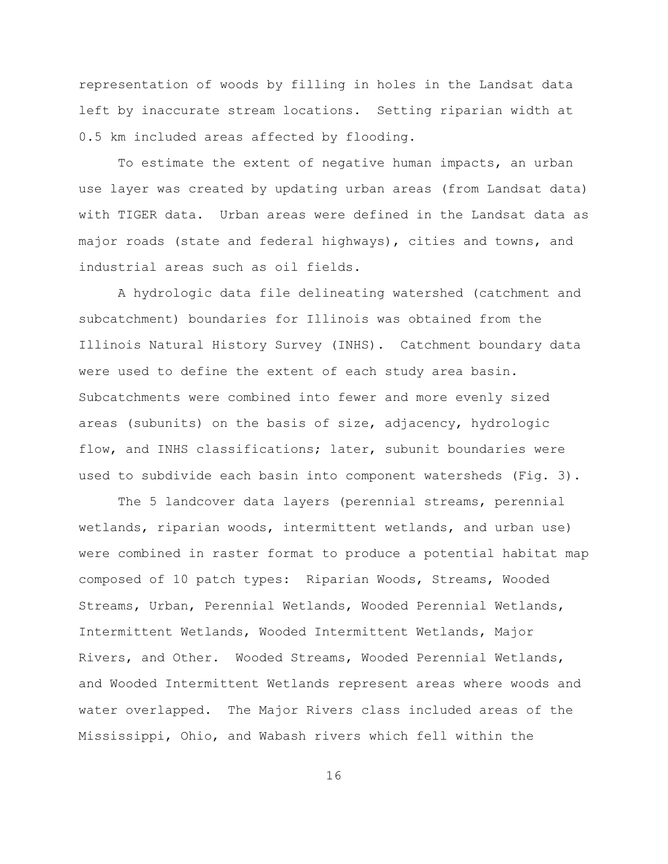representation of woods by filling in holes in the Landsat data left by inaccurate stream locations. Setting riparian width at 0.5 km included areas affected by flooding.

To estimate the extent of negative human impacts, an urban use layer was created by updating urban areas (from Landsat data) with TIGER data. Urban areas were defined in the Landsat data as major roads (state and federal highways), cities and towns, and industrial areas such as oil fields.

A hydrologic data file delineating watershed (catchment and subcatchment) boundaries for Illinois was obtained from the Illinois Natural History Survey (INHS). Catchment boundary data were used to define the extent of each study area basin. Subcatchments were combined into fewer and more evenly sized areas (subunits) on the basis of size, adjacency, hydrologic flow, and INHS classifications; later, subunit boundaries were used to subdivide each basin into component watersheds (Fig. 3).

The 5 landcover data layers (perennial streams, perennial wetlands, riparian woods, intermittent wetlands, and urban use) were combined in raster format to produce a potential habitat map composed of 10 patch types: Riparian Woods, Streams, Wooded Streams, Urban, Perennial Wetlands, Wooded Perennial Wetlands, Intermittent Wetlands, Wooded Intermittent Wetlands, Major Rivers, and Other. Wooded Streams, Wooded Perennial Wetlands, and Wooded Intermittent Wetlands represent areas where woods and water overlapped. The Major Rivers class included areas of the Mississippi, Ohio, and Wabash rivers which fell within the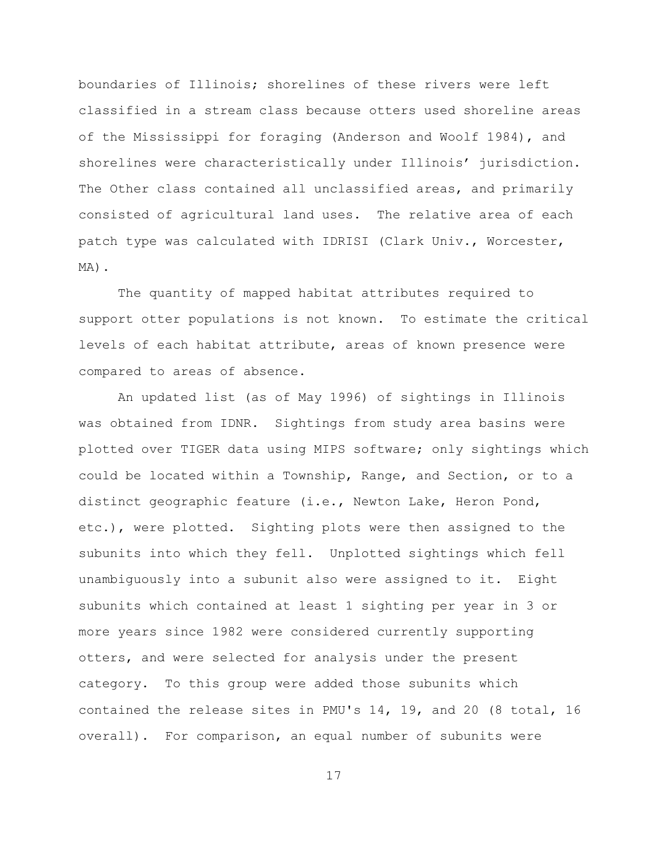boundaries of Illinois; shorelines of these rivers were left classified in a stream class because otters used shoreline areas of the Mississippi for foraging (Anderson and Woolf 1984), and shorelines were characteristically under Illinois' jurisdiction. The Other class contained all unclassified areas, and primarily consisted of agricultural land uses. The relative area of each patch type was calculated with IDRISI (Clark Univ., Worcester, MA).

The quantity of mapped habitat attributes required to support otter populations is not known. To estimate the critical levels of each habitat attribute, areas of known presence were compared to areas of absence.

An updated list (as of May 1996) of sightings in Illinois was obtained from IDNR. Sightings from study area basins were plotted over TIGER data using MIPS software; only sightings which could be located within a Township, Range, and Section, or to a distinct geographic feature (i.e., Newton Lake, Heron Pond, etc.), were plotted. Sighting plots were then assigned to the subunits into which they fell. Unplotted sightings which fell unambiguously into a subunit also were assigned to it. Eight subunits which contained at least 1 sighting per year in 3 or more years since 1982 were considered currently supporting otters, and were selected for analysis under the present category. To this group were added those subunits which contained the release sites in PMU's 14, 19, and 20 (8 total, 16 overall). For comparison, an equal number of subunits were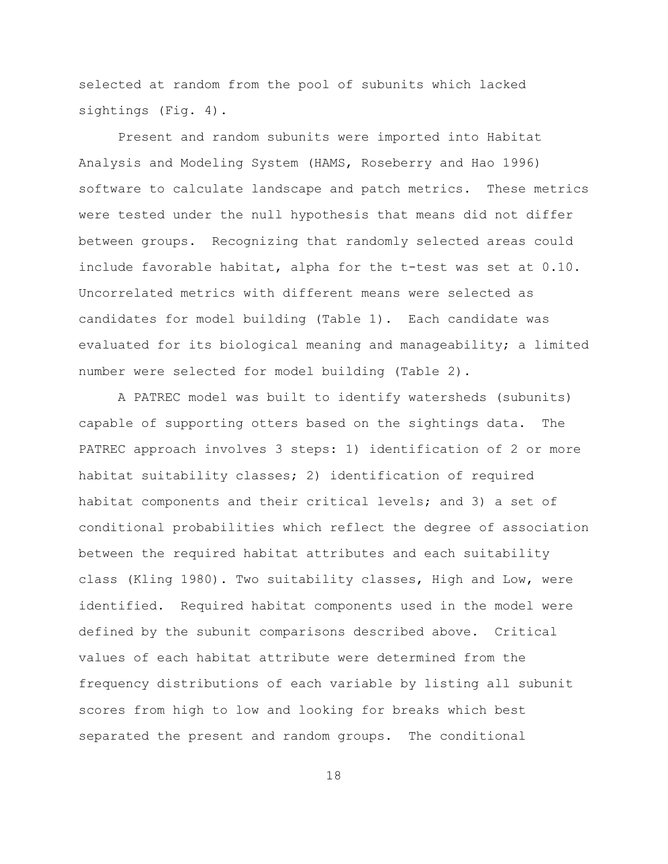selected at random from the pool of subunits which lacked sightings (Fig. 4).

Present and random subunits were imported into Habitat Analysis and Modeling System (HAMS, Roseberry and Hao 1996) software to calculate landscape and patch metrics. These metrics were tested under the null hypothesis that means did not differ between groups. Recognizing that randomly selected areas could include favorable habitat, alpha for the t-test was set at 0.10. Uncorrelated metrics with different means were selected as candidates for model building (Table 1). Each candidate was evaluated for its biological meaning and manageability; a limited number were selected for model building (Table 2).

A PATREC model was built to identify watersheds (subunits) capable of supporting otters based on the sightings data. The PATREC approach involves 3 steps: 1) identification of 2 or more habitat suitability classes; 2) identification of required habitat components and their critical levels; and 3) a set of conditional probabilities which reflect the degree of association between the required habitat attributes and each suitability class (Kling 1980). Two suitability classes, High and Low, were identified. Required habitat components used in the model were defined by the subunit comparisons described above. Critical values of each habitat attribute were determined from the frequency distributions of each variable by listing all subunit scores from high to low and looking for breaks which best separated the present and random groups. The conditional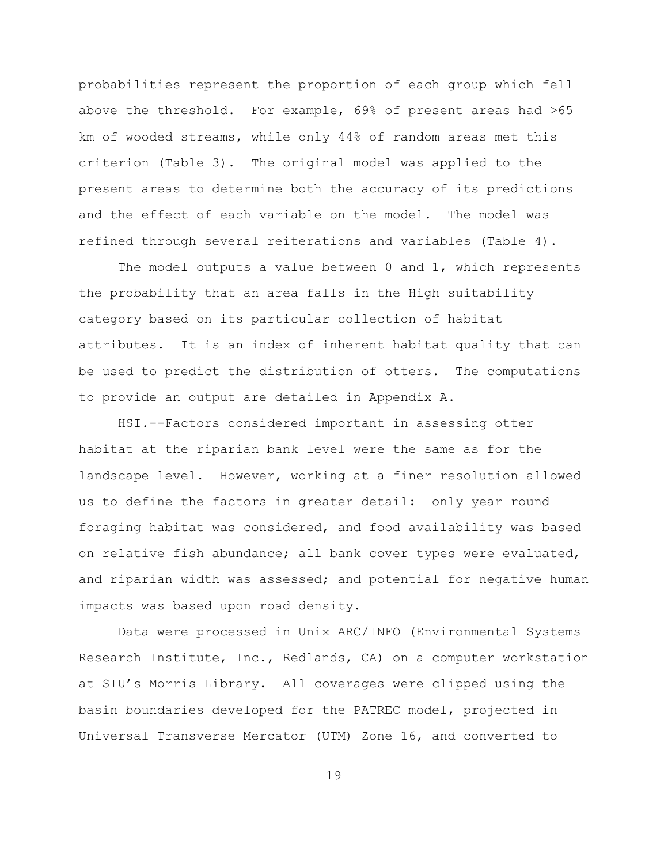probabilities represent the proportion of each group which fell above the threshold. For example, 69% of present areas had >65 km of wooded streams, while only 44% of random areas met this criterion (Table 3). The original model was applied to the present areas to determine both the accuracy of its predictions and the effect of each variable on the model. The model was refined through several reiterations and variables (Table 4).

The model outputs a value between  $0$  and  $1$ , which represents the probability that an area falls in the High suitability category based on its particular collection of habitat attributes. It is an index of inherent habitat quality that can be used to predict the distribution of otters. The computations to provide an output are detailed in Appendix A.

HSI*.*--Factors considered important in assessing otter habitat at the riparian bank level were the same as for the landscape level. However, working at a finer resolution allowed us to define the factors in greater detail: only year round foraging habitat was considered, and food availability was based on relative fish abundance; all bank cover types were evaluated, and riparian width was assessed; and potential for negative human impacts was based upon road density.

Data were processed in Unix ARC/INFO (Environmental Systems Research Institute, Inc., Redlands, CA) on a computer workstation at SIU's Morris Library. All coverages were clipped using the basin boundaries developed for the PATREC model, projected in Universal Transverse Mercator (UTM) Zone 16, and converted to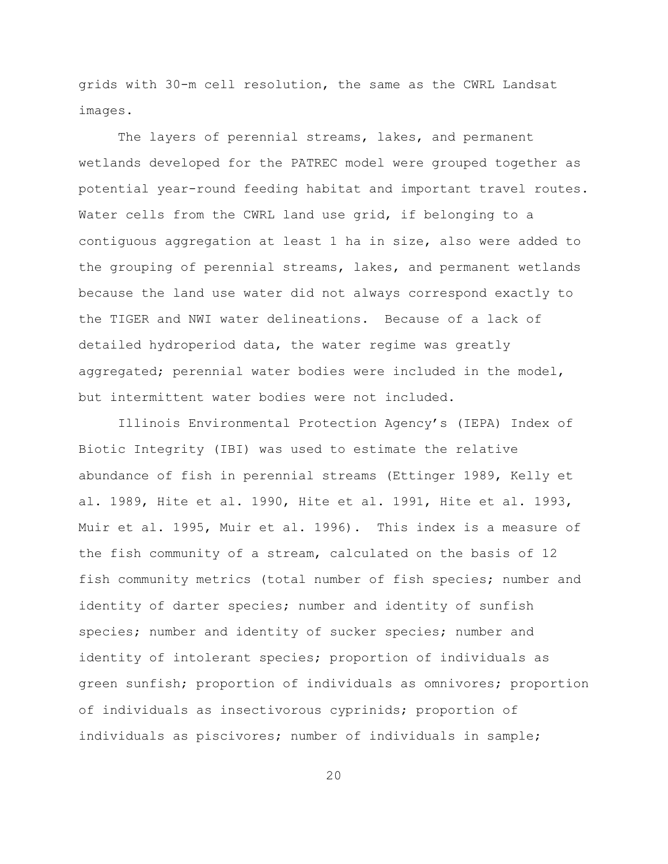grids with 30-m cell resolution, the same as the CWRL Landsat images.

The layers of perennial streams, lakes, and permanent wetlands developed for the PATREC model were grouped together as potential year-round feeding habitat and important travel routes. Water cells from the CWRL land use grid, if belonging to a contiguous aggregation at least 1 ha in size, also were added to the grouping of perennial streams, lakes, and permanent wetlands because the land use water did not always correspond exactly to the TIGER and NWI water delineations. Because of a lack of detailed hydroperiod data, the water regime was greatly aggregated; perennial water bodies were included in the model, but intermittent water bodies were not included.

Illinois Environmental Protection Agency's (IEPA) Index of Biotic Integrity (IBI) was used to estimate the relative abundance of fish in perennial streams (Ettinger 1989, Kelly et al. 1989, Hite et al. 1990, Hite et al. 1991, Hite et al. 1993, Muir et al. 1995, Muir et al. 1996). This index is a measure of the fish community of a stream, calculated on the basis of 12 fish community metrics (total number of fish species; number and identity of darter species; number and identity of sunfish species; number and identity of sucker species; number and identity of intolerant species; proportion of individuals as green sunfish; proportion of individuals as omnivores; proportion of individuals as insectivorous cyprinids; proportion of individuals as piscivores; number of individuals in sample;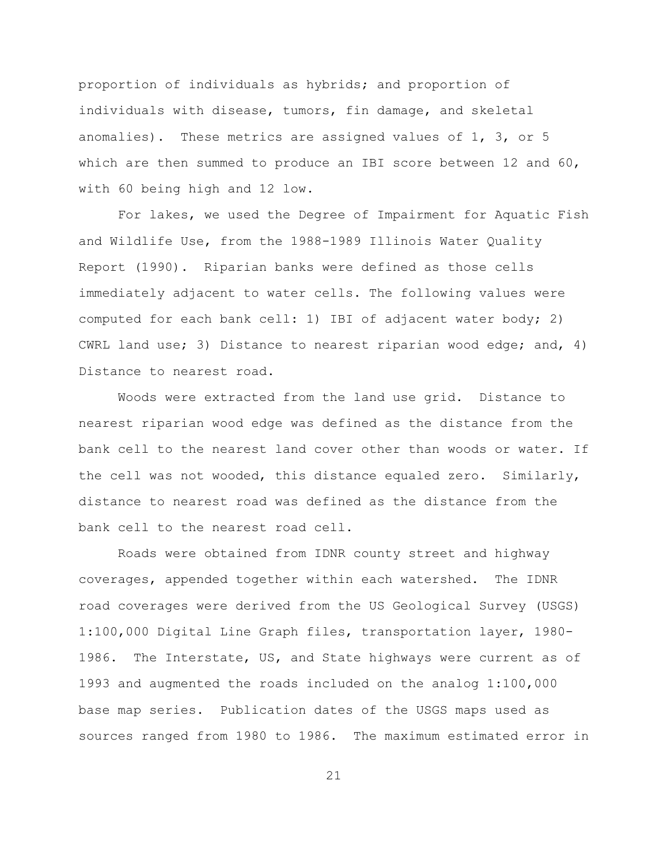proportion of individuals as hybrids; and proportion of individuals with disease, tumors, fin damage, and skeletal anomalies). These metrics are assigned values of 1, 3, or 5 which are then summed to produce an IBI score between 12 and 60, with 60 being high and 12 low.

For lakes, we used the Degree of Impairment for Aquatic Fish and Wildlife Use, from the 1988-1989 Illinois Water Quality Report (1990). Riparian banks were defined as those cells immediately adjacent to water cells. The following values were computed for each bank cell: 1) IBI of adjacent water body; 2) CWRL land use; 3) Distance to nearest riparian wood edge; and, 4) Distance to nearest road.

Woods were extracted from the land use grid. Distance to nearest riparian wood edge was defined as the distance from the bank cell to the nearest land cover other than woods or water. If the cell was not wooded, this distance equaled zero. Similarly, distance to nearest road was defined as the distance from the bank cell to the nearest road cell.

Roads were obtained from IDNR county street and highway coverages, appended together within each watershed. The IDNR road coverages were derived from the US Geological Survey (USGS) 1:100,000 Digital Line Graph files, transportation layer, 1980- 1986. The Interstate, US, and State highways were current as of 1993 and augmented the roads included on the analog 1:100,000 base map series. Publication dates of the USGS maps used as sources ranged from 1980 to 1986. The maximum estimated error in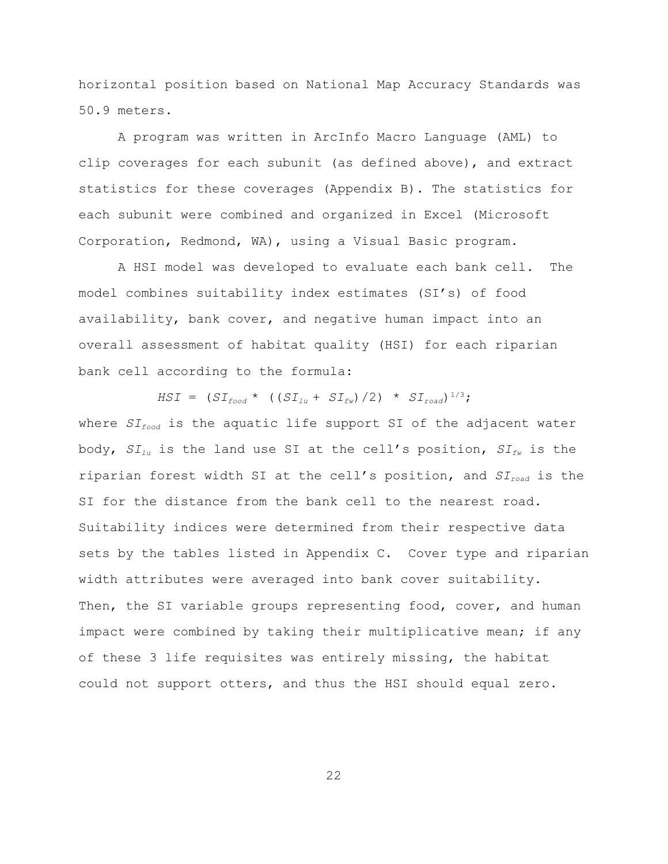horizontal position based on National Map Accuracy Standards was 50.9 meters.

A program was written in ArcInfo Macro Language (AML) to clip coverages for each subunit (as defined above), and extract statistics for these coverages (Appendix B). The statistics for each subunit were combined and organized in Excel (Microsoft Corporation, Redmond, WA), using a Visual Basic program.

A HSI model was developed to evaluate each bank cell. The model combines suitability index estimates (SI's) of food availability, bank cover, and negative human impact into an overall assessment of habitat quality (HSI) for each riparian bank cell according to the formula:

*HSI* =  $(SI_{food} * (SI_{lu} + SI_{fw})/2) * SI_{road})^{1/3}$ ; where *SIfood* is the aquatic life support SI of the adjacent water body, *SIlu* is the land use SI at the cell's position, *SIfw* is the riparian forest width SI at the cell's position, and *SIroad* is the SI for the distance from the bank cell to the nearest road. Suitability indices were determined from their respective data sets by the tables listed in Appendix C. Cover type and riparian width attributes were averaged into bank cover suitability. Then, the SI variable groups representing food, cover, and human impact were combined by taking their multiplicative mean; if any of these 3 life requisites was entirely missing, the habitat could not support otters, and thus the HSI should equal zero.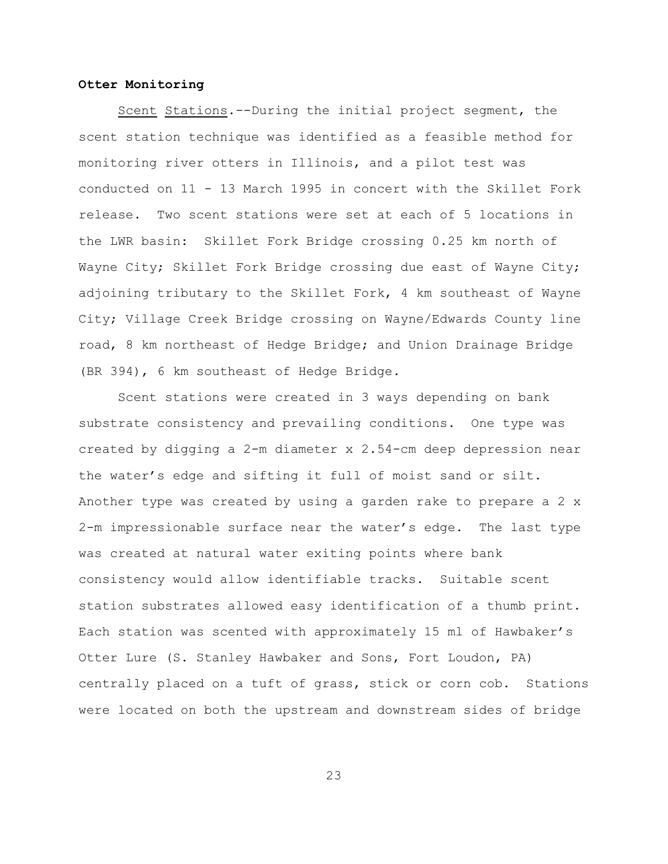#### **Otter Monitoring**

Scent Stations.--During the initial project segment, the scent station technique was identified as a feasible method for monitoring river otters in Illinois, and a pilot test was conducted on 11 - 13 March 1995 in concert with the Skillet Fork release. Two scent stations were set at each of 5 locations in the LWR basin: Skillet Fork Bridge crossing 0.25 km north of Wayne City; Skillet Fork Bridge crossing due east of Wayne City; adjoining tributary to the Skillet Fork, 4 km southeast of Wayne City; Village Creek Bridge crossing on Wayne/Edwards County line road, 8 km northeast of Hedge Bridge; and Union Drainage Bridge (BR 394), 6 km southeast of Hedge Bridge.

Scent stations were created in 3 ways depending on bank substrate consistency and prevailing conditions. One type was created by digging a 2-m diameter x 2.54-cm deep depression near the water's edge and sifting it full of moist sand or silt. Another type was created by using a garden rake to prepare a 2 x 2-m impressionable surface near the water's edge. The last type was created at natural water exiting points where bank consistency would allow identifiable tracks. Suitable scent station substrates allowed easy identification of a thumb print. Each station was scented with approximately 15 ml of Hawbaker's Otter Lure (S. Stanley Hawbaker and Sons, Fort Loudon, PA) centrally placed on a tuft of grass, stick or corn cob. Stations were located on both the upstream and downstream sides of bridge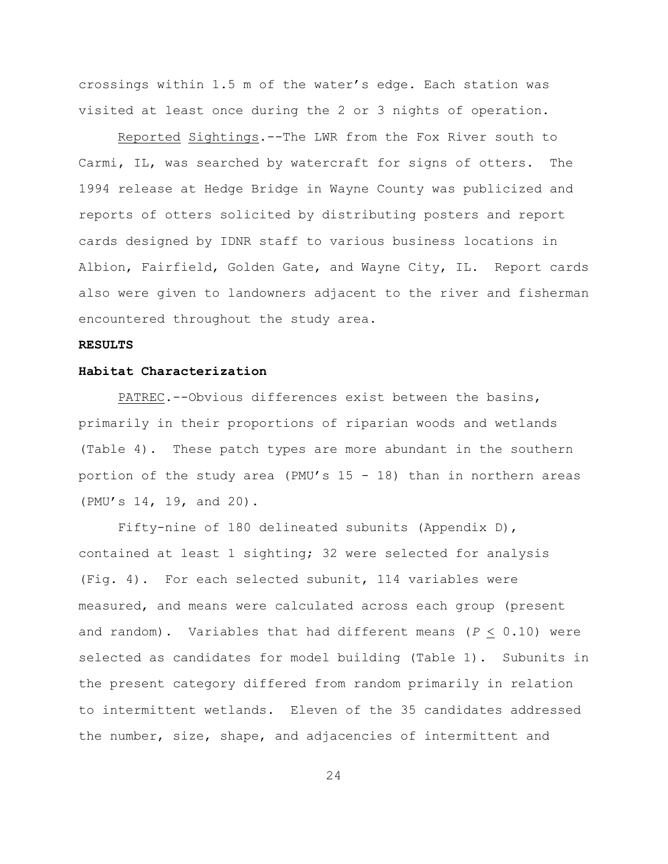crossings within 1.5 m of the water's edge. Each station was visited at least once during the 2 or 3 nights of operation.

Reported Sightings.--The LWR from the Fox River south to Carmi, IL, was searched by watercraft for signs of otters. The 1994 release at Hedge Bridge in Wayne County was publicized and reports of otters solicited by distributing posters and report cards designed by IDNR staff to various business locations in Albion, Fairfield, Golden Gate, and Wayne City, IL. Report cards also were given to landowners adjacent to the river and fisherman encountered throughout the study area.

#### **RESULTS**

#### **Habitat Characterization**

PATREC.--Obvious differences exist between the basins, primarily in their proportions of riparian woods and wetlands (Table 4). These patch types are more abundant in the southern portion of the study area (PMU's  $15 - 18$ ) than in northern areas (PMU's 14, 19, and 20).

Fifty-nine of 180 delineated subunits (Appendix D), contained at least 1 sighting; 32 were selected for analysis (Fig. 4). For each selected subunit, 114 variables were measured, and means were calculated across each group (present and random). Variables that had different means  $(P < 0.10)$  were selected as candidates for model building (Table 1). Subunits in the present category differed from random primarily in relation to intermittent wetlands. Eleven of the 35 candidates addressed the number, size, shape, and adjacencies of intermittent and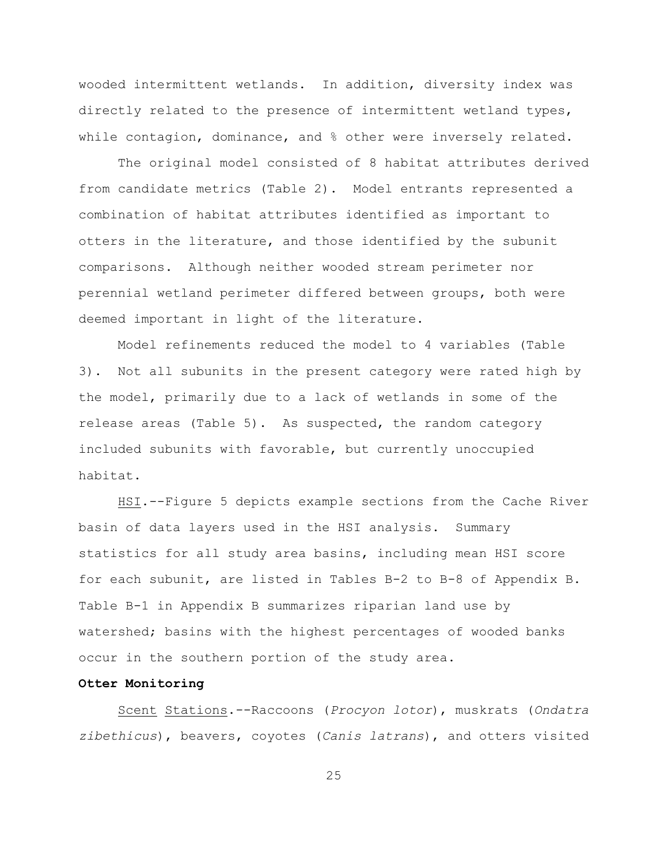wooded intermittent wetlands. In addition, diversity index was directly related to the presence of intermittent wetland types, while contagion, dominance, and % other were inversely related.

The original model consisted of 8 habitat attributes derived from candidate metrics (Table 2). Model entrants represented a combination of habitat attributes identified as important to otters in the literature, and those identified by the subunit comparisons. Although neither wooded stream perimeter nor perennial wetland perimeter differed between groups, both were deemed important in light of the literature.

Model refinements reduced the model to 4 variables (Table 3). Not all subunits in the present category were rated high by the model, primarily due to a lack of wetlands in some of the release areas (Table 5). As suspected, the random category included subunits with favorable, but currently unoccupied habitat.

HSI.--Figure 5 depicts example sections from the Cache River basin of data layers used in the HSI analysis. Summary statistics for all study area basins, including mean HSI score for each subunit, are listed in Tables B-2 to B-8 of Appendix B. Table B-1 in Appendix B summarizes riparian land use by watershed; basins with the highest percentages of wooded banks occur in the southern portion of the study area.

#### **Otter Monitoring**

Scent Stations.--Raccoons (*Procyon lotor*), muskrats (*Ondatra zibethicus*), beavers, coyotes (*Canis latrans*), and otters visited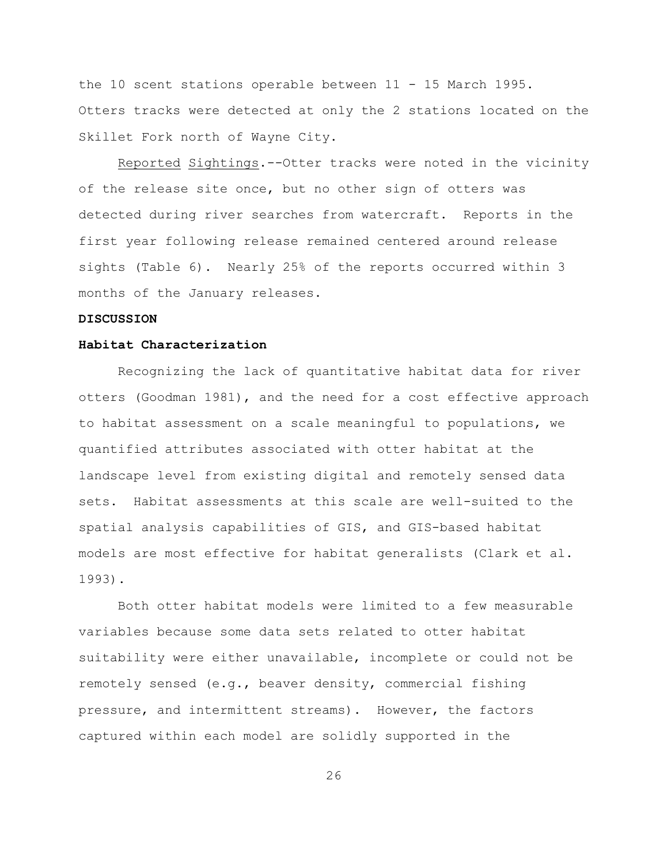the 10 scent stations operable between 11 - 15 March 1995. Otters tracks were detected at only the 2 stations located on the Skillet Fork north of Wayne City.

Reported Sightings.--Otter tracks were noted in the vicinity of the release site once, but no other sign of otters was detected during river searches from watercraft. Reports in the first year following release remained centered around release sights (Table 6). Nearly 25% of the reports occurred within 3 months of the January releases.

#### **DISCUSSION**

#### **Habitat Characterization**

Recognizing the lack of quantitative habitat data for river otters (Goodman 1981), and the need for a cost effective approach to habitat assessment on a scale meaningful to populations, we quantified attributes associated with otter habitat at the landscape level from existing digital and remotely sensed data sets. Habitat assessments at this scale are well-suited to the spatial analysis capabilities of GIS, and GIS-based habitat models are most effective for habitat generalists (Clark et al. 1993).

Both otter habitat models were limited to a few measurable variables because some data sets related to otter habitat suitability were either unavailable, incomplete or could not be remotely sensed (e.g., beaver density, commercial fishing pressure, and intermittent streams). However, the factors captured within each model are solidly supported in the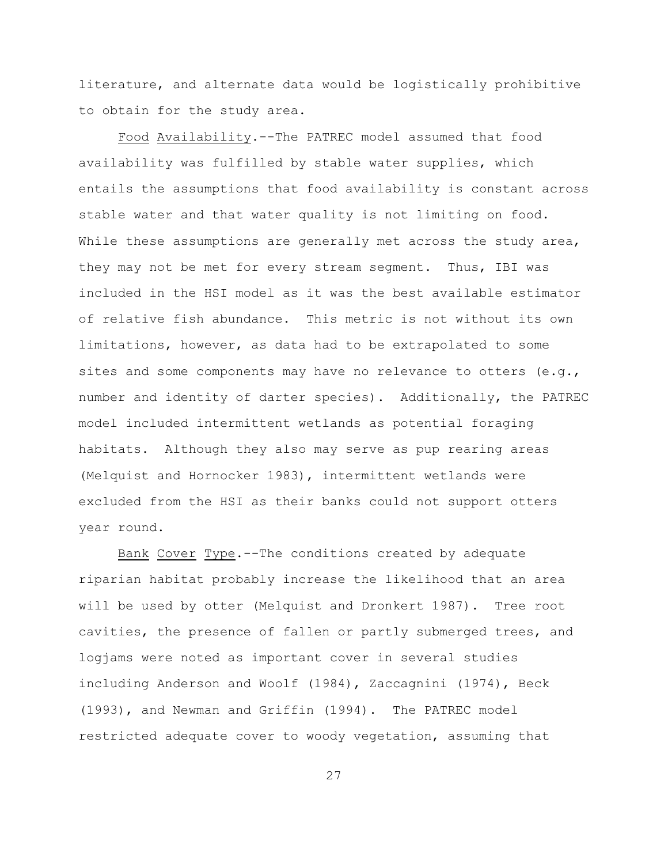literature, and alternate data would be logistically prohibitive to obtain for the study area.

Food Availability.--The PATREC model assumed that food availability was fulfilled by stable water supplies, which entails the assumptions that food availability is constant across stable water and that water quality is not limiting on food. While these assumptions are generally met across the study area, they may not be met for every stream segment. Thus, IBI was included in the HSI model as it was the best available estimator of relative fish abundance. This metric is not without its own limitations, however, as data had to be extrapolated to some sites and some components may have no relevance to otters (e.g., number and identity of darter species). Additionally, the PATREC model included intermittent wetlands as potential foraging habitats. Although they also may serve as pup rearing areas (Melquist and Hornocker 1983), intermittent wetlands were excluded from the HSI as their banks could not support otters year round.

Bank Cover Type.--The conditions created by adequate riparian habitat probably increase the likelihood that an area will be used by otter (Melquist and Dronkert 1987). Tree root cavities, the presence of fallen or partly submerged trees, and logjams were noted as important cover in several studies including Anderson and Woolf (1984), Zaccagnini (1974), Beck (1993), and Newman and Griffin (1994). The PATREC model restricted adequate cover to woody vegetation, assuming that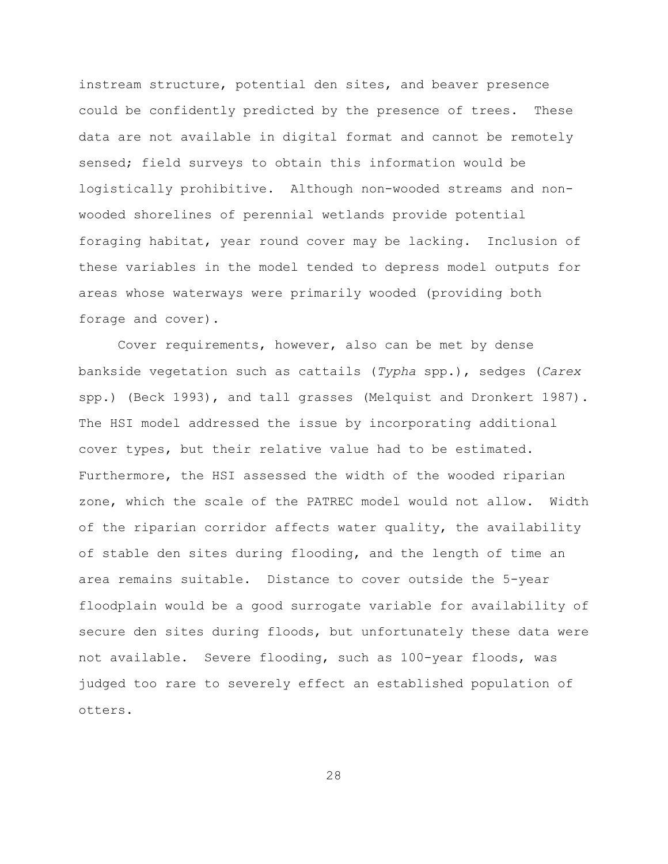instream structure, potential den sites, and beaver presence could be confidently predicted by the presence of trees. These data are not available in digital format and cannot be remotely sensed; field surveys to obtain this information would be logistically prohibitive. Although non-wooded streams and nonwooded shorelines of perennial wetlands provide potential foraging habitat, year round cover may be lacking. Inclusion of these variables in the model tended to depress model outputs for areas whose waterways were primarily wooded (providing both forage and cover).

Cover requirements, however, also can be met by dense bankside vegetation such as cattails (*Typha* spp.), sedges (*Carex* spp.) (Beck 1993), and tall grasses (Melquist and Dronkert 1987). The HSI model addressed the issue by incorporating additional cover types, but their relative value had to be estimated. Furthermore, the HSI assessed the width of the wooded riparian zone, which the scale of the PATREC model would not allow. Width of the riparian corridor affects water quality, the availability of stable den sites during flooding, and the length of time an area remains suitable. Distance to cover outside the 5-year floodplain would be a good surrogate variable for availability of secure den sites during floods, but unfortunately these data were not available. Severe flooding, such as 100-year floods, was judged too rare to severely effect an established population of otters.

28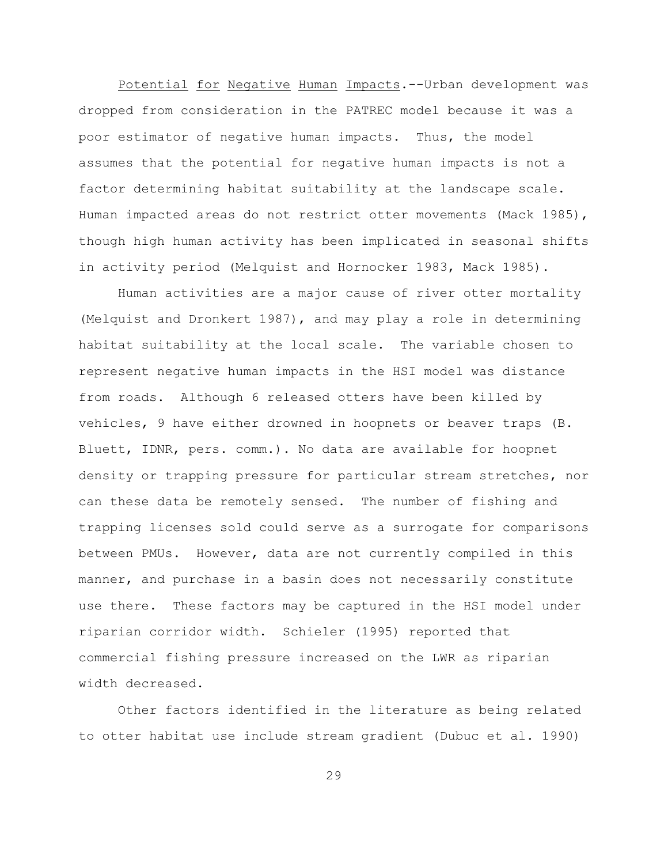Potential for Negative Human Impacts.--Urban development was dropped from consideration in the PATREC model because it was a poor estimator of negative human impacts. Thus, the model assumes that the potential for negative human impacts is not a factor determining habitat suitability at the landscape scale. Human impacted areas do not restrict otter movements (Mack 1985), though high human activity has been implicated in seasonal shifts in activity period (Melquist and Hornocker 1983, Mack 1985).

Human activities are a major cause of river otter mortality (Melquist and Dronkert 1987), and may play a role in determining habitat suitability at the local scale. The variable chosen to represent negative human impacts in the HSI model was distance from roads. Although 6 released otters have been killed by vehicles, 9 have either drowned in hoopnets or beaver traps (B. Bluett, IDNR, pers. comm.). No data are available for hoopnet density or trapping pressure for particular stream stretches, nor can these data be remotely sensed. The number of fishing and trapping licenses sold could serve as a surrogate for comparisons between PMUs. However, data are not currently compiled in this manner, and purchase in a basin does not necessarily constitute use there. These factors may be captured in the HSI model under riparian corridor width. Schieler (1995) reported that commercial fishing pressure increased on the LWR as riparian width decreased.

Other factors identified in the literature as being related to otter habitat use include stream gradient (Dubuc et al. 1990)

29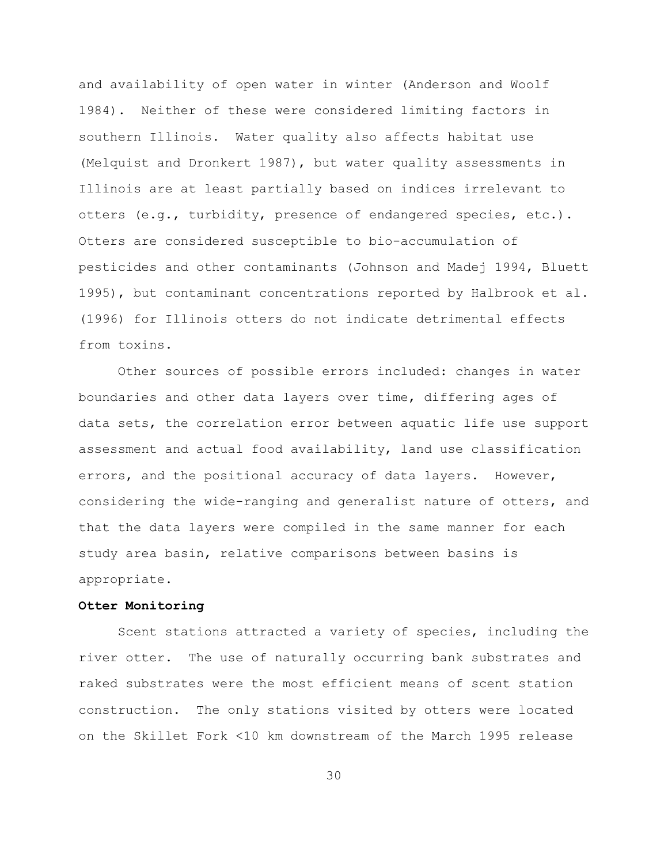and availability of open water in winter (Anderson and Woolf 1984). Neither of these were considered limiting factors in southern Illinois. Water quality also affects habitat use (Melquist and Dronkert 1987), but water quality assessments in Illinois are at least partially based on indices irrelevant to otters (e.g., turbidity, presence of endangered species, etc.). Otters are considered susceptible to bio-accumulation of pesticides and other contaminants (Johnson and Madej 1994, Bluett 1995), but contaminant concentrations reported by Halbrook et al. (1996) for Illinois otters do not indicate detrimental effects from toxins.

Other sources of possible errors included: changes in water boundaries and other data layers over time, differing ages of data sets, the correlation error between aquatic life use support assessment and actual food availability, land use classification errors, and the positional accuracy of data layers. However, considering the wide-ranging and generalist nature of otters, and that the data layers were compiled in the same manner for each study area basin, relative comparisons between basins is appropriate.

#### **Otter Monitoring**

Scent stations attracted a variety of species, including the river otter. The use of naturally occurring bank substrates and raked substrates were the most efficient means of scent station construction. The only stations visited by otters were located on the Skillet Fork <10 km downstream of the March 1995 release

30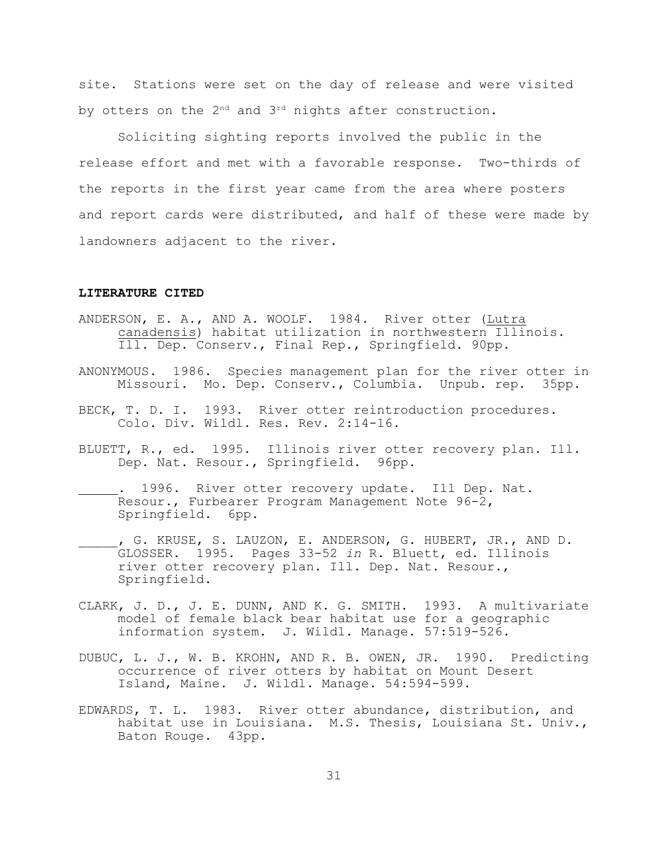site. Stations were set on the day of release and were visited by otters on the  $2^{nd}$  and  $3^{rd}$  nights after construction.

Soliciting sighting reports involved the public in the release effort and met with a favorable response. Two-thirds of the reports in the first year came from the area where posters and report cards were distributed, and half of these were made by landowners adjacent to the river.

#### **LITERATURE CITED**

- ANDERSON, E. A., AND A. WOOLF. 1984. River otter (Lutra canadensis) habitat utilization in northwestern Illinois. Ill. Dep. Conserv., Final Rep., Springfield. 90pp.
- ANONYMOUS. 1986. Species management plan for the river otter in Missouri. Mo. Dep. Conserv., Columbia. Unpub. rep. 35pp.
- BECK, T. D. I. 1993. River otter reintroduction procedures. Colo. Div. Wildl. Res. Rev. 2:14-16.
- BLUETT, R., ed. 1995. Illinois river otter recovery plan. Ill. Dep. Nat. Resour., Springfield. 96pp.
- . 1996. River otter recovery update. Ill Dep. Nat. Resour., Furbearer Program Management Note 96-2, Springfield. 6pp.
- , G. KRUSE, S. LAUZON, E. ANDERSON, G. HUBERT, JR., AND D. GLOSSER. 1995. Pages 33-52 *in* R. Bluett, ed. Illinois river otter recovery plan. Ill. Dep. Nat. Resour., Springfield.
- CLARK, J. D., J. E. DUNN, AND K. G. SMITH. 1993. A multivariate model of female black bear habitat use for a geographic information system. J. Wildl. Manage. 57:519-526.
- DUBUC, L. J., W. B. KROHN, AND R. B. OWEN, JR. 1990. Predicting occurrence of river otters by habitat on Mount Desert Island, Maine. J. Wildl. Manage. 54:594-599.
- EDWARDS, T. L. 1983. River otter abundance, distribution, and habitat use in Louisiana. M.S. Thesis, Louisiana St. Univ., Baton Rouge. 43pp.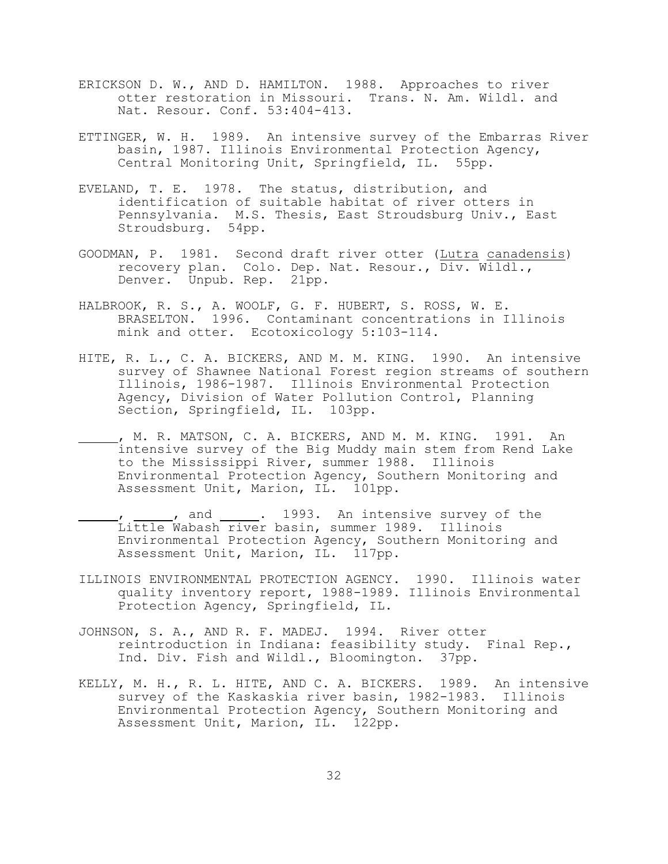- ERICKSON D. W., AND D. HAMILTON. 1988. Approaches to river otter restoration in Missouri. Trans. N. Am. Wildl. and Nat. Resour. Conf. 53:404-413.
- ETTINGER, W. H. 1989. An intensive survey of the Embarras River basin, 1987. Illinois Environmental Protection Agency, Central Monitoring Unit, Springfield, IL. 55pp.
- EVELAND, T. E. 1978. The status, distribution, and identification of suitable habitat of river otters in Pennsylvania. M.S. Thesis, East Stroudsburg Univ., East Stroudsburg. 54pp.
- GOODMAN, P. 1981. Second draft river otter (Lutra canadensis) recovery plan. Colo. Dep. Nat. Resour., Div. Wildl., Denver. Unpub. Rep. 21pp.
- HALBROOK, R. S., A. WOOLF, G. F. HUBERT, S. ROSS, W. E. BRASELTON. 1996. Contaminant concentrations in Illinois mink and otter. Ecotoxicology 5:103-114.
- HITE, R. L., C. A. BICKERS, AND M. M. KING. 1990. An intensive survey of Shawnee National Forest region streams of southern Illinois, 1986-1987. Illinois Environmental Protection Agency, Division of Water Pollution Control, Planning Section, Springfield, IL. 103pp.
- , M. R. MATSON, C. A. BICKERS, AND M. M. KING. 1991. An intensive survey of the Big Muddy main stem from Rend Lake to the Mississippi River, summer 1988. Illinois Environmental Protection Agency, Southern Monitoring and Assessment Unit, Marion, IL. 101pp.
- , and . 1993. An intensive survey of the Little Wabash river basin, summer 1989. Illinois Environmental Protection Agency, Southern Monitoring and Assessment Unit, Marion, IL. 117pp.
- ILLINOIS ENVIRONMENTAL PROTECTION AGENCY. 1990. Illinois water quality inventory report, 1988-1989. Illinois Environmental Protection Agency, Springfield, IL.
- JOHNSON, S. A., AND R. F. MADEJ. 1994. River otter reintroduction in Indiana: feasibility study. Final Rep., Ind. Div. Fish and Wildl., Bloomington. 37pp.
- KELLY, M. H., R. L. HITE, AND C. A. BICKERS. 1989. An intensive survey of the Kaskaskia river basin, 1982-1983. Illinois Environmental Protection Agency, Southern Monitoring and Assessment Unit, Marion, IL. 122pp.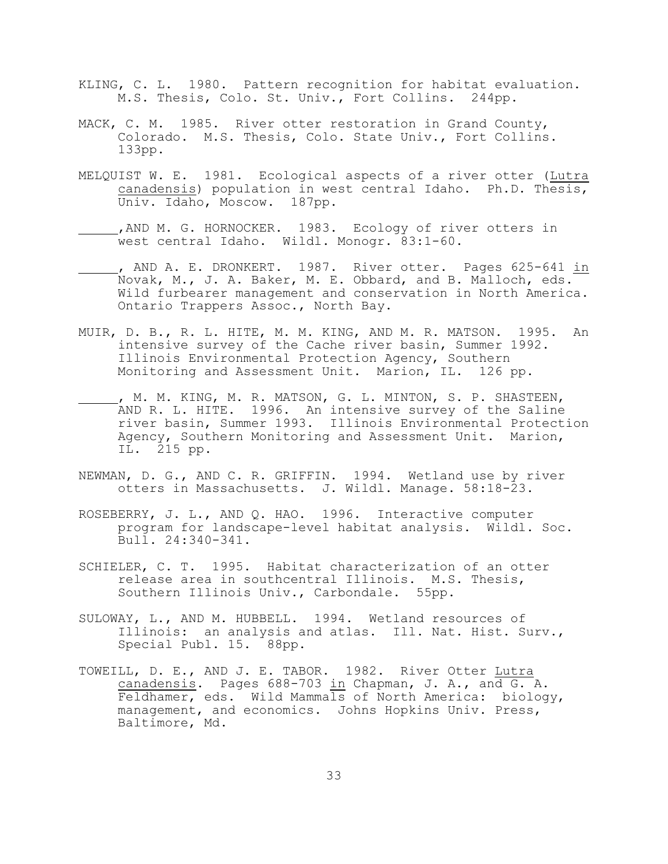- KLING, C. L. 1980. Pattern recognition for habitat evaluation. M.S. Thesis, Colo. St. Univ., Fort Collins. 244pp.
- MACK, C. M. 1985. River otter restoration in Grand County, Colorado. M.S. Thesis, Colo. State Univ., Fort Collins. 133pp.
- MELQUIST W. E. 1981. Ecological aspects of a river otter (Lutra canadensis) population in west central Idaho. Ph.D. Thesis, Univ. Idaho, Moscow. 187pp.
	- ,AND M. G. HORNOCKER. 1983. Ecology of river otters in west central Idaho. Wildl. Monogr. 83:1-60.
- , AND A. E. DRONKERT. 1987. River otter. Pages 625-641 in Novak, M., J. A. Baker, M. E. Obbard, and B. Malloch, eds. Wild furbearer management and conservation in North America. Ontario Trappers Assoc., North Bay.
- MUIR, D. B., R. L. HITE, M. M. KING, AND M. R. MATSON. 1995. An intensive survey of the Cache river basin, Summer 1992. Illinois Environmental Protection Agency, Southern Monitoring and Assessment Unit. Marion, IL. 126 pp.
- , M. M. KING, M. R. MATSON, G. L. MINTON, S. P. SHASTEEN, AND R. L. HITE. 1996. An intensive survey of the Saline river basin, Summer 1993. Illinois Environmental Protection Agency, Southern Monitoring and Assessment Unit. Marion, IL. 215 pp.
- NEWMAN, D. G., AND C. R. GRIFFIN. 1994. Wetland use by river otters in Massachusetts. J. Wildl. Manage. 58:18-23.
- ROSEBERRY, J. L., AND Q. HAO. 1996. Interactive computer program for landscape-level habitat analysis. Wildl. Soc. Bull. 24:340-341.
- SCHIELER, C. T. 1995. Habitat characterization of an otter release area in southcentral Illinois. M.S. Thesis, Southern Illinois Univ., Carbondale. 55pp.
- SULOWAY, L., AND M. HUBBELL. 1994. Wetland resources of Illinois: an analysis and atlas. Ill. Nat. Hist. Surv., Special Publ. 15. 88pp.
- TOWEILL, D. E., AND J. E. TABOR. 1982. River Otter Lutra canadensis. Pages 688-703 in Chapman, J. A., and G. A. Feldhamer, eds. Wild Mammals of North America: biology, management, and economics. Johns Hopkins Univ. Press, Baltimore, Md.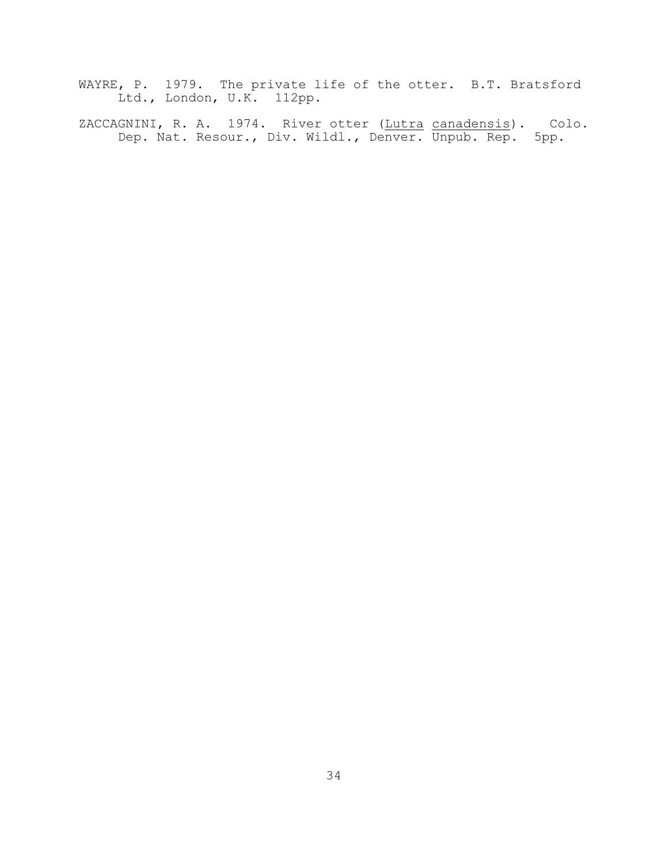WAYRE, P. 1979. The private life of the otter. B.T. Bratsford Ltd., London, U.K. 112pp.

ZACCAGNINI, R. A. 1974. River otter (Lutra canadensis). Colo. Dep. Nat. Resour., Div. Wildl., Denver. Unpub. Rep. 5pp.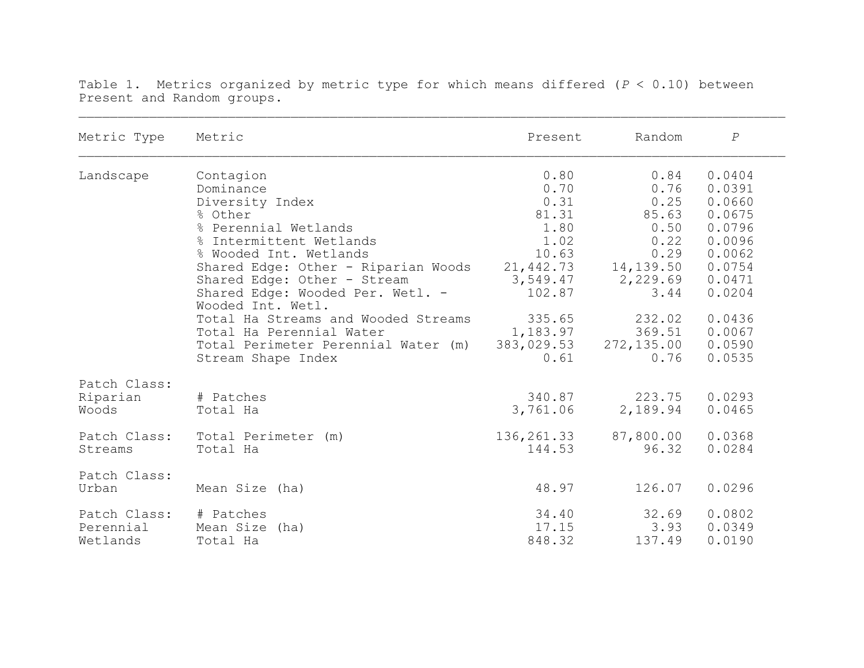| Metric Type  | Metric                                                | Present    | Random     | $\cal P$ |
|--------------|-------------------------------------------------------|------------|------------|----------|
| Landscape    | Contagion                                             | 0.80       | 0.84       | 0.0404   |
|              | Dominance                                             | 0.70       | 0.76       | 0.0391   |
|              | Diversity Index                                       | 0.31       | 0.25       | 0.0660   |
|              | % Other                                               | 81.31      | 85.63      | 0.0675   |
|              | % Perennial Wetlands                                  | 1.80       | 0.50       | 0.0796   |
|              | % Intermittent Wetlands                               | 1.02       | 0.22       | 0.0096   |
|              | % Wooded Int. Wetlands                                | 10.63      | 0.29       | 0.0062   |
|              | Shared Edge: Other - Riparian Woods                   | 21,442.73  | 14,139.50  | 0.0754   |
|              | Shared Edge: Other - Stream                           | 3,549.47   | 2,229.69   | 0.0471   |
|              | Shared Edge: Wooded Per. Wetl. -<br>Wooded Int. Wetl. | 102.87     | 3.44       | 0.0204   |
|              | Total Ha Streams and Wooded Streams                   | 335.65     | 232.02     | 0.0436   |
|              | Total Ha Perennial Water                              | 1,183.97   | 369.51     | 0.0067   |
|              | Total Perimeter Perennial Water (m)                   | 383,029.53 | 272,135.00 | 0.0590   |
|              | Stream Shape Index                                    | 0.61       | 0.76       | 0.0535   |
| Patch Class: |                                                       |            |            |          |
| Riparian     | # Patches                                             | 340.87     | 223.75     | 0.0293   |
| Woods        | Total Ha                                              | 3,761.06   | 2,189.94   | 0.0465   |
| Patch Class: | Total Perimeter (m)                                   | 136,261.33 | 87,800.00  | 0.0368   |
| Streams      | Total Ha                                              | 144.53     | 96.32      | 0.0284   |
| Patch Class: |                                                       |            |            |          |
| Urban        | Mean Size (ha)                                        | 48.97      | 126.07     | 0.0296   |
| Patch Class: | # Patches                                             | 34.40      | 32.69      | 0.0802   |
| Perennial    | Mean Size (ha)                                        | 17.15      | 3.93       | 0.0349   |
| Wetlands     | Total Ha                                              | 848.32     | 137.49     | 0.0190   |

Table 1. Metrics organized by metric type for which means differed (*P* < 0.10) between Present and Random groups.

 $\mathcal{L}_\mathcal{L} = \mathcal{L}_\mathcal{L} = \mathcal{L}_\mathcal{L} = \mathcal{L}_\mathcal{L} = \mathcal{L}_\mathcal{L} = \mathcal{L}_\mathcal{L} = \mathcal{L}_\mathcal{L} = \mathcal{L}_\mathcal{L} = \mathcal{L}_\mathcal{L} = \mathcal{L}_\mathcal{L} = \mathcal{L}_\mathcal{L} = \mathcal{L}_\mathcal{L} = \mathcal{L}_\mathcal{L} = \mathcal{L}_\mathcal{L} = \mathcal{L}_\mathcal{L} = \mathcal{L}_\mathcal{L} = \mathcal{L}_\mathcal{L}$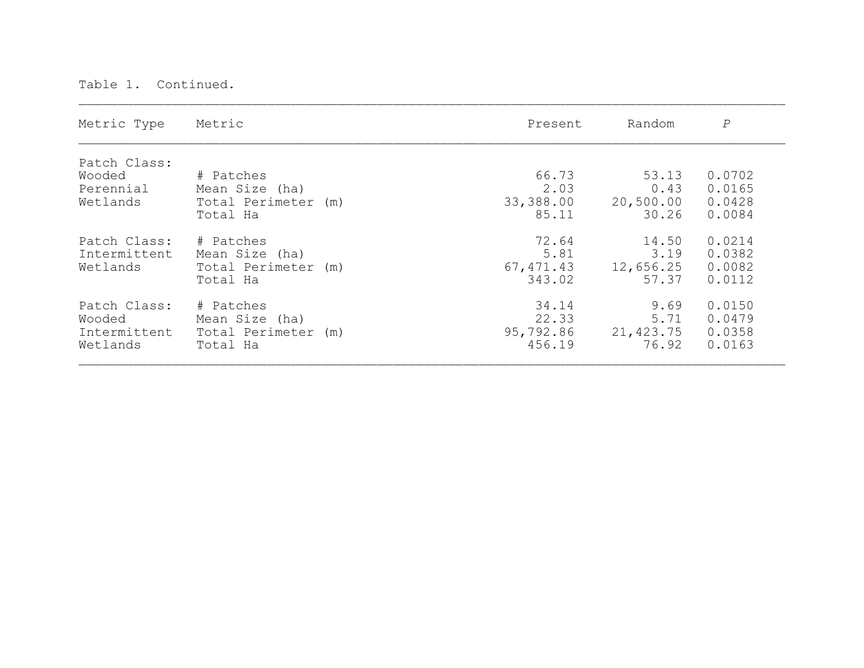| Metric Type                                        | Metric                                                         | Present                               | Random                              | $\cal P$                             |
|----------------------------------------------------|----------------------------------------------------------------|---------------------------------------|-------------------------------------|--------------------------------------|
| Patch Class:<br>Wooded<br>Perennial<br>Wetlands    | # Patches<br>Mean Size (ha)<br>Total Perimeter (m)<br>Total Ha | 66.73<br>2.03<br>33,388.00<br>85.11   | 53.13<br>0.43<br>20,500.00<br>30.26 | 0.0702<br>0.0165<br>0.0428<br>0.0084 |
| Patch Class:<br>Intermittent<br>Wetlands           | # Patches<br>Mean Size (ha)<br>Total Perimeter (m)<br>Total Ha | 72.64<br>5.81<br>67, 471.43<br>343.02 | 14.50<br>3.19<br>12,656.25<br>57.37 | 0.0214<br>0.0382<br>0.0082<br>0.0112 |
| Patch Class:<br>Wooded<br>Intermittent<br>Wetlands | # Patches<br>Mean Size (ha)<br>Total Perimeter (m)<br>Total Ha | 34.14<br>22.33<br>95,792.86<br>456.19 | 9.69<br>5.71<br>21,423.75<br>76.92  | 0.0150<br>0.0479<br>0.0358<br>0.0163 |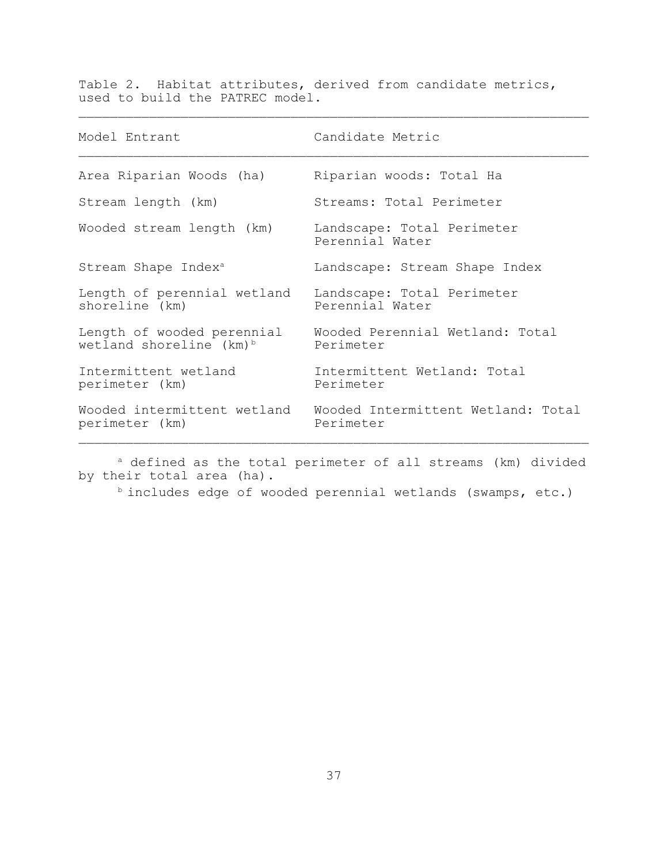Table 2. Habitat attributes, derived from candidate metrics, used to build the PATREC model.

 $\mathcal{L}_\text{max} = \mathcal{L}_\text{max} = \mathcal{L}_\text{max} = \mathcal{L}_\text{max} = \mathcal{L}_\text{max} = \mathcal{L}_\text{max} = \mathcal{L}_\text{max} = \mathcal{L}_\text{max} = \mathcal{L}_\text{max} = \mathcal{L}_\text{max} = \mathcal{L}_\text{max} = \mathcal{L}_\text{max} = \mathcal{L}_\text{max} = \mathcal{L}_\text{max} = \mathcal{L}_\text{max} = \mathcal{L}_\text{max} = \mathcal{L}_\text{max} = \mathcal{L}_\text{max} = \mathcal{$ 

| Model Entrant                                                     | Candidate Metric                                |
|-------------------------------------------------------------------|-------------------------------------------------|
| Area Riparian Woods (ha)                                          | Riparian woods: Total Ha                        |
| Stream length (km)                                                | Streams: Total Perimeter                        |
| Wooded stream length (km)                                         | Landscape: Total Perimeter<br>Perennial Water   |
| Stream Shape Index <sup>a</sup>                                   | Landscape: Stream Shape Index                   |
| Length of perennial wetland<br>shoreline (km)                     | Landscape: Total Perimeter<br>Perennial Water   |
| Length of wooded perennial<br>wetland shoreline (km) <sup>b</sup> | Wooded Perennial Wetland: Total<br>Perimeter    |
| Intermittent wetland<br>perimeter (km)                            | Intermittent Wetland: Total<br>Perimeter        |
| Wooded intermittent wetland<br>perimeter (km)                     | Wooded Intermittent Wetland: Total<br>Perimeter |

a defined as the total perimeter of all streams (km) divided by their total area (ha).

b includes edge of wooded perennial wetlands (swamps, etc.)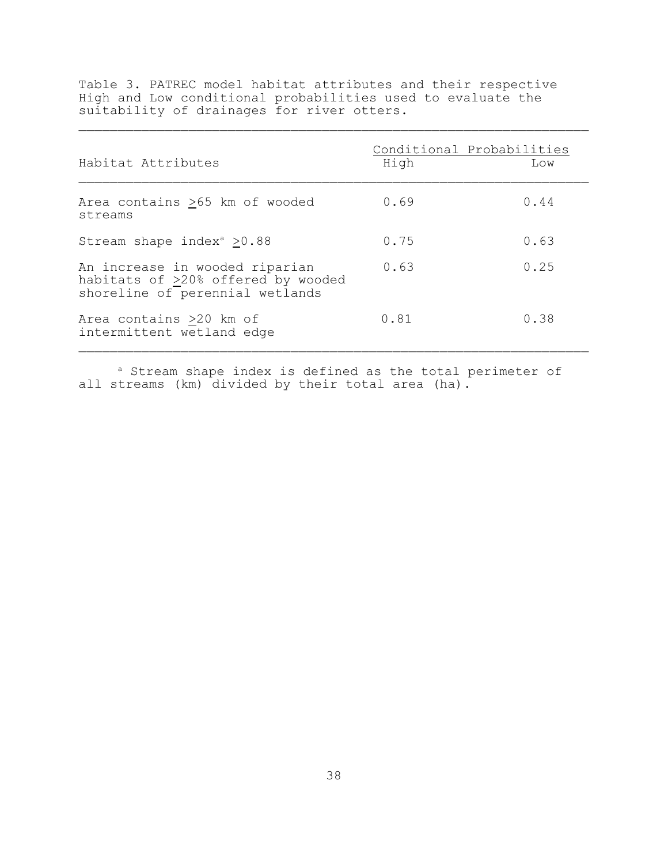Table 3. PATREC model habitat attributes and their respective High and Low conditional probabilities used to evaluate the suitability of drainages for river otters.  $\mathcal{L}_\text{max} = \mathcal{L}_\text{max} = \mathcal{L}_\text{max} = \mathcal{L}_\text{max} = \mathcal{L}_\text{max} = \mathcal{L}_\text{max} = \mathcal{L}_\text{max} = \mathcal{L}_\text{max} = \mathcal{L}_\text{max} = \mathcal{L}_\text{max} = \mathcal{L}_\text{max} = \mathcal{L}_\text{max} = \mathcal{L}_\text{max} = \mathcal{L}_\text{max} = \mathcal{L}_\text{max} = \mathcal{L}_\text{max} = \mathcal{L}_\text{max} = \mathcal{L}_\text{max} = \mathcal{$ 

| Habitat Attributes                                                                                      | Conditional Probabilities<br>High | Low  |
|---------------------------------------------------------------------------------------------------------|-----------------------------------|------|
| Area contains >65 km of wooded<br>streams                                                               | 0.69                              | 0.44 |
| Stream shape index <sup>a</sup> $>0.88$                                                                 | 0.75                              | 0.63 |
| An increase in wooded riparian<br>habitats of >20% offered by wooded<br>shoreline of perennial wetlands | 0.63                              | 0.25 |
| Area contains >20 km of<br>intermittent wetland edge                                                    | 0.81                              | 0.38 |

<sup>a</sup> Stream shape index is defined as the total perimeter of all streams (km) divided by their total area (ha).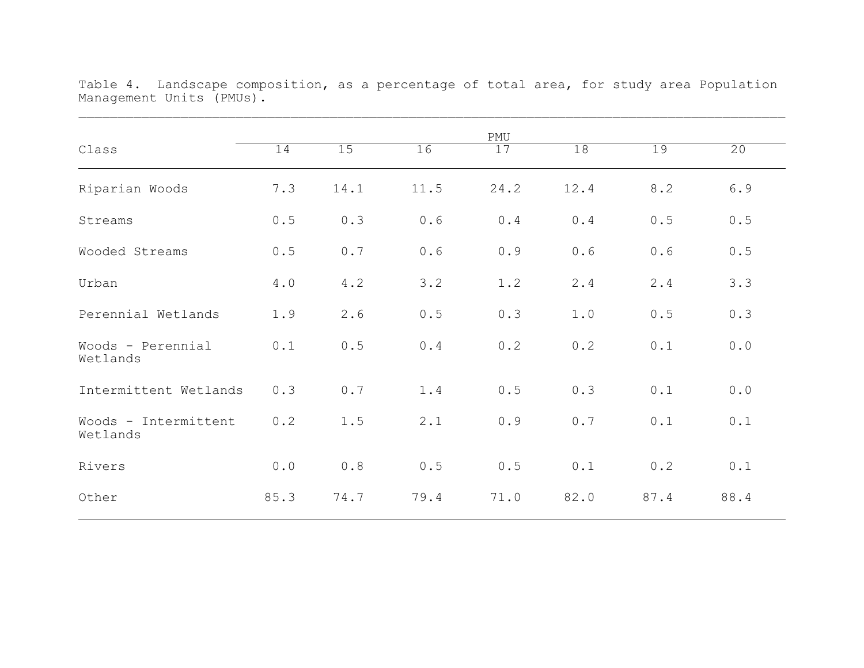|                                  |      |      |      | PMU  |      |      |       |
|----------------------------------|------|------|------|------|------|------|-------|
| Class                            | 14   | 15   | 16   | 17   | 18   | 19   | 20    |
| Riparian Woods                   | 7.3  | 14.1 | 11.5 | 24.2 | 12.4 | 8.2  | 6.9   |
| Streams                          | 0.5  | 0.3  | 0.6  | 0.4  | 0.4  | 0.5  | 0.5   |
| Wooded Streams                   | 0.5  | 0.7  | 0.6  | 0.9  | 0.6  | 0.6  | 0.5   |
| Urban                            | 4.0  | 4.2  | 3.2  | 1.2  | 2.4  | 2.4  | 3.3   |
| Perennial Wetlands               | 1.9  | 2.6  | 0.5  | 0.3  | 1.0  | 0.5  | 0.3   |
| Woods - Perennial<br>Wetlands    | 0.1  | 0.5  | 0.4  | 0.2  | 0.2  | 0.1  | $0.0$ |
| Intermittent Wetlands            | 0.3  | 0.7  | 1.4  | 0.5  | 0.3  | 0.1  | 0.0   |
| Woods - Intermittent<br>Wetlands | 0.2  | 1.5  | 2.1  | 0.9  | 0.7  | 0.1  | 0.1   |
| Rivers                           | 0.0  | 0.8  | 0.5  | 0.5  | 0.1  | 0.2  | 0.1   |
| Other                            | 85.3 | 74.7 | 79.4 | 71.0 | 82.0 | 87.4 | 88.4  |

Table 4. Landscape composition, as a percentage of total area, for study area Population Management Units (PMUs).  $\mathcal{L}_\mathcal{L} = \mathcal{L}_\mathcal{L} = \mathcal{L}_\mathcal{L} = \mathcal{L}_\mathcal{L} = \mathcal{L}_\mathcal{L} = \mathcal{L}_\mathcal{L} = \mathcal{L}_\mathcal{L} = \mathcal{L}_\mathcal{L} = \mathcal{L}_\mathcal{L} = \mathcal{L}_\mathcal{L} = \mathcal{L}_\mathcal{L} = \mathcal{L}_\mathcal{L} = \mathcal{L}_\mathcal{L} = \mathcal{L}_\mathcal{L} = \mathcal{L}_\mathcal{L} = \mathcal{L}_\mathcal{L} = \mathcal{L}_\mathcal{L}$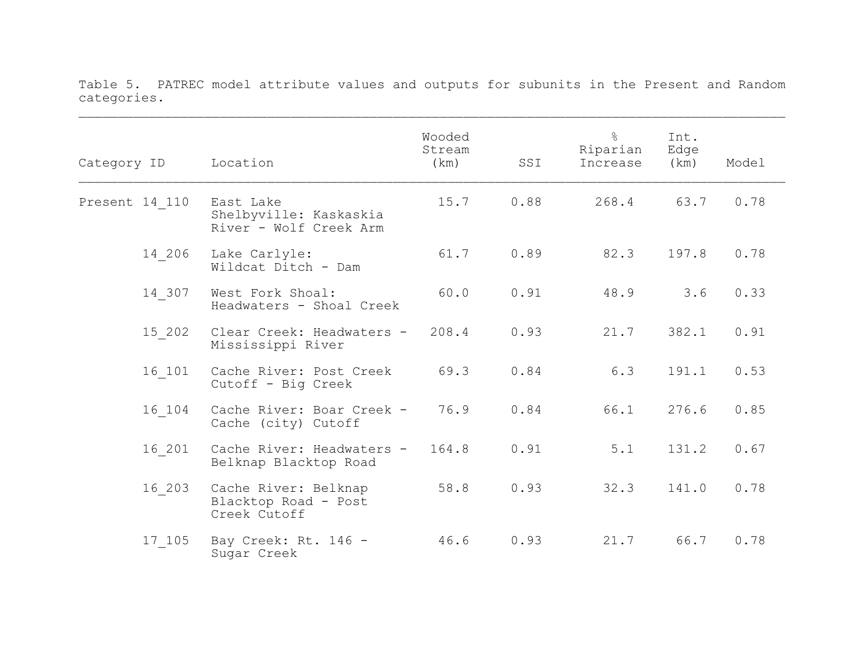| Category ID    | Location                                                      | Wooded<br>Stream<br>(km) | SSI  | $\frac{8}{6}$<br>Riparian<br>Increase | Int.<br>Edge<br>(km) | Model |  |
|----------------|---------------------------------------------------------------|--------------------------|------|---------------------------------------|----------------------|-------|--|
| Present 14 110 | East Lake<br>Shelbyville: Kaskaskia<br>River - Wolf Creek Arm | 15.7                     | 0.88 | 268.4                                 | 63.7                 | 0.78  |  |
| 14 206         | Lake Carlyle:<br>Wildcat Ditch - Dam                          | 61.7                     | 0.89 | 82.3                                  | 197.8                | 0.78  |  |
| 14 307         | West Fork Shoal:<br>Headwaters - Shoal Creek                  | 60.0                     | 0.91 | 48.9                                  | 3.6                  | 0.33  |  |
| 15 202         | Clear Creek: Headwaters -<br>Mississippi River                | 208.4                    | 0.93 | 21.7                                  | 382.1                | 0.91  |  |
| 16 101         | Cache River: Post Creek<br>Cutoff - Big Creek                 | 69.3                     | 0.84 | 6.3                                   | 191.1                | 0.53  |  |
| 16 104         | Cache River: Boar Creek -<br>Cache (city) Cutoff              | 76.9                     | 0.84 | 66.1                                  | 276.6                | 0.85  |  |
| 16 201         | Cache River: Headwaters -<br>Belknap Blacktop Road            | 164.8                    | 0.91 | 5.1                                   | 131.2                | 0.67  |  |
| 16 203         | Cache River: Belknap<br>Blacktop Road - Post<br>Creek Cutoff  | 58.8                     | 0.93 | 32.3                                  | 141.0                | 0.78  |  |
| 17 105         | Bay Creek: Rt. 146 -<br>Sugar Creek                           | 46.6                     | 0.93 | 21.7                                  | 66.7                 | 0.78  |  |

Table 5. PATREC model attribute values and outputs for subunits in the Present and Random categories.  $\mathcal{L}_\mathcal{L} = \mathcal{L}_\mathcal{L} = \mathcal{L}_\mathcal{L} = \mathcal{L}_\mathcal{L} = \mathcal{L}_\mathcal{L} = \mathcal{L}_\mathcal{L} = \mathcal{L}_\mathcal{L} = \mathcal{L}_\mathcal{L} = \mathcal{L}_\mathcal{L} = \mathcal{L}_\mathcal{L} = \mathcal{L}_\mathcal{L} = \mathcal{L}_\mathcal{L} = \mathcal{L}_\mathcal{L} = \mathcal{L}_\mathcal{L} = \mathcal{L}_\mathcal{L} = \mathcal{L}_\mathcal{L} = \mathcal{L}_\mathcal{L}$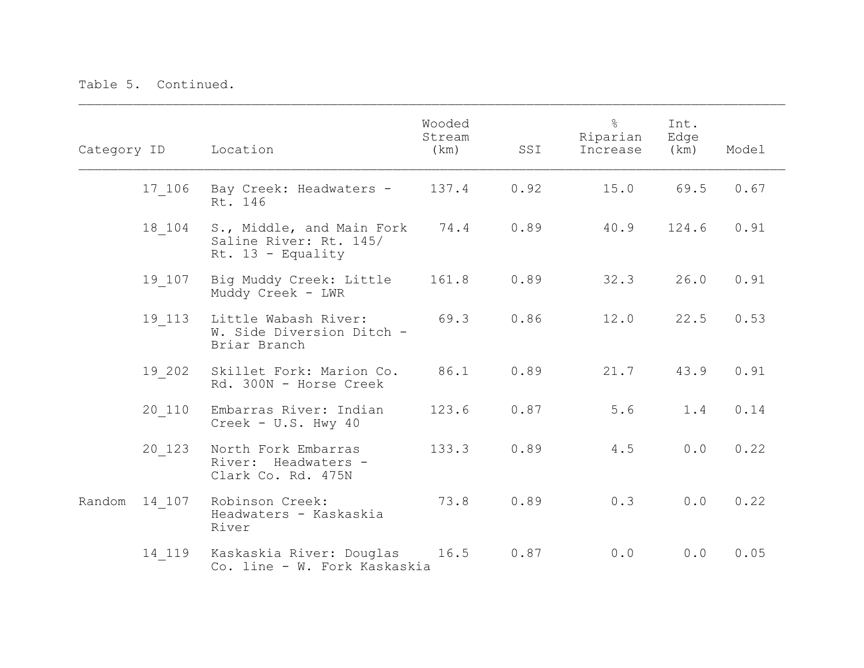|        |        | Category ID Location                                                       | Wooded<br>Stream<br>(km) | SSI  | $\frac{8}{2}$<br>Riparian<br>Increase | Int.<br>Edge<br>(km) | Model |
|--------|--------|----------------------------------------------------------------------------|--------------------------|------|---------------------------------------|----------------------|-------|
|        | 17 106 | Bay Creek: Headwaters - 137.4<br>Rt. 146                                   |                          | 0.92 | 15.0                                  | 69.5                 | 0.67  |
|        | 18 104 | S., Middle, and Main Fork<br>Saline River: Rt. 145/<br>Rt. $13$ - Equality | 74.4                     | 0.89 | 40.9                                  | 124.6                | 0.91  |
|        | 19 107 | Big Muddy Creek: Little<br>Muddy Creek - LWR                               | 161.8                    | 0.89 | 32.3                                  | 26.0                 | 0.91  |
|        | 19 113 | Little Wabash River:<br>W. Side Diversion Ditch -<br>Briar Branch          | 69.3                     | 0.86 | 12.0                                  | 22.5                 | 0.53  |
|        | 19 202 | Skillet Fork: Marion Co.<br>Rd. 300N - Horse Creek                         | 86.1                     | 0.89 | 21.7                                  | 43.9                 | 0.91  |
|        | 20 110 | Embarras River: Indian<br>Creek - $U.S. Hwy 40$                            | 123.6                    | 0.87 | 5.6                                   | 1.4                  | 0.14  |
|        | 20 123 | North Fork Embarras<br>River: Headwaters -<br>Clark Co. Rd. 475N           | 133.3                    | 0.89 | 4.5                                   | 0.0                  | 0.22  |
| Random | 14 107 | Robinson Creek:<br>Headwaters - Kaskaskia<br>River                         | 73.8                     | 0.89 | 0.3                                   | 0.0                  | 0.22  |
|        | 14 119 | Kaskaskia River: Douglas<br>Co. line - W. Fork Kaskaskia                   | 16.5                     | 0.87 | 0.0                                   | 0.0                  | 0.05  |

 $\mathcal{L}_\mathcal{L} = \mathcal{L}_\mathcal{L} = \mathcal{L}_\mathcal{L} = \mathcal{L}_\mathcal{L} = \mathcal{L}_\mathcal{L} = \mathcal{L}_\mathcal{L} = \mathcal{L}_\mathcal{L} = \mathcal{L}_\mathcal{L} = \mathcal{L}_\mathcal{L} = \mathcal{L}_\mathcal{L} = \mathcal{L}_\mathcal{L} = \mathcal{L}_\mathcal{L} = \mathcal{L}_\mathcal{L} = \mathcal{L}_\mathcal{L} = \mathcal{L}_\mathcal{L} = \mathcal{L}_\mathcal{L} = \mathcal{L}_\mathcal{L}$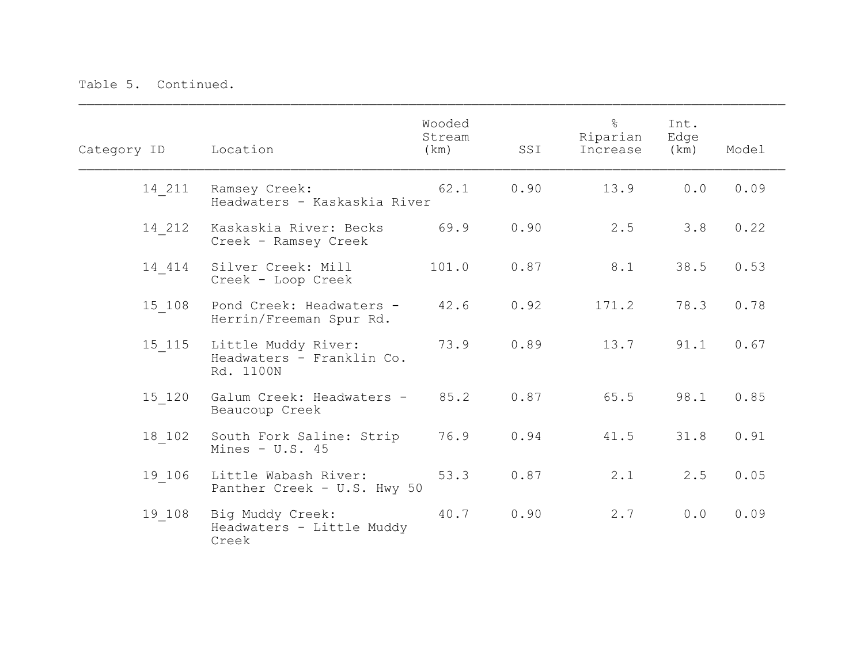| Category ID | Location                                                      | Wooded<br>Stream<br>(km) | SSI  | $\frac{6}{2}$<br>Riparian<br>Increase | Int.<br>Edge<br>(km) | Model |  |
|-------------|---------------------------------------------------------------|--------------------------|------|---------------------------------------|----------------------|-------|--|
| 14 211      | Ramsey Creek:<br>Headwaters - Kaskaskia River                 | 62.1                     | 0.90 | 13.9                                  | 0.0                  | 0.09  |  |
| 14 212      | Kaskaskia River: Becks<br>Creek - Ramsey Creek                | 69.9                     | 0.90 | 2.5                                   | 3.8                  | 0.22  |  |
| 14 414      | Silver Creek: Mill<br>Creek - Loop Creek                      | 101.0                    | 0.87 | 8.1                                   | 38.5                 | 0.53  |  |
| 15 108      | Pond Creek: Headwaters -<br>Herrin/Freeman Spur Rd.           | 42.6                     | 0.92 | 171.2                                 | 78.3                 | 0.78  |  |
| 15 115      | Little Muddy River:<br>Headwaters - Franklin Co.<br>Rd. 1100N | 73.9                     | 0.89 | 13.7                                  | 91.1                 | 0.67  |  |
| 15 120      | Galum Creek: Headwaters -<br>Beaucoup Creek                   | 85.2                     | 0.87 | 65.5                                  | 98.1                 | 0.85  |  |
| 18 102      | South Fork Saline: Strip<br>Mines - $U.S. 45$                 | 76.9                     | 0.94 | 41.5                                  | 31.8                 | 0.91  |  |
| 19 106      | Little Wabash River:<br>Panther Creek - U.S. Hwy 50           | 53.3                     | 0.87 | 2.1                                   | 2.5                  | 0.05  |  |
| 19 108      | Big Muddy Creek:<br>Headwaters - Little Muddy<br>Creek        | 40.7                     | 0.90 | 2.7                                   | 0.0                  | 0.09  |  |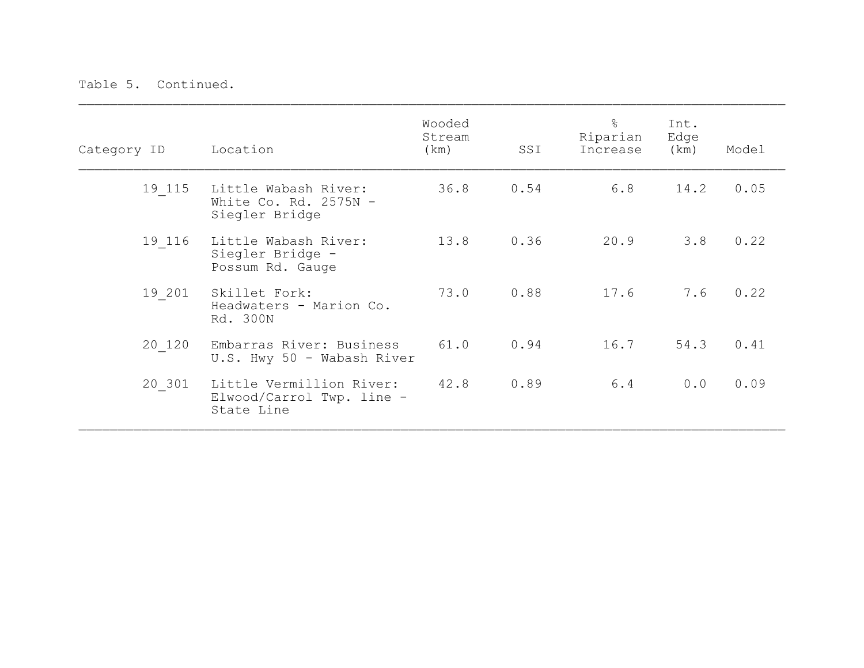| Category ID | Location                                                            | Wooded<br>Stream<br>(km) | SSI  | $\frac{6}{5}$<br>Riparian<br>Increase | Int.<br>Edge<br>(km) | Model |
|-------------|---------------------------------------------------------------------|--------------------------|------|---------------------------------------|----------------------|-------|
| 19 115      | Little Wabash River:<br>White Co. Rd. $2575N -$<br>Siegler Bridge   | 36.8                     | 0.54 | 6.8                                   | 14.2                 | 0.05  |
| 19 116      | Little Wabash River:<br>Siegler Bridge -<br>Possum Rd. Gauge        | 13.8                     | 0.36 | 20.9                                  | 3.8                  | 0.22  |
| 19 201      | Skillet Fork:<br>Headwaters - Marion Co.<br>Rd. 300N                | 73.0                     | 0.88 | 17.6                                  | 7.6                  | 0.22  |
| 20 120      | Embarras River: Business<br>U.S. Hwy 50 - Wabash River              | 61.0                     | 0.94 | 16.7                                  | 54.3                 | 0.41  |
| 20 301      | Little Vermillion River:<br>Elwood/Carrol Twp. line -<br>State Line | 42.8                     | 0.89 | 6.4                                   | 0.0                  | 0.09  |

 $\mathcal{L}_\mathcal{L} = \mathcal{L}_\mathcal{L} = \mathcal{L}_\mathcal{L} = \mathcal{L}_\mathcal{L} = \mathcal{L}_\mathcal{L} = \mathcal{L}_\mathcal{L} = \mathcal{L}_\mathcal{L} = \mathcal{L}_\mathcal{L} = \mathcal{L}_\mathcal{L} = \mathcal{L}_\mathcal{L} = \mathcal{L}_\mathcal{L} = \mathcal{L}_\mathcal{L} = \mathcal{L}_\mathcal{L} = \mathcal{L}_\mathcal{L} = \mathcal{L}_\mathcal{L} = \mathcal{L}_\mathcal{L} = \mathcal{L}_\mathcal{L}$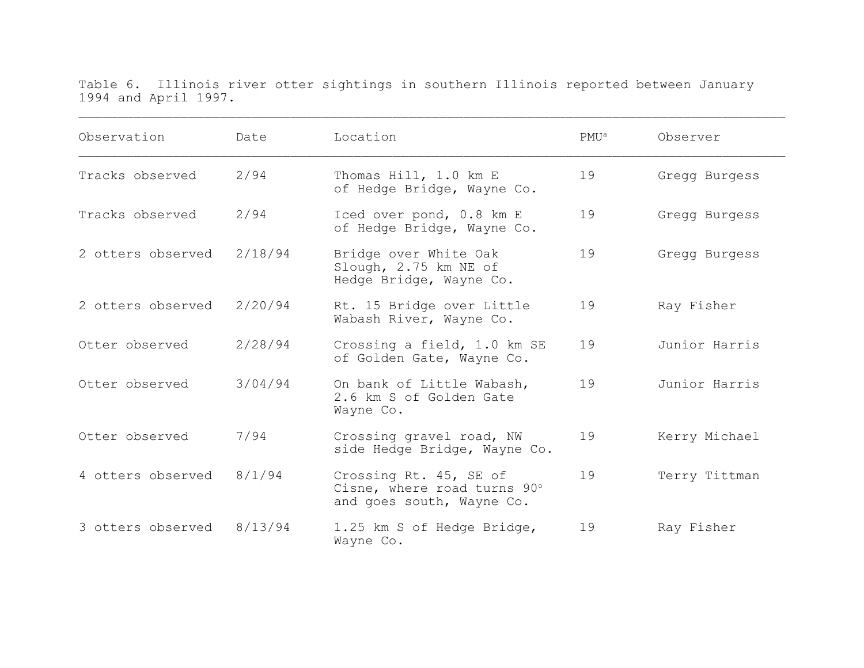Table 6. Illinois river otter sightings in southern Illinois reported between January 1994 and April 1997.

 $\mathcal{L}_\mathcal{L} = \mathcal{L}_\mathcal{L} = \mathcal{L}_\mathcal{L} = \mathcal{L}_\mathcal{L} = \mathcal{L}_\mathcal{L} = \mathcal{L}_\mathcal{L} = \mathcal{L}_\mathcal{L} = \mathcal{L}_\mathcal{L} = \mathcal{L}_\mathcal{L} = \mathcal{L}_\mathcal{L} = \mathcal{L}_\mathcal{L} = \mathcal{L}_\mathcal{L} = \mathcal{L}_\mathcal{L} = \mathcal{L}_\mathcal{L} = \mathcal{L}_\mathcal{L} = \mathcal{L}_\mathcal{L} = \mathcal{L}_\mathcal{L}$ 

| Observation       | Date    | Location                                                                           | PMU <sup>a</sup> | Observer      |
|-------------------|---------|------------------------------------------------------------------------------------|------------------|---------------|
| Tracks observed   | 2/94    | Thomas Hill, 1.0 km E<br>of Hedge Bridge, Wayne Co.                                | 19               | Gregg Burgess |
| Tracks observed   | 2/94    | Iced over pond, 0.8 km E<br>of Hedge Bridge, Wayne Co.                             | 19               | Gregg Burgess |
| 2 otters observed | 2/18/94 | Bridge over White Oak<br>Slough, 2.75 km NE of<br>Hedge Bridge, Wayne Co.          | 19               | Gregg Burgess |
| 2 otters observed | 2/20/94 | Rt. 15 Bridge over Little<br>Wabash River, Wayne Co.                               | 19               | Ray Fisher    |
| Otter observed    | 2/28/94 | Crossing a field, 1.0 km SE<br>of Golden Gate, Wayne Co.                           | 19               | Junior Harris |
| Otter observed    | 3/04/94 | On bank of Little Wabash,<br>2.6 km S of Golden Gate<br>Wayne Co.                  | 19               | Junior Harris |
| Otter observed    | 7/94    | Crossing gravel road, NW<br>side Hedge Bridge, Wayne Co.                           | 19               | Kerry Michael |
| 4 otters observed | 8/1/94  | Crossing Rt. 45, SE of<br>Cisne, where road turns 90°<br>and goes south, Wayne Co. | 19               | Terry Tittman |
| 3 otters observed | 8/13/94 | 1.25 km S of Hedge Bridge,<br>Wayne Co.                                            | 19               | Ray Fisher    |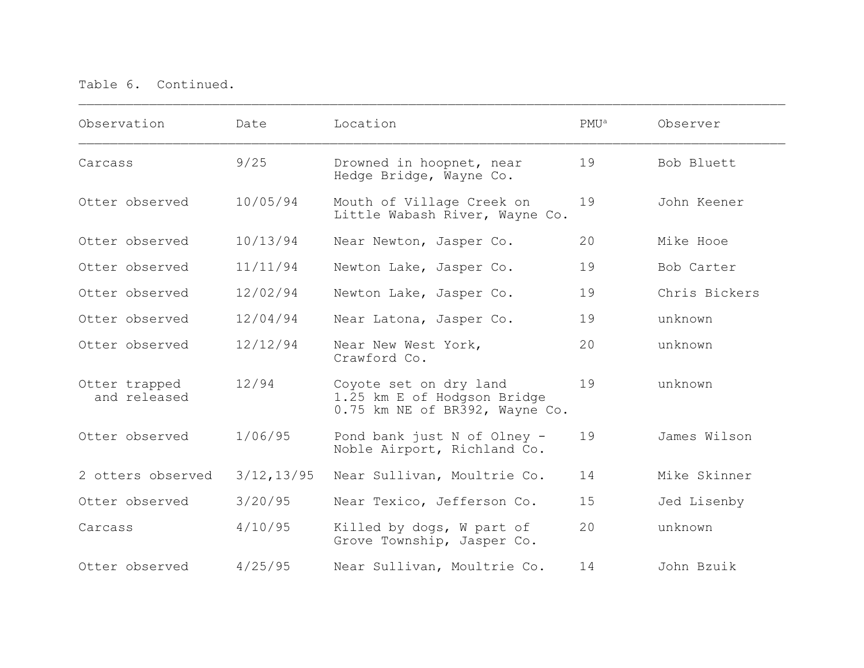| Observation                   | Date        | Location                                                                                | PMU <sup>a</sup> | Observer      |
|-------------------------------|-------------|-----------------------------------------------------------------------------------------|------------------|---------------|
| Carcass                       | 9/25        | Drowned in hoopnet, near<br>Hedge Bridge, Wayne Co.                                     | 19               | Bob Bluett    |
| Otter observed                | 10/05/94    | Mouth of Village Creek on<br>Little Wabash River, Wayne Co.                             | 19               | John Keener   |
| Otter observed                | 10/13/94    | Near Newton, Jasper Co.                                                                 | 20               | Mike Hooe     |
| Otter observed                | 11/11/94    | Newton Lake, Jasper Co.                                                                 | 19               | Bob Carter    |
| Otter observed                | 12/02/94    | Newton Lake, Jasper Co.                                                                 | 19               | Chris Bickers |
| Otter observed                | 12/04/94    | Near Latona, Jasper Co.                                                                 | 19               | unknown       |
| Otter observed                | 12/12/94    | Near New West York,<br>Crawford Co.                                                     | 20               | unknown       |
| Otter trapped<br>and released | 12/94       | Coyote set on dry land<br>1.25 km E of Hodgson Bridge<br>0.75 km NE of BR392, Wayne Co. | 19               | unknown       |
| Otter observed                | 1/06/95     | Pond bank just N of Olney -<br>Noble Airport, Richland Co.                              | 19               | James Wilson  |
| 2 otters observed             | 3/12, 13/95 | Near Sullivan, Moultrie Co.                                                             | 14               | Mike Skinner  |
| Otter observed                | 3/20/95     | Near Texico, Jefferson Co.                                                              | 15               | Jed Lisenby   |
| Carcass                       | 4/10/95     | Killed by dogs, W part of<br>Grove Township, Jasper Co.                                 | 20               | unknown       |
| Otter observed                | 4/25/95     | Near Sullivan, Moultrie Co.                                                             | 14               | John Bzuik    |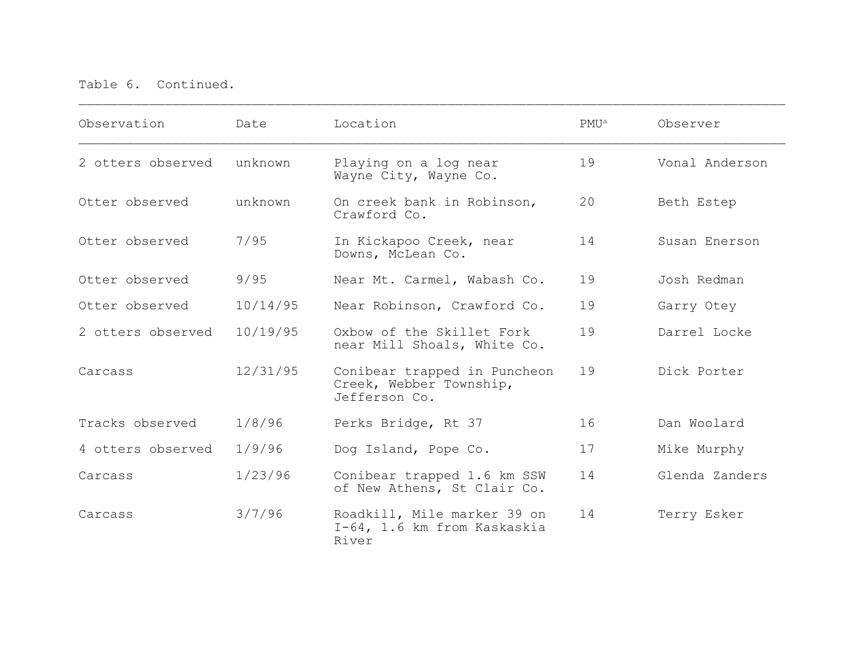| Observation       | Date     | Location                                                                 | PMU <sup>a</sup> | Observer       |
|-------------------|----------|--------------------------------------------------------------------------|------------------|----------------|
| 2 otters observed | unknown  | Playing on a log near<br>Wayne City, Wayne Co.                           | 19               | Vonal Anderson |
| Otter observed    | unknown  | On creek bank in Robinson,<br>Crawford Co.                               | 20               | Beth Estep     |
| Otter observed    | 7/95     | In Kickapoo Creek, near<br>Downs, McLean Co.                             | 14               | Susan Enerson  |
| Otter observed    | 9/95     | Near Mt. Carmel, Wabash Co.                                              | 19               | Josh Redman    |
| Otter observed    | 10/14/95 | Near Robinson, Crawford Co.                                              | 19               | Garry Otey     |
| 2 otters observed | 10/19/95 | Oxbow of the Skillet Fork<br>near Mill Shoals, White Co.                 | 19               | Darrel Locke   |
| Carcass           | 12/31/95 | Conibear trapped in Puncheon<br>Creek, Webber Township,<br>Jefferson Co. | 19               | Dick Porter    |
| Tracks observed   | 1/8/96   | Perks Bridge, Rt 37                                                      | 16               | Dan Woolard    |
| 4 otters observed | 1/9/96   | Dog Island, Pope Co.                                                     | 17               | Mike Murphy    |
| Carcass           | 1/23/96  | Conibear trapped 1.6 km SSW<br>of New Athens, St Clair Co.               | 14               | Glenda Zanders |
| Carcass           | 3/7/96   | Roadkill, Mile marker 39 on<br>I-64, 1.6 km from Kaskaskia<br>River      | 14               | Terry Esker    |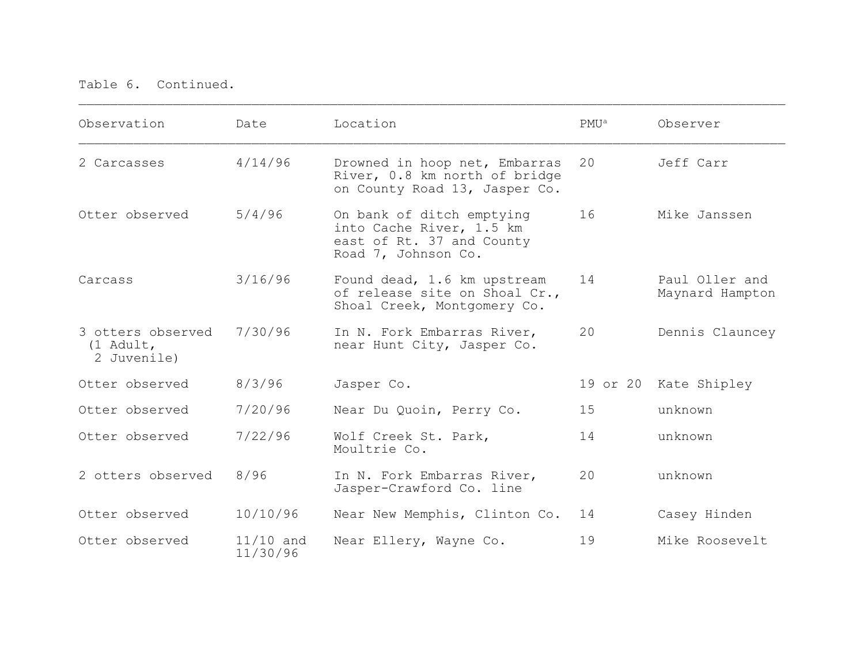| Observation                                   | Date                    | Location                                                                                                  | PMU <sup>a</sup> | Observer                          |
|-----------------------------------------------|-------------------------|-----------------------------------------------------------------------------------------------------------|------------------|-----------------------------------|
| 2 Carcasses                                   | 4/14/96                 | Drowned in hoop net, Embarras<br>River, 0.8 km north of bridge<br>on County Road 13, Jasper Co.           | 20               | Jeff Carr                         |
| Otter observed                                | 5/4/96                  | On bank of ditch emptying<br>into Cache River, 1.5 km<br>east of Rt. 37 and County<br>Road 7, Johnson Co. | 16               | Mike Janssen                      |
| Carcass                                       | 3/16/96                 | Found dead, 1.6 km upstream<br>of release site on Shoal Cr.,<br>Shoal Creek, Montgomery Co.               | 14               | Paul Oller and<br>Maynard Hampton |
| 3 otters observed<br>(1 Adult,<br>2 Juvenile) | 7/30/96                 | In N. Fork Embarras River,<br>near Hunt City, Jasper Co.                                                  | 20               | Dennis Clauncey                   |
| Otter observed                                | 8/3/96                  | Jasper Co.                                                                                                |                  | 19 or 20 Kate Shipley             |
| Otter observed                                | 7/20/96                 | Near Du Quoin, Perry Co.                                                                                  | 15               | unknown                           |
| Otter observed                                | 7/22/96                 | Wolf Creek St. Park,<br>Moultrie Co.                                                                      | 14               | unknown                           |
| 2 otters observed                             | 8/96                    | In N. Fork Embarras River,<br>Jasper-Crawford Co. line                                                    | 20               | unknown                           |
| Otter observed                                | 10/10/96                | Near New Memphis, Clinton Co.                                                                             | 14               | Casey Hinden                      |
| Otter observed                                | $11/10$ and<br>11/30/96 | Near Ellery, Wayne Co.                                                                                    | 19               | Mike Roosevelt                    |

 $\_$  ,  $\_$  ,  $\_$  ,  $\_$  ,  $\_$  ,  $\_$  ,  $\_$  ,  $\_$  ,  $\_$  ,  $\_$  ,  $\_$  ,  $\_$  ,  $\_$  ,  $\_$  ,  $\_$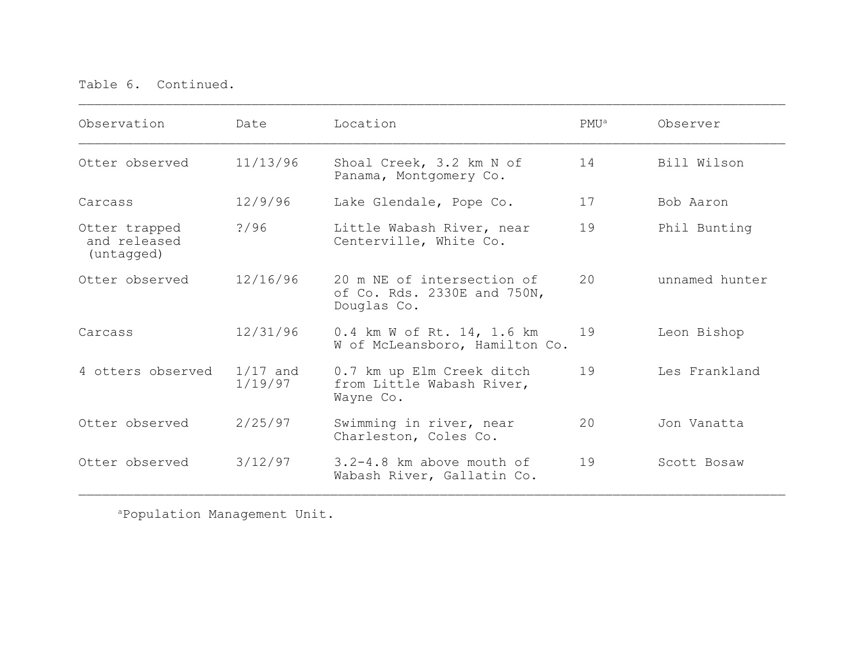| Observation                                 | Date                  | Location                                                                 | $PMU^a$ | Observer       |
|---------------------------------------------|-----------------------|--------------------------------------------------------------------------|---------|----------------|
| Otter observed                              | 11/13/96              | Shoal Creek, 3.2 km N of<br>Panama, Montgomery Co.                       | 14      | Bill Wilson    |
| Carcass                                     | 12/9/96               | Lake Glendale, Pope Co.                                                  | 17      | Bob Aaron      |
| Otter trapped<br>and released<br>(untagged) | ? / 96                | Little Wabash River, near<br>Centerville, White Co.                      | 19      | Phil Bunting   |
| Otter observed                              | 12/16/96              | 20 m NE of intersection of<br>of Co. Rds. 2330E and 750N,<br>Douglas Co. | 20      | unnamed hunter |
| Carcass                                     | 12/31/96              | 0.4 km W of Rt. 14, 1.6 km<br>W of McLeansboro, Hamilton Co.             | 19      | Leon Bishop    |
| 4 otters observed                           | $1/17$ and<br>1/19/97 | 0.7 km up Elm Creek ditch<br>from Little Wabash River,<br>Wayne Co.      | 19      | Les Frankland  |
| Otter observed                              | 2/25/97               | Swimming in river, near<br>Charleston, Coles Co.                         | 20      | Jon Vanatta    |
| Otter observed                              | 3/12/97               | 3.2-4.8 km above mouth of<br>Wabash River, Gallatin Co.                  | 19      | Scott Bosaw    |

aPopulation Management Unit.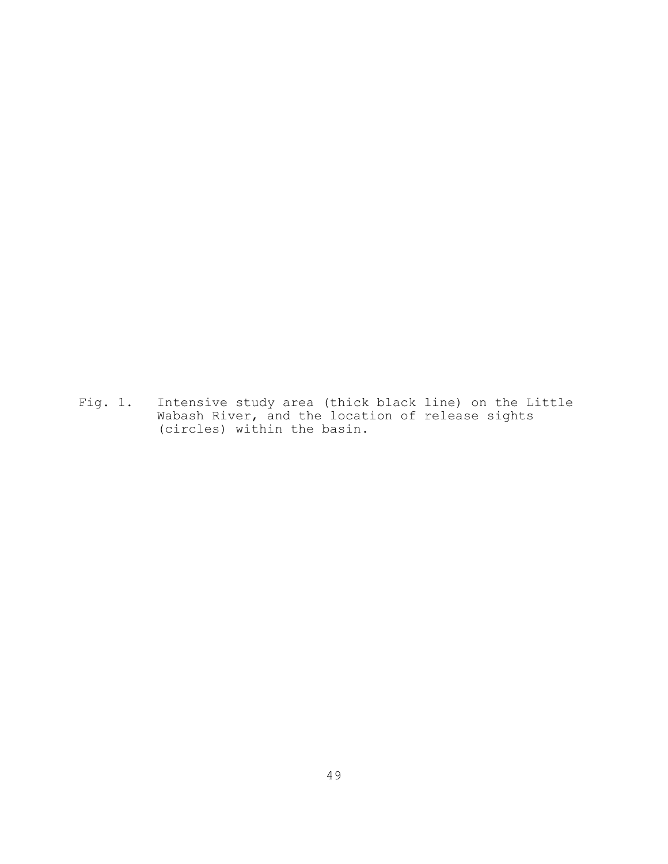Fig. 1. Intensive study area (thick black line) on the Little Wabash River, and the location of release sights (circles) within the basin.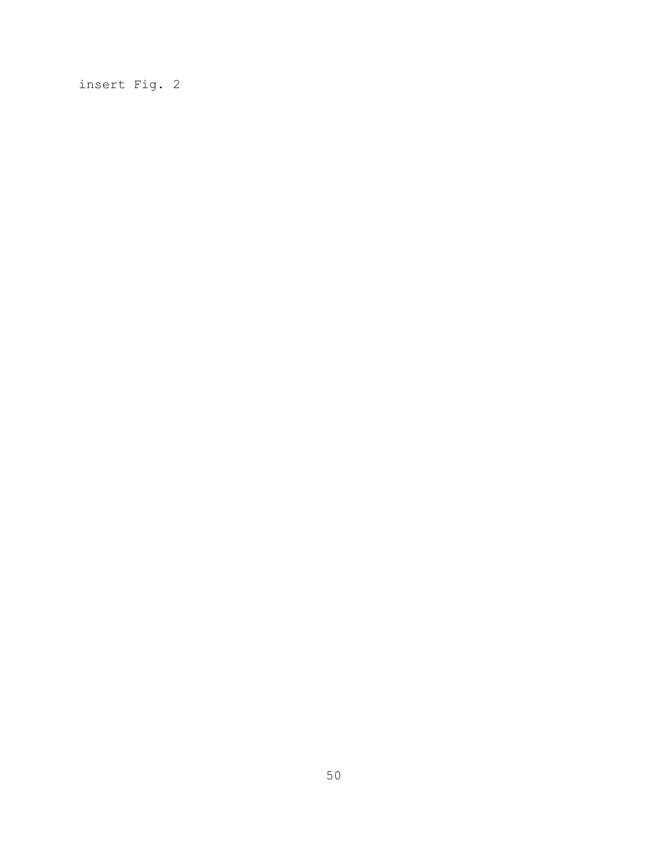insert Fig. 2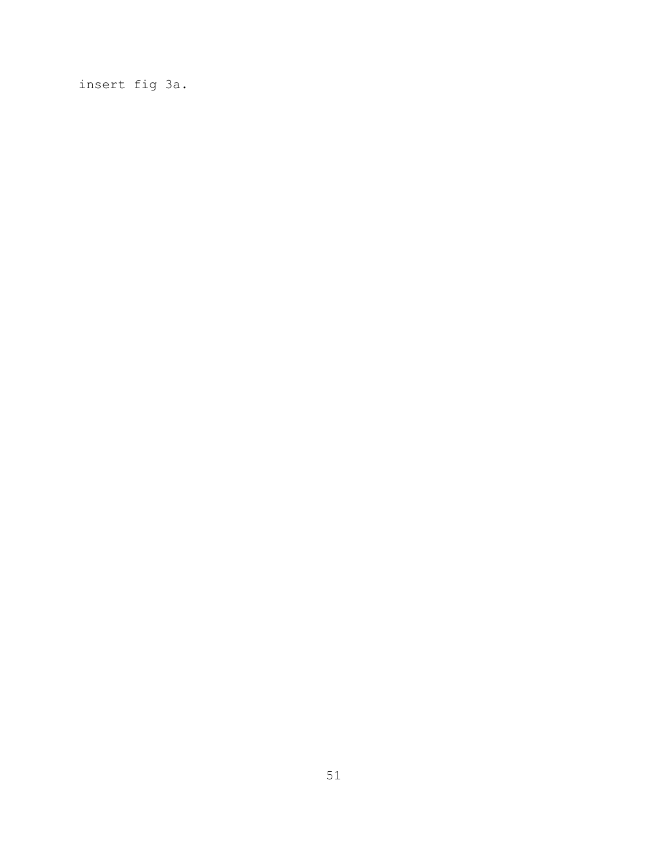insert fig 3a.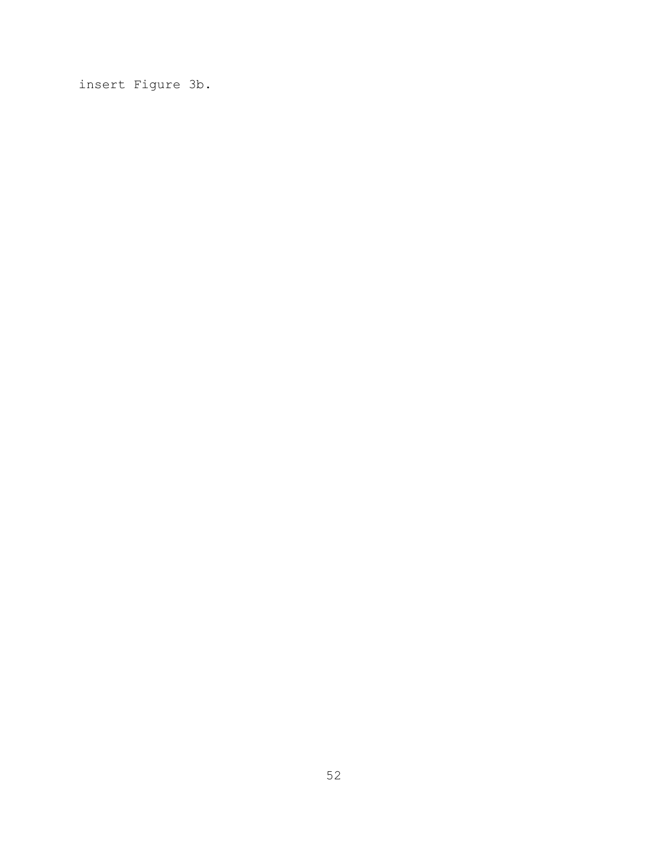insert Figure 3b.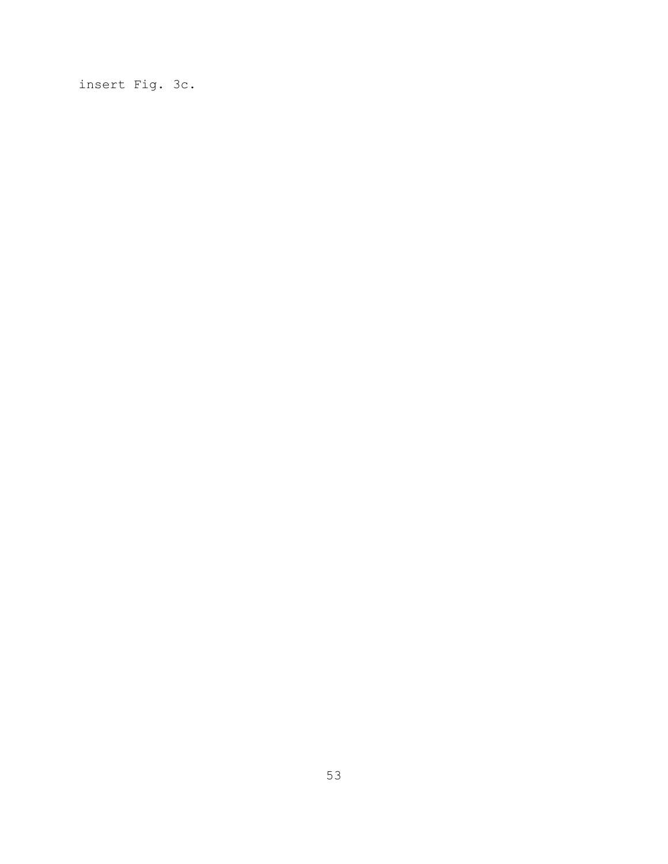insert Fig. 3c.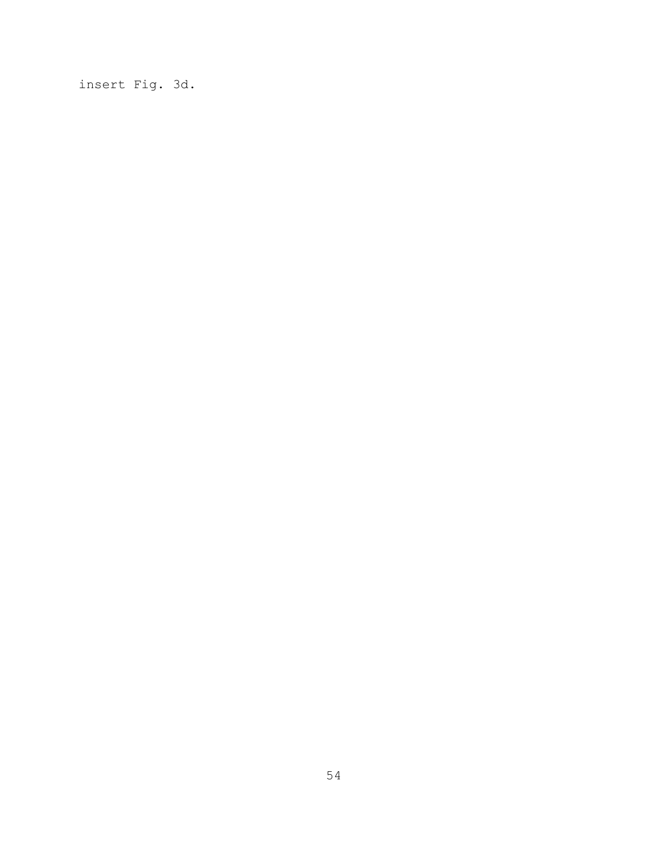insert Fig. 3d.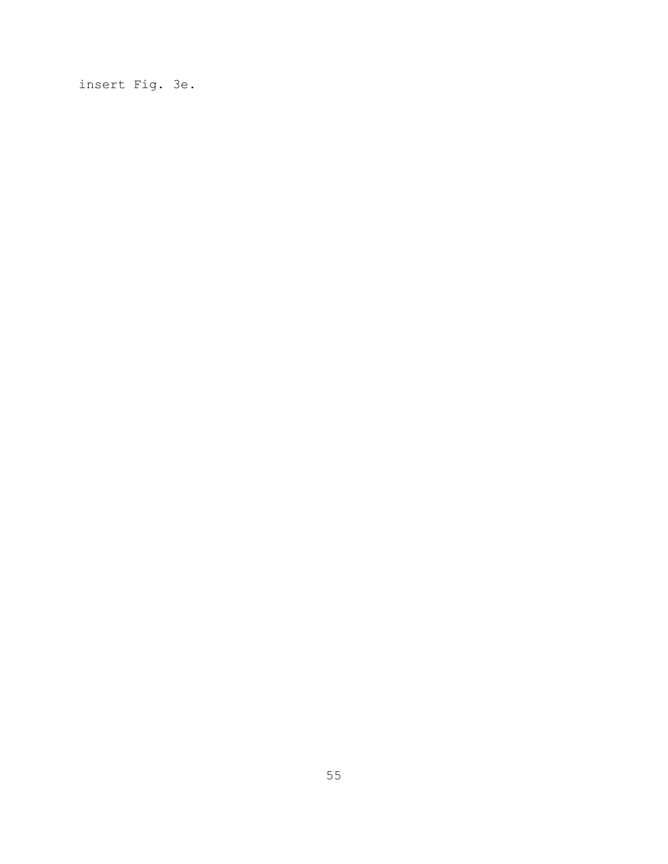insert Fig. 3e.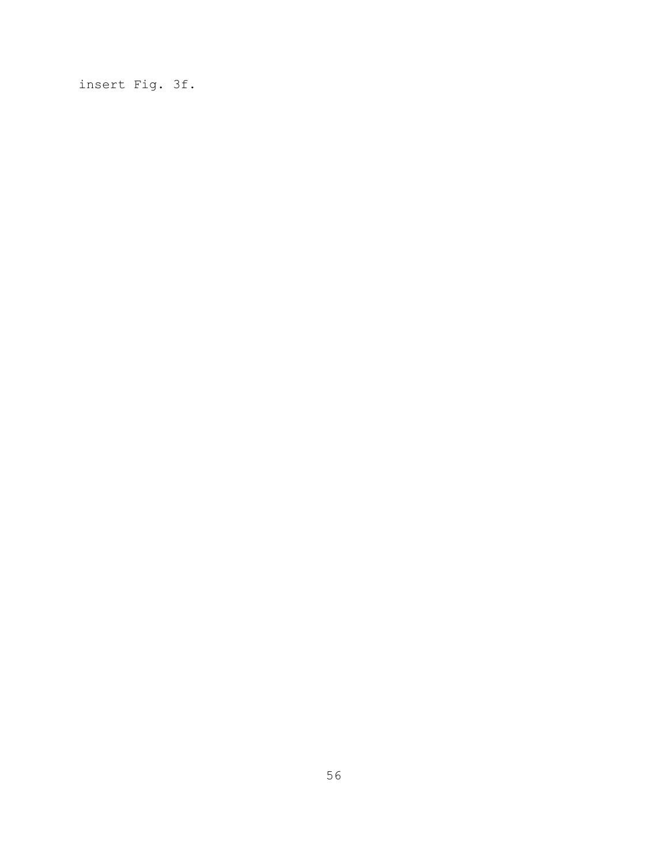insert Fig. 3f.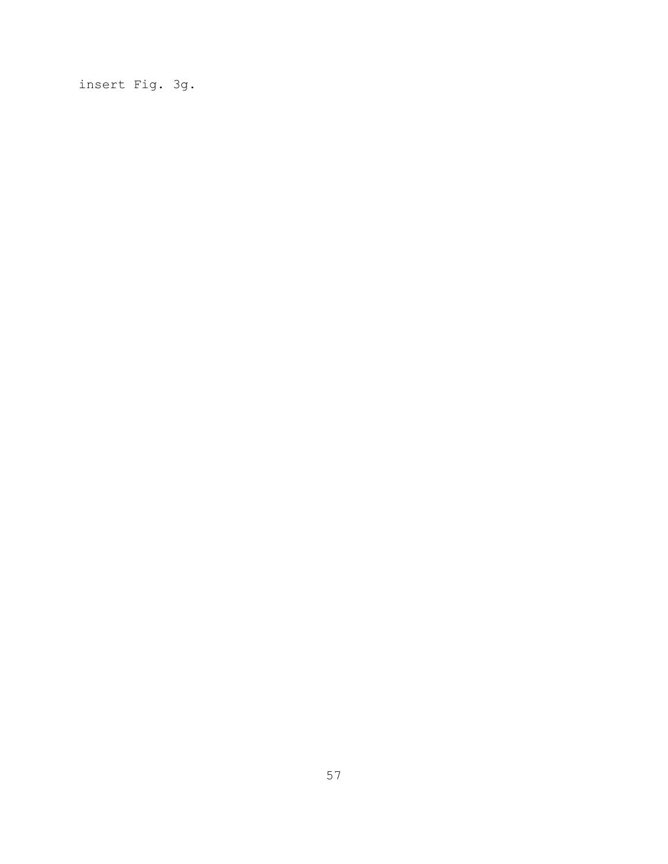insert Fig. 3g.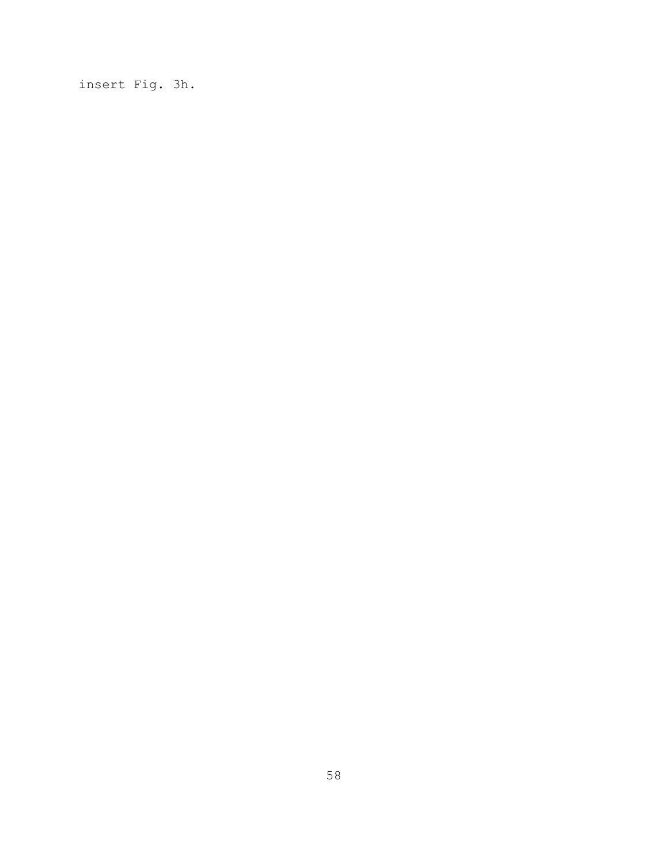insert Fig. 3h.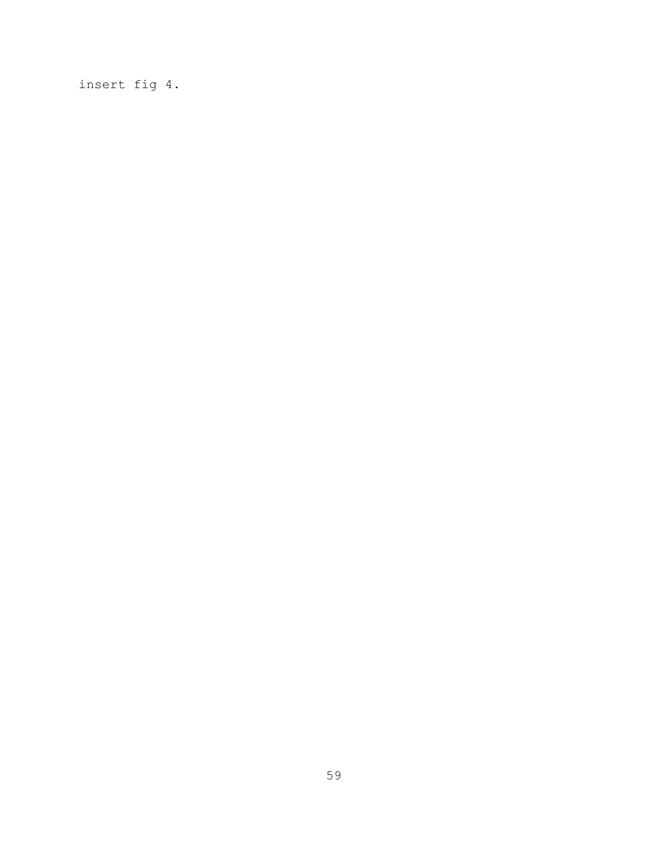insert fig 4.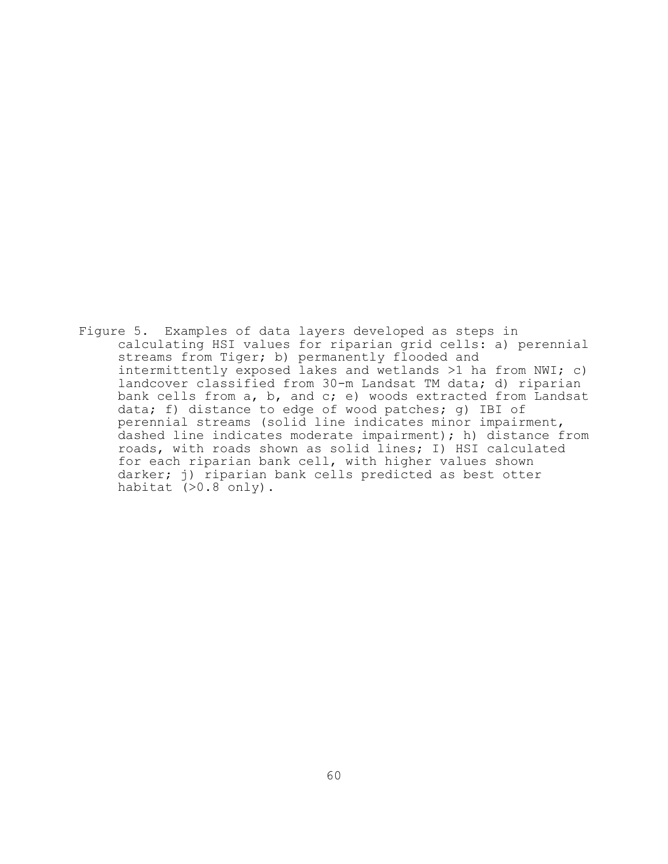Figure 5. Examples of data layers developed as steps in calculating HSI values for riparian grid cells: a) perennial streams from Tiger; b) permanently flooded and intermittently exposed lakes and wetlands >1 ha from NWI; c) landcover classified from 30-m Landsat TM data; d) riparian bank cells from a, b, and c; e) woods extracted from Landsat data; f) distance to edge of wood patches; g) IBI of perennial streams (solid line indicates minor impairment, dashed line indicates moderate impairment); h) distance from roads, with roads shown as solid lines; I) HSI calculated for each riparian bank cell, with higher values shown darker; j) riparian bank cells predicted as best otter habitat (>0.8 only).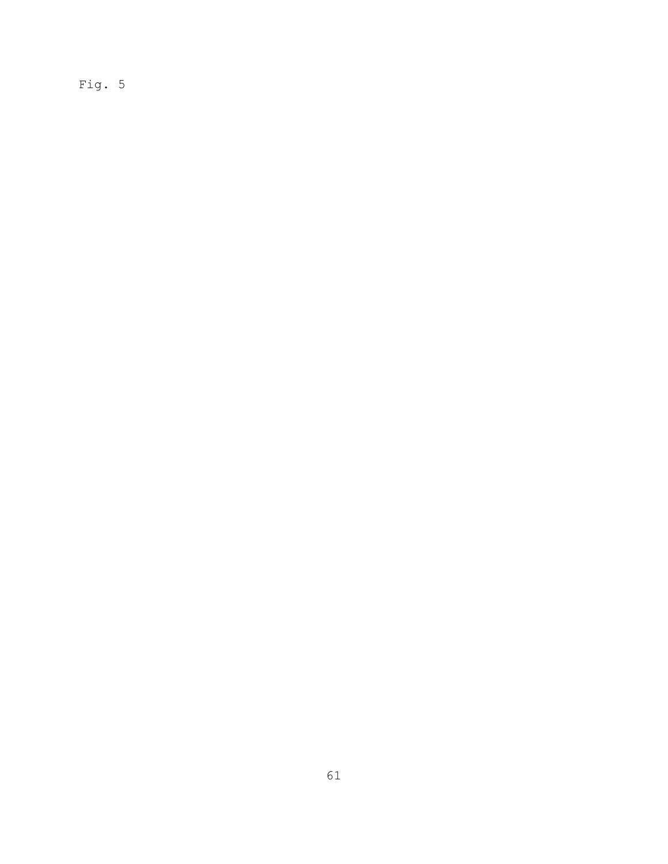Fig. 5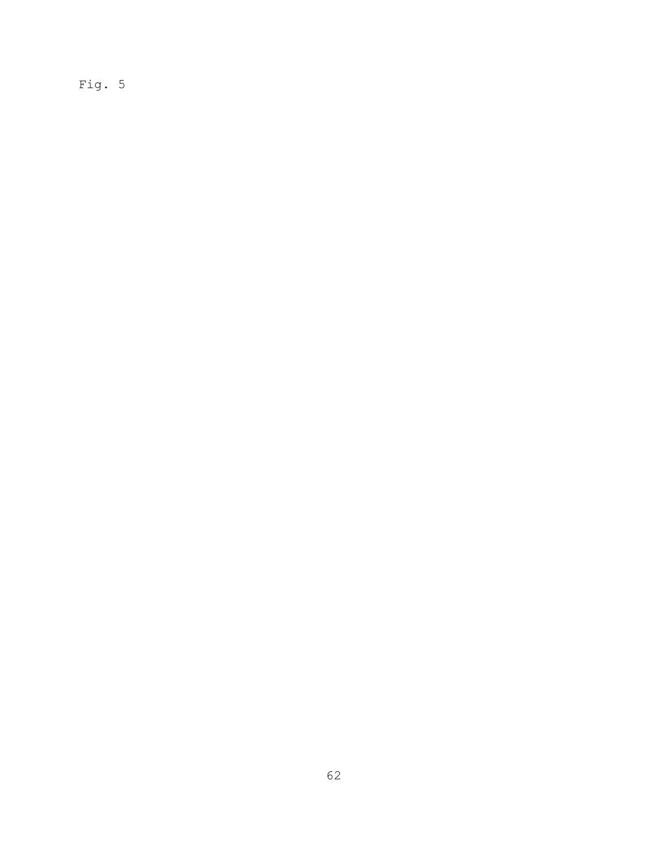Fig. 5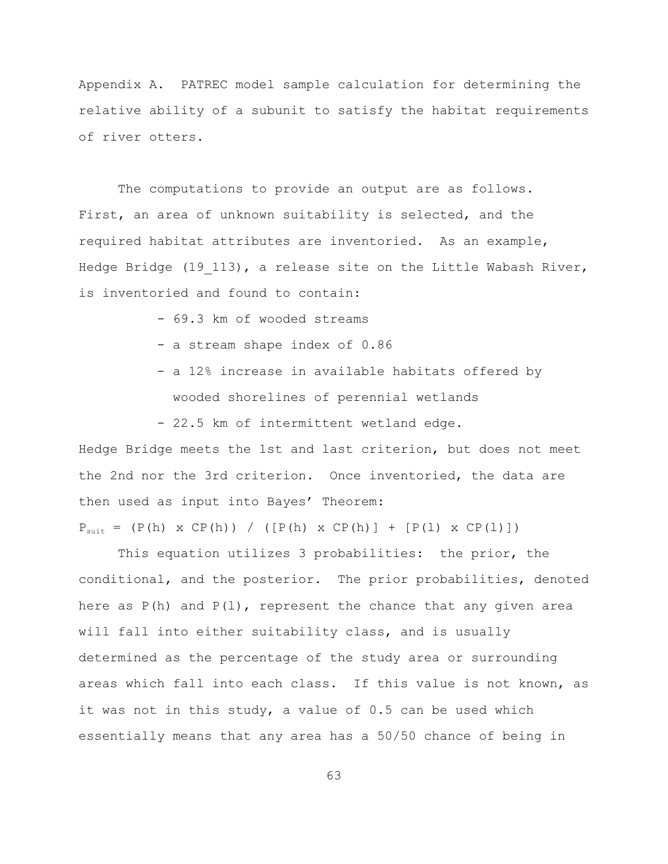Appendix A. PATREC model sample calculation for determining the relative ability of a subunit to satisfy the habitat requirements of river otters.

The computations to provide an output are as follows. First, an area of unknown suitability is selected, and the required habitat attributes are inventoried. As an example, Hedge Bridge (19 113), a release site on the Little Wabash River, is inventoried and found to contain:

- 69.3 km of wooded streams
- a stream shape index of 0.86
- a 12% increase in available habitats offered by wooded shorelines of perennial wetlands

- 22.5 km of intermittent wetland edge.

Hedge Bridge meets the 1st and last criterion, but does not meet the 2nd nor the 3rd criterion. Once inventoried, the data are then used as input into Bayes' Theorem:

 $P_{\text{suit}} = (P(h) \times CP(h)) / ([P(h) \times CP(h)] + [P(1) \times CP(1)])$ 

This equation utilizes 3 probabilities: the prior, the conditional, and the posterior. The prior probabilities, denoted here as  $P(h)$  and  $P(1)$ , represent the chance that any given area will fall into either suitability class, and is usually determined as the percentage of the study area or surrounding areas which fall into each class. If this value is not known, as it was not in this study, a value of 0.5 can be used which essentially means that any area has a 50/50 chance of being in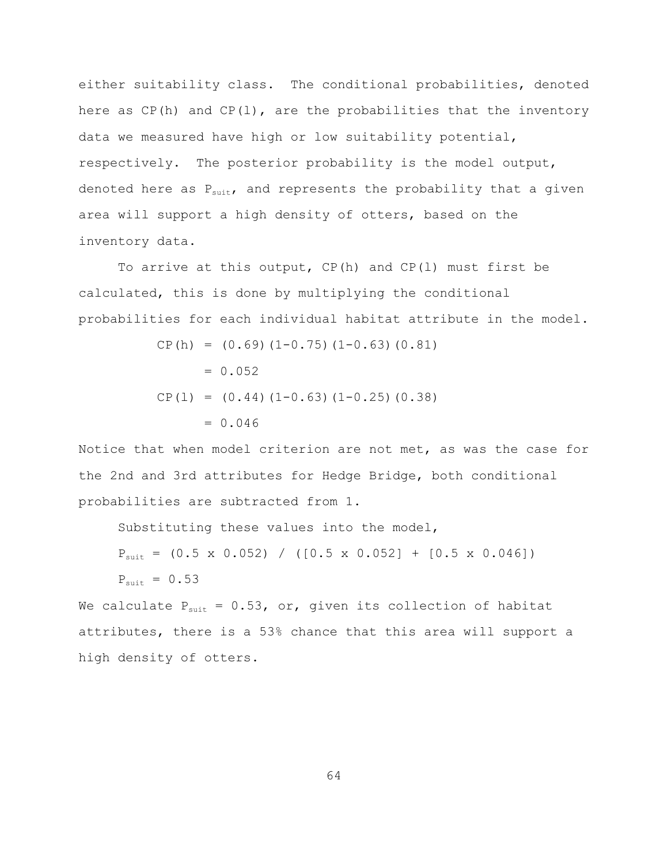either suitability class. The conditional probabilities, denoted here as  $CP(h)$  and  $CP(1)$ , are the probabilities that the inventory data we measured have high or low suitability potential, respectively. The posterior probability is the model output, denoted here as  $P_{suit}$ , and represents the probability that a given area will support a high density of otters, based on the inventory data.

To arrive at this output,  $CP(h)$  and  $CP(1)$  must first be calculated, this is done by multiplying the conditional probabilities for each individual habitat attribute in the model.

CP(h) = (0.69)(1-0.75)(1-0.63)(0.81) = 0.052 CP(l) = (0.44)(1-0.63)(1-0.25)(0.38) = 0.046

Notice that when model criterion are not met, as was the case for the 2nd and 3rd attributes for Hedge Bridge, both conditional probabilities are subtracted from 1.

Substituting these values into the model,

$$
P_{\text{suit}} = (0.5 \times 0.052) / ([0.5 \times 0.052] + [0.5 \times 0.046])
$$
  
\n
$$
P_{\text{suit}} = 0.53
$$

We calculate  $P_{suit} = 0.53$ , or, given its collection of habitat attributes, there is a 53% chance that this area will support a high density of otters.

64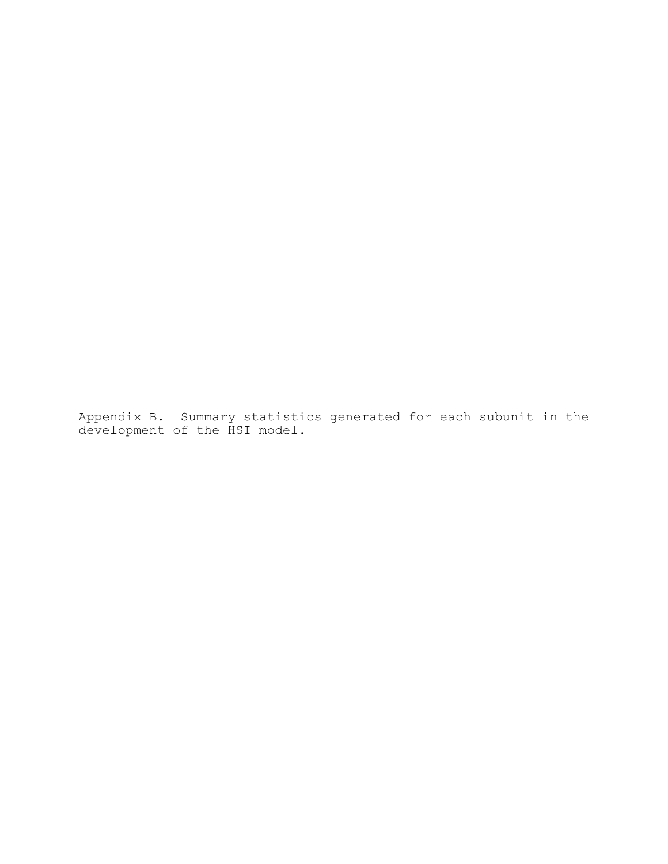Appendix B. Summary statistics generated for each subunit in the development of the HSI model.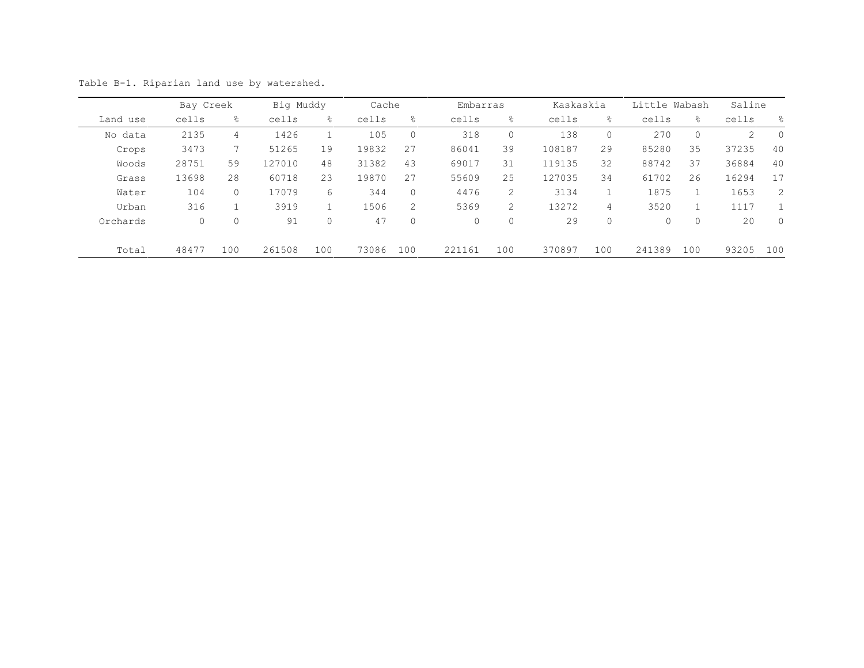|          | Bay Creek |               | Big Muddy |              | Cache |                | Embarras |                | Kaskaskia |             | Little Wabash |         | Saline |                |
|----------|-----------|---------------|-----------|--------------|-------|----------------|----------|----------------|-----------|-------------|---------------|---------|--------|----------------|
| Land use | cells     | $\frac{6}{6}$ | cells     | 응            | cells | ိင             | cells    | ိင             | cells     | 응           | cells         | ⊱       | cells  | $\approx$      |
| No data  | 2135      | 4             | 1426      |              | 105   | 0              | 318      | 0              | 138       | $\circ$     | 270           | $\circ$ | 2      | $\overline{0}$ |
| Crops    | 3473      |               | 51265     | 19           | 19832 | 27             | 86041    | 39             | 108187    | 29          | 85280         | 35      | 37235  | 40             |
| Woods    | 28751     | 59            | 127010    | 48           | 31382 | 43             | 69017    | 31             | 119135    | 32          | 88742         | 37      | 36884  | 40             |
| Grass    | 13698     | 28            | 60718     | 23           | 19870 | 27             | 55609    | 25             | 127035    | 34          | 61702         | 26      | 16294  | 17             |
| Water    | 104       | $\mathbf{0}$  | 17079     | 6            | 344   | $\circ$        | 4476     | $\overline{2}$ | 3134      | 1           | 1875          |         | 1653   | 2              |
| Urban    | 316       |               | 3919      |              | 1506  | 2              | 5369     | $\overline{2}$ | 13272     | 4           | 3520          |         | 1117   |                |
| Orchards | $\circ$   | $\mathbf 0$   | 91        | $\mathbf{0}$ | 47    | $\overline{0}$ | $\circ$  | $\mathbf{0}$   | 29        | $\mathbf 0$ | $\mathbf{0}$  | $\circ$ | 20     | $\mathbf{0}$   |
| Total    | 48477     | 100           | 261508    | 100          | 73086 | 100            | 221161   | 100            | 370897    | 100         | 241389        | 100     | 93205  | 100            |

Table B-1. Riparian land use by watershed.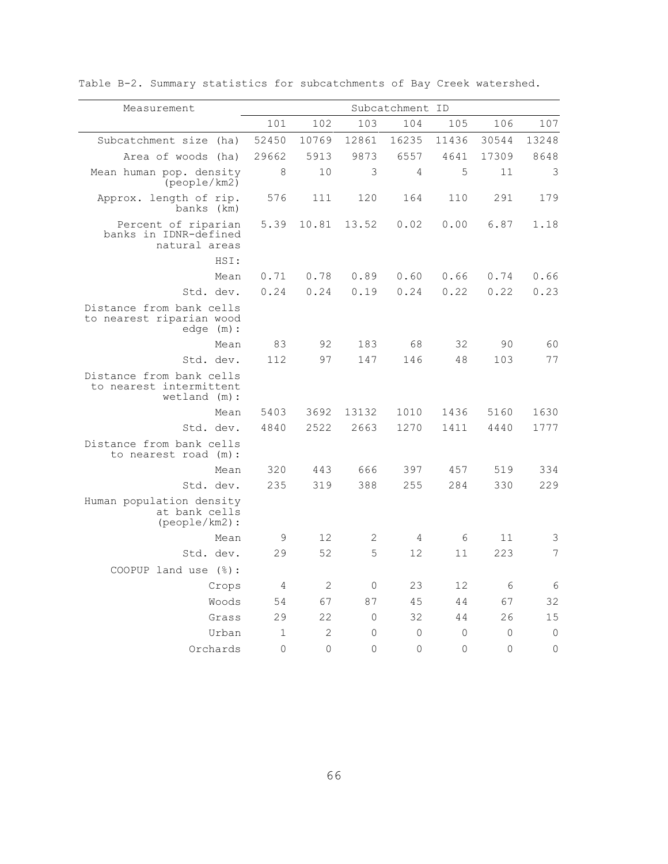| Measurement                                                           |              |              |                | Subcatchment ID     |                     |          |             |
|-----------------------------------------------------------------------|--------------|--------------|----------------|---------------------|---------------------|----------|-------------|
|                                                                       | 101          | 102          | 103            | 104                 | 105                 | 106      | 107         |
| Subcatchment size (ha)                                                | 52450        | 10769        | 12861          | 16235               | 11436               | 30544    | 13248       |
| Area of woods<br>(ha)                                                 | 29662        | 5913         | 9873           | 6557                | 4641                | 17309    | 8648        |
| Mean human pop. density<br>(people/km2)                               | 8            | 10           | 3              | 4                   | 5                   | 11       | 3           |
| Approx. length of rip.<br>banks (km)                                  | 576          | 111          | 120            | 164                 | 110                 | 291      | 179         |
| Percent of riparian<br>banks in IDNR-defined<br>natural areas         | 5.39         | 10.81        | 13.52          | 0.02                | 0.00                | 6.87     | 1.18        |
| HSI:                                                                  |              |              |                |                     |                     |          |             |
| Mean                                                                  | 0.71         | 0.78         | 0.89           | 0.60                | 0.66                | 0.74     | 0.66        |
| Std. dev.                                                             | 0.24         | 0.24         | 0.19           | 0.24                | 0.22                | 0.22     | 0.23        |
| Distance from bank cells<br>to nearest riparian wood<br>edge (m) :    |              |              |                |                     |                     |          |             |
| Mean                                                                  | 83           | 92           | 183            | 68                  | 32                  | 90       | 60          |
| Std. dev.                                                             | 112          | 97           | 147            | 146                 | 48                  | 103      | 77          |
| Distance from bank cells<br>to nearest intermittent<br>$wetland$ (m): |              |              |                |                     |                     |          |             |
| Mean                                                                  | 5403         | 3692         | 13132          | 1010                | 1436                | 5160     | 1630        |
| Std. dev.                                                             | 4840         | 2522         | 2663           | 1270                | 1411                | 4440     | 1777        |
| Distance from bank cells<br>to nearest road (m):                      |              |              |                |                     |                     |          |             |
| Mean                                                                  | 320          | 443          | 666            | 397                 | 457                 | 519      | 334         |
| Std. dev.                                                             | 235          | 319          | 388            | 255                 | 284                 | 330      | 229         |
| Human population density<br>at bank cells<br>(people/km2):            |              |              |                |                     |                     |          |             |
| Mean                                                                  | 9            | 12           | 2              | $\overline{4}$      | 6                   | 11       | 3           |
| Std. dev.                                                             | 29           | 52           | 5              | 12                  | 11                  | 223      | 7           |
| COOPUP land use $(\frac{6}{6})$ :                                     |              |              |                |                     |                     |          |             |
| Crops                                                                 | 4            | 2            | $\overline{0}$ | 23                  | 12                  | 6        | 6           |
| Woods                                                                 | 54           | 67           | 87             | 45                  | 44                  | 67       | 32          |
| Grass                                                                 | 29           | 22           | $\mathbf{0}$   | 32                  | 44                  | 26       | 15          |
| Urban                                                                 | $\mathbf{1}$ | $\mathbf{2}$ | $\circ$        | $\mathsf{O}\xspace$ | $\mathsf{O}\xspace$ | $\Omega$ | $\mathbb O$ |
| Orchards                                                              | $\Omega$     | $\Omega$     | $\Omega$       | $\Omega$            | $\Omega$            | $\Omega$ | 0           |

Table B-2. Summary statistics for subcatchments of Bay Creek watershed.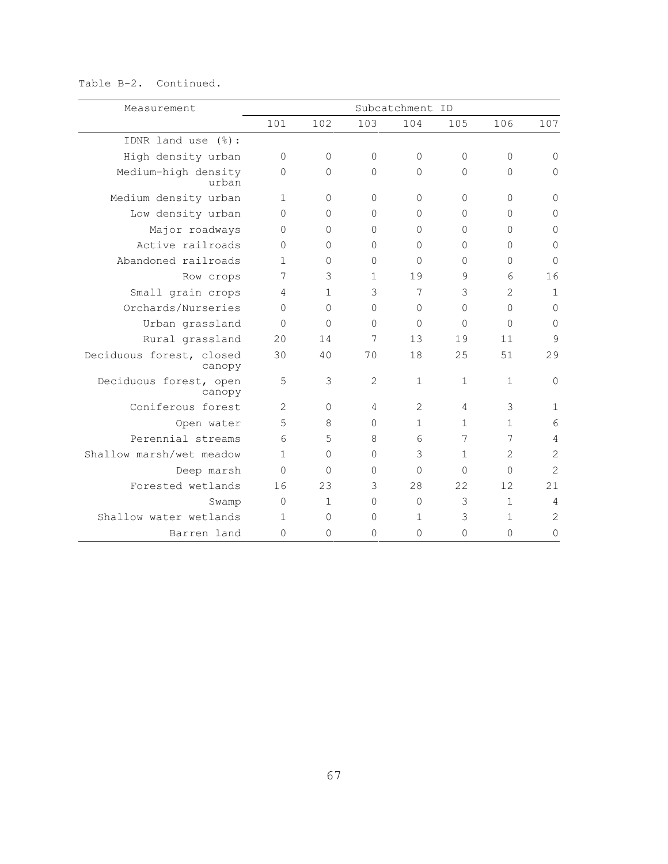## Table B-2. Continued.

| Measurement                        |                |              |                | Subcatchment ID |              |                |                |
|------------------------------------|----------------|--------------|----------------|-----------------|--------------|----------------|----------------|
|                                    | 101            | 102          | 103            | 104             | 105          | 106            | 107            |
| IDNR land use (%):                 |                |              |                |                 |              |                |                |
| High density urban                 | $\mathbf{0}$   | $\Omega$     | $\Omega$       | $\Omega$        | $\Omega$     | $\Omega$       | 0              |
| Medium-high density<br>urban       | $\mathbf 0$    | $\Omega$     | 0              | $\Omega$        | 0            | $\Omega$       | $\mathbf{0}$   |
| Medium density urban               | $\mathbf{1}$   | $\Omega$     | $\Omega$       | $\Omega$        | $\Omega$     | $\Omega$       | $\Omega$       |
| Low density urban                  | $\Omega$       | $\Omega$     | $\Omega$       | $\Omega$        | 0            | $\Omega$       | 0              |
| Major roadways                     | $\mathbf 0$    | $\Omega$     | $\Omega$       | $\Omega$        | $\Omega$     | $\Omega$       | $\mathbf{0}$   |
| Active railroads                   | $\Omega$       | $\Omega$     | $\Omega$       | $\Omega$        | 0            | $\Omega$       | $\mathbf{0}$   |
| Abandoned railroads                | $\mathbf{1}$   | $\Omega$     | $\Omega$       | $\Omega$        | 0            | $\Omega$       | $\Omega$       |
| Row crops                          | 7              | 3            | $\mathbf{1}$   | 19              | 9            | 6              | 16             |
| Small grain crops                  | 4              | $\mathbf{1}$ | 3              | 7               | 3            | 2              | 1              |
| Orchards/Nurseries                 | $\Omega$       | $\Omega$     | $\Omega$       | $\Omega$        | $\Omega$     | $\Omega$       | $\mathbf{0}$   |
| Urban grassland                    | $\Omega$       | $\Omega$     | $\Omega$       | $\Omega$        | $\Omega$     | $\Omega$       | $\mathbf{0}$   |
| Rural grassland                    | 20             | 14           | 7              | 13              | 19           | 11             | 9              |
| Deciduous forest, closed<br>canopy | 30             | 40           | 70             | 18              | 25           | 51             | 29             |
| Deciduous forest, open<br>canopy   | 5              | 3            | $\overline{c}$ | $\mathbf{1}$    | $\mathbf{1}$ | $\mathbf{1}$   | $\mathbf 0$    |
| Coniferous forest                  | $\overline{c}$ | $\Omega$     | 4              | 2               | 4            | 3              | $\mathbf 1$    |
| Open water                         | 5              | 8            | $\Omega$       | $\mathbf{1}$    | $\mathbf{1}$ | $\mathbf{1}$   | 6              |
| Perennial streams                  | 6              | 5            | 8              | 6               | 7            | 7              | 4              |
| Shallow marsh/wet meadow           | $\mathbf{1}$   | $\Omega$     | $\Omega$       | 3               | $\mathbf{1}$ | $\overline{2}$ | $\overline{c}$ |
| Deep marsh                         | $\Omega$       | $\Omega$     | $\Omega$       | $\Omega$        | $\Omega$     | $\Omega$       | $\overline{2}$ |
| Forested wetlands                  | 16             | 23           | 3              | 28              | 22           | 12             | 21             |
| Swamp                              | $\overline{0}$ | $\mathbf{1}$ | $\overline{0}$ | $\Omega$        | 3            | $\mathbf{1}$   | $\overline{4}$ |
| Shallow water wetlands             | $\mathbf{1}$   | $\Omega$     | $\Omega$       | $\mathbf{1}$    | 3            | $\mathbf{1}$   | $\overline{2}$ |
| Barren land                        | $\Omega$       | $\Omega$     | $\Omega$       | $\Omega$        | $\Omega$     | $\Omega$       | 0              |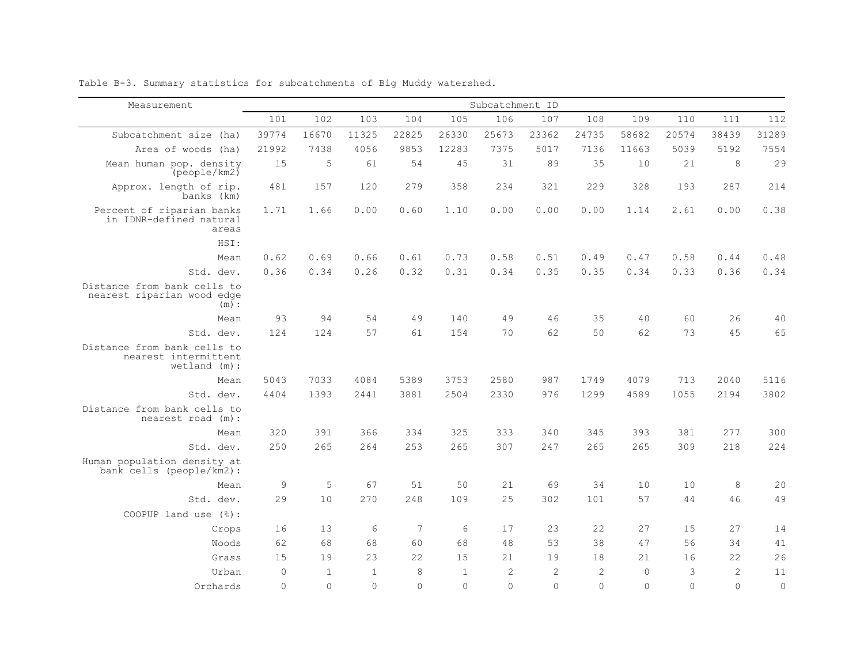| Measurement                                                           |          |              |                |          |              | Subcatchment ID |                |                |          |          |                |                |
|-----------------------------------------------------------------------|----------|--------------|----------------|----------|--------------|-----------------|----------------|----------------|----------|----------|----------------|----------------|
|                                                                       | 101      | 102          | 103            | 104      | 105          | 106             | 107            | 108            | 109      | 110      | 111            | 112            |
| Subcatchment size (ha)                                                | 39774    | 16670        | 11325          | 22825    | 26330        | 25673           | 23362          | 24735          | 58682    | 20574    | 38439          | 31289          |
| Area of woods (ha)                                                    | 21992    | 7438         | 4056           | 9853     | 12283        | 7375            | 5017           | 7136           | 11663    | 5039     | 5192           | 7554           |
| Mean human pop. density<br>$(pe^{o}$ people/km2 $)$                   | 15       | 5            | 61             | 54       | 45           | 31              | 89             | 35             | 10       | 21       | 8              | 29             |
| Approx. length of rip.<br>banks (km)                                  | 481      | 157          | 120            | 279      | 358          | 234             | 321            | 229            | 328      | 193      | 287            | 214            |
| Percent of riparian banks<br>in IDNR-defined natural<br>areas         | 1.71     | 1.66         | 0.00           | 0.60     | 1.10         | 0.00            | 0.00           | 0.00           | 1.14     | 2.61     | 0.00           | 0.38           |
| HSI:                                                                  |          |              |                |          |              |                 |                |                |          |          |                |                |
| Mean                                                                  | 0.62     | 0.69         | 0.66           | 0.61     | 0.73         | 0.58            | 0.51           | 0.49           | 0.47     | 0.58     | 0.44           | 0.48           |
| Std. dev.                                                             | 0.36     | 0.34         | 0.26           | 0.32     | 0.31         | 0.34            | 0.35           | 0.35           | 0.34     | 0.33     | 0.36           | 0.34           |
| Distance from bank cells to<br>nearest riparian wood edge<br>(m):     |          |              |                |          |              |                 |                |                |          |          |                |                |
| Mean                                                                  | 93       | 94           | 54             | 49       | 140          | 49              | 46             | 35             | 40       | 60       | 26             | 40             |
| Std. dev.                                                             | 124      | 124          | 57             | 61       | 154          | 70              | 62             | 50             | 62       | 73       | 45             | 65             |
| Distance from bank cells to<br>nearest intermittent<br>$wetland$ (m): |          |              |                |          |              |                 |                |                |          |          |                |                |
| Mean                                                                  | 5043     | 7033         | 4084           | 5389     | 3753         | 2580            | 987            | 1749           | 4079     | 713      | 2040           | 5116           |
| Std. dev.                                                             | 4404     | 1393         | 2441           | 3881     | 2504         | 2330            | 976            | 1299           | 4589     | 1055     | 2194           | 3802           |
| Distance from bank cells to<br>nearest road (m):                      |          |              |                |          |              |                 |                |                |          |          |                |                |
| Mean                                                                  | 320      | 391          | 366            | 334      | 325          | 333             | 340            | 345            | 393      | 381      | 277            | 300            |
| Std. dev.                                                             | 250      | 265          | 264            | 253      | 265          | 307             | 247            | 265            | 265      | 309      | 218            | 224            |
| Human population density at<br>bank cells (people/km2):               |          |              |                |          |              |                 |                |                |          |          |                |                |
| Mean                                                                  | 9        | 5            | 67             | 51       | 50           | 2.1             | 69             | 34             | 10       | 10       | $\,8\,$        | 20             |
| Std. dev.                                                             | 29       | 10           | 270            | 2.48     | 109          | 2.5             | 302            | 101            | 57       | 44       | 46             | 49             |
| COOPUP land use (%):                                                  |          |              |                |          |              |                 |                |                |          |          |                |                |
| Crops                                                                 | 16       | 13           | 6              | 7        | 6            | 17              | 23             | 22             | 27       | 15       | 27             | 14             |
| Woods                                                                 | 62       | 68           | 68             | 60       | 68           | 48              | 53             | 38             | 47       | 56       | 34             | 41             |
| Grass                                                                 | 1.5      | 19           | 23             | 22       | 15           | 2.1             | 19             | 18             | 2.1      | 16       | 22.            | 26             |
| Urban                                                                 | $\Omega$ | $\mathbf{1}$ | $\overline{1}$ | 8        | $\mathbf{1}$ | $\overline{c}$  | $\overline{c}$ | $\overline{2}$ | $\circ$  | 3        | $\overline{2}$ | 11             |
| Orchards                                                              | $\Omega$ | $\Omega$     | $\Omega$       | $\Omega$ | $\cap$       | $\Omega$        | $\Omega$       | $\Omega$       | $\Omega$ | $\Omega$ | $\Omega$       | $\overline{0}$ |

Table B-3. Summary statistics for subcatchments of Big Muddy watershed.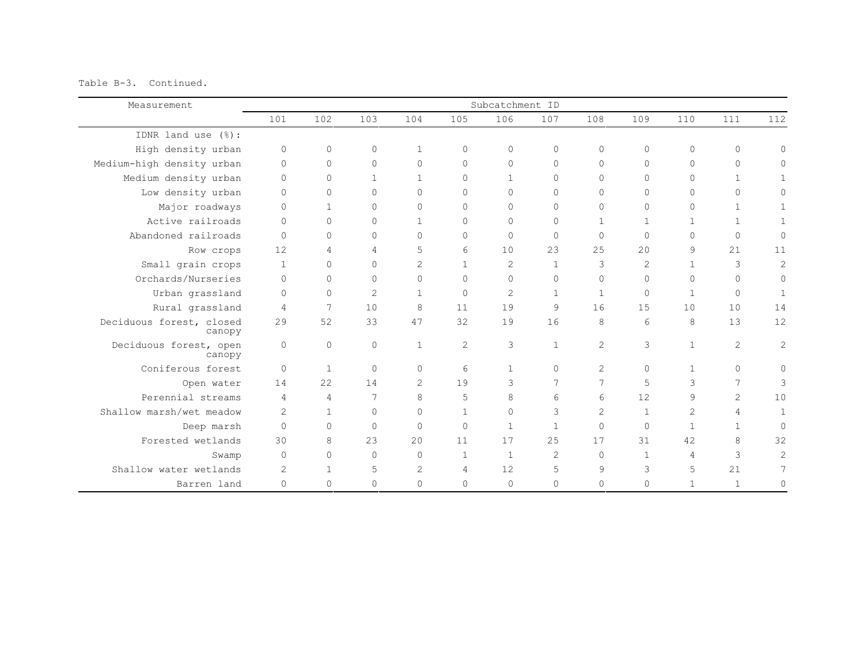Table B-3. Continued.

| Measurement                        |                |              |                |                |                | Subcatchment ID |                |              |                |                |              |              |
|------------------------------------|----------------|--------------|----------------|----------------|----------------|-----------------|----------------|--------------|----------------|----------------|--------------|--------------|
|                                    | 101            | 102          | 103            | 104            | 105            | 106             | 107            | 108          | 109            | 110            | 111          | 112          |
| IDNR land use (%):                 |                |              |                |                |                |                 |                |              |                |                |              |              |
| High density urban                 | $\mathbf{0}$   | $\circ$      | 0              | $\mathbf{1}$   | $\Omega$       | $\circ$         | $\circ$        | $\Omega$     | $\mathbf{0}$   | $\circ$        | $\circ$      | $\Omega$     |
| Medium-high density urban          | $\Omega$       | $\circ$      | $\Omega$       | $\Omega$       | $\Omega$       | $\Omega$        | $\Omega$       | $\Omega$     | $\mathbf{0}$   | $\Omega$       | $\Omega$     | $\Omega$     |
| Medium density urban               | $\Omega$       | $\circ$      | $\mathbf{1}$   | $\mathbf{1}$   | $\Omega$       | $\mathbf{1}$    | $\Omega$       | $\Omega$     | $\Omega$       | $\Omega$       | $\mathbf{1}$ | $\mathbf{1}$ |
| Low density urban                  | $\Omega$       | 0            | $\Omega$       | $\Omega$       | $\Omega$       | $\Omega$        | $\circ$        | $\Omega$     | $\Omega$       | $\Omega$       | $\Omega$     | 0            |
| Major roadways                     | $\Omega$       | $\mathbf{1}$ | $\Omega$       | $\Omega$       | $\Omega$       | $\Omega$        | $\mathbf{0}$   | $\Omega$     | $\Omega$       | $\Omega$       | $\mathbf{1}$ | 1            |
| Active railroads                   | $\bigcap$      | $\circ$      | $\Omega$       | $\mathbf{1}$   | $\mathbf{0}$   | $\Omega$        | $\mathbf{0}$   | $\mathbf{1}$ | $\mathbf{1}$   | $\mathbf{1}$   | $\mathbf{1}$ | $\mathbf{1}$ |
| Abandoned railroads                | $\Omega$       | $\Omega$     | $\Omega$       | $\Omega$       | $\Omega$       | $\Omega$        | $\mathbf{0}$   | $\Omega$     | $\Omega$       | $\Omega$       | $\Omega$     | $\circ$      |
| Row crops                          | 12             | 4            | $\overline{4}$ | 5              | 6              | 10              | 23             | 25           | 2.0            | 9              | 21           | 11           |
| Small grain crops                  | $\overline{1}$ | $\circ$      | $\Omega$       | $\overline{c}$ | $\mathbf{1}$   | $\mathcal{L}$   | $\mathbf{1}$   | 3            | $\overline{2}$ | $\mathbf{1}$   | 3            | $\mathbf{2}$ |
| Orchards/Nurseries                 | $\Omega$       | $\Omega$     | $\Omega$       | $\Omega$       | $\Omega$       | $\Omega$        | $\mathbf{0}$   | $\Omega$     | $\Omega$       | $\Omega$       | $\Omega$     | $\circ$      |
| Urban grassland                    | $\Omega$       | $\circ$      | $\overline{2}$ | $\mathbf{1}$   | $\Omega$       | $\overline{2}$  | $\mathbf{1}$   | $\mathbf{1}$ | $\Omega$       | $\mathbf{1}$   | $\Omega$     | $\mathbf{1}$ |
| Rural grassland                    | $\overline{4}$ | 7            | 10             | 8              | 11             | 19              | $\overline{9}$ | 16           | 15             | 10             | 10           | 14           |
| Deciduous forest, closed<br>canopy | 29             | 52           | 33             | 47             | 32             | 19              | 16             | 8            | 6              | 8              | 13           | 12           |
| Deciduous forest, open<br>canopy   | $\circ$        | $\circ$      | $\circ$        | $\overline{1}$ | $\overline{c}$ | 3               | $\mathbf{1}$   | 2            | 3              | $\mathbf{1}$   | 2            | $\sqrt{2}$   |
| Coniferous forest                  | $\Omega$       | $\mathbf{1}$ | $\Omega$       | $\Omega$       | 6              | $\mathbf{1}$    | $\Omega$       | 2            | $\Omega$       | $\mathbf{1}$   | $\Omega$     | $\Omega$     |
| Open water                         | 14             | 22           | 14             | $\overline{c}$ | 19             | 3               | 7              | 7            | 5              | 3              | 7            | 3            |
| Perennial streams                  | $\overline{4}$ | 4            | 7              | 8              | 5              | 8               | 6              | 6            | 12             | 9              | 2            | 10           |
| Shallow marsh/wet meadow           | $\overline{2}$ | $\mathbf{1}$ | $\Omega$       | $\Omega$       | $\mathbf{1}$   | $\Omega$        | 3              | 2            | 1              | $\overline{2}$ | 4            | $\mathbf{1}$ |
| Deep marsh                         | $\Omega$       | $\circ$      | $\Omega$       | $\Omega$       | $\Omega$       | $\mathbf{1}$    | $\mathbf{1}$   | $\Omega$     | $\Omega$       | $\mathbf{1}$   | $\mathbf{1}$ | $\Omega$     |
| Forested wetlands                  | 30             | 8            | 23             | 20             | 11             | 17              | 25             | 17           | 31             | 42             | 8            | 32           |
| Swamp                              | $\Omega$       | 0            | $\Omega$       | $\bigcap$      | $\mathbf{1}$   | $\mathbf{1}$    | 2              | $\Omega$     | $\mathbf{1}$   | 4              | 3            | 2            |
| Shallow water wetlands             | $\overline{2}$ | $\mathbf{1}$ | 5              | 2              | 4              | 12              | 5              | 9            | 3              | 5              | 21           | 7            |
| Barren land                        | $\mathbf{0}$   | 0            | $\Omega$       | $\Omega$       | $\Omega$       | $\circ$         | 0              | $\Omega$     | $\mathbf{0}$   | $\mathbf 1$    | $\mathbf{1}$ | $\circ$      |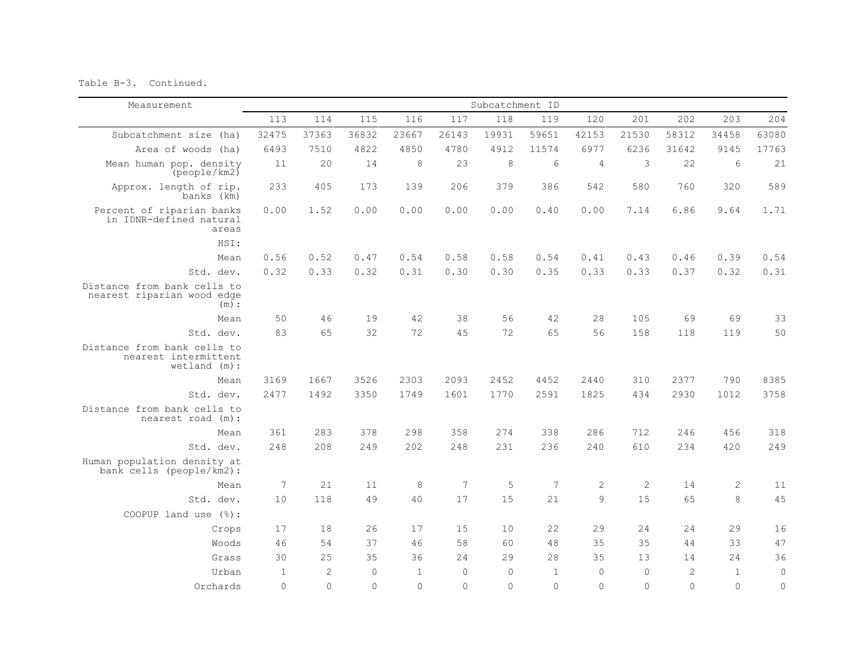Table B-3. Continued.

| Measurement                                                            |                 |              |          |              |          | Subcatchment ID |              |                |                |                |              |              |
|------------------------------------------------------------------------|-----------------|--------------|----------|--------------|----------|-----------------|--------------|----------------|----------------|----------------|--------------|--------------|
|                                                                        | 113             | 114          | 115      | 116          | 117      | 118             | 119          | 120            | 201            | 202            | 203          | 204          |
| Subcatchment size (ha)                                                 | 32475           | 37363        | 36832    | 23667        | 26143    | 19931           | 59651        | 42153          | 21530          | 58312          | 34458        | 63080        |
| Area of woods (ha)                                                     | 6493            | 7510         | 4822     | 4850         | 4780     | 4912            | 11574        | 6977           | 6236           | 31642          | 9145         | 17763        |
| Mean human pop. density<br>(people/km2)                                | 11              | 20           | 14       | 8            | 23       | 8               | 6            | 4              | 3              | 22             | 6            | 21           |
| Approx. length of rip.<br>banks (km)                                   | 233             | 405          | 173      | 139          | 206      | 379             | 386          | 542            | 580            | 760            | 320          | 589          |
| Percent of riparian banks<br>in IDNR-defined natural<br>areas          | 0.00            | 1.52         | 0.00     | 0.00         | 0.00     | 0.00            | 0.40         | 0.00           | 7.14           | 6.86           | 9.64         | 1.71         |
| HSI:                                                                   |                 |              |          |              |          |                 |              |                |                |                |              |              |
| Mean                                                                   | 0.56            | 0.52         | 0.47     | 0.54         | 0.58     | 0.58            | 0.54         | 0.41           | 0.43           | 0.46           | 0.39         | 0.54         |
| Std. dev.                                                              | 0.32            | 0.33         | 0.32     | 0.31         | 0.30     | 0.30            | 0.35         | 0.33           | 0.33           | 0.37           | 0.32         | 0.31         |
| Distance from bank cells to<br>nearest riparian wood edge<br>(m):      |                 |              |          |              |          |                 |              |                |                |                |              |              |
| Mean                                                                   | 50              | 46           | 19       | 42           | 38       | 56              | 42           | 28             | 105            | 69             | 69           | 33           |
| Std. dev.                                                              | 83              | 65           | 32       | 72           | 45       | 72              | 65           | 56             | 158            | 118            | 119          | 50           |
| Distance from bank cells to<br>nearest intermittent<br>$wetland$ (m) : |                 |              |          |              |          |                 |              |                |                |                |              |              |
| Mean                                                                   | 3169            | 1667         | 3526     | 2303         | 2093     | 2452            | 4452         | 2440           | 310            | 2377           | 790          | 8385         |
| Std. dev.                                                              | 2477            | 1492         | 3350     | 1749         | 1601     | 1770            | 2591         | 1825           | 434            | 2930           | 1012         | 3758         |
| Distance from bank cells to<br>nearest road (m):                       |                 |              |          |              |          |                 |              |                |                |                |              |              |
| Mean                                                                   | 361             | 283          | 378      | 298          | 358      | 274             | 338          | 286            | 712            | 246            | 456          | 318          |
| Std. dev.                                                              | 248             | 208          | 249      | 202          | 248      | 231             | 236          | 240            | 610            | 234            | 420          | 249          |
| Human population density at<br>bank cells (people/km2):                |                 |              |          |              |          |                 |              |                |                |                |              |              |
| Mean                                                                   | $7\phantom{.0}$ | 21           | 11       | 8            | 7        | 5               | 7            | $\overline{2}$ | $\mathbf{2}$   | 14             | $\mathbf{2}$ | 11           |
| Std. dev.                                                              | 10              | 118          | 49       | 40           | 17       | 1.5             | 21           | $\mathcal{Q}$  | 15             | 65             | 8            | 45           |
| COOPUP land use $(\frac{1}{6})$ :                                      |                 |              |          |              |          |                 |              |                |                |                |              |              |
| Crops                                                                  | 17              | 18           | 26       | 17           | 15       | 10              | 22           | 29             | 24             | 24             | 29           | 16           |
| Woods                                                                  | 46              | 54           | 37       | 46           | 58       | 60              | 48           | 35             | 35             | 44             | 33           | 47           |
| Grass                                                                  | 30              | 25           | 35       | 36           | 24       | 29              | 28           | 35             | 13             | 14             | 2.4          | 36           |
| Urban                                                                  | $\mathbf{1}$    | $\mathbf{2}$ | $\Omega$ | $\mathbf{1}$ | $\Omega$ | $\mathbf 0$     | $\mathbf{1}$ | $\Omega$       | $\overline{0}$ | $\overline{2}$ | $\mathbf{1}$ | $\mathsf{O}$ |
| Orchards                                                               | $\Omega$        | $\Omega$     | $\Omega$ | $\Omega$     | $\Omega$ | $\Omega$        | $\Omega$     | $\bigcap$      | $\Omega$       | $\Omega$       | $\Omega$     | $\circ$      |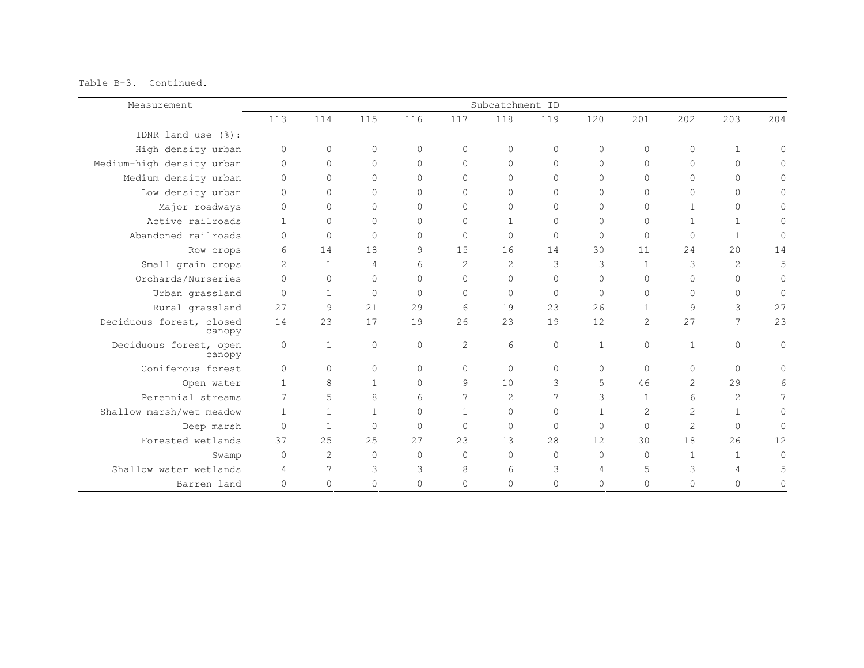Table B-3. Continued.

| Measurement                        |                |                |                |           |                | Subcatchment ID |              |                |                |              |                |             |
|------------------------------------|----------------|----------------|----------------|-----------|----------------|-----------------|--------------|----------------|----------------|--------------|----------------|-------------|
|                                    | 113            | 114            | 115            | 116       | 117            | 118             | 119          | 120            | 201            | 202          | 203            | 204         |
| IDNR land use (%):                 |                |                |                |           |                |                 |              |                |                |              |                |             |
| High density urban                 | $\circ$        | $\circ$        | 0              | $\Omega$  | $\Omega$       | $\circ$         | $\circ$      | $\Omega$       | $\circ$        | $\circ$      | $\mathbf{1}$   | $\Omega$    |
| Medium-high density urban          | $\Omega$       | $\circ$        | $\Omega$       | $\Omega$  | $\Omega$       | $\Omega$        | $\Omega$     | $\Omega$       | $\mathbf{0}$   | $\Omega$     | $\Omega$       | $\Omega$    |
| Medium density urban               | $\Omega$       | $\circ$        | $\Omega$       | $\Omega$  | $\Omega$       | $\Omega$        | $\Omega$     | $\Omega$       | $\Omega$       | $\Omega$     | $\Omega$       | $\Omega$    |
| Low density urban                  | $\Omega$       | 0              | $\Omega$       | $\Omega$  | $\Omega$       | $\Omega$        | $\circ$      | $\Omega$       | $\Omega$       | $\Omega$     | $\Omega$       | 0           |
| Major roadways                     | $\circ$        | $\circ$        | $\Omega$       | $\Omega$  | $\Omega$       | $\Omega$        | $\mathbf{0}$ | $\Omega$       | $\Omega$       | $\mathbf{1}$ | $\Omega$       | $\Omega$    |
| Active railroads                   | $\overline{1}$ | $\circ$        | $\Omega$       | $\Omega$  | $\mathbf{0}$   | $\mathbf{1}$    | $\mathbf{0}$ | $\Omega$       | $\Omega$       | $\mathbf{1}$ | $\mathbf{1}$   | $\Omega$    |
| Abandoned railroads                | $\Omega$       | $\circ$        | $\Omega$       | $\Omega$  | $\Omega$       | $\Omega$        | $\mathbf{0}$ | $\Omega$       | $\Omega$       | $\circ$      | $\mathbf{1}$   | $\mathbf 0$ |
| Row crops                          | 6              | 14             | 18             | 9         | 15             | 16              | 14           | 30             | 11             | 24           | 2.0            | 14          |
| Small grain crops                  | $\overline{2}$ | $\overline{1}$ | $\overline{4}$ | 6         | $\overline{2}$ | $\mathcal{L}$   | 3            | 3              | $\mathbf{1}$   | 3            | 2              | 5           |
| Orchards/Nurseries                 | $\Omega$       | $\circ$        | $\Omega$       | $\Omega$  | $\Omega$       | $\Omega$        | $\Omega$     | $\Omega$       | $\Omega$       | $\Omega$     | $\Omega$       | $\circ$     |
| Urban grassland                    | $\Omega$       | $\mathbf{1}$   | $\Omega$       | $\Omega$  | $\Omega$       | $\Omega$        | $\mathbf 0$  | $\Omega$       | $\Omega$       | $\Omega$     | $\Omega$       | $\circ$     |
| Rural grassland                    | 27             | 9              | 21             | 29        | 6              | 19              | 23           | 26             | $\mathbf{1}$   | 9            | 3              | 27          |
| Deciduous forest, closed<br>canopy | 14             | 23             | 17             | 19        | 26             | 23              | 19           | 12             | $\overline{2}$ | 27           | 7              | 23          |
| Deciduous forest, open<br>canopy   | $\circ$        | $\mathbf{1}$   | $\circ$        | $\Omega$  | $\overline{c}$ | 6               | $\circ$      | $\mathbf{1}$   | $\circ$        | $\mathbf{1}$ | $\circ$        | $\circ$     |
| Coniferous forest                  | $\Omega$       | $\Omega$       | $\Omega$       | $\Omega$  | $\Omega$       | $\Omega$        | $\Omega$     | $\Omega$       | $\Omega$       | $\Omega$     | $\Omega$       | $\Omega$    |
| Open water                         | $\overline{1}$ | 8              | $\mathbf{1}$   | $\Omega$  | 9              | 10              | 3            | 5              | 46             | 2            | 29             | 6           |
| Perennial streams                  | 7              | 5              | 8              | 6         | 7              | $\overline{2}$  | 7            | 3              | $\mathbf{1}$   | 6            | 2              | 7           |
| Shallow marsh/wet meadow           | $\mathbf{1}$   | $\mathbf{1}$   | $\mathbf{1}$   | $\Omega$  | $\mathbf{1}$   | $\Omega$        | $\circ$      | 1              | 2              | 2            | $\mathbf{1}$   | $\circ$     |
| Deep marsh                         | $\Omega$       | $\mathbf{1}$   | $\Omega$       | $\Omega$  | $\Omega$       | $\Omega$        | $\mathbf{0}$ | $\Omega$       | $\Omega$       | 2            | $\Omega$       | $\circ$     |
| Forested wetlands                  | 37             | 25             | 25             | 27        | 23             | 13              | 28           | 12             | 30             | 18           | 26             | 12          |
| Swamp                              | $\Omega$       | $\overline{c}$ | $\Omega$       | $\bigcap$ | $\Omega$       | $\Omega$        | $\Omega$     | $\Omega$       | $\Omega$       | $\mathbf{1}$ | $\mathbf{1}$   | $\Omega$    |
| Shallow water wetlands             | 4              | 7              | 3              | 3         | 8              | 6               | 3            | $\overline{4}$ | 5              | 3            | $\overline{4}$ | 5           |
| Barren land                        | $\Omega$       | 0              | $\Omega$       | $\Omega$  | $\Omega$       | $\circ$         | 0            | $\Omega$       | $\mathbf{0}$   | $\Omega$     | $\Omega$       | $\Omega$    |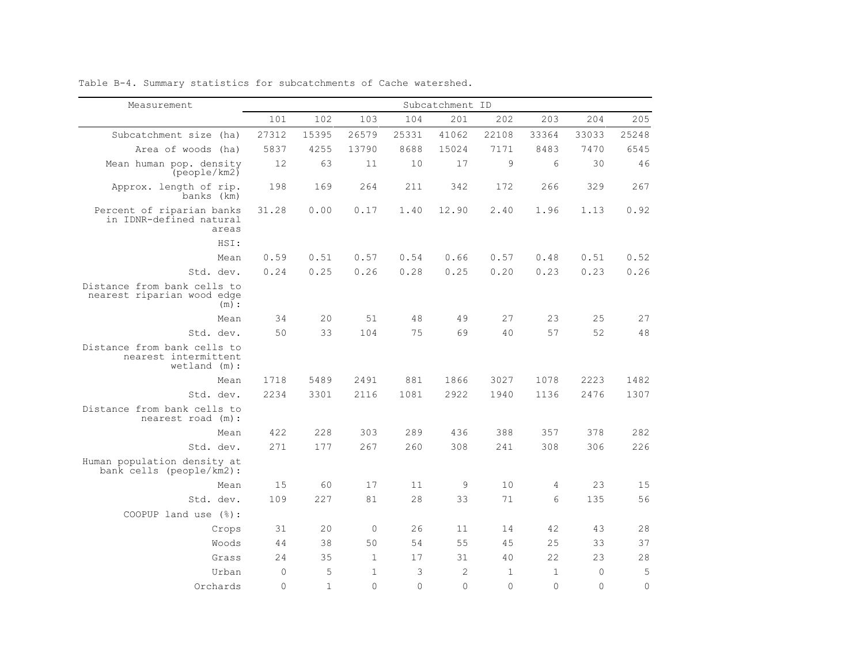| Measurement                                                           |          |              |              |          | Subcatchment ID |              |              |          |              |
|-----------------------------------------------------------------------|----------|--------------|--------------|----------|-----------------|--------------|--------------|----------|--------------|
|                                                                       | 101      | 102          | 103          | 104      | 201             | 202          | 203          | 204      | 205          |
| Subcatchment size (ha)                                                | 27312    | 15395        | 26579        | 25331    | 41062           | 22108        | 33364        | 33033    | 25248        |
| Area of woods (ha)                                                    | 5837     | 4255         | 13790        | 8688     | 15024           | 7171         | 8483         | 7470     | 6545         |
| Mean human pop. density<br>(people/km2)                               | 12       | 63           | 11           | 10       | 17              | 9            | 6            | 30       | 46           |
| Approx. length of rip.<br>banks (km)                                  | 198      | 169          | 264          | 211      | 342             | 172          | 266          | 329      | 267          |
| Percent of riparian banks<br>in IDNR-defined natural<br>areas         | 31.28    | 0.00         | 0.17         | 1.40     | 12.90           | 2.40         | 1.96         | 1.13     | 0.92         |
| HSI:                                                                  |          |              |              |          |                 |              |              |          |              |
| Mean                                                                  | 0.59     | 0.51         | 0.57         | 0.54     | 0.66            | 0.57         | 0.48         | 0.51     | 0.52         |
| Std. dev.                                                             | 0.24     | 0.25         | 0.26         | 0.28     | 0.25            | 0.20         | 0.23         | 0.23     | 0.26         |
| Distance from bank cells to<br>nearest riparian wood edge<br>(m):     |          |              |              |          |                 |              |              |          |              |
| Mean                                                                  | 34       | 20           | 51           | 48       | 49              | 27           | 23           | 25       | 27           |
| Std. dev.                                                             | 50       | 33           | 104          | 75       | 69              | 40           | 57           | 52       | 48           |
| Distance from bank cells to<br>nearest intermittent<br>$wetland$ (m): |          |              |              |          |                 |              |              |          |              |
| Mean                                                                  | 1718     | 5489         | 2491         | 881      | 1866            | 3027         | 1078         | 2223     | 1482         |
| Std. dev.                                                             | 2234     | 3301         | 2116         | 1081     | 2922            | 1940         | 1136         | 2476     | 1307         |
| Distance from bank cells to<br>nearest road (m):                      |          |              |              |          |                 |              |              |          |              |
| Mean                                                                  | 422      | 228          | 303          | 289      | 436             | 388          | 357          | 378      | 282          |
| Std. dev.                                                             | 271      | 177          | 267          | 260      | 308             | 241          | 308          | 306      | 226          |
| Human population density at<br>bank cells (people/km2):               |          |              |              |          |                 |              |              |          |              |
| Mean                                                                  | 15       | 60           | 17           | 11       | 9               | 10           | 4            | 23       | 15           |
| Std. dev.                                                             | 109      | 227          | 81           | 28       | 33              | 71           | 6            | 135      | 56           |
| COOPUP land use (%):                                                  |          |              |              |          |                 |              |              |          |              |
| Crops                                                                 | 31       | 20           | $\Omega$     | 26       | 11              | 14           | 42           | 43       | 28           |
| Woods                                                                 | 44       | 38           | 50           | 54       | 55              | 45           | 25           | 33       | 37           |
| Grass                                                                 | 2.4      | 35           | $\mathbf{1}$ | 17       | 31              | 40           | 22           | 23       | 28           |
| Urban                                                                 | $\Omega$ | 5            | $\mathbf{1}$ | 3        | 2               | $\mathbf{1}$ | $\mathbf{1}$ | $\Omega$ | 5            |
| Orchards                                                              | $\Omega$ | $\mathbf{1}$ | $\Omega$     | $\Omega$ | $\Omega$        | $\Omega$     | $\Omega$     | $\Omega$ | $\mathbf{0}$ |

Table B-4. Summary statistics for subcatchments of Cache watershed.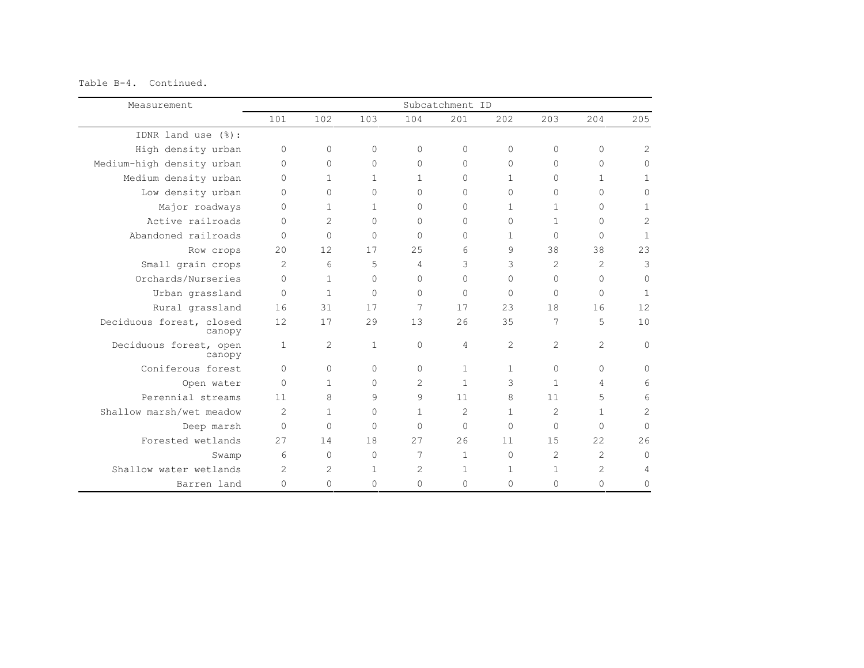Table B-4. Continued.

| Measurement                        |                |                |              |              | Subcatchment ID |          |                |                |                |
|------------------------------------|----------------|----------------|--------------|--------------|-----------------|----------|----------------|----------------|----------------|
|                                    | 101            | 102            | 103          | 104          | 201             | 202      | 203            | 204            | 205            |
| IDNR land use (%):                 |                |                |              |              |                 |          |                |                |                |
| High density urban                 | $\Omega$       | $\Omega$       | $\Omega$     | $\Omega$     | $\Omega$        | $\Omega$ | 0              | $\mathbf{0}$   | $\overline{2}$ |
| Medium-high density urban          | $\Omega$       | $\Omega$       | $\Omega$     | $\Omega$     | $\Omega$        | $\Omega$ | $\Omega$       | $\Omega$       | $\Omega$       |
| Medium density urban               | $\Omega$       | 1              | 1            | 1            | $\Omega$        | 1        | 0              | $\mathbf{1}$   | 1              |
| Low density urban                  | $\Omega$       | $\Omega$       | $\Omega$     | $\Omega$     | $\Omega$        | $\Omega$ | $\Omega$       | $\Omega$       | $\Omega$       |
| Major roadways                     | $\Omega$       |                | 1            | $\Omega$     | $\Omega$        | 1        | $\mathbf{1}$   | $\circ$        |                |
| Active railroads                   | $\Omega$       | $\overline{c}$ | $\Omega$     | $\Omega$     | $\Omega$        | $\Omega$ | $\mathbf{1}$   | $\Omega$       | $\overline{c}$ |
| Abandoned railroads                | $\Omega$       | $\Omega$       | $\Omega$     | $\Omega$     | $\Omega$        | 1        | $\Omega$       | $\Omega$       | $\mathbf{1}$   |
| Row crops                          | 20             | 12             | 17           | 25           | 6               | 9        | 38             | 38             | 23             |
| Small grain crops                  | $\mathcal{L}$  | 6              | 5            | 4            | 3               | 3        | $\overline{c}$ | 2              | 3              |
| Orchards/Nurseries                 | $\Omega$       | 1              | $\Omega$     | $\Omega$     | $\Omega$        | $\Omega$ | $\Omega$       | $\circ$        | $\mathbf{0}$   |
| Urban grassland                    | $\Omega$       | $\mathbf{1}$   | $\Omega$     | $\Omega$     | $\Omega$        | $\Omega$ | $\Omega$       | $\Omega$       | $\mathbf{1}$   |
| Rural grassland                    | 16             | 31             | 17           | 7            | 17              | 23       | 18             | 16             | 12             |
| Deciduous forest, closed<br>canopy | 12             | 17             | 29           | 13           | 26              | 35       | 7              | 5              | 10             |
| Deciduous forest, open<br>canopy   | $\mathbf{1}$   | 2              | $\mathbf{1}$ | $\mathbf{0}$ | 4               | 2        | $\overline{2}$ | $\overline{2}$ | $\mathbf{0}$   |
| Coniferous forest                  | $\Omega$       | $\Omega$       | $\Omega$     | $\Omega$     | 1               | 1        | $\Omega$       | $\circ$        | <sup>n</sup>   |
| Open water                         | $\mathbf{0}$   | 1              | $\Omega$     | 2            | $\mathbf{1}$    | 3        | $\mathbf{1}$   | 4              |                |
| Perennial streams                  | 11             | 8              | 9            | 9            | 11              | 8        | 11             | 5              | 6              |
| Shallow marsh/wet meadow           | $\mathcal{L}$  | 1              | $\Omega$     | 1            | $\overline{c}$  | 1        | $\overline{c}$ | $\mathbf{1}$   | $\overline{2}$ |
| Deep marsh                         | $\Omega$       | $\Omega$       | $\Omega$     | $\Omega$     | $\Omega$        | $\Omega$ | $\Omega$       | $\Omega$       | $\Omega$       |
| Forested wetlands                  | 27             | 14             | 18           | 2.7          | 2.6             | 11       | 15             | 22             | 26             |
| Swamp                              | 6              | $\Omega$       | $\Omega$     | 7            | $\mathbf{1}$    | $\Omega$ | $\overline{c}$ | $\overline{2}$ | $\Omega$       |
| Shallow water wetlands             | $\overline{2}$ | 2              | 1            | 2            | 1               | 1        | 1              | $\overline{2}$ |                |
| Barren land                        | $\Omega$       | $\Omega$       | $\Omega$     | 0            | $\Omega$        | $\Omega$ | $\Omega$       | $\Omega$       | 0              |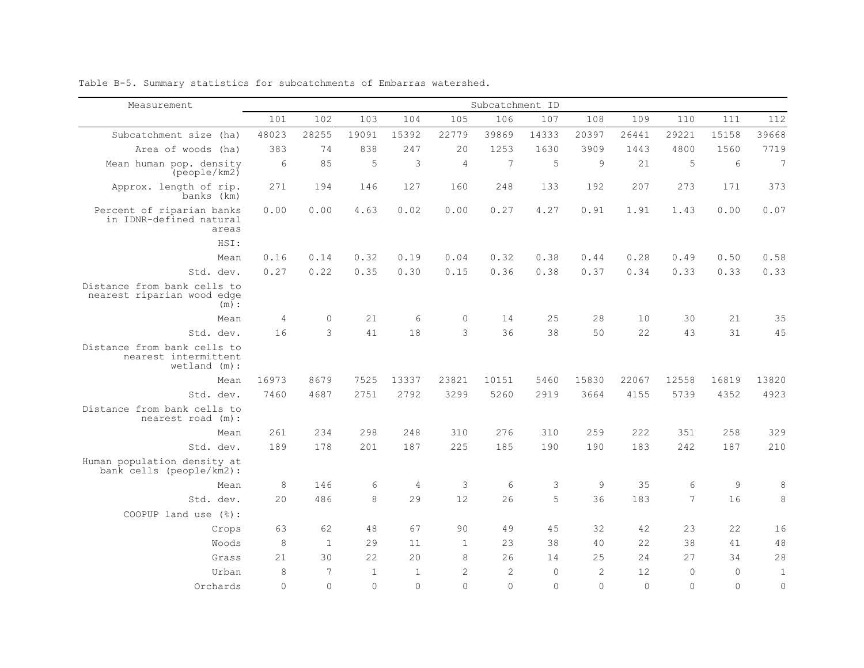| Measurement                                                            |            |              |              |              |                | Subcatchment ID |             |                |          |          |             |                 |
|------------------------------------------------------------------------|------------|--------------|--------------|--------------|----------------|-----------------|-------------|----------------|----------|----------|-------------|-----------------|
|                                                                        | 101        | 102          | 103          | 104          | 105            | 106             | 107         | 108            | 109      | 110      | 111         | 112             |
| Subcatchment size (ha)                                                 | 48023      | 28255        | 19091        | 15392        | 22779          | 39869           | 14333       | 20397          | 26441    | 29221    | 15158       | 39668           |
| Area of woods (ha)                                                     | 383        | 74           | 838          | 247          | 20             | 1253            | 1630        | 3909           | 1443     | 4800     | 1560        | 7719            |
| Mean human pop. density<br>[people/km2]                                | 6          | 85           | 5            | 3            | $\overline{4}$ | 7               | 5           | 9              | 21       | 5        | 6           | $7\phantom{.0}$ |
| Approx. length of rip.<br>banks (km)                                   | 271        | 194          | 146          | 127          | 160            | 248             | 133         | 192            | 207      | 273      | 171         | 373             |
| Percent of riparian banks<br>in IDNR-defined natural<br>areas          | 0.00       | 0.00         | 4.63         | 0.02         | 0.00           | 0.27            | 4.27        | 0.91           | 1.91     | 1.43     | 0.00        | 0.07            |
| HSI:                                                                   |            |              |              |              |                |                 |             |                |          |          |             |                 |
| Mean                                                                   | 0.16       | 0.14         | 0.32         | 0.19         | 0.04           | 0.32            | 0.38        | 0.44           | 0.28     | 0.49     | 0.50        | 0.58            |
| Std. dev.                                                              | 0.27       | 0.22         | 0.35         | 0.30         | 0.15           | 0.36            | 0.38        | 0.37           | 0.34     | 0.33     | 0.33        | 0.33            |
| Distance from bank cells to<br>nearest riparian wood edge<br>$(m)$ :   |            |              |              |              |                |                 |             |                |          |          |             |                 |
| Mean                                                                   | $\sqrt{4}$ | $\circ$      | 21           | 6            | $\bigcirc$     | 14              | 25          | 28             | 10       | 30       | 21          | 35              |
| Std. dev.                                                              | 16         | 3            | 41           | 18           | 3              | 36              | 38          | 50             | 22       | 43       | 31          | 45              |
| Distance from bank cells to<br>nearest intermittent<br>$wetland (m)$ : |            |              |              |              |                |                 |             |                |          |          |             |                 |
| Mean                                                                   | 16973      | 8679         | 7525         | 13337        | 23821          | 10151           | 5460        | 15830          | 22067    | 12558    | 16819       | 13820           |
| Std. dev.                                                              | 7460       | 4687         | 2751         | 2792         | 3299           | 5260            | 2919        | 3664           | 4155     | 5739     | 4352        | 4923            |
| Distance from bank cells to<br>nearest road (m):                       |            |              |              |              |                |                 |             |                |          |          |             |                 |
| Mean                                                                   | 261        | 234          | 298          | 248          | 310            | 276             | 310         | 259            | 222      | 351      | 258         | 329             |
| Std. dev.                                                              | 189        | 178          | 201          | 187          | 225            | 185             | 190         | 190            | 183      | 242      | 187         | 210             |
| Human population density at<br>bank cells (people/km2):                |            |              |              |              |                |                 |             |                |          |          |             |                 |
| Mean                                                                   | $\,8\,$    | 146          | $\epsilon$   | $\sqrt{4}$   | $\mathfrak{Z}$ | 6               | 3           | 9              | 35       | 6        | $\mathsf 9$ | 8               |
| Std. dev.                                                              | 20         | 486          | 8            | 29           | 12             | 2.6             | 5           | 36             | 183      | 7        | 16          | 8               |
| COOPUP land use (%):                                                   |            |              |              |              |                |                 |             |                |          |          |             |                 |
| Crops                                                                  | 63         | 62           | 48           | 67           | 90             | 49              | 45          | 32             | 42       | 23       | 22.2        | 16              |
| Woods                                                                  | 8          | $\mathbf{1}$ | 29           | 11           | $\mathbf{1}$   | 23              | 38          | 40             | 22       | 38       | 41          | 48              |
| Grass                                                                  | 2.1        | 30           | 22.2         | 2.0          | 8              | 26              | 14          | 25             | 2.4      | 27       | 34          | 28              |
| Urban                                                                  | 8          | 7            | $\mathbf{1}$ | $\mathbf{1}$ | $\mathbf{2}$   | $\overline{c}$  | $\mathbf 0$ | $\overline{2}$ | 12       | $\Omega$ | $\circ$     | $\mathbf{1}$    |
| Orchards                                                               | $\Omega$   | $\Omega$     | $\Omega$     | $\Omega$     | $\Omega$       | $\Omega$        | $\Omega$    | $\Omega$       | $\Omega$ | $\Omega$ | $\Omega$    | $\Omega$        |

Table B-5. Summary statistics for subcatchments of Embarras watershed.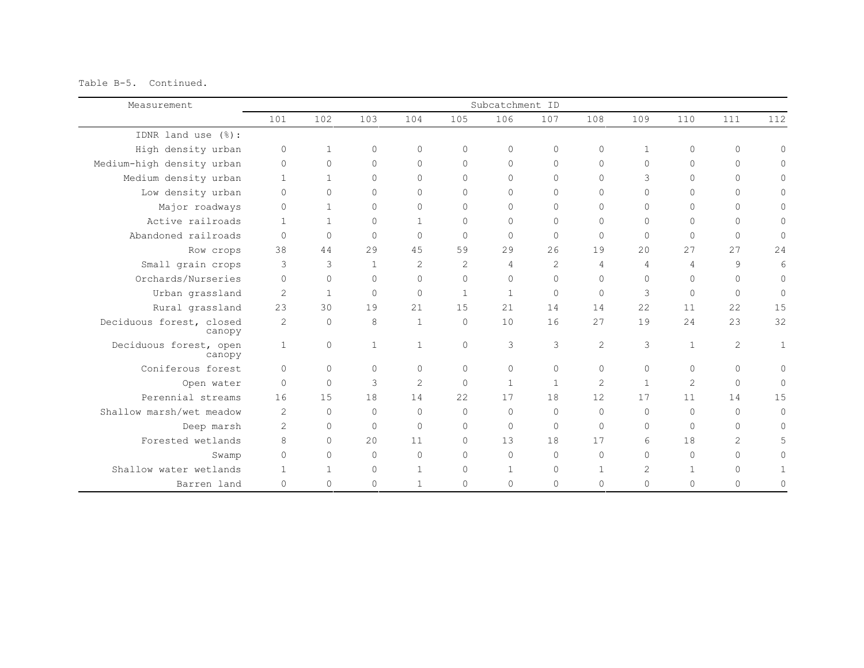Table B-5. Continued.

| Measurement                        |                |              |              |                |              | Subcatchment ID |              |                |                |                |                |              |
|------------------------------------|----------------|--------------|--------------|----------------|--------------|-----------------|--------------|----------------|----------------|----------------|----------------|--------------|
|                                    | 101            | 102          | 103          | 104            | 105          | 106             | 107          | 108            | 109            | 110            | 111            | 112          |
| IDNR land use (%):                 |                |              |              |                |              |                 |              |                |                |                |                |              |
| High density urban                 | $\mathbf 0$    | $\mathbf{1}$ | $\circ$      | $\circ$        | $\Omega$     | $\circ$         | $\circ$      | $\circ$        | $\mathbf{1}$   | $\circ$        | $\circ$        | $\mathbf{0}$ |
| Medium-high density urban          | $\circ$        | $\circ$      | $\Omega$     | $\Omega$       | $\Omega$     | $\Omega$        | $\mathbf{0}$ | $\Omega$       | $\circ$        | $\Omega$       | $\circ$        | Ω            |
| Medium density urban               | $\overline{1}$ | $\mathbf{1}$ | $\Omega$     | $\Omega$       | $\Omega$     | $\Omega$        | $\Omega$     | $\Omega$       | 3              | $\Omega$       | $\Omega$       | Ω            |
| Low density urban                  | $\Omega$       | $\circ$      | $\Omega$     | $\Omega$       | $\Omega$     | $\Omega$        | $\Omega$     | $\Omega$       | $\Omega$       | $\Omega$       | $\Omega$       | 0            |
| Major roadways                     | $\Omega$       | $\mathbf{1}$ | $\Omega$     | $\Omega$       | $\Omega$     | $\Omega$        | $\mathbf{0}$ | $\Omega$       | $\Omega$       | $\Omega$       | $\Omega$       | 0            |
| Active railroads                   | $\overline{1}$ | $\mathbf{1}$ | $\Omega$     | $\mathbf{1}$   | $\Omega$     | $\Omega$        | $\mathbf{0}$ | $\Omega$       | $\Omega$       | $\Omega$       | $\Omega$       | $\Omega$     |
| Abandoned railroads                | $\Omega$       | $\circ$      | $\Omega$     | $\Omega$       | $\Omega$     | $\Omega$        | $\mathbf{0}$ | $\Omega$       | $\mathbf{0}$   | $\circ$        | $\Omega$       | $\circ$      |
| Row crops                          | 38             | 44           | 29           | 45             | 59           | 29              | 26           | 19             | 20             | 27             | 2.7            | 24           |
| Small grain crops                  | 3              | 3            | $\mathbf{1}$ | $\overline{c}$ | 2            | $\overline{4}$  | $\mathbf{2}$ | $\overline{4}$ | 4              | 4              | 9              | 6            |
| Orchards/Nurseries                 | $\Omega$       | $\circ$      | $\Omega$     | $\Omega$       | $\Omega$     | $\Omega$        | $\circ$      | $\Omega$       | $\Omega$       | $\Omega$       | $\Omega$       | $\mathbf{0}$ |
| Urban grassland                    | 2              | $\mathbf{1}$ | $\Omega$     | $\Omega$       | $\mathbf{1}$ | $\mathbf{1}$    | $\mathbb O$  | $\Omega$       | 3              | $\Omega$       | $\Omega$       | 0            |
| Rural grassland                    | 23             | 30           | 19           | 21             | 15           | 21              | 14           | 14             | 22             | 11             | 22             | 15           |
| Deciduous forest, closed<br>canopy | 2              | $\mathbf{0}$ | 8            | $\mathbf{1}$   | $\Omega$     | 10              | 16           | 27             | 19             | 24             | 23             | 32           |
| Deciduous forest, open<br>canopy   | $\mathbf{1}$   | $\circ$      | $\mathbf{1}$ | $\mathbf{1}$   | $\Omega$     | 3               | 3            | 2              | 3              | $\mathbf{1}$   | $\mathbf{2}$   | $\mathbf{1}$ |
| Coniferous forest                  | $\Omega$       | $\Omega$     | $\Omega$     | $\Omega$       | $\Omega$     | $\circ$         | $\circ$      | $\Omega$       | $\Omega$       | $\Omega$       | $\Omega$       | $\Omega$     |
| Open water                         | $\Omega$       | $\Omega$     | 3            | $\overline{2}$ | $\Omega$     | $\mathbf{1}$    | $\mathbf{1}$ | $\overline{c}$ | $\overline{1}$ | $\overline{2}$ | $\Omega$       | $\mathbf{0}$ |
| Perennial streams                  | 16             | 15           | 18           | 14             | 22           | 17              | 18           | 12             | 17             | 11             | 14             | 15           |
| Shallow marsh/wet meadow           | 2              | $\mathbf{0}$ | $\Omega$     | $\Omega$       | $\Omega$     | $\bigcap$       | $\circ$      | $\Omega$       | $\Omega$       | $\Omega$       | $\Omega$       | $\Omega$     |
| Deep marsh                         | $\overline{c}$ | $\circ$      | $\Omega$     | $\Omega$       | $\bigcap$    | $\Omega$        | $\mathbf 0$  | $\Omega$       | $\circ$        | $\Omega$       | $\Omega$       | $\mathbf{0}$ |
| Forested wetlands                  | 8              | $\circ$      | 20           | 11             | $\Omega$     | 13              | 18           | 17             | 6              | 18             | $\overline{c}$ | 5            |
| Swamp                              | $\Omega$       | $\circ$      | $\Omega$     | $\Omega$       | $\Omega$     | $\bigcap$       | $\circ$      | $\Omega$       | $\Omega$       | $\Omega$       | $\Omega$       | Ω            |
| Shallow water wetlands             | $\mathbf{1}$   | $\mathbf{1}$ | $\mathbf{0}$ |                | $\mathbf{0}$ | $\mathbf{1}$    | $\mathbf 0$  | $\mathbf{1}$   | 2              | 1              | $\Omega$       |              |
| Barren land                        | $\Omega$       | $\circ$      | $\Omega$     |                | $\Omega$     | $\Omega$        | $\mathbf{0}$ | $\Omega$       | $\Omega$       | $\Omega$       | $\Omega$       |              |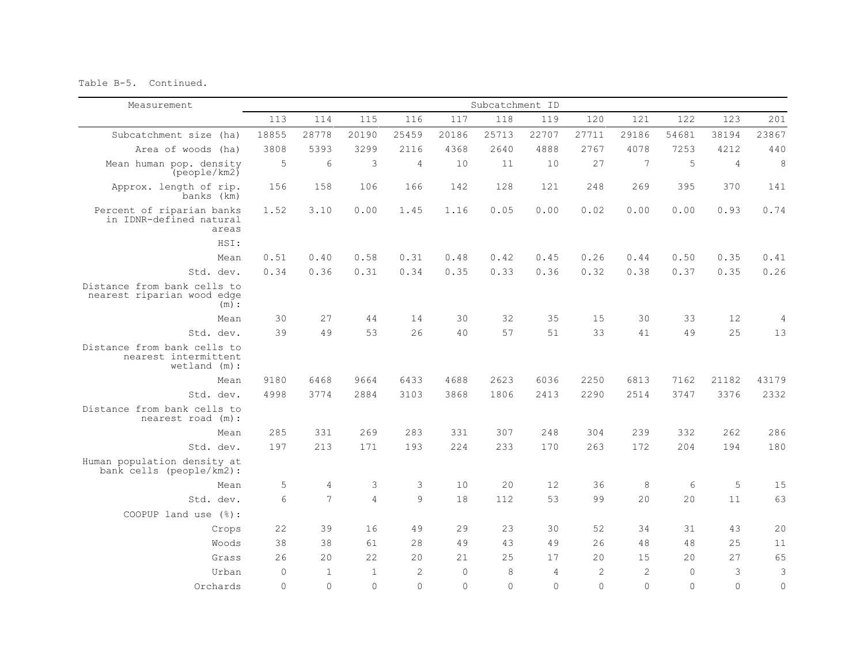Table B-5. Continued.

| Measurement                                                            |             |                |                |                |          | Subcatchment ID |          |                |                |              |                |                |
|------------------------------------------------------------------------|-------------|----------------|----------------|----------------|----------|-----------------|----------|----------------|----------------|--------------|----------------|----------------|
|                                                                        | 113         | 114            | 115            | 116            | 117      | 118             | 119      | 120            | 121            | 122          | 123            | 201            |
| Subcatchment size (ha)                                                 | 18855       | 28778          | 20190          | 25459          | 20186    | 25713           | 22707    | 27711          | 29186          | 54681        | 38194          | 23867          |
| Area of woods (ha)                                                     | 3808        | 5393           | 3299           | 2116           | 4368     | 2640            | 4888     | 2767           | 4078           | 7253         | 4212           | 440            |
| Mean human pop. density<br>[people/km2]                                | 5           | 6              | 3              | $\overline{4}$ | 10       | 11              | 10       | 27             | 7              | 5            | $\overline{4}$ | $\,8\,$        |
| Approx. length of rip.<br>banks (km)                                   | 156         | 158            | 106            | 166            | 142      | 128             | 121      | 248            | 269            | 395          | 370            | 141            |
| Percent of riparian banks<br>in IDNR-defined natural<br>areas          | 1.52        | 3.10           | 0.00           | 1.45           | 1.16     | 0.05            | 0.00     | 0.02           | 0.00           | 0.00         | 0.93           | 0.74           |
| HSI:                                                                   |             |                |                |                |          |                 |          |                |                |              |                |                |
| Mean                                                                   | 0.51        | 0.40           | 0.58           | 0.31           | 0.48     | 0.42            | 0.45     | 0.26           | 0.44           | 0.50         | 0.35           | 0.41           |
| Std. dev.                                                              | 0.34        | 0.36           | 0.31           | 0.34           | 0.35     | 0.33            | 0.36     | 0.32           | 0.38           | 0.37         | 0.35           | 0.26           |
| Distance from bank cells to<br>nearest riparian wood edge<br>(m):      |             |                |                |                |          |                 |          |                |                |              |                |                |
| Mean                                                                   | 30          | 27             | 44             | 14             | 30       | 32              | 35       | 15             | 30             | 33           | 12             | $\overline{4}$ |
| Std. dev.                                                              | 39          | 49             | 53             | 26             | 40       | 57              | 51       | 33             | 41             | 49           | 25             | 13             |
| Distance from bank cells to<br>nearest intermittent<br>$wetland$ (m) : |             |                |                |                |          |                 |          |                |                |              |                |                |
| Mean                                                                   | 9180        | 6468           | 9664           | 6433           | 4688     | 2623            | 6036     | 2250           | 6813           | 7162         | 21182          | 43179          |
| Std. dev.                                                              | 4998        | 3774           | 2884           | 3103           | 3868     | 1806            | 2413     | 2290           | 2514           | 3747         | 3376           | 2332           |
| Distance from bank cells to<br>nearest road (m):                       |             |                |                |                |          |                 |          |                |                |              |                |                |
| Mean                                                                   | 285         | 331            | 269            | 283            | 331      | 307             | 248      | 304            | 239            | 332          | 262            | 286            |
| Std. dev.                                                              | 197         | 213            | 171            | 193            | 224      | 233             | 170      | 263            | 172            | 204          | 194            | 180            |
| Human population density at<br>bank cells (people/km2):                |             |                |                |                |          |                 |          |                |                |              |                |                |
| Mean                                                                   | 5           | $\overline{4}$ | 3              | 3              | 10       | 20              | 12       | 36             | 8              | 6            | 5              | 15             |
| Std. dev.                                                              | 6           | 7              | $\overline{4}$ | 9              | 18       | 112             | 53       | 99             | 2.0            | 20           | 11             | 63             |
| COOPUP land use $(\frac{1}{6})$ :                                      |             |                |                |                |          |                 |          |                |                |              |                |                |
| Crops                                                                  | 22          | 39             | 16             | 49             | 29       | 23              | 30       | 52             | 34             | 31           | 43             | 20             |
| Woods                                                                  | 38          | 38             | 61             | 28             | 49       | 43              | 49       | 26             | 48             | 48           | 25             | 11             |
| Grass                                                                  | 26          | 20             | 22             | 20             | 21       | 2.5             | 17       | 20             | 15             | 20           | 2.7            | 65             |
| Urban                                                                  | $\mathbf 0$ | $\mathbf{1}$   | $\overline{1}$ | $\overline{c}$ | $\Omega$ | 8               | 4        | $\overline{2}$ | $\overline{c}$ | $\mathbf{0}$ | 3              | $\mathsf 3$    |
| Orchards                                                               | $\Omega$    | $\Omega$       | $\Omega$       | $\Omega$       | $\Omega$ | $\Omega$        | $\Omega$ | $\bigcap$      | $\Omega$       | $\Omega$     | $\Omega$       | $\circ$        |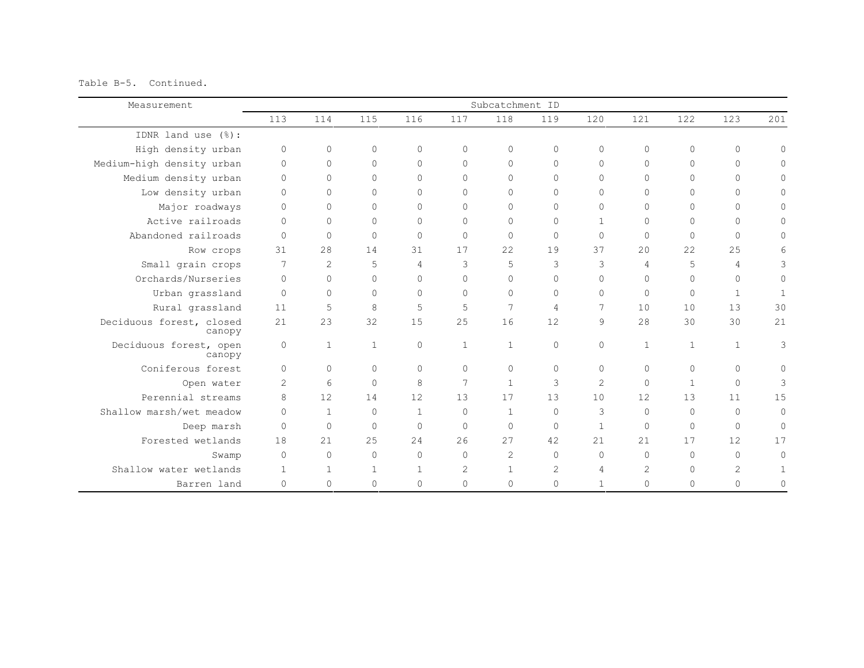Table B-5. Continued.

| Measurement                        |                |              |              |                |              | Subcatchment ID |                |                |                |              |                |                |
|------------------------------------|----------------|--------------|--------------|----------------|--------------|-----------------|----------------|----------------|----------------|--------------|----------------|----------------|
|                                    | 113            | 114          | 115          | 116            | 117          | 118             | 119            | 120            | 121            | 122.         | 123            | 201            |
| IDNR land use $(\frac{6}{6})$ :    |                |              |              |                |              |                 |                |                |                |              |                |                |
| High density urban                 | $\circ$        | $\circ$      | $\Omega$     | $\Omega$       | $\Omega$     | $\circ$         | $\circ$        | $\Omega$       | $\Omega$       | $\Omega$     | $\circ$        | $\mathbf{0}$   |
| Medium-high density urban          | $\mathbf 0$    | $\circ$      | $\Omega$     | $\circ$        | $\Omega$     | $\Omega$        | $\mathbf{0}$   | $\Omega$       | $\circ$        | $\Omega$     | $\Omega$       | $\Omega$       |
| Medium density urban               | $\Omega$       | $\Omega$     | $\Omega$     | $\Omega$       | $\Omega$     | $\bigcap$       | $\Omega$       | $\Omega$       | $\Omega$       | $\Omega$     | $\Omega$       | Ω              |
| Low density urban                  | $\Omega$       | $\Omega$     | $\Omega$     | $\Omega$       | $\Omega$     | $\Omega$        | $\Omega$       | $\Omega$       | $\Omega$       | $\Omega$     | $\Omega$       | 0              |
| Major roadways                     | $\Omega$       | $\circ$      | $\Omega$     | $\Omega$       | $\Omega$     | $\Omega$        | $\circ$        | $\Omega$       | $\Omega$       | $\Omega$     | $\Omega$       | 0              |
| Active railroads                   | $\Omega$       | $\circ$      | $\Omega$     | $\Omega$       | $\Omega$     | $\Omega$        | $\mathbf 0$    | $\mathbf{1}$   | $\Omega$       | $\Omega$     | $\Omega$       | $\cap$         |
| Abandoned railroads                | $\Omega$       | $\circ$      | $\Omega$     | $\Omega$       | $\circ$      | $\Omega$        | $\mathbf 0$    | $\Omega$       | $\Omega$       | $\Omega$     | $\Omega$       | 0              |
| Row crops                          | 31             | 28           | 14           | 31             | 17           | 22.2            | 19             | 37             | 2.0            | 22           | 2.5            | 6              |
| Small grain crops                  | 7              | 2            | 5            | $\overline{4}$ | 3            | 5               | 3              | 3              | $\overline{4}$ | 5            | $\overline{4}$ | 3              |
| Orchards/Nurseries                 | $\Omega$       | $\circ$      | $\Omega$     | $\Omega$       | $\Omega$     | $\Omega$        | $\circ$        | $\Omega$       | $\Omega$       | $\Omega$     | $\Omega$       | $\circ$        |
| Urban grassland                    | $\Omega$       | $\Omega$     | $\Omega$     | $\Omega$       | $\Omega$     | $\bigcap$       | $\circ$        | $\Omega$       | $\Omega$       | $\Omega$     | $\mathbf{1}$   | $\overline{1}$ |
| Rural grassland                    | 11             | 5            | 8            | 5              | 5            | $\overline{7}$  | $\overline{4}$ | 7              | 10             | 10           | 13             | 30             |
| Deciduous forest, closed<br>canopy | 21             | 23           | 32           | 15             | 25           | 16              | 12             | $\mathcal{Q}$  | 2.8            | 30           | 30             | 21             |
| Deciduous forest, open<br>canopy   | $\circ$        | $\mathbf{1}$ | $\mathbf{1}$ | $\Omega$       | $\mathbf{1}$ | $\mathbf{1}$    | $\circ$        | $\Omega$       | $\mathbf{1}$   | $\mathbf{1}$ | $\mathbf{1}$   | 3              |
| Coniferous forest                  | $\Omega$       | $\Omega$     | $\bigcap$    | $\Omega$       | $\Omega$     | $\Omega$        | $\circ$        | $\Omega$       | $\Omega$       | $\Omega$     | $\Omega$       | 0              |
| Open water                         | $\overline{c}$ | 6            | $\Omega$     | 8              | 7            | $\mathbf{1}$    | 3              | $\mathcal{L}$  | $\Omega$       | $\mathbf{1}$ | $\Omega$       | 3              |
| Perennial streams                  | 8              | 12           | 14           | 12             | 13           | 17              | 13             | 10             | 12             | 13           | 11             | 15             |
| Shallow marsh/wet meadow           | $\Omega$       | $\mathbf{1}$ | $\Omega$     | $\mathbf{1}$   | $\Omega$     | $\mathbf{1}$    | $\circ$        | 3              | $\Omega$       | $\Omega$     | $\Omega$       | $\mathbf{0}$   |
| Deep marsh                         | $\Omega$       | $\circ$      | $\bigcap$    | $\bigcap$      | $\Omega$     | $\Omega$        | $\mathbf 0$    | $\mathbf{1}$   | $\Omega$       | $\Omega$     | $\Omega$       | 0              |
| Forested wetlands                  | 18             | 2.1          | 25           | 2.4            | 26           | 27              | 42             | 2.1            | 21             | 17           | 12             | 17             |
| Swamp                              | $\Omega$       | $\circ$      | $\Omega$     | $\Omega$       | $\Omega$     | 2               | $\circ$        | $\Omega$       | $\Omega$       | $\Omega$     | $\Omega$       | $\Omega$       |
| Shallow water wetlands             | $\mathbf{1}$   | $\mathbf{1}$ | 1            | $\mathbf{1}$   | $\mathbf{2}$ | $\mathbf{1}$    | $\overline{c}$ | $\overline{4}$ | 2              | $\Omega$     | $\overline{2}$ |                |
| Barren land                        | $\Omega$       | $\circ$      | $\Omega$     | $\Omega$       | $\Omega$     | $\Omega$        | $\mathbf{0}$   | $\mathbf{1}$   | $\Omega$       | $\Omega$     | $\Omega$       | 0              |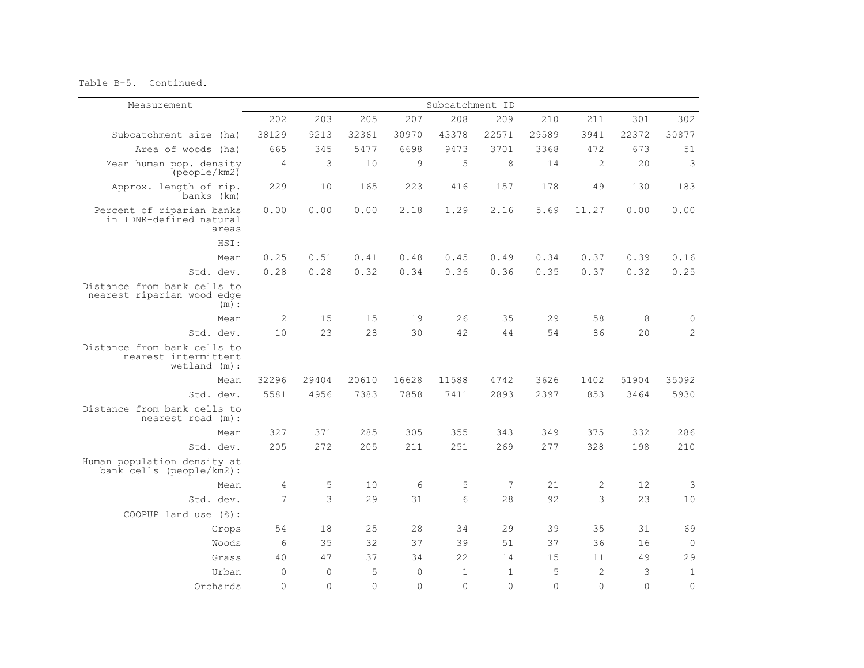Table B-5. Continued.

| Measurement                                                           | Subcatchment ID |              |          |           |                 |              |          |                |          |              |
|-----------------------------------------------------------------------|-----------------|--------------|----------|-----------|-----------------|--------------|----------|----------------|----------|--------------|
|                                                                       | 202             | 203          | 205      | 207       | 208             | 209          | 210      | 211            | 301      | 302          |
| Subcatchment size (ha)                                                | 38129           | 9213         | 32361    | 30970     | 43378           | 22571        | 29589    | 3941           | 22372    | 30877        |
| Area of woods (ha)                                                    | 665             | 345          | 5477     | 6698      | 9473            | 3701         | 3368     | 472            | 673      | 51           |
| Mean human pop. density<br>(people/km2)                               | 4               | 3            | 10       | 9         | 5               | 8            | 14       | 2              | 20       | 3            |
| Approx. length of rip.<br>banks (km)                                  | 229             | 10           | 165      | 223       | 416             | 157          | 178      | 49             | 130      | 183          |
| Percent of riparian banks<br>in IDNR-defined natural<br>areas         | 0.00            | 0.00         | 0.00     | 2.18      | 1.29            | 2.16         | 5.69     | 11.27          | 0.00     | 0.00         |
| HSI:                                                                  |                 |              |          |           |                 |              |          |                |          |              |
| Mean                                                                  | 0.25            | 0.51         | 0.41     | 0.48      | 0.45            | 0.49         | 0.34     | 0.37           | 0.39     | 0.16         |
| Std. dev.                                                             | 0.28            | 0.28         | 0.32     | 0.34      | 0.36            | 0.36         | 0.35     | 0.37           | 0.32     | 0.25         |
| Distance from bank cells to<br>nearest riparian wood edge<br>$(m)$ :  |                 |              |          |           |                 |              |          |                |          |              |
| Mean                                                                  | 2               | 15           | 15       | 19        | 26              | 35           | 29       | 58             | 8        | $\mathbf 0$  |
| Std. dev.                                                             | 10              | 23           | 28       | 30        | 42              | 44           | 54       | 86             | 20       | $\mathbf{2}$ |
| Distance from bank cells to<br>nearest intermittent<br>$wetland$ (m): |                 |              |          |           |                 |              |          |                |          |              |
| Mean                                                                  | 32296           | 29404        | 20610    | 16628     | 11588           | 4742         | 3626     | 1402           | 51904    | 35092        |
| Std. dev.                                                             | 5581            | 4956         | 7383     | 7858      | 7411            | 2893         | 2397     | 853            | 3464     | 5930         |
| Distance from bank cells to<br>nearest road (m):                      |                 |              |          |           |                 |              |          |                |          |              |
| Mean                                                                  | 327             | 371          | 285      | 305       | 355             | 343          | 349      | 375            | 332      | 286          |
| Std. dev.                                                             | 205             | 2.72         | 205      | 211       | 251             | 269          | 277      | 328            | 198      | 210          |
| Human population density at<br>bank cells (people/km2):               |                 |              |          |           |                 |              |          |                |          |              |
| Mean                                                                  | $\overline{4}$  | 5            | 10       | 6         | 5               | 7            | 21       | $\sqrt{2}$     | $12$     | 3            |
| Std. dev.                                                             | 7               | 3            | 29       | 31        | $6\overline{6}$ | 28           | 92       | 3              | 23       | 10           |
| COOPUP land use $(\frac{1}{6})$ :                                     |                 |              |          |           |                 |              |          |                |          |              |
| Crops                                                                 | 54              | 18           | 25       | 28        | 34              | 29           | 39       | 35             | 31       | 69           |
| Woods                                                                 | 6               | 35           | 32       | 37        | 39              | 51           | 37       | 36             | 16       | $\circ$      |
| Grass                                                                 | 40              | 47           | 37       | 34        | 22              | 14           | 15       | 11             | 49       | 29           |
| Urban                                                                 | $\Omega$        | $\mathbf{0}$ | 5        | $\Omega$  | $\mathbf{1}$    | $\mathbf{1}$ | 5        | $\overline{c}$ | 3        | $\mathbf{1}$ |
| Orchards                                                              | $\Omega$        | $\Omega$     | $\Omega$ | $\bigcap$ | $\Omega$        | $\Omega$     | $\Omega$ | $\Omega$       | $\Omega$ | $\Omega$     |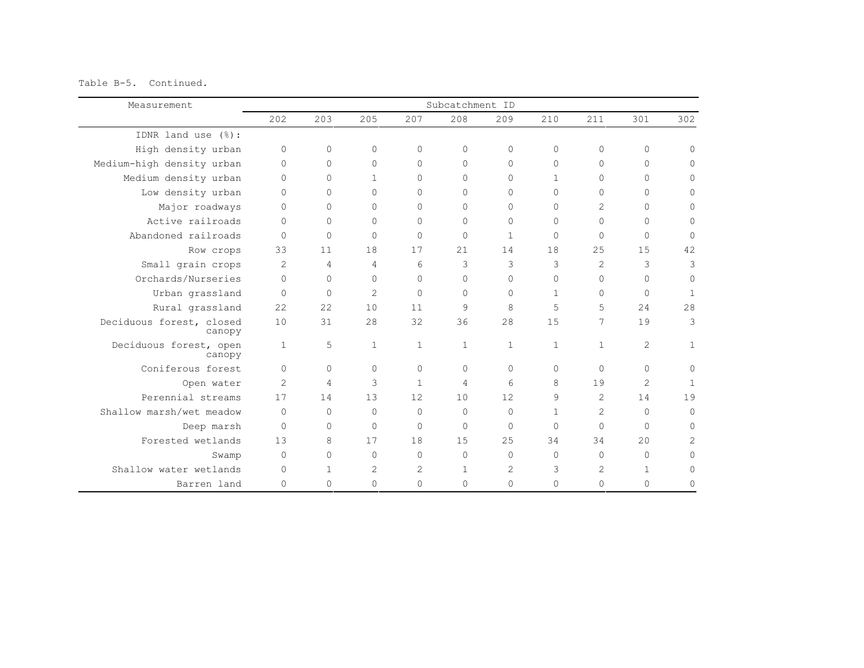Table B-5. Continued.

| Measurement                        |              |              |                |              | Subcatchment ID |              |              |                |                |                |
|------------------------------------|--------------|--------------|----------------|--------------|-----------------|--------------|--------------|----------------|----------------|----------------|
|                                    | 202          | 203          | 205            | 207          | 208             | 209          | 210          | 211            | 301            | 302            |
| IDNR land use (%):                 |              |              |                |              |                 |              |              |                |                |                |
| High density urban                 | $\Omega$     | 0            | $\Omega$       | $\Omega$     | $\circ$         | $\Omega$     | $\circ$      | $\Omega$       | $\circ$        | $\Omega$       |
| Medium-high density urban          | $\Omega$     | 0            | $\Omega$       | $\Omega$     | $\circ$         | $\mathbf{0}$ | $\mathbf{0}$ | $\circ$        | $\circ$        | $\mathbf{0}$   |
| Medium density urban               | $\Omega$     | $\Omega$     | $\mathbf{1}$   | $\Omega$     | $\Omega$        | $\Omega$     | $\mathbf{1}$ | $\Omega$       | $\Omega$       | $\Omega$       |
| Low density urban                  | $\Omega$     | 0            | $\Omega$       | $\Omega$     | $\Omega$        | $\Omega$     | $\Omega$     | $\Omega$       | $\circ$        | $\Omega$       |
| Major roadways                     | $\Omega$     | 0            | $\Omega$       | $\circ$      | $\circ$         | $\Omega$     | $\Omega$     | $\overline{c}$ | $\circ$        | $\mathbf{0}$   |
| Active railroads                   | $\Omega$     | $\Omega$     | $\Omega$       | $\Omega$     | $\Omega$        | $\Omega$     | $\Omega$     | $\Omega$       | $\circ$        | $\mathbf{0}$   |
| Abandoned railroads                | $\mathbf{0}$ | $\mathbf{0}$ | $\Omega$       | $\circ$      | $\circ$         | $\mathbf{1}$ | $\Omega$     | $\circ$        | $\circ$        | $\circ$        |
| Row crops                          | 33           | 11           | 18             | 17           | 21              | 14           | 18           | 25             | 15             | 42             |
| Small grain crops                  | 2            | 4            | 4              | 6            | 3               | 3            | 3            | $\overline{c}$ | 3              | 3              |
| Orchards/Nurseries                 | $\Omega$     | 0            | $\Omega$       | $\mathbf{0}$ | $\circ$         | $\mathbf{0}$ | $\Omega$     | $\circ$        | $\circ$        | $\mathbf{0}$   |
| Urban grassland                    | $\Omega$     | $\Omega$     | $\overline{c}$ | $\Omega$     | $\Omega$        | $\Omega$     | $\mathbf{1}$ | $\Omega$       | $\circ$        | $\mathbf{1}$   |
| Rural grassland                    | 22           | 22           | 10             | 11           | 9               | 8            | 5            | 5              | 24             | 28             |
| Deciduous forest, closed<br>canopy | 10           | 31           | 28             | 32           | 36              | 28           | 15           | 7              | 19             | 3              |
| Deciduous forest, open<br>canopy   | 1            | 5            | $\mathbf{1}$   | $\mathbf{1}$ | 1               | $\mathbf{1}$ | 1            | $\mathbf{1}$   | $\overline{c}$ | $\mathbf{1}$   |
| Coniferous forest                  | $\Omega$     | $\Omega$     | $\Omega$       | $\Omega$     | $\Omega$        | $\Omega$     | $\Omega$     | $\Omega$       | $\Omega$       | $\Omega$       |
| Open water                         | 2            | 4            | 3              | $\mathbf{1}$ | $\overline{4}$  | 6            | 8            | 19             | $\overline{2}$ | $\overline{1}$ |
| Perennial streams                  | 17           | 14           | 13             | 12           | 10              | 12           | 9            | $\mathfrak{D}$ | 14             | 19             |
| Shallow marsh/wet meadow           | $\bigcap$    | $\Omega$     | $\bigcap$      | $\Omega$     | $\Omega$        | $\Omega$     | $\mathbf{1}$ | $\overline{c}$ | $\Omega$       | $\Omega$       |
| Deep marsh                         | $\Omega$     | 0            | $\Omega$       | $\Omega$     | $\circ$         | $\bigcap$    | $\Omega$     | $\Omega$       | $\Omega$       | $\Omega$       |
| Forested wetlands                  | 13           | 8            | 17             | 18           | 15              | 2.5          | 34           | 34             | 20             | $\overline{2}$ |
| Swamp                              | $\Omega$     | 0            | $\bigcap$      | $\Omega$     | $\circ$         | $\Omega$     | $\Omega$     | $\Omega$       | $\circ$        | $\Omega$       |
| Shallow water wetlands             | $\Omega$     | $\mathbf{1}$ | 2              | $\mathbf{2}$ | $\mathbf{1}$    | 2            | 3            | 2              | $\mathbf{1}$   | $\Omega$       |
| Barren land                        | $\Omega$     | 0            | $\Omega$       | $\Omega$     | $\mathbf{0}$    | 0            | $\Omega$     | $\Omega$       | 0              | $\Omega$       |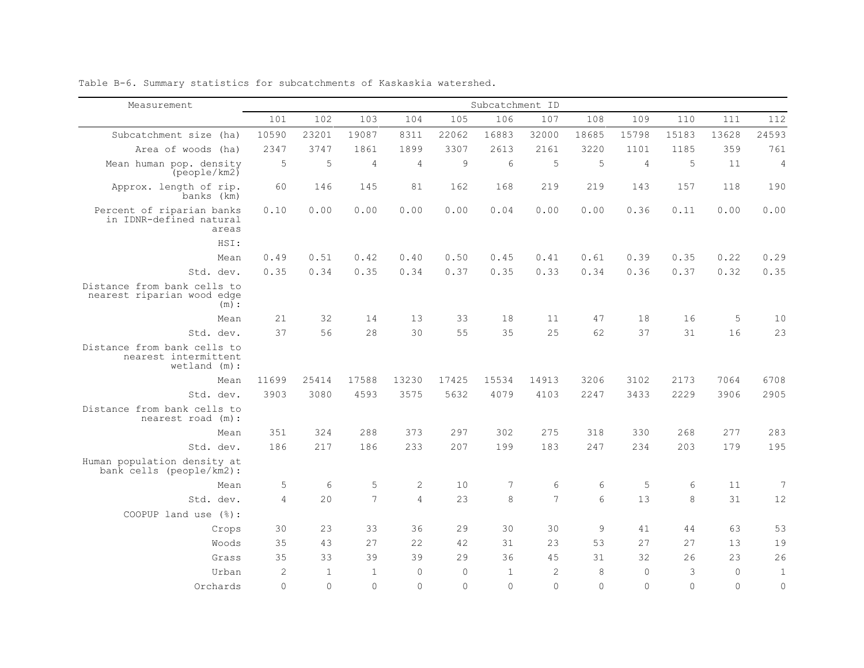| Measurement                                                           | Subcatchment ID |                |                |                |          |              |                |                 |                |          |          |                |
|-----------------------------------------------------------------------|-----------------|----------------|----------------|----------------|----------|--------------|----------------|-----------------|----------------|----------|----------|----------------|
|                                                                       | 101             | 102            | 103            | 104            | 105      | 106          | 107            | 108             | 109            | 110      | 111      | 112            |
| Subcatchment size (ha)                                                | 10590           | 23201          | 19087          | 8311           | 22062    | 16883        | 32000          | 18685           | 15798          | 15183    | 13628    | 24593          |
| Area of woods (ha)                                                    | 2347            | 3747           | 1861           | 1899           | 3307     | 2613         | 2161           | 3220            | 1101           | 1185     | 359      | 761            |
| Mean human pop. density<br>[people/km2]                               | 5               | 5              | $\overline{4}$ | $\overline{4}$ | 9        | 6            | 5              | 5               | $\overline{4}$ | 5        | 11       | $\overline{4}$ |
| Approx. length of rip.<br>banks (km)                                  | 60              | 146            | 145            | 81             | 162      | 168          | 219            | 219             | 143            | 157      | 118      | 190            |
| Percent of riparian banks<br>in IDNR-defined natural<br>areas         | 0.10            | 0.00           | 0.00           | 0.00           | 0.00     | 0.04         | 0.00           | 0.00            | 0.36           | 0.11     | 0.00     | 0.00           |
| HSI:                                                                  |                 |                |                |                |          |              |                |                 |                |          |          |                |
| Mean                                                                  | 0.49            | 0.51           | 0.42           | 0.40           | 0.50     | 0.45         | 0.41           | 0.61            | 0.39           | 0.35     | 0.22     | 0.29           |
| Std. dev.                                                             | 0.35            | 0.34           | 0.35           | 0.34           | 0.37     | 0.35         | 0.33           | 0.34            | 0.36           | 0.37     | 0.32     | 0.35           |
| Distance from bank cells to<br>nearest riparian wood edge<br>(m):     |                 |                |                |                |          |              |                |                 |                |          |          |                |
| Mean                                                                  | 21              | 32             | 14             | 13             | 33       | 18           | 11             | 47              | 18             | 16       | 5        | $10$           |
| Std. dev.                                                             | 37              | 56             | 28             | 30             | 55       | 35           | 25             | 62              | 37             | 31       | 16       | 23             |
| Distance from bank cells to<br>nearest intermittent<br>$wetland$ (m): |                 |                |                |                |          |              |                |                 |                |          |          |                |
| Mean                                                                  | 11699           | 25414          | 17588          | 13230          | 17425    | 15534        | 14913          | 3206            | 3102           | 2173     | 7064     | 6708           |
| Std. dev.                                                             | 3903            | 3080           | 4593           | 3575           | 5632     | 4079         | 4103           | 2247            | 3433           | 2229     | 3906     | 2905           |
| Distance from bank cells to<br>nearest road (m):                      |                 |                |                |                |          |              |                |                 |                |          |          |                |
| Mean                                                                  | 351             | 324            | 288            | 373            | 297      | 302          | 275            | 318             | 330            | 268      | 277      | 283            |
| Std. dev.                                                             | 186             | 217            | 186            | 233            | 207      | 199          | 183            | 247             | 234            | 203      | 179      | 195            |
| Human population density at<br>bank cells (people/km2):               |                 |                |                |                |          |              |                |                 |                |          |          |                |
| Mean                                                                  | 5               | $\epsilon$     | 5              | $\sqrt{2}$     | 10       | 7            | 6              | 6               | 5              | 6        | 11       | 7              |
| Std. dev.                                                             | $\overline{4}$  | 20             | $\overline{7}$ | $\overline{4}$ | 23       | 8            | $\overline{7}$ | $6\overline{6}$ | 13             | 8        | 31       | 12             |
| COOPUP land use (%):                                                  |                 |                |                |                |          |              |                |                 |                |          |          |                |
| Crops                                                                 | 30              | 23             | 33             | 36             | 29       | 30           | 30             | 9               | 41             | 44       | 63       | 53             |
| Woods                                                                 | 35              | 43             | 27             | 22             | 42       | 31           | 23             | 53              | 27             | 27       | 13       | 19             |
| Grass                                                                 | 35              | 33             | 39             | 39             | 29       | 36           | 45             | 31              | 32             | 26       | 23       | 26             |
| Urban                                                                 | $\overline{2}$  | $\overline{1}$ | $\overline{1}$ | $\Omega$       | $\Omega$ | $\mathbf{1}$ | $\overline{c}$ | 8               | $\mathbf{0}$   | 3        | $\circ$  | $\mathbf{1}$   |
| Orchards                                                              | $\Omega$        | $\Omega$       | $\Omega$       | $\Omega$       | $\Omega$ | $\Omega$     | $\Omega$       | $\Omega$        | $\Omega$       | $\Omega$ | $\Omega$ | $\overline{0}$ |

Table B-6. Summary statistics for subcatchments of Kaskaskia watershed.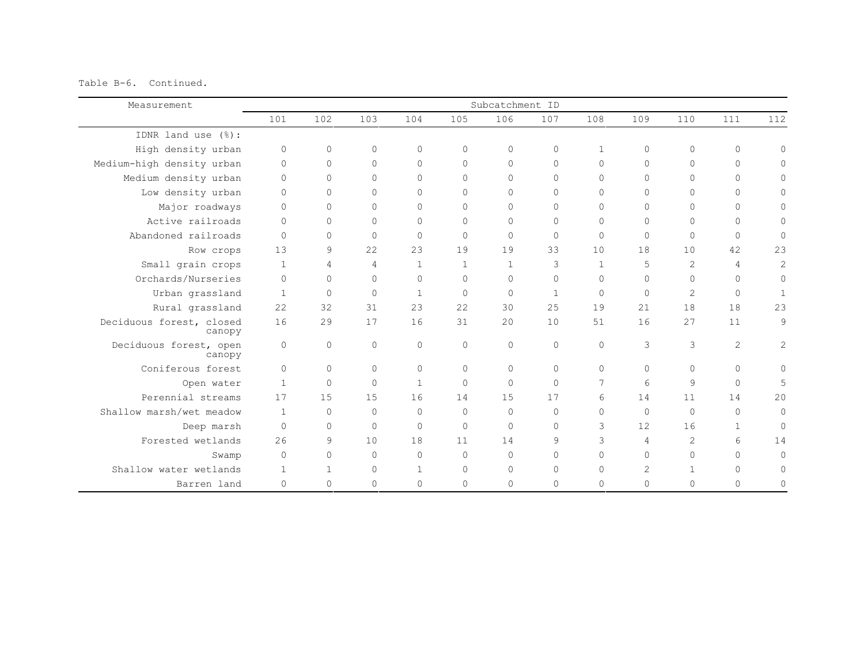Table B-6. Continued.

| Measurement                        |                |              |                |                |              | Subcatchment ID |              |                |                |              |                |                |
|------------------------------------|----------------|--------------|----------------|----------------|--------------|-----------------|--------------|----------------|----------------|--------------|----------------|----------------|
|                                    | 101            | 102          | 103            | 104            | 105          | 106             | 107          | 108            | 109            | 110          | 111            | 112            |
| IDNR land use (%):                 |                |              |                |                |              |                 |              |                |                |              |                |                |
| High density urban                 | $\mathbf{0}$   | $\circ$      | 0              | $\Omega$       | $\mathbf{0}$ | $\circ$         | $\circ$      | $\mathbf{1}$   | $\circ$        | $\circ$      | $\circ$        | $\Omega$       |
| Medium-high density urban          | $\Omega$       | $\circ$      | $\Omega$       | $\Omega$       | $\Omega$     | $\Omega$        | $\Omega$     | $\Omega$       | $\mathbf{0}$   | $\Omega$     | $\Omega$       | $\Omega$       |
| Medium density urban               | $\Omega$       | $\circ$      | $\Omega$       | $\Omega$       | $\Omega$     | $\Omega$        | $\Omega$     | $\Omega$       | $\Omega$       | $\Omega$     | $\Omega$       | $\Omega$       |
| Low density urban                  | $\Omega$       | 0            | $\Omega$       | $\Omega$       | $\Omega$     | $\Omega$        | $\circ$      | $\Omega$       | $\Omega$       | $\Omega$     | $\Omega$       | 0              |
| Major roadways                     | $\Omega$       | $\circ$      | $\Omega$       | $\Omega$       | $\Omega$     | $\Omega$        | $\mathbf{0}$ | $\Omega$       | $\Omega$       | $\Omega$     | $\Omega$       | $\Omega$       |
| Active railroads                   | $\bigcap$      | $\circ$      | $\Omega$       | $\Omega$       | $\mathbf{0}$ | $\Omega$        | $\mathbf{0}$ | $\Omega$       | $\Omega$       | $\Omega$     | $\Omega$       | $\Omega$       |
| Abandoned railroads                | $\Omega$       | $\Omega$     | $\Omega$       | $\Omega$       | $\Omega$     | $\Omega$        | $\mathbf{0}$ | $\Omega$       | $\Omega$       | $\circ$      | $\Omega$       | $\mathbf 0$    |
| Row crops                          | 13             | 9            | 22             | 23             | 19           | 19              | 33           | 10             | 18             | 10           | 42             | 23             |
| Small grain crops                  | $\overline{1}$ | 4            | $\overline{4}$ | $\overline{1}$ | $\mathbf{1}$ | $\mathbf{1}$    | 3            | $\overline{1}$ | 5              | 2            | $\overline{4}$ | $\overline{c}$ |
| Orchards/Nurseries                 | $\Omega$       | 0            | $\Omega$       | $\Omega$       | $\Omega$     | $\Omega$        | $\mathbf{0}$ | $\Omega$       | $\Omega$       | $\Omega$     | $\Omega$       | $\circ$        |
| Urban grassland                    | $\overline{1}$ | $\circ$      | $\Omega$       | $\mathbf{1}$   | $\Omega$     | $\Omega$        | $\mathbf{1}$ | $\Omega$       | $\Omega$       | $\mathbf{2}$ | $\mathbf 0$    | $\mathbf{1}$   |
| Rural grassland                    | 22             | 32           | 31             | 23             | 22           | 30              | 25           | 19             | 21             | 18           | 18             | 23             |
| Deciduous forest, closed<br>canopy | 16             | 29           | 17             | 16             | 31           | 2.0             | 10           | 51             | 16             | 27           | 11             | 9              |
| Deciduous forest, open<br>canopy   | $\circ$        | $\circ$      | $\circ$        | $\Omega$       | $\mathbf{0}$ | $\mathbf{0}$    | $\circ$      | $\Omega$       | 3              | 3            | $\mathbf{2}$   | $\sqrt{2}$     |
| Coniferous forest                  | $\Omega$       | $\Omega$     | $\Omega$       | $\Omega$       | $\Omega$     | $\Omega$        | $\Omega$     | $\Omega$       | $\Omega$       | $\Omega$     | $\Omega$       | $\Omega$       |
| Open water                         | $\overline{1}$ | $\circ$      | $\Omega$       | $\overline{1}$ | $\Omega$     | $\Omega$        | $\Omega$     | 7              | 6              | 9            | $\Omega$       | 5              |
| Perennial streams                  | 17             | 15           | 15             | 16             | 14           | 1.5             | 17           | 6              | 14             | 11           | 14             | 20             |
| Shallow marsh/wet meadow           | $\overline{1}$ | $\circ$      | $\Omega$       | $\Omega$       | $\Omega$     | $\Omega$        | $\mathbf{0}$ | $\Omega$       | $\circ$        | $\circ$      | $\Omega$       | $\circ$        |
| Deep marsh                         | $\Omega$       | $\circ$      | $\Omega$       | $\Omega$       | $\Omega$     | $\Omega$        | $\Omega$     | 3              | 12             | 16           | $\mathbf{1}$   | $\circ$        |
| Forested wetlands                  | 26             | 9            | 10             | 18             | 11           | 14              | 9            | 3              | $\overline{4}$ | 2            | 6              | 14             |
| Swamp                              | $\Omega$       | 0            | $\Omega$       | $\Omega$       | $\Omega$     | $\Omega$        | $\circ$      | $\Omega$       | $\Omega$       | $\circ$      | $\bigcap$      | $\Omega$       |
| Shallow water wetlands             | $\mathbf{1}$   | $\mathbf{1}$ | $\Omega$       | $\mathbf{1}$   | $\Omega$     | $\Omega$        | $\mathbf{0}$ | $\Omega$       | $\overline{2}$ | $\mathbf{1}$ | $\Omega$       | $\Omega$       |
| Barren land                        | $\mathbf{0}$   | 0            | $\Omega$       | $\circ$        | $\Omega$     | $\circ$         | 0            | $\Omega$       | $\mathbf{0}$   | $\Omega$     | $\circ$        | 0              |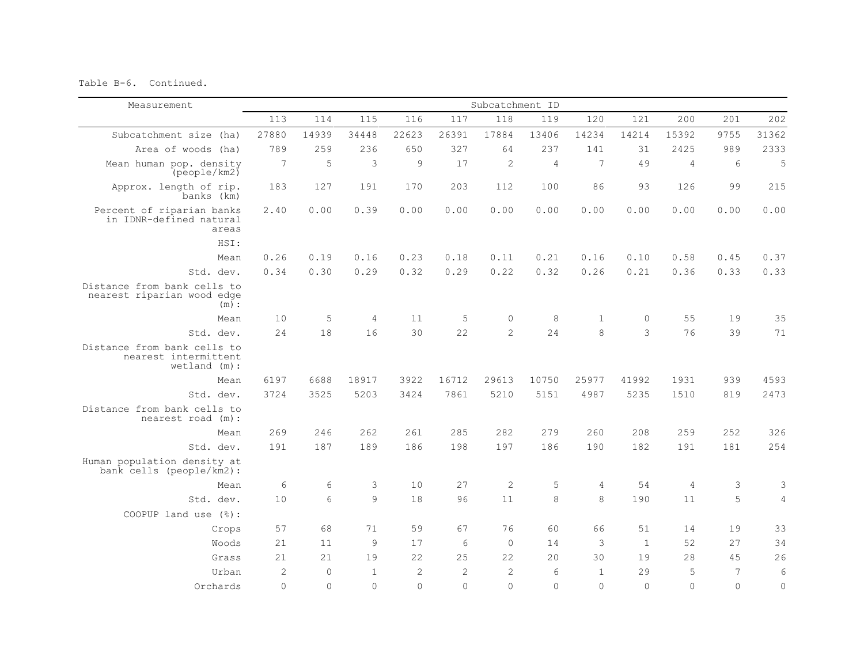Table B-6. Continued.

| Measurement                                                            | Subcatchment ID |          |                |                |                |                |          |                |              |                |                |            |
|------------------------------------------------------------------------|-----------------|----------|----------------|----------------|----------------|----------------|----------|----------------|--------------|----------------|----------------|------------|
|                                                                        | 113             | 114      | 115            | 116            | 117            | 118            | 119      | 120            | 121          | 200            | 201            | 202        |
| Subcatchment size (ha)                                                 | 27880           | 14939    | 34448          | 22623          | 26391          | 17884          | 13406    | 14234          | 14214        | 15392          | 9755           | 31362      |
| Area of woods (ha)                                                     | 789             | 259      | 236            | 650            | 327            | 64             | 237      | 141            | 31           | 2425           | 989            | 2333       |
| Mean human pop. density<br>(people/km2)                                | 7               | 5        | 3              | 9              | 17             | $\overline{c}$ | 4        | $\overline{7}$ | 49           | $\overline{4}$ | 6              | 5          |
| Approx. length of rip.<br>banks (km)                                   | 183             | 127      | 191            | 170            | 203            | 112            | 100      | 86             | 93           | 126            | 99             | 215        |
| Percent of riparian banks<br>in IDNR-defined natural<br>areas          | 2.40            | 0.00     | 0.39           | 0.00           | 0.00           | 0.00           | 0.00     | 0.00           | 0.00         | 0.00           | 0.00           | 0.00       |
| HSI:                                                                   |                 |          |                |                |                |                |          |                |              |                |                |            |
| Mean                                                                   | 0.26            | 0.19     | 0.16           | 0.23           | 0.18           | 0.11           | 0.21     | 0.16           | 0.10         | 0.58           | 0.45           | 0.37       |
| Std. dev.                                                              | 0.34            | 0.30     | 0.29           | 0.32           | 0.29           | 0.22           | 0.32     | 0.26           | 0.21         | 0.36           | 0.33           | 0.33       |
| Distance from bank cells to<br>nearest riparian wood edge<br>(m):      |                 |          |                |                |                |                |          |                |              |                |                |            |
| Mean                                                                   | 10              | 5        | $\overline{4}$ | 11             | 5              | $\mathbf{0}$   | 8        | $\mathbf{1}$   | $\circ$      | 55             | 19             | 35         |
| Std. dev.                                                              | 2.4             | 18       | 16             | 30             | 22             | $\mathcal{L}$  | 24       | 8              | 3            | 76             | 39             | 71         |
| Distance from bank cells to<br>nearest intermittent<br>$wetland$ (m) : |                 |          |                |                |                |                |          |                |              |                |                |            |
| Mean                                                                   | 6197            | 6688     | 18917          | 3922           | 16712          | 29613          | 10750    | 25977          | 41992        | 1931           | 939            | 4593       |
| Std. dev.                                                              | 3724            | 3525     | 5203           | 3424           | 7861           | 5210           | 5151     | 4987           | 5235         | 1510           | 819            | 2473       |
| Distance from bank cells to<br>nearest road (m) :                      |                 |          |                |                |                |                |          |                |              |                |                |            |
| Mean                                                                   | 269             | 246      | 262            | 261            | 285            | 282            | 279      | 260            | 208          | 259            | 252            | 326        |
| Std. dev.                                                              | 191             | 187      | 189            | 186            | 198            | 197            | 186      | 190            | 182          | 191            | 181            | 254        |
| Human population density at<br>bank cells (people/km2):                |                 |          |                |                |                |                |          |                |              |                |                |            |
| Mean                                                                   | 6               | 6        | 3              | 10             | 27             | $\overline{c}$ | 5        | 4              | 54           | 4              | 3              | 3          |
| Std. dev.                                                              | 10              | 6        | 9              | 18             | 96             | 11             | 8        | 8              | 190          | 11             | 5              | $\sqrt{4}$ |
| COOPUP land use (%):                                                   |                 |          |                |                |                |                |          |                |              |                |                |            |
| Crops                                                                  | 57              | 68       | 71             | 59             | 67             | 76             | 60       | 66             | 51           | 14             | 19             | 33         |
| Woods                                                                  | 21              | 11       | 9              | 17             | 6              | $\Omega$       | 14       | 3              | $\mathbf{1}$ | 52             | 27             | 34         |
| Grass                                                                  | 21              | 21       | 19             | 22             | 25             | 22             | 20       | 30             | 19           | 28             | 45             | 26         |
| Urban                                                                  | $\overline{c}$  | $\Omega$ | $\overline{1}$ | $\overline{c}$ | $\overline{c}$ | $\mathbf{2}$   | 6        | $\mathbf{1}$   | 29           | 5              | $\overline{7}$ | $\epsilon$ |
| Orchards                                                               | $\Omega$        | $\Omega$ | $\Omega$       | $\Omega$       | $\Omega$       | $\Omega$       | $\Omega$ | $\Omega$       | $\Omega$     | $\Omega$       | $\Omega$       | $\circ$    |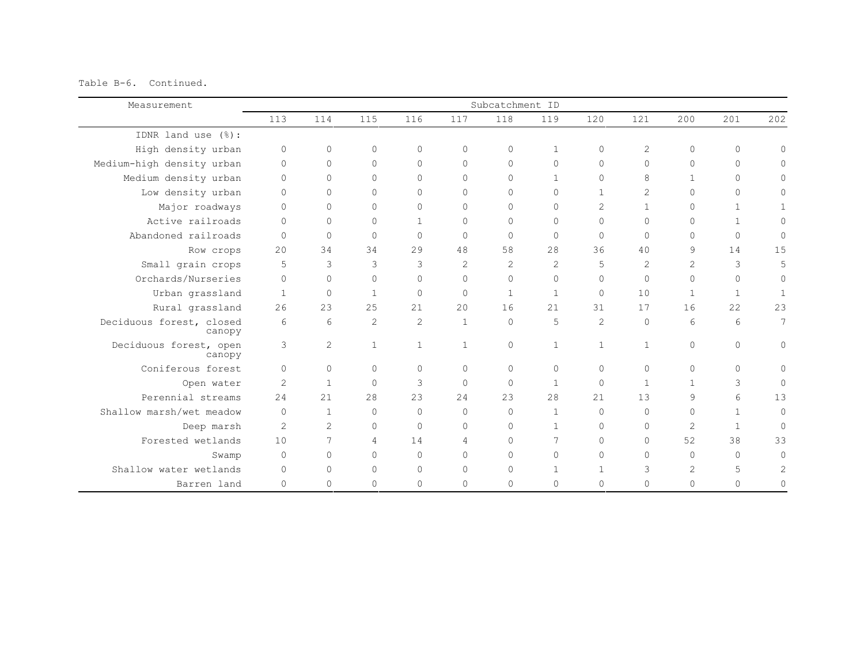Table B-6. Continued.

| Measurement                        |                |                |                |                |                | Subcatchment ID |                |                |                |              |              |                     |
|------------------------------------|----------------|----------------|----------------|----------------|----------------|-----------------|----------------|----------------|----------------|--------------|--------------|---------------------|
|                                    | 113            | 114            | 115            | 116            | 117            | 118             | 119            | 120            | 121            | 200          | 201          | 202                 |
| IDNR land use (%):                 |                |                |                |                |                |                 |                |                |                |              |              |                     |
| High density urban                 | $\circ$        | $\circ$        | 0              | $\Omega$       | $\Omega$       | $\circ$         | $\mathbf{1}$   | $\Omega$       | $\mathbf{2}$   | $\Omega$     | $\circ$      | $\Omega$            |
| Medium-high density urban          | $\Omega$       | $\circ$        | $\Omega$       | $\Omega$       | $\Omega$       | $\Omega$        | $\mathbf{0}$   | $\Omega$       | $\mathbf{0}$   | $\Omega$     | $\Omega$     | $\Omega$            |
| Medium density urban               | $\Omega$       | $\circ$        | $\Omega$       | $\Omega$       | $\Omega$       | $\Omega$        | $\mathbf{1}$   | $\Omega$       | 8              | $\mathbf{1}$ | $\Omega$     | $\Omega$            |
| Low density urban                  | $\Omega$       | 0              | $\Omega$       | $\Omega$       | $\Omega$       | $\Omega$        | $\circ$        | $\mathbf{1}$   | $\overline{2}$ | $\Omega$     | $\Omega$     | 0                   |
| Major roadways                     | $\Omega$       | $\circ$        | $\Omega$       | $\Omega$       | $\Omega$       | $\Omega$        | $\mathbf{0}$   | $\overline{2}$ | $\mathbf{1}$   | $\Omega$     | $\mathbf{1}$ |                     |
| Active railroads                   | $\Omega$       | $\circ$        | $\Omega$       | $\mathbf{1}$   | $\mathbf{0}$   | $\Omega$        | $\Omega$       | $\Omega$       | $\Omega$       | $\circ$      | $\mathbf{1}$ | $\Omega$            |
| Abandoned railroads                | $\Omega$       | $\circ$        | $\Omega$       | $\Omega$       | $\Omega$       | $\Omega$        | $\mathbf{0}$   | $\Omega$       | $\Omega$       | $\Omega$     | $\Omega$     | $\circ$             |
| Row crops                          | 2.0            | 34             | 34             | 29             | 48             | 58              | 28             | 36             | 40             | 9            | 14           | 15                  |
| Small grain crops                  | 5              | 3              | 3              | 3              | $\overline{2}$ | $\mathcal{L}$   | $\overline{2}$ | 5              | $\overline{2}$ | 2            | 3            | 5                   |
| Orchards/Nurseries                 | $\Omega$       | $\circ$        | $\Omega$       | $\Omega$       | $\Omega$       | $\Omega$        | $\mathbf{0}$   | $\Omega$       | $\Omega$       | $\Omega$     | $\Omega$     | $\circ$             |
| Urban grassland                    | $\overline{1}$ | $\circ$        | $\mathbf{1}$   | $\Omega$       | $\Omega$       | $\mathbf{1}$    | $\mathbf{1}$   | $\Omega$       | 10             | $\mathbf{1}$ | $\mathbf{1}$ | $\mathbf{1}$        |
| Rural grassland                    | 26             | 23             | 25             | 21             | 20             | 16              | 21             | 31             | 17             | 16           | 22           | 23                  |
| Deciduous forest, closed<br>canopy | 6              | 6              | $\overline{2}$ | $\mathbf{2}$   | $\mathbf{1}$   | $\Omega$        | 5              | 2              | $\Omega$       | 6            | 6            | 7                   |
| Deciduous forest, open<br>canopy   | 3              | $\overline{c}$ | $\mathbf{1}$   | $\overline{1}$ | $\mathbf{1}$   | $\circ$         | $\mathbf{1}$   | $\mathbf{1}$   | $\mathbf{1}$   | $\circ$      | $\Omega$     | $\mathsf{O}\xspace$ |
| Coniferous forest                  | $\Omega$       | $\Omega$       | $\Omega$       | $\Omega$       | $\Omega$       | $\Omega$        | $\Omega$       | $\Omega$       | $\Omega$       | $\Omega$     | $\Omega$     | $\Omega$            |
| Open water                         | $\overline{2}$ | $\overline{1}$ | $\Omega$       | 3              | $\Omega$       | $\Omega$        | $\mathbf{1}$   | $\Omega$       | $\mathbf{1}$   | 1            | 3            | $\Omega$            |
| Perennial streams                  | 2.4            | 21             | 28             | 23             | 24             | 2.3             | 28             | 21             | 13             | 9            | 6            | 13                  |
| Shallow marsh/wet meadow           | $\Omega$       | $\mathbf{1}$   | $\Omega$       | $\Omega$       | $\Omega$       | $\Omega$        | 1              | $\Omega$       | $\Omega$       | 0            | $\mathbf{1}$ | $\circ$             |
| Deep marsh                         | $\mathbf{2}$   | 2              | $\Omega$       | $\Omega$       | $\Omega$       | $\Omega$        | $\mathbf{1}$   | $\Omega$       | $\mathbf{0}$   | 2            | $\mathbf{1}$ | $\Omega$            |
| Forested wetlands                  | 10             | 7              | 4              | 14             | 4              | $\Omega$        | 7              | $\Omega$       | $\mathbf{0}$   | 52           | 38           | 33                  |
| Swamp                              | $\Omega$       | $\circ$        | $\Omega$       | $\bigcap$      | $\Omega$       | $\Omega$        | $\Omega$       | $\Omega$       | $\Omega$       | $\circ$      | $\bigcap$    | $\Omega$            |
| Shallow water wetlands             | $\Omega$       | 0              | $\Omega$       | $\Omega$       | $\Omega$       | $\Omega$        | $\mathbf{1}$   | 1              | 3              | 2            | 5            | 2                   |
| Barren land                        | $\Omega$       | 0              | $\Omega$       | $\mathbf{0}$   | $\Omega$       | $\circ$         | 0              | $\Omega$       | $\mathbf{0}$   | $\Omega$     | $\Omega$     | $\Omega$            |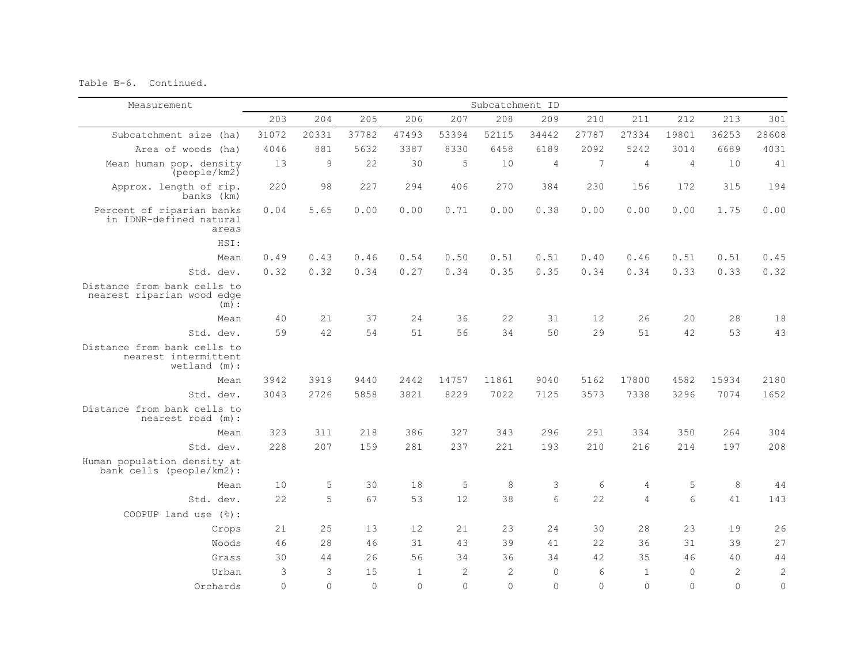Table B-6. Continued.

| Measurement                                                            | Subcatchment ID |          |          |              |                |                |             |           |                |                |                |            |
|------------------------------------------------------------------------|-----------------|----------|----------|--------------|----------------|----------------|-------------|-----------|----------------|----------------|----------------|------------|
|                                                                        | 203             | 204      | 205      | 206          | 207            | 208            | 209         | 210       | 211            | 212            | 213            | 301        |
| Subcatchment size (ha)                                                 | 31072           | 20331    | 37782    | 47493        | 53394          | 52115          | 34442       | 27787     | 27334          | 19801          | 36253          | 28608      |
| Area of woods (ha)                                                     | 4046            | 881      | 5632     | 3387         | 8330           | 6458           | 6189        | 2092      | 5242           | 3014           | 6689           | 4031       |
| Mean human pop. density<br>[people/km2]                                | 13              | 9        | 22       | 30           | 5              | 10             | 4           | 7         | 4              | $\overline{4}$ | 10             | 41         |
| Approx. length of rip.<br>banks (km)                                   | 220             | 98       | 227      | 294          | 406            | 270            | 384         | 230       | 156            | 172            | 315            | 194        |
| Percent of riparian banks<br>in IDNR-defined natural<br>areas          | 0.04            | 5.65     | 0.00     | 0.00         | 0.71           | 0.00           | 0.38        | 0.00      | 0.00           | 0.00           | 1.75           | 0.00       |
| HSI:                                                                   |                 |          |          |              |                |                |             |           |                |                |                |            |
| Mean                                                                   | 0.49            | 0.43     | 0.46     | 0.54         | 0.50           | 0.51           | 0.51        | 0.40      | 0.46           | 0.51           | 0.51           | 0.45       |
| Std. dev.                                                              | 0.32            | 0.32     | 0.34     | 0.27         | 0.34           | 0.35           | 0.35        | 0.34      | 0.34           | 0.33           | 0.33           | 0.32       |
| Distance from bank cells to<br>nearest riparian wood edge<br>(m):      |                 |          |          |              |                |                |             |           |                |                |                |            |
| Mean                                                                   | 40              | 21       | 37       | 24           | 36             | 22             | 31          | 12        | 26             | 20             | 28             | $1\,8$     |
| Std. dev.                                                              | 59              | 42       | 54       | 51           | 56             | 34             | 50          | 29        | 51             | 42             | 53             | 43         |
| Distance from bank cells to<br>nearest intermittent<br>$wetland$ (m) : |                 |          |          |              |                |                |             |           |                |                |                |            |
| Mean                                                                   | 3942            | 3919     | 9440     | 2442         | 14757          | 11861          | 9040        | 5162      | 17800          | 4582           | 15934          | 2180       |
| Std. dev.                                                              | 3043            | 2726     | 5858     | 3821         | 8229           | 7022           | 7125        | 3573      | 7338           | 3296           | 7074           | 1652       |
| Distance from bank cells to<br>nearest road (m):                       |                 |          |          |              |                |                |             |           |                |                |                |            |
| Mean                                                                   | 323             | 311      | 218      | 386          | 327            | 343            | 296         | 291       | 334            | 350            | 264            | 304        |
| Std. dev.                                                              | 228             | 207      | 159      | 281          | 237            | 221            | 193         | 210       | 216            | 214            | 197            | 208        |
| Human population density at<br>bank cells (people/km2):                |                 |          |          |              |                |                |             |           |                |                |                |            |
| Mean                                                                   | 10              | 5        | 30       | 18           | 5              | 8              | 3           | 6         | $\overline{4}$ | 5              | 8              | 44         |
| Std. dev.                                                              | 22              | 5        | 67       | 53           | 12             | 38             | 6           | 22        | 4              | 6              | 41             | 143        |
| COOPUP land use $(\frac{1}{6})$ :                                      |                 |          |          |              |                |                |             |           |                |                |                |            |
| Crops                                                                  | 21              | 25       | 13       | 12           | 21             | 23             | 24          | 30        | 28             | 23             | 19             | 26         |
| Woods                                                                  | 46              | 28       | 46       | 31           | 43             | 39             | 41          | 22        | 36             | 31             | 39             | 27         |
| Grass                                                                  | 30              | 44       | 26       | 56           | 34             | 36             | 34          | 42.       | 35             | 46             | 40             | 44         |
| Urban                                                                  | 3               | 3        | 15       | $\mathbf{1}$ | $\overline{2}$ | $\overline{2}$ | $\mathbf 0$ | 6         | $\mathbf{1}$   | $\mathbf{0}$   | $\overline{c}$ | $\sqrt{2}$ |
| Orchards                                                               | $\Omega$        | $\Omega$ | $\Omega$ | $\Omega$     | $\Omega$       | $\Omega$       | $\Omega$    | $\bigcap$ | $\Omega$       | $\Omega$       | $\Omega$       | $\circ$    |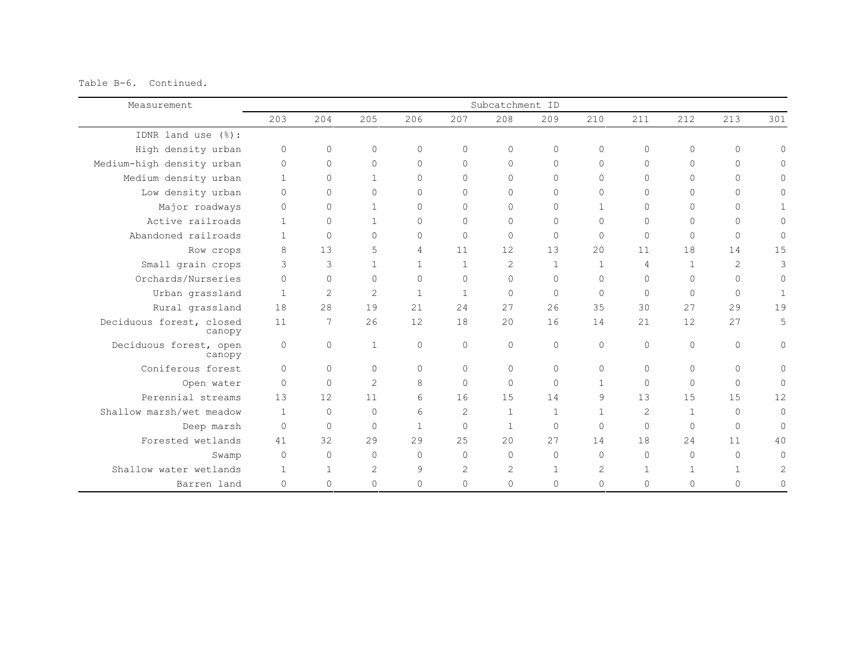Table B-6. Continued.

| Measurement                        |              |              |                |                |                | Subcatchment ID |              |              |              |              |                |              |
|------------------------------------|--------------|--------------|----------------|----------------|----------------|-----------------|--------------|--------------|--------------|--------------|----------------|--------------|
|                                    | 203          | 204          | 205            | 206            | 207            | 208             | 209          | 210          | 211          | 212          | 213            | 301          |
| IDNR land use $(\frac{6}{6})$ :    |              |              |                |                |                |                 |              |              |              |              |                |              |
| High density urban                 | $\circ$      | $\circ$      | $\Omega$       | $\Omega$       | $\Omega$       | $\circ$         | $\circ$      | $\Omega$     | $\Omega$     | $\Omega$     | $\circ$        | $\mathbf{0}$ |
| Medium-high density urban          | $\mathbf 0$  | $\circ$      | $\Omega$       | $\Omega$       | $\Omega$       | $\Omega$        | $\circ$      | $\Omega$     | $\circ$      | $\Omega$     | $\Omega$       | $\Omega$     |
| Medium density urban               | $\mathbf{1}$ | $\Omega$     | $\mathbf{1}$   | $\Omega$       | $\Omega$       | $\bigcap$       | $\Omega$     | $\Omega$     | $\Omega$     | $\Omega$     | $\Omega$       | Ω            |
| Low density urban                  | $\Omega$     | $\Omega$     | $\Omega$       | $\Omega$       | $\Omega$       | $\Omega$        | $\Omega$     | $\Omega$     | $\Omega$     | $\Omega$     | $\Omega$       | 0            |
| Major roadways                     | $\Omega$     | $\circ$      | $\mathbf{1}$   | $\Omega$       | $\Omega$       | $\Omega$        | $\circ$      | $\mathbf{1}$ | $\Omega$     | $\Omega$     | $\Omega$       |              |
| Active railroads                   | $\mathbf{1}$ | $\circ$      | $\mathbf{1}$   | $\Omega$       | $\Omega$       | $\Omega$        | $\circ$      | $\Omega$     | $\Omega$     | $\Omega$     | $\Omega$       | $\Omega$     |
| Abandoned railroads                | $\mathbf{1}$ | $\circ$      | $\Omega$       | $\circ$        | $\Omega$       | $\Omega$        | $\mathbf 0$  | $\Omega$     | $\Omega$     | $\Omega$     | $\Omega$       | $\circ$      |
| Row crops                          | 8            | 13           | 5              | $\overline{4}$ | 11             | 12.             | 13           | 20           | 11           | 18           | 14             | 15           |
| Small grain crops                  | 3            | 3            | $\mathbf{1}$   | $\mathbf{1}$   | $\overline{1}$ | 2               | $\mathbf{1}$ | $\mathbf{1}$ | 4            | $\mathbf{1}$ | $\overline{2}$ | 3            |
| Orchards/Nurseries                 | $\Omega$     | $\circ$      | $\Omega$       | $\Omega$       | $\Omega$       | $\bigcap$       | $\circ$      | $\Omega$     | $\Omega$     | $\Omega$     | $\Omega$       | $\circ$      |
| Urban grassland                    | $\mathbf{1}$ | $\mathbf{2}$ | $\overline{2}$ | $\mathbf{1}$   | $\mathbf{1}$   | $\Omega$        | $\mathbf 0$  | $\Omega$     | $\Omega$     | $\Omega$     | $\Omega$       | $\mathbf{1}$ |
| Rural grassland                    | 18           | 28           | 19             | 21             | 24             | 27              | 26           | 35           | 30           | 27           | 29             | 19           |
| Deciduous forest, closed<br>canopy | 11           | 7            | 26             | 12             | 18             | $20^{\circ}$    | 16           | 14           | 21           | 12           | 2.7            | 5            |
| Deciduous forest, open<br>canopy   | $\Omega$     | $\circ$      | $\mathbf{1}$   | $\Omega$       | $\mathbf{0}$   | $\Omega$        | $\circ$      | $\Omega$     | $\Omega$     | $\Omega$     | $\Omega$       | 0            |
| Coniferous forest                  | $\Omega$     | $\Omega$     | $\bigcap$      | $\Omega$       | $\Omega$       | $\Omega$        | $\circ$      | $\Omega$     | $\Omega$     | $\Omega$     | $\Omega$       | 0            |
| Open water                         | $\Omega$     | $\Omega$     | $\mathcal{D}$  | 8              | $\Omega$       | $\Omega$        | $\Omega$     | $\mathbf{1}$ | $\Omega$     | $\Omega$     | $\Omega$       | $\mathbf{0}$ |
| Perennial streams                  | 13           | 12           | 11             | 6              | 16             | 15              | 14           | 9            | 13           | 15           | 1.5            | 12           |
| Shallow marsh/wet meadow           | $\mathbf{1}$ | $\Omega$     | $\bigcap$      | 6              | 2              | $\mathbf{1}$    | $\mathbf{1}$ | $\mathbf{1}$ | 2            | $\mathbf{1}$ | $\Omega$       | $\mathbf{0}$ |
| Deep marsh                         | $\Omega$     | $\circ$      | $\Omega$       | $\mathbf{1}$   | $\mathbf{0}$   | $\mathbf{1}$    | $\mathbf 0$  | $\Omega$     | $\Omega$     | $\Omega$     | $\Omega$       | $\mathbf{0}$ |
| Forested wetlands                  | 41           | 32           | 29             | 2.9            | 25             | 2.0             | 27           | 14           | 18           | 24           | 11             | 40           |
| Swamp                              | $\Omega$     | $\circ$      | $\Omega$       | $\Omega$       | $\Omega$       | $\Omega$        | $\circ$      | $\Omega$     | $\Omega$     | $\bigcap$    | $\Omega$       | $\Omega$     |
| Shallow water wetlands             | $\mathbf{1}$ | $\mathbf{1}$ | $\overline{2}$ | 9              | $\mathbf{2}$   | 2               | $\mathbf{1}$ | 2            | $\mathbf{1}$ | $\mathbf{1}$ | $\mathbf{1}$   | 2            |
| Barren land                        | $\Omega$     | $\circ$      | $\Omega$       | $\circ$        | $\Omega$       | $\Omega$        | $\mathbf{0}$ | $\Omega$     | $\Omega$     | $\Omega$     | $\Omega$       | 0            |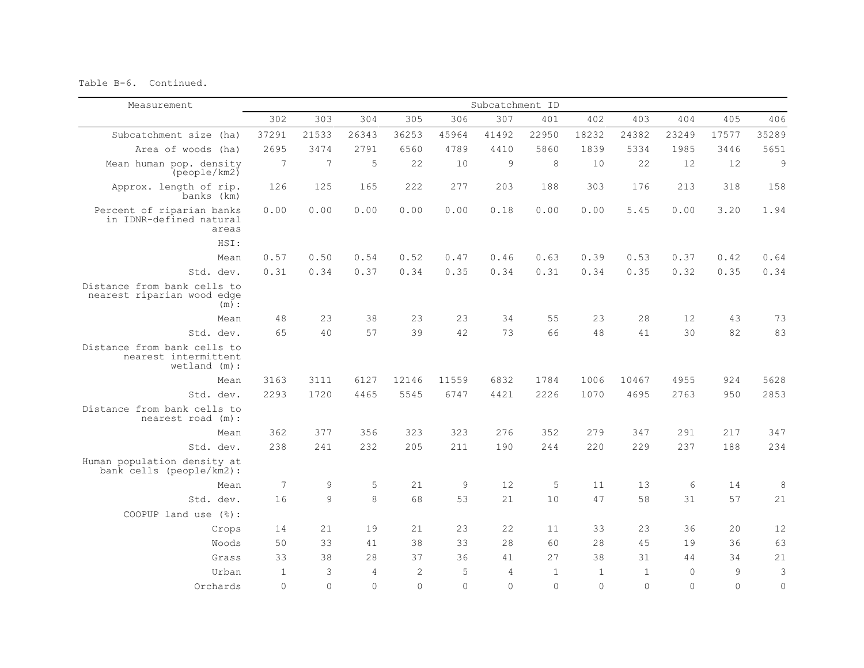Table B-6. Continued.

| Measurement                                                           | Subcatchment ID |          |                |                |          |                |          |              |              |          |          |                     |
|-----------------------------------------------------------------------|-----------------|----------|----------------|----------------|----------|----------------|----------|--------------|--------------|----------|----------|---------------------|
|                                                                       | 302             | 303      | 304            | 305            | 306      | 307            | 401      | 402          | 403          | 404      | 405      | 406                 |
| Subcatchment size (ha)                                                | 37291           | 21533    | 26343          | 36253          | 45964    | 41492          | 22950    | 18232        | 24382        | 23249    | 17577    | 35289               |
| Area of woods (ha)                                                    | 2695            | 3474     | 2791           | 6560           | 4789     | 4410           | 5860     | 1839         | 5334         | 1985     | 3446     | 5651                |
| Mean human pop. density<br>(people/km2)                               | 7               | 7        | 5              | 22             | 10       | 9              | 8        | 10           | 22           | 12       | 12       | $\mathsf 9$         |
| Approx. length of rip.<br>banks (km)                                  | 126             | 125      | 165            | 222            | 277      | 203            | 188      | 303          | 176          | 213      | 318      | 158                 |
| Percent of riparian banks<br>in IDNR-defined natural<br>areas         | 0.00            | 0.00     | 0.00           | 0.00           | 0.00     | 0.18           | 0.00     | 0.00         | 5.45         | 0.00     | 3.20     | 1.94                |
| HSI:                                                                  |                 |          |                |                |          |                |          |              |              |          |          |                     |
| Mean                                                                  | 0.57            | 0.50     | 0.54           | 0.52           | 0.47     | 0.46           | 0.63     | 0.39         | 0.53         | 0.37     | 0.42     | 0.64                |
| Std. dev.                                                             | 0.31            | 0.34     | 0.37           | 0.34           | 0.35     | 0.34           | 0.31     | 0.34         | 0.35         | 0.32     | 0.35     | 0.34                |
| Distance from bank cells to<br>nearest riparian wood edge<br>(m):     |                 |          |                |                |          |                |          |              |              |          |          |                     |
| Mean                                                                  | 48              | 23       | 38             | 23             | 23       | 34             | 55       | 23           | 28           | 12       | 43       | 73                  |
| Std. dev.                                                             | 65              | 40       | 57             | 39             | 42       | 73             | 66       | 48           | 41           | 30       | 82       | 83                  |
| Distance from bank cells to<br>nearest intermittent<br>$wetland$ (m): |                 |          |                |                |          |                |          |              |              |          |          |                     |
| Mean                                                                  | 3163            | 3111     | 6127           | 12146          | 11559    | 6832           | 1784     | 1006         | 10467        | 4955     | 924      | 5628                |
| Std. dev.                                                             | 2293            | 1720     | 4465           | 5545           | 6747     | 4421           | 2226     | 1070         | 4695         | 2763     | 950      | 2853                |
| Distance from bank cells to<br>nearest road (m):                      |                 |          |                |                |          |                |          |              |              |          |          |                     |
| Mean                                                                  | 362             | 377      | 356            | 323            | 323      | 276            | 352      | 279          | 347          | 291      | 217      | 347                 |
| Std. dev.                                                             | 238             | 241      | 232            | 205            | 211      | 190            | 244      | 220          | 229          | 237      | 188      | 234                 |
| Human population density at<br>bank cells (people/km2):               |                 |          |                |                |          |                |          |              |              |          |          |                     |
| Mean                                                                  | 7               | 9        | 5              | 21             | 9        | 12             | 5        | 11           | 13           | 6        | 14       | 8                   |
| Std. dev.                                                             | 16              | 9        | $\overline{8}$ | 68             | 53       | 2.1            | 10       | 47           | 58           | 31       | 57       | 21                  |
| COOPUP land use (%):                                                  |                 |          |                |                |          |                |          |              |              |          |          |                     |
| Crops                                                                 | 14              | 21       | 19             | 2.1            | 23       | 2.2.           | 11       | 33           | 2.3          | 36       | 20       | 12                  |
| Woods                                                                 | 50              | 33       | 41             | 38             | 33       | 28             | 60       | 28           | 45           | 19       | 36       | 63                  |
| Grass                                                                 | 33              | 38       | 28             | 37             | 36       | 41             | 27       | 38           | 31           | 44       | 34       | 21                  |
| Urban                                                                 | $\mathbf{1}$    | 3        | $\overline{4}$ | $\overline{c}$ | 5        | $\overline{4}$ | $1\,$    | $\mathbf{1}$ | $\mathbf{1}$ | $\circ$  | 9        | $\mathsf 3$         |
| Orchards                                                              | $\Omega$        | $\Omega$ | $\Omega$       | $\Omega$       | $\Omega$ | $\Omega$       | $\Omega$ | $\Omega$     | $\Omega$     | $\Omega$ | $\Omega$ | $\mathsf{O}\xspace$ |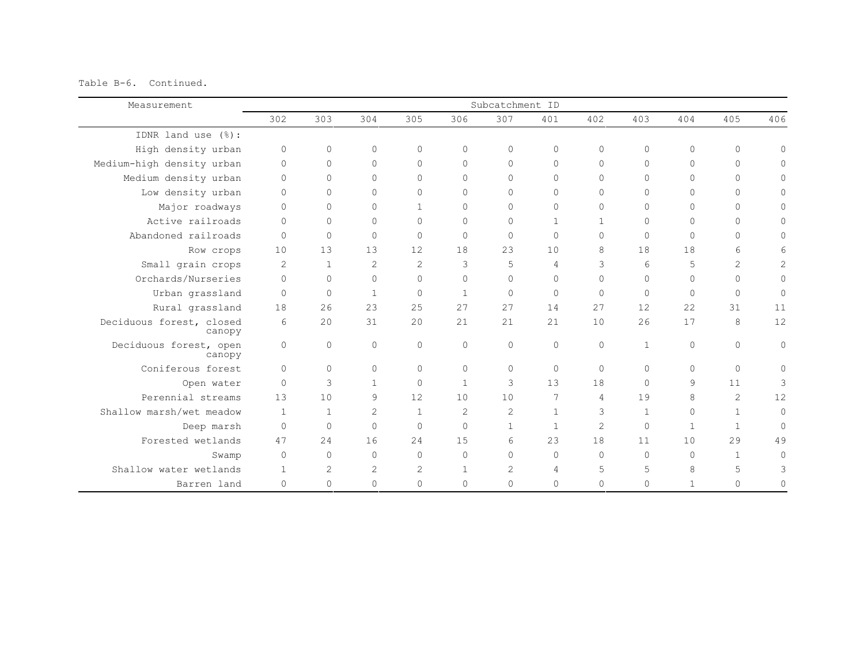Table B-6. Continued.

| Measurement                        |                |              |                |                |              | Subcatchment ID |              |                |              |              |              |                |
|------------------------------------|----------------|--------------|----------------|----------------|--------------|-----------------|--------------|----------------|--------------|--------------|--------------|----------------|
|                                    | 302            | 303          | 304            | 305            | 306          | 307             | 401          | 402            | 403          | 404          | 405          | 406            |
| IDNR land use (%):                 |                |              |                |                |              |                 |              |                |              |              |              |                |
| High density urban                 | $\circ$        | $\circ$      | 0              | $\Omega$       | $\mathbf{0}$ | $\circ$         | $\circ$      | $\Omega$       | $\circ$      | $\circ$      | $\circ$      | $\circ$        |
| Medium-high density urban          | $\circ$        | $\circ$      | $\Omega$       | $\Omega$       | $\Omega$     | $\Omega$        | 0            | $\Omega$       | $\mathbf{0}$ | $\Omega$     | $\Omega$     | $\circ$        |
| Medium density urban               | $\Omega$       | $\circ$      | $\Omega$       | $\Omega$       | $\Omega$     | $\Omega$        | $\Omega$     | $\Omega$       | $\Omega$     | $\Omega$     | $\Omega$     | $\Omega$       |
| Low density urban                  | $\Omega$       | 0            | $\Omega$       | $\Omega$       | $\Omega$     | $\Omega$        | $\Omega$     | $\Omega$       | $\Omega$     | $\Omega$     | $\Omega$     | $\Omega$       |
| Major roadways                     | $\Omega$       | $\circ$      | $\Omega$       | $\mathbf{1}$   | $\Omega$     | $\Omega$        | $\mathbf{0}$ | $\Omega$       | $\Omega$     | $\Omega$     | $\Omega$     | $\Omega$       |
| Active railroads                   | $\Omega$       | $\circ$      | $\Omega$       | $\Omega$       | $\mathbf{0}$ | $\Omega$        | $\mathbf{1}$ | $\mathbf{1}$   | $\Omega$     | $\circ$      | $\Omega$     | $\Omega$       |
| Abandoned railroads                | $\Omega$       | $\circ$      | $\Omega$       | $\Omega$       | $\Omega$     | $\Omega$        | $\Omega$     | $\Omega$       | $\Omega$     | $\circ$      | $\Omega$     | $\circ$        |
| Row crops                          | 10             | 13           | 13             | 12             | 18           | 2.3             | 10           | 8              | 18           | 18           | 6            | 6              |
| Small grain crops                  | 2              | $\mathbf{1}$ | $\overline{2}$ | $\overline{2}$ | 3            | 5               | 4            | 3              | 6            | 5            | 2            | $\overline{c}$ |
| Orchards/Nurseries                 | $\Omega$       | $\circ$      | $\Omega$       | $\Omega$       | $\Omega$     | $\Omega$        | $\Omega$     | $\Omega$       | $\Omega$     | $\Omega$     | $\Omega$     | $\circ$        |
| Urban grassland                    | $\Omega$       | $\circ$      | $\mathbf{1}$   | $\Omega$       | $\mathbf{1}$ | $\Omega$        | $\Omega$     | $\Omega$       | $\Omega$     | $\circ$      | $\Omega$     | $\circ$        |
| Rural grassland                    | 18             | 26           | 23             | 2.5            | 27           | 27              | 14           | 27             | 12           | 22           | 31           | 11             |
| Deciduous forest, closed<br>canopy | 6              | 20           | 31             | 2.0            | 21           | 2.1             | 2.1          | 10             | 26           | 17           | 8            | 12             |
| Deciduous forest, open<br>canopy   | $\circ$        | $\circ$      | $\Omega$       | $\Omega$       | $\mathbf{0}$ | $\Omega$        | $\mathbf{0}$ | $\Omega$       | $\mathbf{1}$ | $\circ$      | $\Omega$     | $\circ$        |
| Coniferous forest                  | $\Omega$       | $\circ$      | $\Omega$       | $\Omega$       | $\Omega$     | $\Omega$        | $\mathbf{0}$ | $\Omega$       | $\Omega$     | $\Omega$     | $\circ$      | $\circ$        |
| Open water                         | $\Omega$       | 3            | $\mathbf{1}$   | $\Omega$       | $\mathbf{1}$ | 3               | 13           | 18             | $\Omega$     | 9            | 11           | 3              |
| Perennial streams                  | 13             | 10           | 9              | 12             | 10           | 10              | 7            | $\overline{4}$ | 19           | 8            | 2            | 12             |
| Shallow marsh/wet meadow           | $\overline{1}$ | $\mathbf{1}$ | $\overline{c}$ | $\mathbf{1}$   | $\mathbf{2}$ | 2               | $\mathbf{1}$ | 3              | $\mathbf{1}$ | $\Omega$     | $\mathbf{1}$ | $\Omega$       |
| Deep marsh                         | $\Omega$       | $\circ$      | $\Omega$       | $\bigcap$      | $\Omega$     | $\mathbf{1}$    | $\mathbf{1}$ | $\overline{2}$ | $\Omega$     | $\mathbf{1}$ | $\mathbf{1}$ | $\mathbf 0$    |
| Forested wetlands                  | 47             | 24           | 16             | 2.4            | 15           | $6\overline{6}$ | 23           | 18             | 11           | 10           | 29           | 49             |
| Swamp                              | $\Omega$       | $\circ$      | $\Omega$       | $\Omega$       | $\Omega$     | $\Omega$        | $\Omega$     | $\Omega$       | $\Omega$     | $\Omega$     | $\mathbf{1}$ | $\Omega$       |
| Shallow water wetlands             | $\mathbf{1}$   | 2            | $\overline{2}$ | 2              | $\mathbf{1}$ | $\overline{c}$  | 4            | 5              | 5            | 8            | 5            | 3              |
| Barren land                        | $\mathbf{0}$   | 0            | $\Omega$       | $\Omega$       | $\Omega$     | $\Omega$        | 0            | $\Omega$       | $\mathbf{0}$ | $\mathbf{1}$ | $\Omega$     | 0              |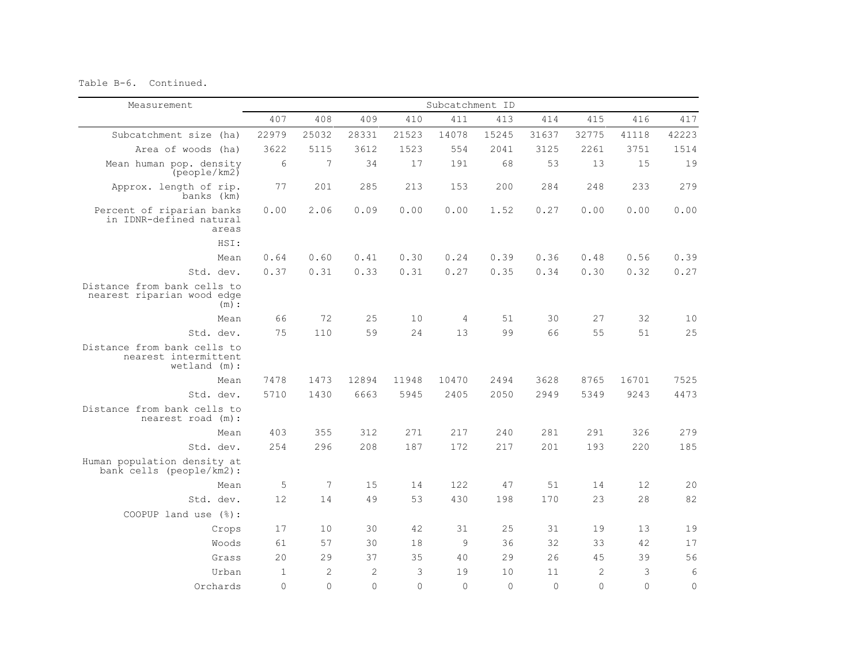Table B-6. Continued.

| Measurement                                                            | Subcatchment ID |                |              |          |                |          |          |                |          |              |
|------------------------------------------------------------------------|-----------------|----------------|--------------|----------|----------------|----------|----------|----------------|----------|--------------|
|                                                                        | 407             | 408            | 409          | 410      | 411            | 413      | 414      | 415            | 416      | 417          |
| Subcatchment size (ha)                                                 | 22979           | 25032          | 28331        | 21523    | 14078          | 15245    | 31637    | 32775          | 41118    | 42223        |
| Area of woods (ha)                                                     | 3622            | 5115           | 3612         | 1523     | 554            | 2041     | 3125     | 2261           | 3751     | 1514         |
| Mean human pop. density<br>(people/km2)                                | 6               | 7              | 34           | 17       | 191            | 68       | 53       | 13             | 15       | 19           |
| Approx. length of rip.<br>banks (km)                                   | 77              | 201            | 285          | 213      | 153            | 200      | 284      | 248            | 233      | 279          |
| Percent of riparian banks<br>in IDNR-defined natural<br>areas          | 0.00            | 2.06           | 0.09         | 0.00     | 0.00           | 1.52     | 0.27     | 0.00           | 0.00     | 0.00         |
| HSI:                                                                   |                 |                |              |          |                |          |          |                |          |              |
| Mean                                                                   | 0.64            | 0.60           | 0.41         | 0.30     | 0.24           | 0.39     | 0.36     | 0.48           | 0.56     | 0.39         |
| Std. dev.                                                              | 0.37            | 0.31           | 0.33         | 0.31     | 0.27           | 0.35     | 0.34     | 0.30           | 0.32     | 0.27         |
| Distance from bank cells to<br>nearest riparian wood edge<br>(m):      |                 |                |              |          |                |          |          |                |          |              |
| Mean                                                                   | 66              | 72             | 25           | 10       | $\overline{4}$ | 51       | 30       | 27             | 32       | 10           |
| Std. dev.                                                              | 75              | 110            | 59           | 2.4      | 13             | 99       | 66       | 55             | 51       | 25           |
| Distance from bank cells to<br>nearest intermittent<br>$wetland$ (m) : |                 |                |              |          |                |          |          |                |          |              |
| Mean                                                                   | 7478            | 1473           | 12894        | 11948    | 10470          | 2494     | 3628     | 8765           | 16701    | 7525         |
| Std. dev.                                                              | 5710            | 1430           | 6663         | 5945     | 2405           | 2050     | 2949     | 5349           | 9243     | 4473         |
| Distance from bank cells to<br>nearest road (m):                       |                 |                |              |          |                |          |          |                |          |              |
| Mean                                                                   | 403             | 355            | 312          | 271      | 217            | 240      | 281      | 291            | 326      | 279          |
| Std. dev.                                                              | 254             | 296            | 208          | 187      | 172            | 217      | 201      | 193            | 220      | 185          |
| Human population density at<br>bank cells (people/km2):                |                 |                |              |          |                |          |          |                |          |              |
| Mean                                                                   | 5               | 7              | 15           | 14       | 122            | 47       | 51       | 14             | 12       | 20           |
| Std. dev.                                                              | 12              | 14             | 49           | 53       | 430            | 198      | 170      | 23             | 28       | 82           |
| COOPUP land use $(\frac{6}{6})$ :                                      |                 |                |              |          |                |          |          |                |          |              |
| Crops                                                                  | 17              | 10             | 30           | 42       | 31             | 25       | 31       | 19             | 13       | 19           |
| Woods                                                                  | 61              | 57             | 30           | 18       | 9              | 36       | 32       | 33             | 42       | 17           |
| Grass                                                                  | 20              | 29             | 37           | 35       | 40             | 29       | 26       | 45             | 39       | 56           |
| Urban                                                                  | $\mathbf{1}$    | $\overline{c}$ | $\mathbf{2}$ | 3        | 19             | 10       | 11       | $\overline{2}$ | 3        | $\epsilon$   |
| Orchards                                                               | $\Omega$        | $\Omega$       | $\Omega$     | $\Omega$ | $\Omega$       | $\Omega$ | $\Omega$ | $\Omega$       | $\Omega$ | $\mathbf{0}$ |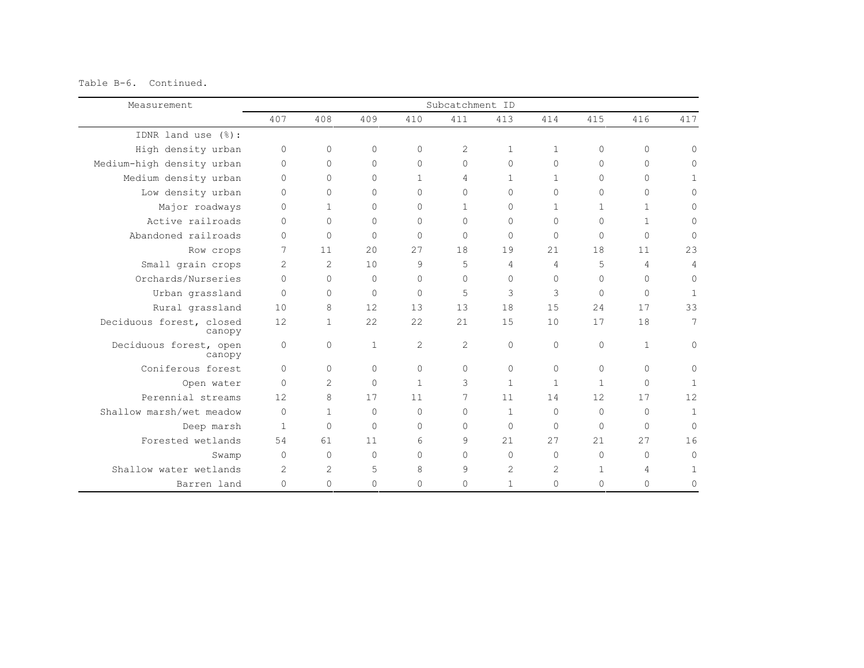Table B-6. Continued.

| Measurement                        | Subcatchment ID |                |              |                |              |                |                |              |              |                |
|------------------------------------|-----------------|----------------|--------------|----------------|--------------|----------------|----------------|--------------|--------------|----------------|
|                                    | 407             | 408            | 409          | 410            | 411          | 413            | 414            | 415          | 416          | 417            |
| IDNR land use (%):                 |                 |                |              |                |              |                |                |              |              |                |
| High density urban                 | $\circ$         | $\circ$        | $\circ$      | $\bigcap$      | 2            | $\mathbf{1}$   | $\mathbf{1}$   | $\circ$      | 0            | $\Omega$       |
| Medium-high density urban          | $\Omega$        | $\Omega$       | $\Omega$     | $\Omega$       | $\circ$      | $\Omega$       | $\Omega$       | $\Omega$     | 0            | $\Omega$       |
| Medium density urban               | $\Omega$        | $\Omega$       | $\Omega$     | $\mathbf{1}$   | 4            | $\mathbf{1}$   | $\mathbf{1}$   | $\Omega$     | $\Omega$     | $\mathbf{1}$   |
| Low density urban                  | $\Omega$        | $\Omega$       | $\Omega$     | $\Omega$       | $\Omega$     | $\Omega$       | $\Omega$       | $\Omega$     | $\Omega$     | $\Omega$       |
| Major roadways                     | $\Omega$        | $\mathbf{1}$   | $\Omega$     | $\Omega$       | $\mathbf{1}$ | $\Omega$       | $\mathbf{1}$   | 1            | $\mathbf{1}$ | $\Omega$       |
| Active railroads                   | $\Omega$        | $\Omega$       | $\Omega$     | $\Omega$       | $\mathbf{0}$ | $\Omega$       | $\Omega$       | $\Omega$     | $\mathbf{1}$ | $\Omega$       |
| Abandoned railroads                | $\Omega$        | $\Omega$       | $\Omega$     | $\Omega$       | $\Omega$     | $\Omega$       | $\Omega$       | $\Omega$     | $\Omega$     | $\Omega$       |
| Row crops                          | 7               | 11             | 2.0          | 2.7            | 18           | 19             | 2.1            | 18           | 11           | 23             |
| Small grain crops                  | $\overline{c}$  | $\overline{c}$ | 10           | 9              | 5            | 4              | $\overline{4}$ | 5            | 4            | $\overline{4}$ |
| Orchards/Nurseries                 | $\Omega$        | $\Omega$       | $\Omega$     | $\Omega$       | $\Omega$     | $\Omega$       | $\Omega$       | $\Omega$     | $\Omega$     | $\Omega$       |
| Urban grassland                    | $\Omega$        | $\Omega$       | $\Omega$     | $\Omega$       | 5            | 3              | 3              | $\Omega$     | 0            | $\mathbf{1}$   |
| Rural grassland                    | 10              | 8              | 12           | 13             | 13           | 18             | 15             | 24           | 17           | 33             |
| Deciduous forest, closed<br>canopy | 12              | $\mathbf{1}$   | 22           | 22             | 21           | 15             | 10             | 17           | 18           | 7              |
| Deciduous forest, open<br>canopy   | $\mathbf{0}$    | 0              | $\mathbf{1}$ | $\overline{2}$ | 2            | $\Omega$       | $\Omega$       | $\Omega$     | $\mathbf{1}$ | $\mathbf{0}$   |
| Coniferous forest                  | $\Omega$        | $\Omega$       | $\Omega$     | $\Omega$       | $\mathbf{0}$ | $\Omega$       | $\Omega$       | $\Omega$     | $\Omega$     | $\Omega$       |
| Open water                         | $\mathbf{0}$    | $\overline{c}$ | $\Omega$     | $\mathbf{1}$   | 3            | $\mathbf{1}$   | $\mathbf{1}$   | $\mathbf{1}$ | $\Omega$     | $\mathbf{1}$   |
| Perennial streams                  | 12              | 8              | 17           | 11             | 7            | 11             | 14             | 12           | 17           | 12             |
| Shallow marsh/wet meadow           | $\Omega$        | $\mathbf{1}$   | $\Omega$     | $\Omega$       | $\mathbf{0}$ | $\mathbf{1}$   | $\Omega$       | $\Omega$     | $\Omega$     | $\mathbf{1}$   |
| Deep marsh                         | $\mathbf{1}$    | $\Omega$       | $\Omega$     | $\Omega$       | $\Omega$     | $\Omega$       | $\Omega$       | $\Omega$     | $\Omega$     | $\Omega$       |
| Forested wetlands                  | 54              | 61             | 11           | 6              | 9            | 21             | 27             | 21           | 27           | 16             |
| Swamp                              | $\Omega$        | $\Omega$       | $\bigcap$    | $\Omega$       | $\Omega$     | $\Omega$       | $\Omega$       | $\Omega$     | $\Omega$     | $\Omega$       |
| Shallow water wetlands             | 2               | $\overline{2}$ | 5            | 8              | 9            | $\overline{2}$ | $\overline{2}$ | 1            | 4            | $\mathbf{1}$   |
| Barren land                        | 0               | 0              | $\circ$      | $\Omega$       | $\mathbf{0}$ | $\mathbf{1}$   | $\Omega$       | $\Omega$     | 0            | $\Omega$       |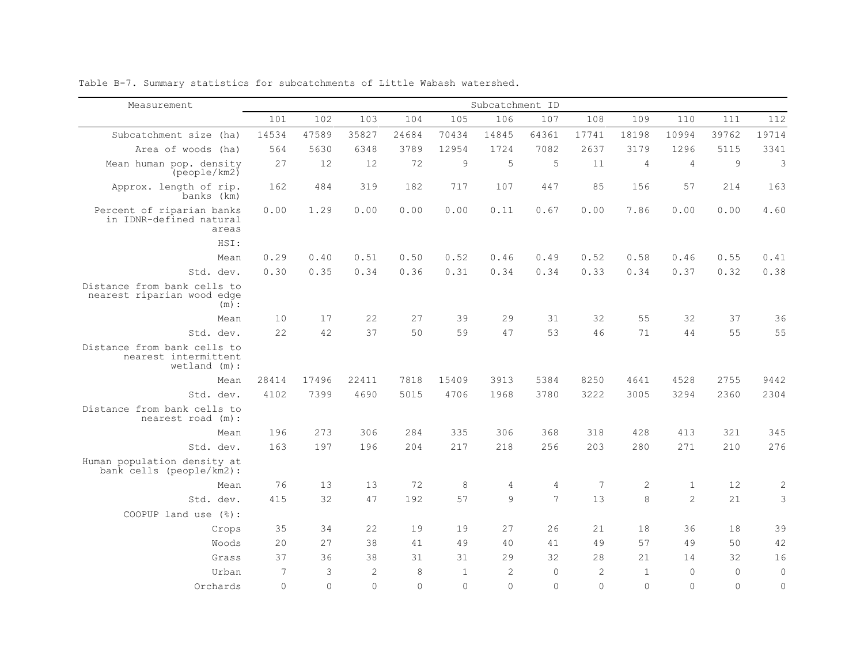| Measurement                                                           |          |          |                |          |              | Subcatchment ID |                |                |                |                |          |                |
|-----------------------------------------------------------------------|----------|----------|----------------|----------|--------------|-----------------|----------------|----------------|----------------|----------------|----------|----------------|
|                                                                       | 101      | 102      | 103            | 104      | 105          | 106             | 107            | 108            | 109            | 110            | 111      | 112            |
| Subcatchment size (ha)                                                | 14534    | 47589    | 35827          | 24684    | 70434        | 14845           | 64361          | 17741          | 18198          | 10994          | 39762    | 19714          |
| Area of woods (ha)                                                    | 564      | 5630     | 6348           | 3789     | 12954        | 1724            | 7082           | 2637           | 3179           | 1296           | 5115     | 3341           |
| Mean human pop. density<br>$(pe^{o}$ people/km2 $)$                   | 27       | 12       | 12             | 72       | $\mathsf 9$  | 5               | 5              | 11             | $\overline{4}$ | $\overline{4}$ | 9        | $\mathfrak{Z}$ |
| Approx. length of rip.<br>banks (km)                                  | 162      | 484      | 319            | 182      | 717          | 107             | 447            | 85             | 156            | 57             | 214      | 163            |
| Percent of riparian banks<br>in IDNR-defined natural<br>areas         | 0.00     | 1.29     | 0.00           | 0.00     | 0.00         | 0.11            | 0.67           | 0.00           | 7.86           | 0.00           | 0.00     | 4.60           |
| HSI:                                                                  |          |          |                |          |              |                 |                |                |                |                |          |                |
| Mean                                                                  | 0.29     | 0.40     | 0.51           | 0.50     | 0.52         | 0.46            | 0.49           | 0.52           | 0.58           | 0.46           | 0.55     | 0.41           |
| Std. dev.                                                             | 0.30     | 0.35     | 0.34           | 0.36     | 0.31         | 0.34            | 0.34           | 0.33           | 0.34           | 0.37           | 0.32     | 0.38           |
| Distance from bank cells to<br>nearest riparian wood edge<br>(m):     |          |          |                |          |              |                 |                |                |                |                |          |                |
| Mean                                                                  | 10       | 17       | 22             | 27       | 39           | 29              | 31             | 32             | 55             | 32             | 37       | 36             |
| Std. dev.                                                             | 22       | 42       | 37             | 50       | 59           | 47              | 53             | 46             | 71             | 44             | 55       | 55             |
| Distance from bank cells to<br>nearest intermittent<br>$wetland$ (m): |          |          |                |          |              |                 |                |                |                |                |          |                |
| Mean                                                                  | 28414    | 17496    | 22411          | 7818     | 15409        | 3913            | 5384           | 8250           | 4641           | 4528           | 2755     | 9442           |
| Std. dev.                                                             | 4102     | 7399     | 4690           | 5015     | 4706         | 1968            | 3780           | 3222           | 3005           | 3294           | 2360     | 2304           |
| Distance from bank cells to<br>nearest road (m):                      |          |          |                |          |              |                 |                |                |                |                |          |                |
| Mean                                                                  | 196      | 273      | 306            | 284      | 335          | 306             | 368            | 318            | 428            | 413            | 321      | 345            |
| Std. dev.                                                             | 163      | 197      | 196            | 204      | 217          | 218             | 256            | 203            | 280            | 271            | 210      | 276            |
| Human population density at<br>bank cells (people/km2):               |          |          |                |          |              |                 |                |                |                |                |          |                |
| Mean                                                                  | 76       | 13       | 13             | 72       | 8            | $\overline{4}$  | $\overline{4}$ | 7              | $\mathbf 2$    | $\mathbf{1}$   | 12       | $\mathbf{2}$   |
| Std. dev.                                                             | 415      | 32       | 47             | 192      | 57           | $\circ$         | 7              | 13             | 8              | $\mathcal{D}$  | 21       | 3              |
| COOPUP land use (%):                                                  |          |          |                |          |              |                 |                |                |                |                |          |                |
| Crops                                                                 | 35       | 34       | 22             | 19       | 19           | 2.7             | 26             | 21             | 18             | 36             | 18       | 39             |
| Woods                                                                 | 20       | 27       | 38             | 41       | 49           | 40              | 41             | 49             | 57             | 49             | 50       | 42             |
| Grass                                                                 | 37       | 36       | 38             | 31       | 31           | 29              | 32             | 2.8            | 21             | 14             | 32       | 16             |
| Urban                                                                 | 7        | 3        | $\overline{2}$ | 8        | $\mathbf{1}$ | $\overline{c}$  | $\mathbf 0$    | $\overline{2}$ | $\mathbf{1}$   | $\circ$        | $\circ$  | $\mathbf 0$    |
| Orchards                                                              | $\Omega$ | $\Omega$ | $\Omega$       | $\Omega$ | $\Omega$     | $\Omega$        | $\Omega$       | $\Omega$       | $\Omega$       | $\Omega$       | $\Omega$ | $\overline{0}$ |

Table B-7. Summary statistics for subcatchments of Little Wabash watershed.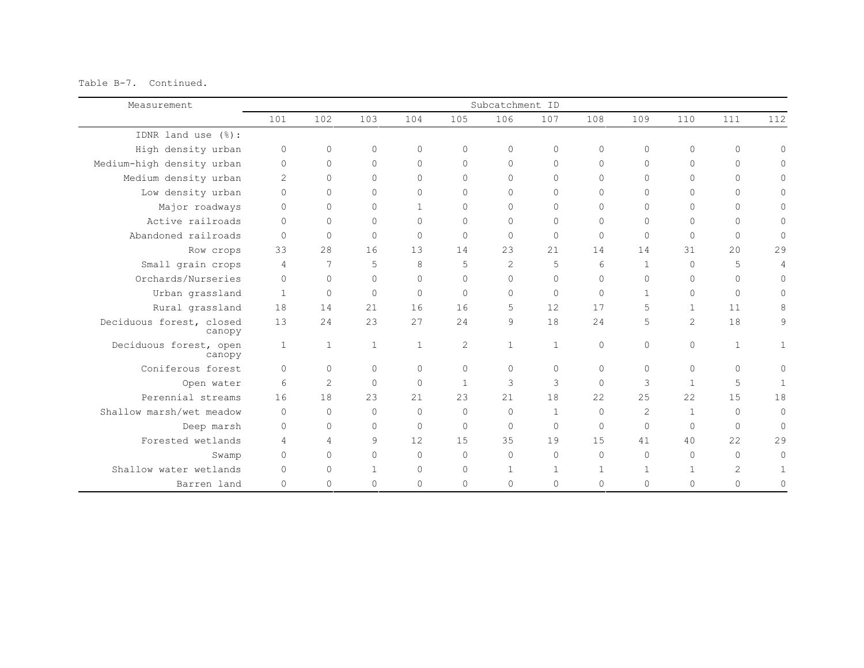Table B-7. Continued.

| Measurement                        | Subcatchment ID |              |              |              |              |                |              |              |                |                |                |              |
|------------------------------------|-----------------|--------------|--------------|--------------|--------------|----------------|--------------|--------------|----------------|----------------|----------------|--------------|
|                                    | 101             | 102          | 103          | 104          | 105          | 106            | 107          | 108          | 109            | 110            | 111            | 112          |
| IDNR land use $(\frac{6}{6})$ :    |                 |              |              |              |              |                |              |              |                |                |                |              |
| High density urban                 | $\mathbf 0$     | $\circ$      | $\Omega$     | $\Omega$     | $\Omega$     | $\circ$        | $\circ$      | $\Omega$     | $\Omega$       | $\Omega$       | $\circ$        | $\Omega$     |
| Medium-high density urban          | $\mathbf 0$     | $\circ$      | $\Omega$     | $\Omega$     | $\Omega$     | $\Omega$       | $\mathbf 0$  | $\Omega$     | $\circ$        | $\Omega$       | $\Omega$       | 0            |
| Medium density urban               | $\overline{c}$  | $\Omega$     | $\Omega$     | $\Omega$     | $\Omega$     | $\bigcap$      | $\Omega$     | $\Omega$     | $\Omega$       | $\bigcap$      | $\Omega$       | 0            |
| Low density urban                  | $\Omega$        | $\Omega$     | $\Omega$     | $\Omega$     | $\Omega$     | $\Omega$       | $\Omega$     | $\Omega$     | $\Omega$       | $\Omega$       | $\Omega$       | 0            |
| Major roadways                     | $\Omega$        | $\Omega$     | $\Omega$     | $\mathbf{1}$ | $\Omega$     | $\Omega$       | $\Omega$     | $\Omega$     | $\Omega$       | $\bigcap$      | $\Omega$       | 0            |
| Active railroads                   | $\Omega$        | $\Omega$     | $\Omega$     | $\Omega$     | $\Omega$     | $\bigcap$      | $\Omega$     | $\Omega$     | $\Omega$       | $\Omega$       | $\Omega$       | 0            |
| Abandoned railroads                | $\Omega$        | $\Omega$     | $\Omega$     | $\Omega$     | $\Omega$     | $\Omega$       | $\mathbf 0$  | $\Omega$     | $\Omega$       | $\Omega$       | $\Omega$       | $\mathbf{0}$ |
| Row crops                          | 33              | 2.8          | 16           | 13           | 14           | 2.3            | 21           | 14           | 14             | 31             | 2.0            | 29           |
| Small grain crops                  | $\overline{4}$  | 7            | 5            | 8            | 5            | $\overline{2}$ | 5            | 6            | $\mathbf{1}$   | $\Omega$       | 5              | 4            |
| Orchards/Nurseries                 | $\Omega$        | $\Omega$     | $\Omega$     | $\Omega$     | $\Omega$     | $\Omega$       | $\Omega$     | $\Omega$     | $\Omega$       | $\Omega$       | $\Omega$       | 0            |
| Urban grassland                    | $\mathbf{1}$    | $\circ$      | $\Omega$     | $\Omega$     | $\Omega$     | $\Omega$       | $\mathbf 0$  | $\Omega$     | $\mathbf{1}$   | $\Omega$       | $\Omega$       | 0            |
| Rural grassland                    | 18              | 14           | 21           | 16           | 16           | 5              | 12           | 17           | 5              | $\mathbf{1}$   | 11             | 8            |
| Deciduous forest, closed<br>canopy | 13              | 24           | 23           | 27           | 24           | 9              | 18           | 24           | 5              | $\overline{2}$ | 18             | 9            |
| Deciduous forest, open<br>canopy   | $\mathbf{1}$    | $\mathbf{1}$ | $\mathbf{1}$ | $\mathbf{1}$ | 2            | $\mathbf{1}$   | $\mathbf{1}$ | $\Omega$     | $\Omega$       | $\Omega$       | $\mathbf{1}$   | 1            |
| Coniferous forest                  | $\Omega$        | $\circ$      | $\Omega$     | $\Omega$     | $\Omega$     | $\Omega$       | $\circ$      | $\Omega$     | $\Omega$       | $\Omega$       | $\circ$        | $\mathbf{0}$ |
| Open water                         | 6               | $\mathbf{2}$ | $\Omega$     | $\Omega$     | $\mathbf{1}$ | 3              | 3            | $\Omega$     | 3              | $\mathbf{1}$   | 5              | $\mathbf{1}$ |
| Perennial streams                  | 16              | 18           | 23           | 2.1          | 23           | 21             | 18           | 22           | 25             | 22             | 15             | 18           |
| Shallow marsh/wet meadow           | $\Omega$        | $\Omega$     | $\Omega$     | $\Omega$     | $\Omega$     | $\Omega$       | $\mathbf{1}$ | $\Omega$     | $\overline{2}$ | $\mathbf{1}$   | $\Omega$       | $\mathbf{0}$ |
| Deep marsh                         | $\Omega$        | $\Omega$     | $\Omega$     | $\Omega$     | $\Omega$     | $\Omega$       | $\mathbf 0$  | $\Omega$     | $\Omega$       | $\Omega$       | $\Omega$       | $\Omega$     |
| Forested wetlands                  | $\overline{4}$  | 4            | 9            | 12           | 15           | 35             | 19           | 15           | 41             | 40             | 22             | 29           |
| Swamp                              | $\Omega$        | $\Omega$     | $\Omega$     | $\Omega$     | $\Omega$     | $\Omega$       | $\circ$      | $\Omega$     | $\Omega$       | $\bigcap$      | $\Omega$       | $\Omega$     |
| Shallow water wetlands             | $\Omega$        | $\circ$      | $\mathbf{1}$ | $\Omega$     | $\Omega$     | $\mathbf{1}$   | $\mathbf{1}$ | $\mathbf{1}$ | $\mathbf{1}$   | $\mathbf{1}$   | $\overline{c}$ |              |
| Barren land                        | $\Omega$        | 0            | $\Omega$     | $\Omega$     | $\Omega$     | $\mathbf 0$    | $\mathbf{0}$ | $\Omega$     | $\circ$        | 0              | $\Omega$       | 0            |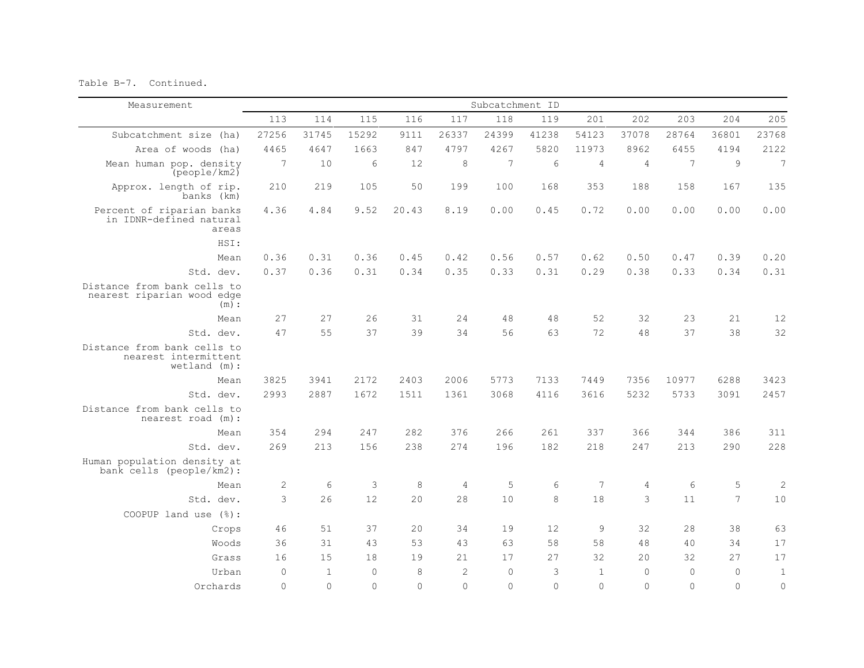Table B-7. Continued.

| Measurement                                                         |              |                |          |          |                | Subcatchment ID |          |                |                |          |                |                 |
|---------------------------------------------------------------------|--------------|----------------|----------|----------|----------------|-----------------|----------|----------------|----------------|----------|----------------|-----------------|
|                                                                     | 113          | 114            | 115      | 116      | 117            | 118             | 119      | 201            | 202            | 203      | 204            | 205             |
| Subcatchment size (ha)                                              | 27256        | 31745          | 15292    | 9111     | 26337          | 24399           | 41238    | 54123          | 37078          | 28764    | 36801          | 23768           |
| Area of woods (ha)                                                  | 4465         | 4647           | 1663     | 847      | 4797           | 4267            | 5820     | 11973          | 8962           | 6455     | 4194           | 2122            |
| Mean human pop. density<br>(people/km2)                             | 7            | 10             | 6        | 12       | 8              | 7               | 6        | $\overline{4}$ | $\overline{4}$ | 7        | $\overline{9}$ | $7\overline{ }$ |
| Approx. length of rip.<br>banks (km)                                | 210          | 219            | 105      | 50       | 199            | 100             | 168      | 353            | 188            | 158      | 167            | 135             |
| Percent of riparian banks<br>in IDNR-defined natural<br>areas       | 4.36         | 4.84           | 9.52     | 20.43    | 8.19           | 0.00            | 0.45     | 0.72           | 0.00           | 0.00     | 0.00           | 0.00            |
| HSI:                                                                |              |                |          |          |                |                 |          |                |                |          |                |                 |
| Mean                                                                | 0.36         | 0.31           | 0.36     | 0.45     | 0.42           | 0.56            | 0.57     | 0.62           | 0.50           | 0.47     | 0.39           | 0.20            |
| Std. dev.                                                           | 0.37         | 0.36           | 0.31     | 0.34     | 0.35           | 0.33            | 0.31     | 0.29           | 0.38           | 0.33     | 0.34           | 0.31            |
| Distance from bank cells to<br>nearest riparian wood edge<br>(m):   |              |                |          |          |                |                 |          |                |                |          |                |                 |
| Mean                                                                | 27           | 27             | 26       | 31       | 24             | 48              | $4\,8$   | 52             | 32             | 23       | 21             | 12              |
| Std. dev.                                                           | 47           | 55             | 37       | 39       | 34             | 56              | 63       | 72             | 48             | 37       | 38             | 32              |
| Distance from bank cells to<br>nearest intermittent<br>wetland (m): |              |                |          |          |                |                 |          |                |                |          |                |                 |
| Mean                                                                | 3825         | 3941           | 2172     | 2403     | 2006           | 5773            | 7133     | 7449           | 7356           | 10977    | 6288           | 3423            |
| Std. dev.                                                           | 2993         | 2887           | 1672     | 1511     | 1361           | 3068            | 4116     | 3616           | 5232           | 5733     | 3091           | 2457            |
| Distance from bank cells to<br>nearest road (m):                    |              |                |          |          |                |                 |          |                |                |          |                |                 |
| Mean                                                                | 354          | 294            | 247      | 282      | 376            | 266             | 261      | 337            | 366            | 344      | 386            | 311             |
| Std. dev.                                                           | 269          | 213            | 156      | 238      | 274            | 196             | 182      | 218            | 247            | 213      | 290            | 228             |
| Human population density at<br>bank cells (people/km2):             |              |                |          |          |                |                 |          |                |                |          |                |                 |
| Mean                                                                | $\mathbf{2}$ | 6              | 3        | 8        | $\overline{4}$ | 5               | 6        | 7              | $\overline{4}$ | 6        | 5              | $\mathbf{2}$    |
| Std. dev.                                                           | 3            | 26             | 12       | 20       | 28             | 10              | 8        | 18             | 3              | 11       | $\overline{7}$ | 10              |
| COOPUP land use (%):                                                |              |                |          |          |                |                 |          |                |                |          |                |                 |
| Crops                                                               | 46           | 51             | 37       | 2.0      | 34             | 19              | 12       | 9              | 32             | 28       | 38             | 63              |
| Woods                                                               | 36           | 31             | 43       | 53       | 43             | 63              | 58       | 58             | 48             | 40       | 34             | 17              |
| Grass                                                               | 16           | 15             | 18       | 19       | 21             | 17              | 27       | 32             | 20             | 32       | 2.7            | 17              |
| Urban                                                               | $\Omega$     | $\overline{1}$ | $\Omega$ | 8        | $\overline{c}$ | $\Omega$        | 3        | $\mathbf{1}$   | $\mathbb O$    | $\Omega$ | $\Omega$       | $1\,$           |
| Orchards                                                            | $\Omega$     | $\Omega$       | $\Omega$ | $\Omega$ | $\Omega$       | $\Omega$        | $\Omega$ | $\Omega$       | $\Omega$       | $\Omega$ | $\Omega$       | $\circ$         |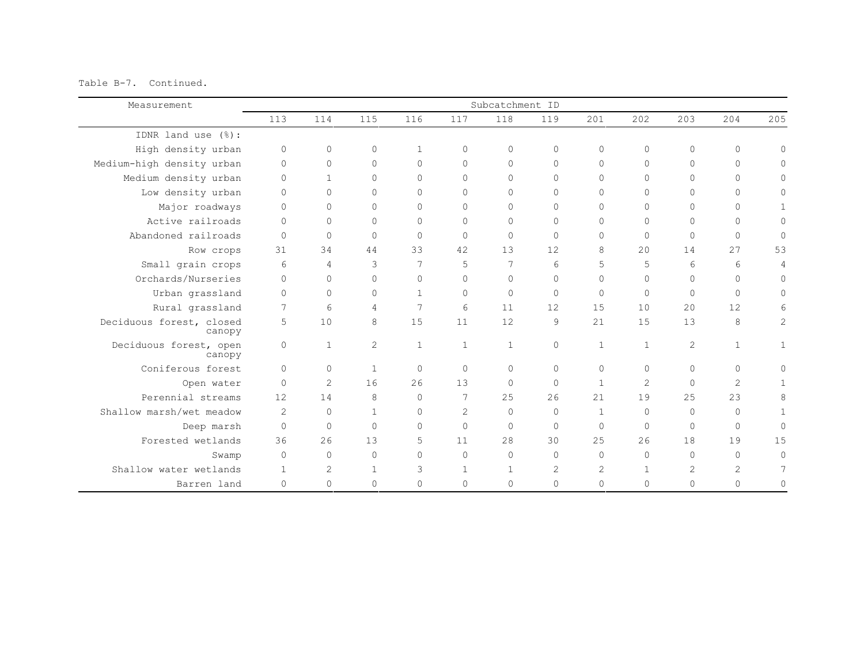Table B-7. Continued.

| Measurement                        | Subcatchment ID |                |                |              |                 |              |              |                |               |          |                |              |
|------------------------------------|-----------------|----------------|----------------|--------------|-----------------|--------------|--------------|----------------|---------------|----------|----------------|--------------|
|                                    | 113             | 114            | 115            | 116          | 117             | 118          | 119          | 201            | 2.02          | 203      | 204            | 205          |
| IDNR land use $(\frac{6}{6})$ :    |                 |                |                |              |                 |              |              |                |               |          |                |              |
| High density urban                 | $\circ$         | $\circ$        | 0              | $\mathbf{1}$ | $\mathbf{0}$    | $\circ$      | $\circ$      | $\Omega$       | $\circ$       | $\circ$  | $\circ$        | $\circ$      |
| Medium-high density urban          | $\circ$         | $\circ$        | $\Omega$       | $\Omega$     | $\Omega$        | $\Omega$     | 0            | $\Omega$       | $\mathbf{0}$  | $\Omega$ | $\Omega$       | $\Omega$     |
| Medium density urban               | $\Omega$        | $\mathbf{1}$   | $\Omega$       | $\bigcap$    | $\Omega$        | $\Omega$     | $\Omega$     | $\Omega$       | $\Omega$      | $\Omega$ | $\Omega$       | $\Omega$     |
| Low density urban                  | $\Omega$        | 0              | $\Omega$       | $\Omega$     | $\Omega$        | $\Omega$     | $\Omega$     | $\Omega$       | $\Omega$      | $\Omega$ | $\Omega$       | 0            |
| Major roadways                     | $\Omega$        | $\circ$        | $\Omega$       | $\Omega$     | $\Omega$        | $\Omega$     | $\Omega$     | $\Omega$       | $\Omega$      | $\Omega$ | $\Omega$       | $\mathbf 1$  |
| Active railroads                   | $\Omega$        | $\circ$        | $\Omega$       | $\Omega$     | $\Omega$        | $\Omega$     | $\Omega$     | $\Omega$       | $\Omega$      | $\Omega$ | $\Omega$       | $\Omega$     |
| Abandoned railroads                | $\Omega$        | $\circ$        | $\Omega$       | $\Omega$     | $\Omega$        | $\Omega$     | $\Omega$     | $\Omega$       | $\Omega$      | $\circ$  | $\Omega$       | $\mathbf 0$  |
| Row crops                          | 31              | 34             | 44             | 33           | 42              | 13           | 12           | 8              | 20            | 14       | 27             | 53           |
| Small grain crops                  | 6               | 4              | 3              | 7            | 5               | 7            | 6            | 5              | 5             | 6        | 6              | 4            |
| Orchards/Nurseries                 | $\Omega$        | $\circ$        | $\Omega$       | $\Omega$     | $\Omega$        | $\Omega$     | $\mathbf{0}$ | $\Omega$       | $\Omega$      | $\Omega$ | $\Omega$       | $\circ$      |
| Urban grassland                    | $\Omega$        | $\circ$        | $\Omega$       | $\mathbf{1}$ | $\Omega$        | $\Omega$     | $\mathbf 0$  | $\Omega$       | $\Omega$      | $\Omega$ | $\Omega$       | $\Omega$     |
| Rural grassland                    | 7               | 6              | $\overline{4}$ | 7            | $6\overline{6}$ | 11           | 12           | 1.5            | 10            | 20       | 12             | 6            |
| Deciduous forest, closed<br>canopy | 5               | 10             | 8              | 1.5          | 11              | 12.          | 9            | 2.1            | 1.5           | 13       | 8              | $\mathbf{2}$ |
| Deciduous forest, open<br>canopy   | $\circ$         | $\mathbf{1}$   | $\overline{2}$ | $\mathbf{1}$ | $\mathbf{1}$    | $\mathbf{1}$ | $\Omega$     | $\mathbf{1}$   | $\mathbf{1}$  | 2        | $\mathbf{1}$   | $\mathbf 1$  |
| Coniferous forest                  | $\Omega$        | $\Omega$       | $\mathbf{1}$   | $\Omega$     | $\Omega$        | $\Omega$     | $\Omega$     | $\Omega$       | $\Omega$      | $\Omega$ | $\Omega$       | $\Omega$     |
| Open water                         | $\Omega$        | $\overline{2}$ | 16             | 26           | 13              | $\Omega$     | $\mathbf{0}$ | $\mathbf{1}$   | $\mathcal{D}$ | $\Omega$ | $\mathcal{D}$  | $\mathbf{1}$ |
| Perennial streams                  | 12.             | 14             | 8              | $\Omega$     | 7               | 2.5          | 26           | 21             | 19            | 25       | 23             | 8            |
| Shallow marsh/wet meadow           | 2               | $\circ$        | $\mathbf{1}$   | $\Omega$     | $\overline{c}$  | $\Omega$     | $\Omega$     | $\mathbf{1}$   | $\Omega$      | $\Omega$ | $\bigcap$      | $\mathbf 1$  |
| Deep marsh                         | $\Omega$        | $\circ$        | $\Omega$       | $\Omega$     | $\Omega$        | $\Omega$     | $\Omega$     | $\Omega$       | $\Omega$      | $\circ$  | $\Omega$       | $\mathbf 0$  |
| Forested wetlands                  | 36              | 26             | 13             | 5            | 11              | 28           | 30           | 25             | 26            | 18       | 19             | 15           |
| Swamp                              | $\Omega$        | $\circ$        | $\Omega$       | $\Omega$     | $\Omega$        | $\Omega$     | $\Omega$     | $\Omega$       | $\Omega$      | $\Omega$ | $\Omega$       | $\Omega$     |
| Shallow water wetlands             | $\mathbf{1}$    | 2              | $\mathbf{1}$   | 3            | $\mathbf{1}$    | $\mathbf{1}$ | 2            | $\overline{c}$ | $\mathbf{1}$  | 2        | $\overline{2}$ | 7            |
| Barren land                        | $\mathbf{0}$    | 0              | $\Omega$       | $\Omega$     | $\Omega$        | $\Omega$     | 0            | $\Omega$       | $\mathbf{0}$  | $\Omega$ | $\Omega$       | $\Omega$     |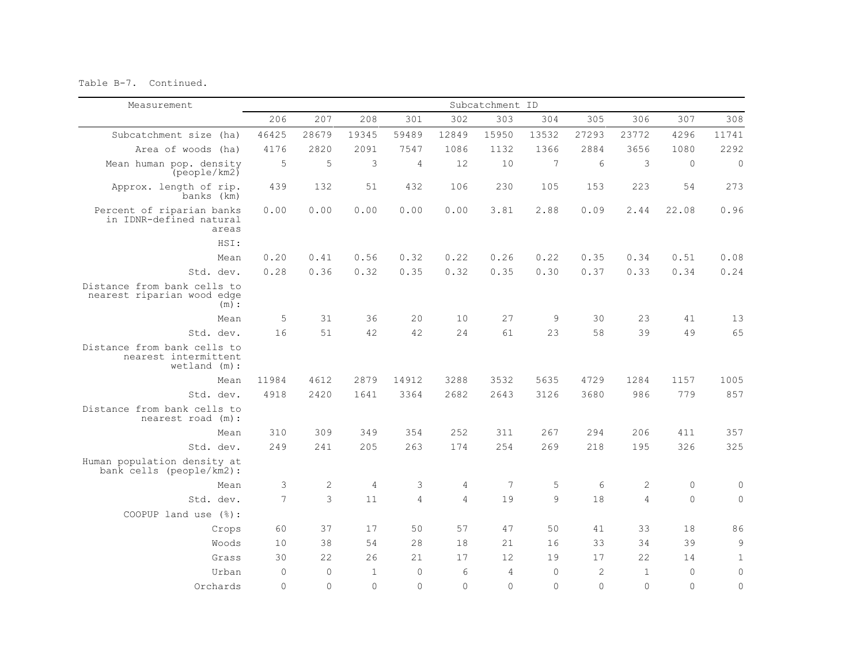Table B-7. Continued.

| Measurement                                                            |                |              |                |                |                | Subcatchment ID |             |            |                |                     |                |
|------------------------------------------------------------------------|----------------|--------------|----------------|----------------|----------------|-----------------|-------------|------------|----------------|---------------------|----------------|
|                                                                        | 206            | 207          | 208            | 301            | 302            | 303             | 304         | 305        | 306            | 307                 | 308            |
| Subcatchment size (ha)                                                 | 46425          | 28679        | 19345          | 59489          | 12849          | 15950           | 13532       | 27293      | 23772          | 4296                | 11741          |
| Area of woods (ha)                                                     | 4176           | 2820         | 2091           | 7547           | 1086           | 1132            | 1366        | 2884       | 3656           | 1080                | 2292           |
| Mean human pop. density<br>(people/km2)                                | 5              | 5            | $\mathsf 3$    | $\sqrt{4}$     | 12             | 10              | 7           | 6          | 3              | $\Omega$            | $\mathbb O$    |
| Approx. length of rip.<br>banks (km)                                   | 439            | 132          | 51             | 432            | 106            | 230             | 105         | 153        | 223            | 54                  | 273            |
| Percent of riparian banks<br>in IDNR-defined natural<br>areas          | 0.00           | 0.00         | 0.00           | 0.00           | 0.00           | 3.81            | 2.88        | 0.09       | 2.44           | 22.08               | 0.96           |
| HSI:                                                                   |                |              |                |                |                |                 |             |            |                |                     |                |
| Mean                                                                   | 0.20           | 0.41         | 0.56           | 0.32           | 0.22           | 0.26            | 0.22        | 0.35       | 0.34           | 0.51                | 0.08           |
| Std. dev.                                                              | 0.28           | 0.36         | 0.32           | 0.35           | 0.32           | 0.35            | 0.30        | 0.37       | 0.33           | 0.34                | 0.24           |
| Distance from bank cells to<br>nearest riparian wood edge<br>$(m)$ :   |                |              |                |                |                |                 |             |            |                |                     |                |
| Mean                                                                   | 5              | 31           | 36             | 20             | 10             | 27              | 9           | 30         | 23             | 41                  | 13             |
| Std. dev.                                                              | 16             | 51           | 42             | 42             | 24             | 61              | 23          | 58         | 39             | 49                  | 65             |
| Distance from bank cells to<br>nearest intermittent<br>$wetland (m)$ : |                |              |                |                |                |                 |             |            |                |                     |                |
| Mean                                                                   | 11984          | 4612         | 2879           | 14912          | 3288           | 3532            | 5635        | 4729       | 1284           | 1157                | 1005           |
| Std. dev.                                                              | 4918           | 2420         | 1641           | 3364           | 2682           | 2643            | 3126        | 3680       | 986            | 779                 | 857            |
| Distance from bank cells to<br>nearest road (m):                       |                |              |                |                |                |                 |             |            |                |                     |                |
| Mean                                                                   | 310            | 309          | 349            | 354            | 252            | 311             | 267         | 294        | 206            | 411                 | 357            |
| Std. dev.                                                              | 249            | 2.41         | 205            | 263            | 174            | 2.54            | 269         | 218        | 195            | 326                 | 325            |
| Human population density at<br>bank cells (people/km2):                |                |              |                |                |                |                 |             |            |                |                     |                |
| Mean                                                                   | 3              | $\sqrt{2}$   | $\overline{4}$ | 3              | 4              | 7               | 5           | 6          | $\mathbf{2}$   | $\mathsf{O}\xspace$ | $\mathbb O$    |
| Std. dev.                                                              | $\overline{7}$ | 3            | 11             | $\overline{4}$ | $\overline{4}$ | 19              | $\circ$     | 18         | $\overline{4}$ | $\Omega$            | $\mathbf 0$    |
| COOPUP land use (%):                                                   |                |              |                |                |                |                 |             |            |                |                     |                |
| Crops                                                                  | 60             | 37           | 17             | 50             | 57             | 47              | 50          | 41         | 33             | 18                  | 86             |
| Woods                                                                  | 10             | 38           | 54             | 28             | 18             | 21              | 16          | 33         | 34             | 39                  | 9              |
| Grass                                                                  | 30             | 22           | 26             | 21             | 17             | 12              | 19          | 17         | 22             | 14                  | $\mathbf 1$    |
| Urban                                                                  | $\mathbf 0$    | $\mathbf{0}$ | $\mathbf{1}$   | $\mathbf{0}$   | 6              | $\overline{4}$  | $\mathbf 0$ | $\sqrt{2}$ | $\mathbf{1}$   | $\mathbf 0$         | $\mathbb O$    |
| Orchards                                                               | $\Omega$       | $\Omega$     | $\Omega$       | $\Omega$       | $\bigcap$      | $\Omega$        | $\Omega$    | $\Omega$   | $\Omega$       | $\Omega$            | $\overline{0}$ |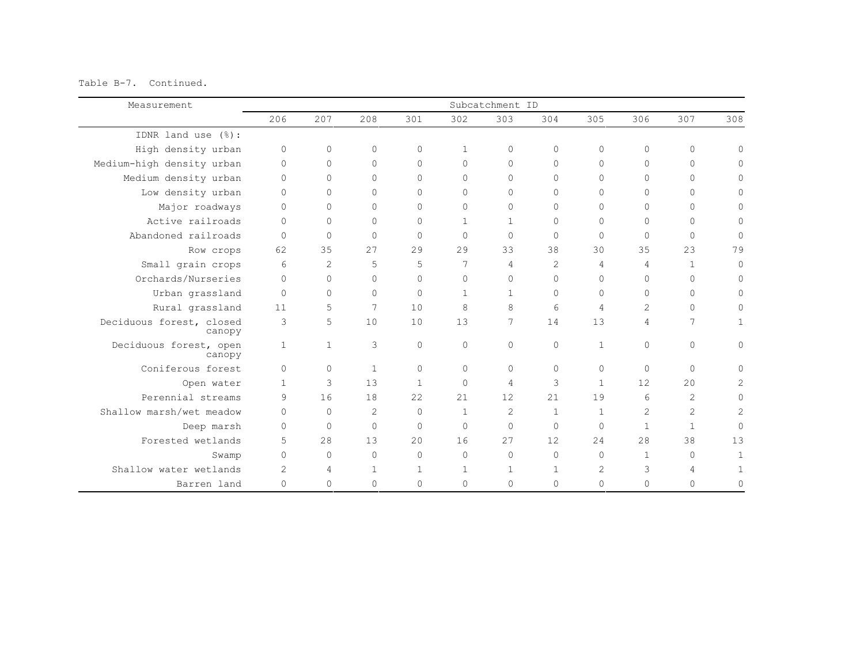Table B-7. Continued.

| Measurement                        | Subcatchment ID |                |                |              |              |                |                |              |                |              |                |
|------------------------------------|-----------------|----------------|----------------|--------------|--------------|----------------|----------------|--------------|----------------|--------------|----------------|
|                                    | 206             | 207            | 208            | 301          | 302          | 303            | 304            | 305          | 306            | 307          | 308            |
| IDNR land use (%):                 |                 |                |                |              |              |                |                |              |                |              |                |
| High density urban                 | $\circ$         | $\Omega$       | $\circ$        | 0            | $\mathbf{1}$ | 0              | $\circ$        | $\circ$      | $\circ$        | $\circ$      | $\Omega$       |
| Medium-high density urban          | $\circ$         | $\Omega$       | $\Omega$       | 0            | $\Omega$     | $\circ$        | $\Omega$       | $\circ$      | $\Omega$       | $\circ$      | $\Omega$       |
| Medium density urban               | $\Omega$        | $\Omega$       | $\Omega$       | $\Omega$     | $\Omega$     | $\circ$        | $\Omega$       | $\Omega$     | $\Omega$       | $\Omega$     | $\Omega$       |
| Low density urban                  | $\circ$         | $\Omega$       | $\Omega$       | $\Omega$     | $\Omega$     | $\Omega$       | $\Omega$       | $\Omega$     | $\Omega$       | $\Omega$     | $\Omega$       |
| Major roadways                     | $\circ$         | $\Omega$       | 0              | 0            | $\circ$      | $\circ$        | $\circ$        | $\circ$      | $\Omega$       | $\circ$      | $\mathbf{0}$   |
| Active railroads                   | $\Omega$        | $\Omega$       | $\Omega$       | $\Omega$     | $\mathbf{1}$ | $\mathbf{1}$   | $\Omega$       | $\circ$      | $\Omega$       | $\Omega$     | $\mathbf{0}$   |
| Abandoned railroads                | $\Omega$        | $\Omega$       | $\Omega$       | $\Omega$     | $\Omega$     | $\Omega$       | $\Omega$       | $\Omega$     | $\Omega$       | $\Omega$     | $\Omega$       |
| Row crops                          | 62              | 35             | 27             | 29           | 29           | 33             | 38             | 30           | 35             | 23           | 79             |
| Small grain crops                  | 6               | $\overline{2}$ | 5              | 5            | 7            | 4              | $\overline{2}$ | 4            | $\overline{4}$ | $\mathbf{1}$ | $\Omega$       |
| Orchards/Nurseries                 | $\Omega$        | $\Omega$       | $\Omega$       | $\Omega$     | $\Omega$     | 0              | $\Omega$       | $\circ$      | $\Omega$       | $\Omega$     | $\Omega$       |
| Urban grassland                    | $\Omega$        | $\Omega$       | $\Omega$       | $\Omega$     | $\mathbf{1}$ | $\mathbf{1}$   | $\Omega$       | $\Omega$     | $\Omega$       | $\bigcap$    | $\Omega$       |
| Rural grassland                    | 11              | 5              | 7              | 10           | 8            | 8              | 6              | 4            | $\overline{c}$ | $\circ$      | $\Omega$       |
| Deciduous forest, closed<br>canopy | 3               | 5              | 10             | 10           | 13           | 7              | 14             | 13           | 4              | 7            |                |
| Deciduous forest, open<br>canopy   | 1               | $\mathbf{1}$   | 3              | 0            | $\circ$      | $\circ$        | $\circ$        | $\mathbf 1$  | $\Omega$       | $\circ$      | $\mathbf{0}$   |
| Coniferous forest                  | $\Omega$        | $\Omega$       | $\mathbf{1}$   | $\Omega$     | $\Omega$     | $\circ$        | $\Omega$       | 0            | $\circ$        | $\Omega$     | $\Omega$       |
| Open water                         | $\mathbf{1}$    | 3              | 13             | $\mathbf{1}$ | $\Omega$     | 4              | 3              | $\mathbf{1}$ | 12             | 20           | $\overline{2}$ |
| Perennial streams                  | 9               | 16             | 18             | 2.2.         | 2.1          | 12             | 2.1            | 19           | 6              | 2            | $\Omega$       |
| Shallow marsh/wet meadow           | $\Omega$        | $\Omega$       | $\overline{2}$ | $\Omega$     | $\mathbf{1}$ | $\overline{c}$ | $\mathbf{1}$   | $\mathbf{1}$ | $\overline{c}$ | 2            | 2              |
| Deep marsh                         | $\Omega$        | $\Omega$       | $\Omega$       | $\Omega$     | $\Omega$     | $\mathbf 0$    | $\Omega$       | $\Omega$     | $\mathbf{1}$   | $\mathbf{1}$ | $\Omega$       |
| Forested wetlands                  | 5               | 28             | 13             | $20^{\circ}$ | 16           | 27             | 12             | 24           | 2.8            | 38           | 13             |
| Swamp                              | $\circ$         | $\Omega$       | $\Omega$       | $\Omega$     | $\Omega$     | $\circ$        | $\Omega$       | $\Omega$     | $\mathbf{1}$   | $\Omega$     |                |
| Shallow water wetlands             | $\overline{2}$  | 4              | 1              | $\mathbf{1}$ | 1            | $\mathbf{1}$   | 1              | 2            | 3              | 4            |                |
| Barren land                        | $\Omega$        | $\Omega$       | $\Omega$       | $\Omega$     | $\Omega$     | $\circ$        | $\Omega$       | 0            | $\Omega$       | $\Omega$     | $\Omega$       |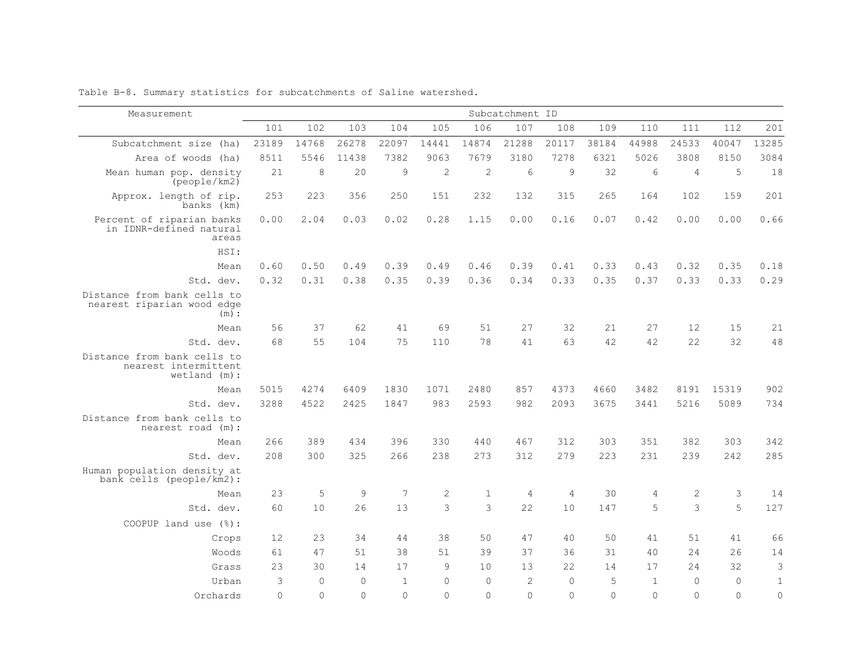| Measurement                                                          |          |          |             |                |               |              | Subcatchment ID |                |          |                |                |              |              |
|----------------------------------------------------------------------|----------|----------|-------------|----------------|---------------|--------------|-----------------|----------------|----------|----------------|----------------|--------------|--------------|
|                                                                      | 101      | 102      | 103         | 104            | 105           | 106          | 107             | 108            | 109      | 110            | 111            | 112          | 201          |
| Subcatchment size (ha)                                               | 23189    | 14768    | 26278       | 22097          | 14441         | 14874        | 21288           | 20117          | 38184    | 44988          | 24533          | 40047        | 13285        |
| Area of woods (ha)                                                   | 8511     | 5546     | 11438       | 7382           | 9063          | 7679         | 3180            | 7278           | 6321     | 5026           | 3808           | 8150         | 3084         |
| Mean human pop. density<br>(people/km2)                              | 21       | 8        | 20          | $\overline{9}$ | $\sqrt{2}$    | $\sqrt{2}$   | 6               | 9              | 32       | 6              | $\overline{4}$ | 5            | 18           |
| Approx. length of rip.<br>banks (km)                                 | 253      | 223      | 356         | 250            | 151           | 232          | 132             | 315            | 265      | 164            | 102            | 159          | 201          |
| Percent of riparian banks<br>in IDNR-defined natural<br>areas        | 0.00     | 2.04     | 0.03        | 0.02           | 0.28          | 1.15         | 0.00            | 0.16           | 0.07     | 0.42           | 0.00           | 0.00         | 0.66         |
| HSI:                                                                 |          |          |             |                |               |              |                 |                |          |                |                |              |              |
| Mean                                                                 | 0.60     | 0.50     | 0.49        | 0.39           | 0.49          | 0.46         | 0.39            | 0.41           | 0.33     | 0.43           | 0.32           | 0.35         | 0.18         |
| Std. dev.                                                            | 0.32     | 0.31     | 0.38        | 0.35           | 0.39          | 0.36         | 0.34            | 0.33           | 0.35     | 0.37           | 0.33           | 0.33         | 0.29         |
| Distance from bank cells to<br>nearest riparian wood edge<br>(m):    |          |          |             |                |               |              |                 |                |          |                |                |              |              |
| Mean                                                                 | 56       | 37       | 62          | 41             | 69            | 51           | 27              | 32             | 21       | 27             | 12             | 15           | 21           |
| Std. dev.                                                            | 68       | 55       | 104         | 75             | 110           | 78           | 41              | 63             | 42       | 42             | 22             | 32           | 48           |
| Distance from bank cells to<br>nearest intermittent<br>wetland (m) : |          |          |             |                |               |              |                 |                |          |                |                |              |              |
| Mean                                                                 | 5015     | 4274     | 6409        | 1830           | 1071          | 2480         | 857             | 4373           | 4660     | 3482           | 8191           | 15319        | 902          |
| Std. dev.                                                            | 3288     | 4522     | 2425        | 1847           | 983           | 2593         | 982             | 2093           | 3675     | 3441           | 5216           | 5089         | 734          |
| Distance from bank cells to<br>nearest road (m):                     |          |          |             |                |               |              |                 |                |          |                |                |              |              |
| Mean                                                                 | 266      | 389      | 434         | 396            | 330           | 440          | 467             | 312            | 303      | 351            | 382            | 303          | 342          |
| Std. dev.                                                            | 208      | 300      | 325         | 266            | 238           | 273          | 312             | 279            | 223      | 231            | 239            | 2.42         | 285          |
| Human population density at<br>bank cells (people/km2):              |          |          |             |                |               |              |                 |                |          |                |                |              |              |
| Mean                                                                 | 23       | 5        | $\mathsf 9$ | 7              | $\mathbf{2}$  | $\mathbf{1}$ | $\overline{4}$  | $\overline{4}$ | 30       | $\overline{4}$ | $\sqrt{2}$     | 3            | 14           |
| Std. dev.                                                            | 60       | 10       | 26          | 13             | 3             | 3            | 22              | 10             | 147      | 5              | 3              | 5            | 127          |
| COOPUP land use (%):                                                 |          |          |             |                |               |              |                 |                |          |                |                |              |              |
| Crops                                                                | 12       | 23       | 34          | 44             | 38            | 50           | 47              | 40             | 50       | 41             | 51             | 41           | 66           |
| Woods                                                                | 61       | 47       | 51          | 38             | 51            | 39           | 37              | 36             | 31       | 40             | 2.4            | 26           | 14           |
| Grass                                                                | 23       | 30       | 14          | 17             | $\mathcal{Q}$ | 10           | 13              | 22             | 14       | 17             | 24             | 32           | 3            |
| Urban                                                                | 3        | $\Omega$ | $\Omega$    | $\mathbf{1}$   | $\bigcap$     | $\Omega$     | $\overline{2}$  | $\mathbf{0}$   | 5        | $\overline{1}$ | $\Omega$       | $\mathbf{0}$ | $\mathbf{1}$ |
| Orchards                                                             | $\Omega$ | $\Omega$ | $\bigcap$   | $\Omega$       | $\Omega$      | $\Omega$     | $\Omega$        | $\Omega$       | $\Omega$ | $\Omega$       | $\Omega$       | $\Omega$     | $\Omega$     |

Table B-8. Summary statistics for subcatchments of Saline watershed.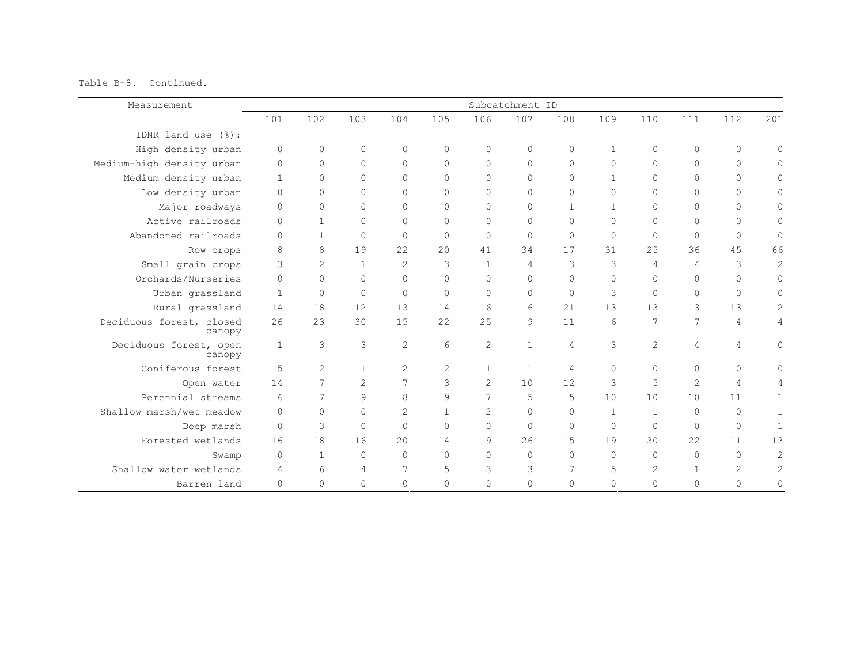Table B-8. Continued.

| Measurement                        | Subcatchment ID |                |                |                |               |                |                |                |              |                |                |                     |                     |
|------------------------------------|-----------------|----------------|----------------|----------------|---------------|----------------|----------------|----------------|--------------|----------------|----------------|---------------------|---------------------|
|                                    | 101             | 102            | 103            | 104            | 105           | 106            | 107            | 108            | 109          | 110            | 111            | 112                 | 201                 |
| IDNR land use (%):                 |                 |                |                |                |               |                |                |                |              |                |                |                     |                     |
| High density urban                 | $\mathbf 0$     | $\Omega$       | $\mathbf{0}$   | $\Omega$       | $\Omega$      | $\mathbf{0}$   | $\Omega$       | $\mathbf 0$    | $\mathbf{1}$ | $\bigcap$      | $\Omega$       | $\circ$             | $\mathbf{0}$        |
| Medium-high density urban          | $\circ$         | $\mathbf 0$    | $\circ$        | $\Omega$       | $\Omega$      | $\Omega$       | $\mathbf{0}$   | $\mathbf 0$    | $\circ$      | $\Omega$       | $\Omega$       | $\mathsf{O}\xspace$ | $\circ$             |
| Medium density urban               | $\mathbf{1}$    | $\bigcap$      | $\Omega$       | $\Omega$       | $\Omega$      | $\Omega$       | $\Omega$       | $\mathbf 0$    | $\mathbf{1}$ | $\cap$         | $\cap$         | $\Omega$            | $\mathbf{0}$        |
| Low density urban                  | $\mathbf 0$     | $\Omega$       | $\circ$        | $\Omega$       | $\Omega$      | $\Omega$       | $\Omega$       | $\mathbf{0}$   | $\Omega$     | $\bigcap$      | $\Omega$       | $\circ$             | 0                   |
| Major roadways                     | $\circ$         | $\Omega$       | $\mathbf{0}$   | $\circ$        | $\Omega$      | $\Omega$       | $\mathbf{0}$   | $\mathbf{1}$   | $\mathbf{1}$ | $\Omega$       | $\Omega$       | $\circ$             | $\mathbf{0}$        |
| Active railroads                   | $\Omega$        | $\mathbf{1}$   | $\mathbf{0}$   | $\Omega$       | $\Omega$      | $\Omega$       | $\Omega$       | $\mathbf 0$    | $\Omega$     | $\Omega$       | $\Omega$       | $\circ$             | $\mathbf{0}$        |
| Abandoned railroads                | $\Omega$        | $\mathbf{1}$   | $\mathbf{0}$   | $\circ$        | $\Omega$      | $\Omega$       | $\mathbf{0}$   | $\mathbf 0$    | $\circ$      | $\Omega$       | $\Omega$       | $\mathbf{0}$        | $\circ$             |
| Row crops                          | 8               | 8              | 19             | 22             | 20            | 41             | 34             | 17             | 31           | 25             | 36             | 45                  | 66                  |
| Small grain crops                  | 3               | 2              | $\mathbf{1}$   | 2              | 3             | $\mathbf{1}$   | $\overline{4}$ | 3              | 3            | $\overline{4}$ | $\overline{4}$ | 3                   | $\overline{2}$      |
| Orchards/Nurseries                 | $\Omega$        | $\Omega$       | $\circ$        | $\circ$        | $\Omega$      | $\Omega$       | $\mathbf{0}$   | $\mathbf 0$    | $\circ$      | $\Omega$       | $\Omega$       | $\mathbf 0$         | $\circ$             |
| Urban grassland                    | $\overline{1}$  | $\Omega$       | $\mathbf{0}$   | $\mathbf 0$    | $\Omega$      | $\Omega$       | $\mathbf{0}$   | $\mathbf 0$    | 3            | $\Omega$       | $\Omega$       | $\Omega$            | $\mathbf{0}$        |
| Rural grassland                    | 14              | 18             | 12             | 13             | 14            | 6              | 6              | 21             | 13           | 13             | 13             | 13                  | $\overline{2}$      |
| Deciduous forest, closed<br>canopy | 26              | 23             | 30             | 15             | 22            | 25             | 9              | 11             | 6            | 7              | 7              | $\overline{4}$      | 4                   |
| Deciduous forest, open<br>canopy   | $\mathbf{1}$    | 3              | 3              | $\mathbf{2}$   | 6             | $\overline{2}$ | $\mathbf{1}$   | $\overline{4}$ | 3            | $\overline{2}$ | 4              | $\overline{4}$      | $\mathsf{O}\xspace$ |
| Coniferous forest                  | 5               | $\overline{2}$ | $\mathbf{1}$   | $\overline{c}$ | $\mathcal{L}$ | $\mathbf{1}$   | $\overline{1}$ | $\overline{4}$ | $\Omega$     | $\bigcap$      | $\Omega$       | $\mathbf 0$         | $\circ$             |
| Open water                         | 14              | 7              | $\overline{c}$ | 7              | 3             | $\overline{2}$ | 10             | 12             | 3            | 5              | $\overline{2}$ | $\overline{4}$      | 4                   |
| Perennial streams                  | $6\overline{6}$ | 7              | 9              | 8              | 9             | 7              | 5              | 5              | 10           | 10             | 10             | 11                  | $\mathbf{1}$        |
| Shallow marsh/wet meadow           | $\bigcap$       | $\Omega$       | $\Omega$       | $\overline{c}$ | $\mathbf{1}$  | $\overline{2}$ | $\Omega$       | $\mathbf 0$    | $\mathbf{1}$ | $\mathbf{1}$   | $\Omega$       | $\Omega$            | $\mathbf 1$         |
| Deep marsh                         | $\Omega$        | 3              | $\mathbf{0}$   | $\mathbf 0$    | $\Omega$      | $\Omega$       | $\Omega$       | $\overline{0}$ | $\circ$      | $\bigcap$      | $\Omega$       | $\circ$             | $\mathbf{1}$        |
| Forested wetlands                  | 16              | 18             | 16             | 20             | 14            | 9              | 2.6            | 15             | 19           | 30             | 22             | 11                  | 13                  |
| Swamp                              | $\circ$         | $\mathbf{1}$   | $\Omega$       | $\Omega$       | $\Omega$      | $\Omega$       | $\Omega$       | $\Omega$       | $\Omega$     | $\bigcap$      | $\Omega$       | $\Omega$            | $\overline{c}$      |
| Shallow water wetlands             | $\overline{4}$  | 6              | 4              | 7              | 5             | 3              | 3              | 7              | 5            | 2              | $\mathbf{1}$   | $\mathbf{2}$        | 2                   |
| Barren land                        | $\circ$         | $\Omega$       | $\mathbf{0}$   | 0              | $\Omega$      | $\Omega$       | $\Omega$       | $\mathbf 0$    | $\circ$      | $\Omega$       | $\Omega$       | $\mathbf{0}$        | $\mathbf{0}$        |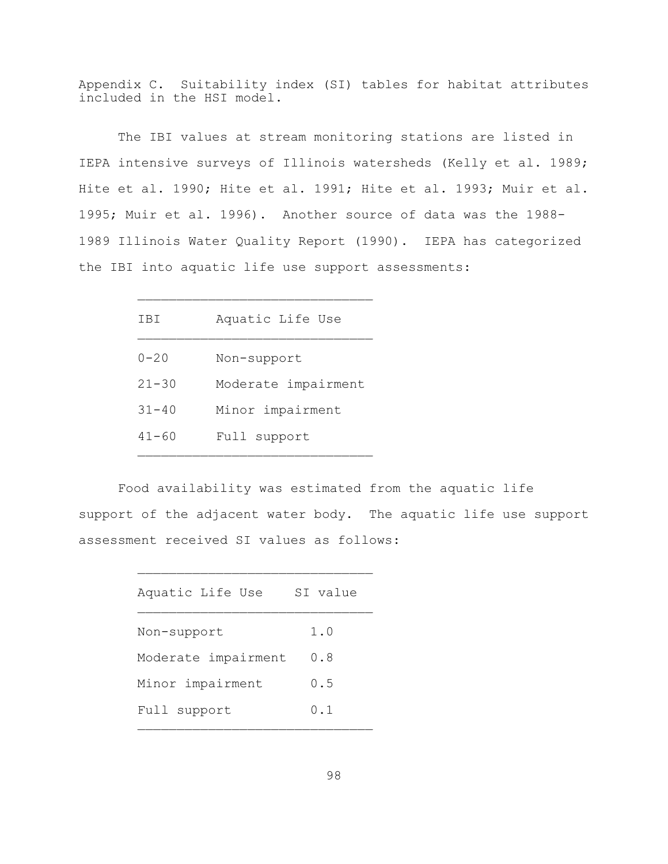Appendix C. Suitability index (SI) tables for habitat attributes included in the HSI model.

The IBI values at stream monitoring stations are listed in IEPA intensive surveys of Illinois watersheds (Kelly et al. 1989; Hite et al. 1990; Hite et al. 1991; Hite et al. 1993; Muir et al. 1995; Muir et al. 1996). Another source of data was the 1988- 1989 Illinois Water Quality Report (1990). IEPA has categorized the IBI into aquatic life use support assessments:

| TB1       | Aquatic Life Use    |
|-----------|---------------------|
| $0 - 20$  | Non-support         |
| $21 - 30$ | Moderate impairment |
| $31 - 40$ | Minor impairment    |
| $41 - 60$ | Full support        |
|           |                     |

 $\mathcal{L}_\text{max}$ 

Food availability was estimated from the aquatic life support of the adjacent water body. The aquatic life use support assessment received SI values as follows:

| Aquatic Life Use    | SI value |
|---------------------|----------|
| Non-support         | 1.0      |
| Moderate impairment | 0.8      |
| Minor impairment    | 0.5      |
| Full support        | 0.1      |

 $\mathcal{L}_\text{max}$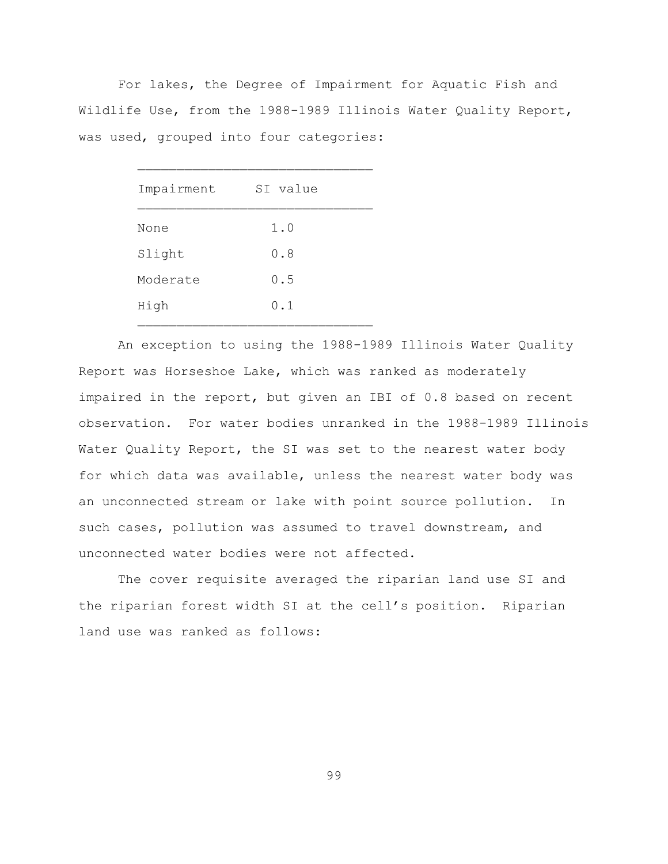For lakes, the Degree of Impairment for Aquatic Fish and Wildlife Use, from the 1988-1989 Illinois Water Quality Report, was used, grouped into four categories:

| Impairment | SI value |
|------------|----------|
| None       | 1.0      |
| Slight     | 0.8      |
| Moderate   | 0.5      |
| High       | 0.1      |

An exception to using the 1988-1989 Illinois Water Quality Report was Horseshoe Lake, which was ranked as moderately impaired in the report, but given an IBI of 0.8 based on recent observation. For water bodies unranked in the 1988-1989 Illinois Water Quality Report, the SI was set to the nearest water body for which data was available, unless the nearest water body was an unconnected stream or lake with point source pollution. In such cases, pollution was assumed to travel downstream, and unconnected water bodies were not affected.

The cover requisite averaged the riparian land use SI and the riparian forest width SI at the cell's position. Riparian land use was ranked as follows: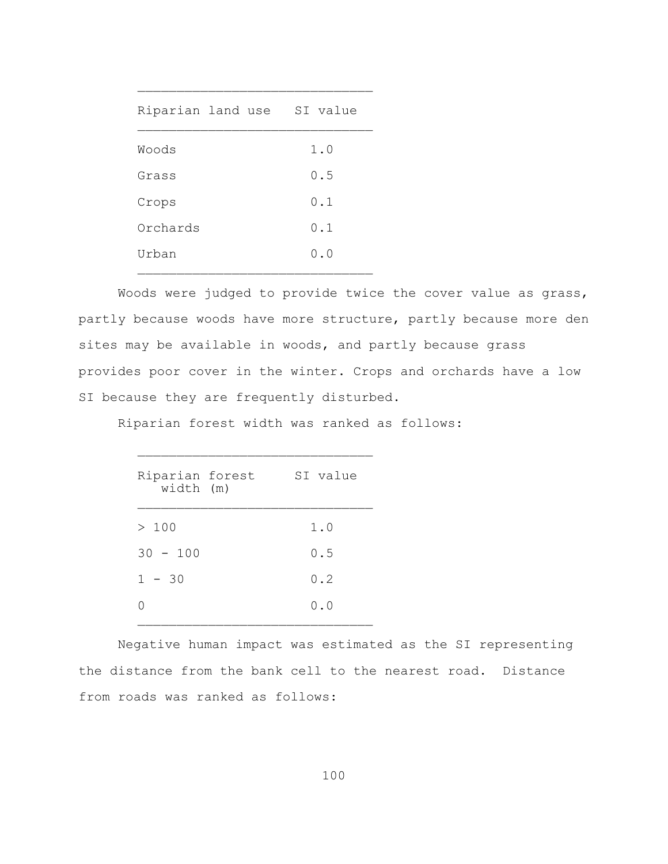| Riparian land use |  | SI value |  |
|-------------------|--|----------|--|
| Woods             |  | 1.0      |  |
| Grass             |  | 0.5      |  |
| Crops             |  | 0.1      |  |
| Orchards          |  | 0.1      |  |
| Urban             |  | 0.0      |  |

 $\mathcal{L}_\text{max}$ 

Woods were judged to provide twice the cover value as grass, partly because woods have more structure, partly because more den sites may be available in woods, and partly because grass provides poor cover in the winter. Crops and orchards have a low SI because they are frequently disturbed.

Riparian forest width was ranked as follows:

| Riparian forest<br>width (m) | SI value |
|------------------------------|----------|
| >100                         | 1.0      |
| $30 - 100$                   | 0.5      |
| $1 - 30$                     | 0.2      |
|                              | 0.0      |
|                              |          |

 $\mathcal{L}_\text{max}$ 

Negative human impact was estimated as the SI representing the distance from the bank cell to the nearest road. Distance from roads was ranked as follows: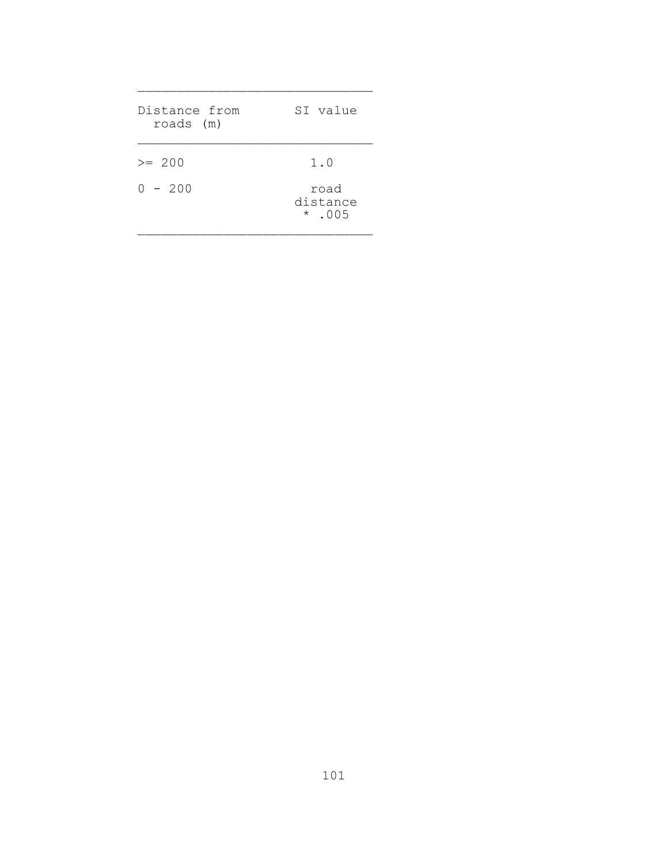| Distance from<br>roads (m) | SI value                            |
|----------------------------|-------------------------------------|
| $>= 200$<br>$0 - 200$      | 1.0<br>road<br>distance<br>$*$ .005 |

 $\mathcal{L}_\text{max}$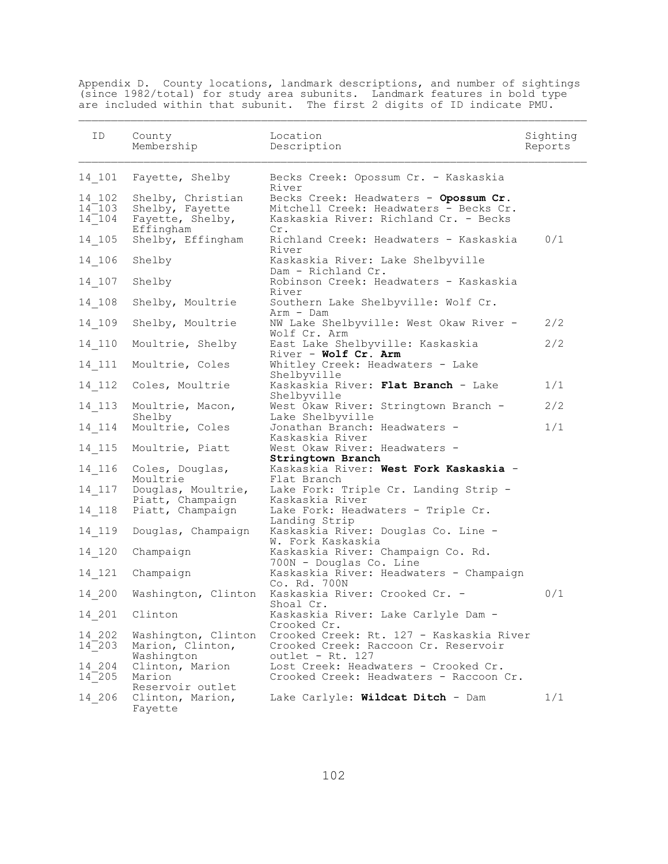Appendix D. County locations, landmark descriptions, and number of sightings (since 1982/total) for study area subunits. Landmark features in bold type are included within that subunit. The first 2 digits of ID indicate PMU.

 $\mathcal{L}_\text{max}$ 

| ID                               | County<br>Membership                                                  | Location<br>Description                                                                                                                  | Sighting<br>Reports |
|----------------------------------|-----------------------------------------------------------------------|------------------------------------------------------------------------------------------------------------------------------------------|---------------------|
| 14 101                           | Fayette, Shelby                                                       | Becks Creek: Opossum Cr. - Kaskaskia                                                                                                     |                     |
| 14 102<br>$14^-103$<br>$14^-104$ | Shelby, Christian<br>Shelby, Fayette<br>Fayette, Shelby,<br>Effingham | River<br>Becks Creek: Headwaters - Opossum Cr.<br>Mitchell Creek: Headwaters - Becks Cr.<br>Kaskaskia River: Richland Cr. - Becks<br>Cr. |                     |
| 14 105                           | Shelby, Effingham                                                     | Richland Creek: Headwaters - Kaskaskia<br>River                                                                                          | 0/1                 |
| 14 106                           | Shelby                                                                | Kaskaskia River: Lake Shelbyville<br>Dam - Richland Cr.                                                                                  |                     |
| 14 107                           | Shelby                                                                | Robinson Creek: Headwaters - Kaskaskia<br>River                                                                                          |                     |
| 14 108                           | Shelby, Moultrie                                                      | Southern Lake Shelbyville: Wolf Cr.<br>Arm - Dam                                                                                         |                     |
| 14 109                           | Shelby, Moultrie                                                      | NW Lake Shelbyville: West Okaw River -<br>Wolf Cr. Arm                                                                                   | 2/2                 |
| 14 110                           | Moultrie, Shelby                                                      | East Lake Shelbyville: Kaskaskia<br>River - Wolf Cr. Arm                                                                                 | 2/2                 |
| 14 111                           | Moultrie, Coles                                                       | Whitley Creek: Headwaters - Lake<br>Shelbyville                                                                                          |                     |
| 14 112                           | Coles, Moultrie                                                       | Kaskaskia River: Flat Branch - Lake<br>Shelbyville                                                                                       | 1/1                 |
| 14 113                           | Moultrie, Macon,<br>Shelby                                            | West Okaw River: Stringtown Branch -<br>Lake Shelbyville                                                                                 | 2/2                 |
| $14$ $114$                       | Moultrie, Coles                                                       | Jonathan Branch: Headwaters -<br>Kaskaskia River                                                                                         | 1/1                 |
| $14$ $115$                       | Moultrie, Piatt                                                       | West Okaw River: Headwaters -<br>Stringtown Branch                                                                                       |                     |
| 14 116                           | Coles, Douglas,                                                       | Kaskaskia River: West Fork Kaskaskia -                                                                                                   |                     |
| 14 117                           | Moultrie<br>Douglas, Moultrie,                                        | Flat Branch<br>Lake Fork: Triple Cr. Landing Strip -                                                                                     |                     |
| 14 118                           | Piatt, Champaign<br>Piatt, Champaign                                  | Kaskaskia River<br>Lake Fork: Headwaters - Triple Cr.                                                                                    |                     |
| 14 119                           | Douglas, Champaign                                                    | Landing Strip<br>Kaskaskia River: Douglas Co. Line -                                                                                     |                     |
| 14 120                           | Champaign                                                             | W. Fork Kaskaskia<br>Kaskaskia River: Champaign Co. Rd.                                                                                  |                     |
| 14 121                           | Champaign                                                             | 700N - Douglas Co. Line<br>Kaskaskia River: Headwaters - Champaign                                                                       |                     |
| 14 200                           | Washington, Clinton                                                   | Co. Rd. 700N<br>Kaskaskia River: Crooked Cr. -                                                                                           | 0/1                 |
|                                  | 14 201 Clinton                                                        | Shoal Cr.<br>Kaskaskia River: Lake Carlyle Dam -                                                                                         |                     |
| 14 202<br>$14^-$ 203             | Washington, Clinton<br>Marion, Clinton,<br>Washington                 | Crooked Cr.<br>Crooked Creek: Rt. 127 - Kaskaskia River<br>Crooked Creek: Raccoon Cr. Reservoir<br>outlet - $Rt. 127$                    |                     |
| 14 204<br>$14^-$ 205             | Clinton, Marion<br>Marion                                             | Lost Creek: Headwaters - Crooked Cr.<br>Crooked Creek: Headwaters - Raccoon Cr.                                                          |                     |
| 14 206                           | Reservoir outlet<br>Clinton, Marion,<br>Fayette                       | Lake Carlyle: Wildcat Ditch - Dam                                                                                                        | 1/1                 |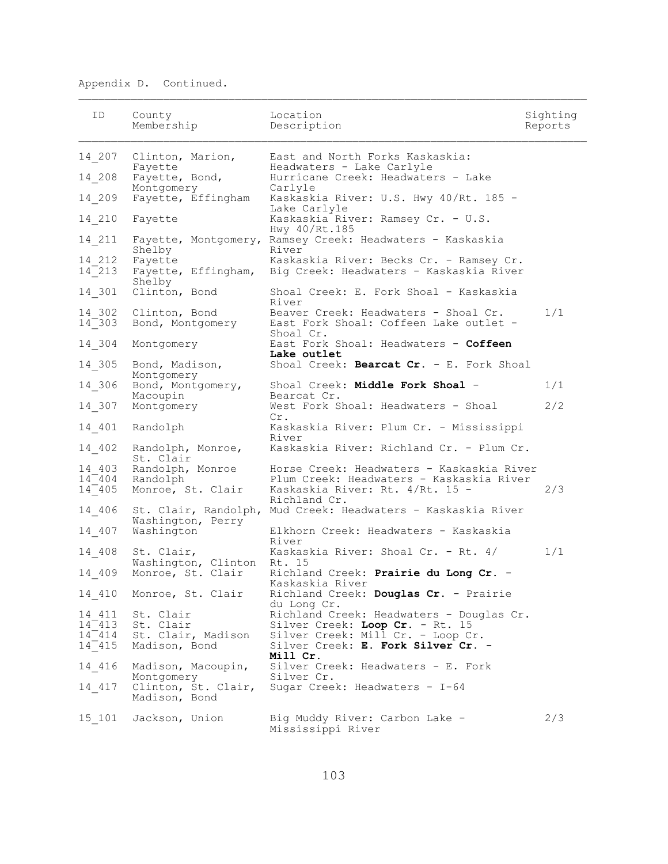| ID                                            | County<br>Membership                                          | Location<br>Description                                                                                                                                            | Sighting<br>Reports |
|-----------------------------------------------|---------------------------------------------------------------|--------------------------------------------------------------------------------------------------------------------------------------------------------------------|---------------------|
| 14 207                                        | Clinton, Marion,                                              | East and North Forks Kaskaskia:                                                                                                                                    |                     |
| 14 208                                        | Fayette<br>Fayette, Bond,<br>Montgomery                       | Headwaters - Lake Carlyle<br>Hurricane Creek: Headwaters - Lake<br>Carlyle                                                                                         |                     |
| 14 209                                        | Fayette, Effingham                                            | Kaskaskia River: U.S. Hwy 40/Rt. 185 -<br>Lake Carlyle                                                                                                             |                     |
| $14 \_ 210$                                   | Fayette                                                       | Kaskaskia River: Ramsey Cr. - U.S.<br>Hwy 40/Rt.185                                                                                                                |                     |
| 14 211                                        | Shelby                                                        | Fayette, Montgomery, Ramsey Creek: Headwaters - Kaskaskia<br>River                                                                                                 |                     |
| 14 212<br>$14^-$ 213                          | Fayette<br>Fayette, Effingham,<br>Shelby                      | Kaskaskia River: Becks Cr. - Ramsey Cr.<br>Big Creek: Headwaters - Kaskaskia River                                                                                 |                     |
| $14 - 301$                                    | Clinton, Bond                                                 | Shoal Creek: E. Fork Shoal - Kaskaskia<br>River                                                                                                                    |                     |
| 14 302<br>$14^-303$                           | Clinton, Bond<br>Bond, Montgomery                             | Beaver Creek: Headwaters - Shoal Cr.<br>East Fork Shoal: Coffeen Lake outlet -<br>Shoal Cr.                                                                        | 1/1                 |
| 14 304                                        | Montgomery                                                    | East Fork Shoal: Headwaters - Coffeen<br>Lake outlet                                                                                                               |                     |
| 14 305                                        | Bond, Madison,<br>Montgomery                                  | Shoal Creek: Bearcat Cr. - E. Fork Shoal                                                                                                                           |                     |
| 14 306                                        | Bond, Montgomery,<br>Macoupin                                 | Shoal Creek: Middle Fork Shoal -<br>Bearcat Cr.                                                                                                                    | 1/1                 |
| 14 307                                        | Montgomery                                                    | West Fork Shoal: Headwaters - Shoal<br>Cr.                                                                                                                         | 2/2                 |
| 14 401                                        | Randolph                                                      | Kaskaskia River: Plum Cr. - Mississippi<br>River                                                                                                                   |                     |
| 14 402                                        | Randolph, Monroe,<br>St. Clair                                | Kaskaskia River: Richland Cr. - Plum Cr.                                                                                                                           |                     |
| 14 403<br>$14^-404$<br>$14^-405$              | Randolph, Monroe<br>Randolph<br>Monroe, St. Clair             | Horse Creek: Headwaters - Kaskaskia River<br>Plum Creek: Headwaters - Kaskaskia River<br>Kaskaskia River: Rt. 4/Rt. 15 -<br>Richland Cr.                           | 2/3                 |
| 14 406                                        | Washington, Perry                                             | St. Clair, Randolph, Mud Creek: Headwaters - Kaskaskia River                                                                                                       |                     |
| 14 407                                        | Washington                                                    | Elkhorn Creek: Headwaters - Kaskaskia<br>River                                                                                                                     |                     |
| 14 408                                        | St. Clair,<br>Washington, Clinton Rt. 15                      | Kaskaskia River: Shoal Cr. - Rt. 4/                                                                                                                                | 1/1                 |
| 14 409                                        | Monroe, St. Clair                                             | Richland Creek: Prairie du Long Cr. -<br>Kaskaskia River                                                                                                           |                     |
|                                               | 14 410 Monroe, St. Clair                                      | Richland Creek: Douglas Cr. - Prairie<br>du Long Cr.                                                                                                               |                     |
| 14 411<br>$14^-413$<br>$14^-414$<br>$14^-415$ | St. Clair<br>St. Clair<br>St. Clair, Madison<br>Madison, Bond | Richland Creek: Headwaters - Douglas Cr.<br>Silver Creek: Loop Cr. - Rt. 15<br>Silver Creek: Mill Cr. - Loop Cr.<br>Silver Creek: E. Fork Silver Cr. -<br>Mill Cr. |                     |
| 14 416                                        | Madison, Macoupin,<br>Montgomery                              | Silver Creek: Headwaters - E. Fork<br>Silver Cr.                                                                                                                   |                     |
| 14 417                                        | Clinton, St. Clair,<br>Madison, Bond                          | Sugar Creek: Headwaters - I-64                                                                                                                                     |                     |
| 15 101                                        | Jackson, Union                                                | Big Muddy River: Carbon Lake -<br>Mississippi River                                                                                                                | 2/3                 |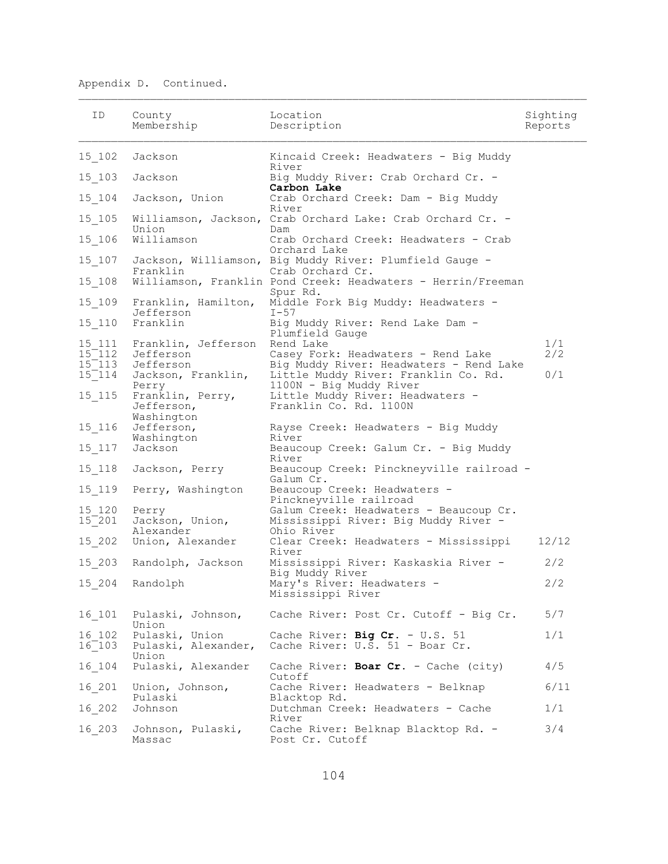| ID          | County<br>Membership                         | Location<br>Description                                                     | Sighting<br>Reports |
|-------------|----------------------------------------------|-----------------------------------------------------------------------------|---------------------|
| 15 102      | Jackson                                      | Kincaid Creek: Headwaters - Big Muddy<br>River                              |                     |
| 15 103      | Jackson                                      | Big Muddy River: Crab Orchard Cr. -<br>Carbon Lake                          |                     |
| 15 104      | Jackson, Union                               | Crab Orchard Creek: Dam - Big Muddy<br>River                                |                     |
| $15\_105$   | Williamson, Jackson,<br>Union                | Crab Orchard Lake: Crab Orchard Cr. -<br>Dam                                |                     |
| $15 - 106$  | Williamson                                   | Crab Orchard Creek: Headwaters - Crab<br>Orchard Lake                       |                     |
| 15 107      | Franklin                                     | Jackson, Williamson, Big Muddy River: Plumfield Gauge -<br>Crab Orchard Cr. |                     |
| 15 108      |                                              | Williamson, Franklin Pond Creek: Headwaters - Herrin/Freeman<br>Spur Rd.    |                     |
| 15 109      | Franklin, Hamilton,<br>Jefferson             | Middle Fork Big Muddy: Headwaters -<br>$I - 57$                             |                     |
| 15 110      | Franklin                                     | Big Muddy River: Rend Lake Dam -<br>Plumfield Gauge                         |                     |
| 15 111      | Franklin, Jefferson                          | Rend Lake                                                                   | 1/1                 |
| $15^-112$   | Jefferson                                    | Casey Fork: Headwaters - Rend Lake                                          | 2/2                 |
| $15^-113$   | Jefferson                                    | Big Muddy River: Headwaters - Rend Lake                                     |                     |
| $15^-114$   | Jackson, Franklin,<br>Perry                  | Little Muddy River: Franklin Co. Rd.<br>1100N - Big Muddy River             | 0/1                 |
| 15 115      | Franklin, Perry,<br>Jefferson,<br>Washington | Little Muddy River: Headwaters -<br>Franklin Co. Rd. 1100N                  |                     |
| 15 116      | Jefferson,<br>Washington                     | Rayse Creek: Headwaters - Big Muddy<br>River                                |                     |
| $15\_117$   | Jackson                                      | Beaucoup Creek: Galum Cr. - Big Muddy<br>River                              |                     |
| 15 118      | Jackson, Perry                               | Beaucoup Creek: Pinckneyville railroad -<br>Galum Cr.                       |                     |
| 15 119      | Perry, Washington                            | Beaucoup Creek: Headwaters -<br>Pinckneyville railroad                      |                     |
| 15 120      | Perry                                        | Galum Creek: Headwaters - Beaucoup Cr.                                      |                     |
| $15^ 201$   | Jackson, Union,<br>Alexander                 | Mississippi River: Big Muddy River -<br>Ohio River                          |                     |
| 15 202      | Union, Alexander                             | Clear Creek: Headwaters - Mississippi<br>River                              | 12/12               |
| 15 203      | Randolph, Jackson                            | Mississippi River: Kaskaskia River -<br>Big Muddy River                     | 2/2                 |
| 15 204      | Randolph                                     | Mary's River: Headwaters -<br>Mississippi River                             | 2/2                 |
| 16 101      | Pulaski, Johnson,<br>Union                   | Cache River: Post Cr. Cutoff - Big Cr.                                      | 5/7                 |
| 16 102      | Pulaski, Union                               | Cache River: Big Cr. - U.S. 51                                              | 1/1                 |
| $16^ 103^-$ | Union                                        | Pulaski, Alexander, Cache River: U.S. 51 - Boar Cr.                         |                     |
| 16 104      | Pulaski, Alexander                           | Cache River: Boar Cr. - Cache (city)<br>Cutoff                              | 4/5                 |
| 16 201      | Union, Johnson,<br>Pulaski                   | Cache River: Headwaters - Belknap<br>Blacktop Rd.                           | 6/11                |
| 16 202      | Johnson                                      | Dutchman Creek: Headwaters - Cache<br>River                                 | 1/1                 |
| 16 203      | Johnson, Pulaski,<br>Massac                  | Cache River: Belknap Blacktop Rd. -<br>Post Cr. Cutoff                      | 3/4                 |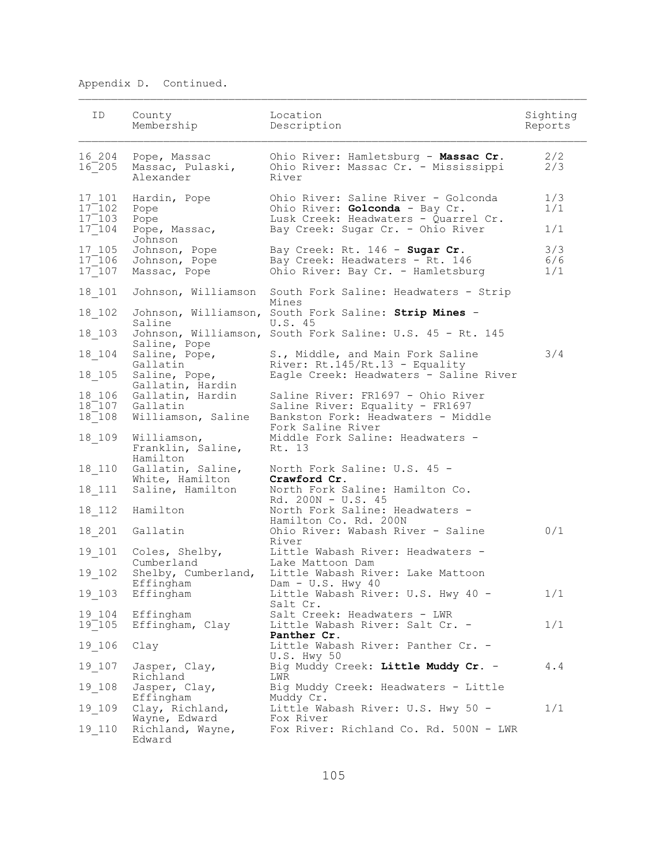| ID.                              | County<br>Membership                                                  | Location<br>Description                                                                                       | Sighting<br>Reports |
|----------------------------------|-----------------------------------------------------------------------|---------------------------------------------------------------------------------------------------------------|---------------------|
| 16 204<br>$16^-$ 205             | Pope, Massac<br>Massac, Pulaski,<br>Alexander                         | Ohio River: Hamletsburg - Massac Cr.<br>Ohio River: Massac Cr. - Mississippi<br>River                         | 2/2<br>2/3          |
| 17 101<br>$17^-102$<br>$17^-103$ | Hardin, Pope<br>Pope<br>Pope                                          | Ohio River: Saline River - Golconda<br>Ohio River: Golconda - Bay Cr.<br>Lusk Creek: Headwaters - Quarrel Cr. | 1/3<br>1/1          |
| $17^-104$                        | Pope, Massac,<br>Johnson                                              | Bay Creek: Sugar Cr. - Ohio River                                                                             | 1/1                 |
| 17 105<br>$17^-106$<br>$17^-107$ | Johnson, Pope<br>Johnson, Pope<br>Massac, Pope                        | Bay Creek: Rt. 146 - Sugar Cr.<br>Bay Creek: Headwaters - Rt. 146<br>Ohio River: Bay Cr. - Hamletsburg        | 3/3<br>6/6<br>1/1   |
| 18 101                           | Johnson, Williamson                                                   | South Fork Saline: Headwaters - Strip<br>Mines                                                                |                     |
| 18 102                           | Saline                                                                | Johnson, Williamson, South Fork Saline: Strip Mines -<br>U.S. 45                                              |                     |
| 18 103                           | Saline, Pope                                                          | Johnson, Williamson, South Fork Saline: U.S. 45 - Rt. 145                                                     |                     |
| $18 - 104$                       | Saline, Pope,<br>Gallatin                                             | S., Middle, and Main Fork Saline<br>River: Rt.145/Rt.13 - Equality                                            | 3/4                 |
| 18 105                           | Saline, Pope,<br>Gallatin, Hardin                                     | Eagle Creek: Headwaters - Saline River                                                                        |                     |
| 18 106<br>$18^ 108$              | Gallatin, Hardin<br>18 <sup>-107</sup> Gallatin<br>Williamson, Saline | Saline River: FR1697 - Ohio River<br>Saline River: Equality - FR1697<br>Bankston Fork: Headwaters - Middle    |                     |
| 18 109                           | Williamson,<br>Franklin, Saline,<br>Hamilton                          | Fork Saline River<br>Middle Fork Saline: Headwaters -<br>Rt. 13                                               |                     |
| 18 110                           | Gallatin, Saline,<br>White, Hamilton                                  | North Fork Saline: U.S. 45 -<br>Crawford Cr.                                                                  |                     |
| 18 111                           | Saline, Hamilton                                                      | North Fork Saline: Hamilton Co.<br>Rd. 200N - U.S. 45                                                         |                     |
| $18$ <sup>112</sup>              | Hamilton                                                              | North Fork Saline: Headwaters -<br>Hamilton Co. Rd. 200N                                                      |                     |
| 18 201                           | Gallatin                                                              | Ohio River: Wabash River - Saline<br>River                                                                    | 0/1                 |
| 19 101                           | Coles, Shelby,<br>Cumberland                                          | Little Wabash River: Headwaters -<br>Lake Mattoon Dam                                                         |                     |
| 19 102                           | Shelby, Cumberland,<br>Effingham                                      | Little Wabash River: Lake Mattoon<br>Dam - $U.S. Hwy 40$                                                      |                     |
|                                  | 19_103 Effingham                                                      | Little Wabash River: U.S. Hwy 40 -<br>Salt Cr.                                                                | 1/1                 |
| 19 104<br>$19^-105$              | Effingham<br>Effingham, Clay                                          | Salt Creek: Headwaters - LWR<br>Little Wabash River: Salt Cr. -<br>Panther Cr.                                | 1/1                 |
| 19 106                           | Clay                                                                  | Little Wabash River: Panther Cr. -<br>U.S. Hwy 50                                                             |                     |
| 19 107                           | Jasper, Clay,<br>Richland                                             | Big Muddy Creek: Little Muddy Cr. -<br>LWR                                                                    | 4.4                 |
| 19 108                           | Jasper, Clay,<br>Effingham                                            | Big Muddy Creek: Headwaters - Little<br>Muddy Cr.                                                             |                     |
| 19 109                           | Clay, Richland,<br>Wayne, Edward                                      | Little Wabash River: U.S. Hwy 50 -<br>Fox River                                                               | 1/1                 |
| 19 110                           | Richland, Wayne,<br>Edward                                            | Fox River: Richland Co. Rd. 500N - LWR                                                                        |                     |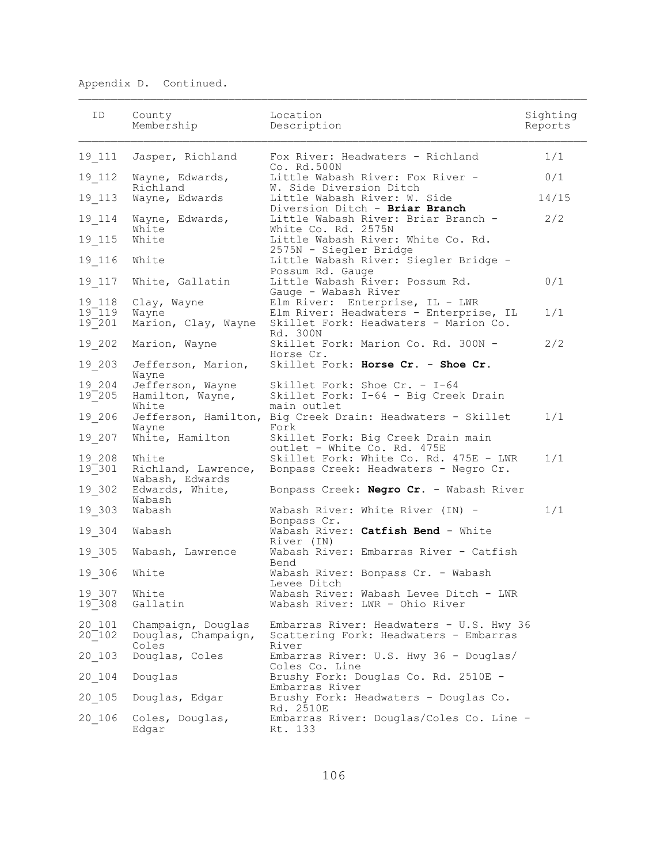| ID                         | County<br>Membership                               | Location<br>Description                                                                     | Sighting<br>Reports |
|----------------------------|----------------------------------------------------|---------------------------------------------------------------------------------------------|---------------------|
| 19 111                     | Jasper, Richland                                   | Fox River: Headwaters - Richland<br>Co. Rd.500N                                             | 1/1                 |
| 19 112                     | Wayne, Edwards,<br>Richland                        | Little Wabash River: Fox River -<br>W. Side Diversion Ditch                                 | 0/1                 |
| 19 113                     | Wayne, Edwards                                     | Little Wabash River: W. Side<br>Diversion Ditch - Briar Branch                              | 14/15               |
| 19 114                     | Wayne, Edwards,<br>White                           | Little Wabash River: Briar Branch -<br>White Co. Rd. 2575N                                  | 2/2                 |
| 19 115                     | White                                              | Little Wabash River: White Co. Rd.<br>2575N - Siegler Bridge                                |                     |
| 19 116                     | White                                              | Little Wabash River: Siegler Bridge -<br>Possum Rd. Gauge                                   |                     |
| 19 117                     | White, Gallatin                                    | Little Wabash River: Possum Rd.<br>Gauge - Wabash River                                     | 0/1                 |
| 19 118<br>$19 - 119$       | Clay, Wayne<br>Wayne                               | Elm River: Enterprise, IL - LWR<br>Elm River: Headwaters - Enterprise, IL                   | 1/1                 |
| $19^-201$                  | Marion, Clay, Wayne                                | Skillet Fork: Headwaters - Marion Co.<br>Rd. 300N                                           |                     |
| 19 202                     | Marion, Wayne                                      | Skillet Fork: Marion Co. Rd. 300N -<br>Horse Cr.                                            | 2/2                 |
| 19 203                     | Jefferson, Marion,<br>Wayne                        | Skillet Fork: Horse Cr. - Shoe Cr.                                                          |                     |
| 19 204<br>$19^-205$        | Jefferson, Wayne<br>Hamilton, Wayne,<br>White      | Skillet Fork: Shoe Cr. - I-64<br>Skillet Fork: I-64 - Big Creek Drain<br>main outlet        |                     |
| 19 206                     | Wayne                                              | Jefferson, Hamilton, Big Creek Drain: Headwaters - Skillet<br>Fork                          | 1/1                 |
| 19 207                     | White, Hamilton                                    | Skillet Fork: Big Creek Drain main<br>outlet - White Co. Rd. 475E                           |                     |
| 19 208<br>$19^-301$        | White<br>Richland, Lawrence,<br>Wabash, Edwards    | Skillet Fork: White Co. Rd. 475E - LWR<br>Bonpass Creek: Headwaters - Negro Cr.             | 1/1                 |
| 19 302                     | Edwards, White,<br>Wabash                          | Bonpass Creek: Negro Cr. - Wabash River                                                     |                     |
| 19 303                     | Wabash                                             | Wabash River: White River (IN) -<br>Bonpass Cr.                                             | 1/1                 |
| 19 304                     | Wabash                                             | Wabash River: Catfish Bend - White<br>River (IN)                                            |                     |
| 19 305                     | Wabash, Lawrence                                   | Wabash River: Embarras River - Catfish<br>Bend                                              |                     |
| 19 306                     | White                                              | Wabash River: Bonpass Cr. - Wabash<br>Levee Ditch                                           |                     |
| 19 307 White<br>$19 - 308$ | Gallatin                                           | Wabash River: Wabash Levee Ditch - LWR<br>Wabash River: LWR - Ohio River                    |                     |
| 20 101<br>$20^-102$        | Champaign, Douglas<br>Douglas, Champaign,<br>Coles | Embarras River: Headwaters - U.S. Hwy 36<br>Scattering Fork: Headwaters - Embarras<br>River |                     |
| 20 103                     | Douglas, Coles                                     | Embarras River: U.S. Hwy 36 - Douglas/<br>Coles Co. Line                                    |                     |
| 20 104                     | Douglas                                            | Brushy Fork: Douglas Co. Rd. 2510E -<br>Embarras River                                      |                     |
| 20 105                     | Douglas, Edgar                                     | Brushy Fork: Headwaters - Douglas Co.<br>Rd. 2510E                                          |                     |
| 20 106                     | Coles, Douglas,<br>Edgar                           | Embarras River: Douglas/Coles Co. Line -<br>Rt. 133                                         |                     |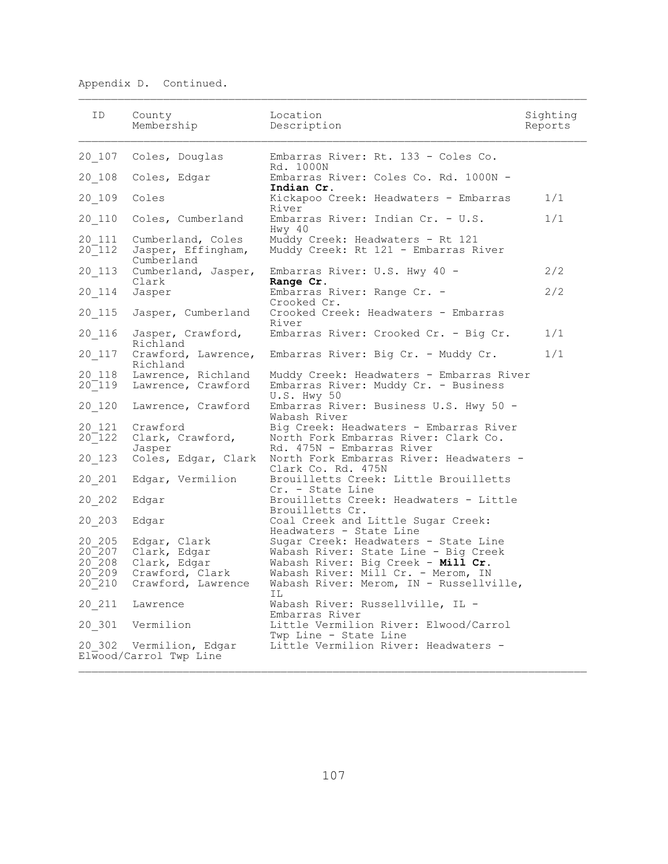| ID.                                                                | County<br>Membership                                                                  | Location<br>Description                                                                                                                                                                                   | Sighting<br>Reports |
|--------------------------------------------------------------------|---------------------------------------------------------------------------------------|-----------------------------------------------------------------------------------------------------------------------------------------------------------------------------------------------------------|---------------------|
|                                                                    | 20 107 Coles, Douglas                                                                 | Embarras River: Rt. 133 - Coles Co.                                                                                                                                                                       |                     |
| $20 - 108$                                                         | Coles, Edgar                                                                          | Rd. 1000N<br>Embarras River: Coles Co. Rd. 1000N -                                                                                                                                                        |                     |
| 20 109                                                             | Coles                                                                                 | Indian Cr.<br>Kickapoo Creek: Headwaters - Embarras                                                                                                                                                       | 1/1                 |
| 20 110                                                             | Coles, Cumberland                                                                     | River<br>Embarras River: Indian Cr. - U.S.                                                                                                                                                                | 1/1                 |
| 20 111<br>$20^-112$                                                | Cumberland, Coles<br>Jasper, Effingham,<br>Cumberland                                 | Hwy 40<br>Muddy Creek: Headwaters - Rt 121<br>Muddy Creek: Rt 121 - Embarras River                                                                                                                        |                     |
| 20 113                                                             | Cumberland, Jasper,                                                                   | Embarras River: U.S. Hwy 40 -                                                                                                                                                                             | 2/2                 |
| 20 114                                                             | Clark<br>Jasper                                                                       | Range Cr.<br>Embarras River: Range Cr. -<br>Crooked Cr.                                                                                                                                                   | 2/2                 |
| 20 115                                                             | Jasper, Cumberland                                                                    | Crooked Creek: Headwaters - Embarras<br>River                                                                                                                                                             |                     |
| 20 116                                                             | Jasper, Crawford,<br>Richland                                                         | Embarras River: Crooked Cr. - Big Cr.                                                                                                                                                                     | 1/1                 |
| 20 117                                                             | Crawford, Lawrence,<br>Richland                                                       | Embarras River: Big Cr. - Muddy Cr.                                                                                                                                                                       | 1/1                 |
| 20 118<br>$20^-119$                                                | Lawrence, Richland<br>Lawrence, Crawford                                              | Muddy Creek: Headwaters - Embarras River<br>Embarras River: Muddy Cr. - Business                                                                                                                          |                     |
| 20 120                                                             | Lawrence, Crawford                                                                    | U.S. Hwy 50<br>Embarras River: Business U.S. Hwy 50 -<br>Wabash River                                                                                                                                     |                     |
| 20 121<br>$20^-122$<br>20 123                                      | Crawford<br>Clark, Crawford,<br>Jasper<br>Coles, Edgar, Clark                         | Big Creek: Headwaters - Embarras River<br>North Fork Embarras River: Clark Co.<br>Rd. 475N - Embarras River<br>North Fork Embarras River: Headwaters -                                                    |                     |
|                                                                    |                                                                                       | Clark Co. Rd. 475N                                                                                                                                                                                        |                     |
| 20 201                                                             | Edgar, Vermilion                                                                      | Brouilletts Creek: Little Brouilletts<br>Cr. - State Line                                                                                                                                                 |                     |
| 20 202                                                             | Edgar                                                                                 | Brouilletts Creek: Headwaters - Little<br>Brouilletts Cr.                                                                                                                                                 |                     |
| 20 203                                                             | Edgar                                                                                 | Coal Creek and Little Sugar Creek:<br>Headwaters - State Line                                                                                                                                             |                     |
| 20 205<br>$20^-$ 207<br>20 208<br>20 <sup>-</sup> 209<br>$20^-210$ | Edgar, Clark<br>Clark, Edgar<br>Clark, Edgar<br>Crawford, Clark<br>Crawford, Lawrence | Sugar Creek: Headwaters - State Line<br>Wabash River: State Line - Big Creek<br>Wabash River: Big Creek - Mill Cr.<br>Wabash River: Mill Cr. - Merom, IN<br>Wabash River: Merom, IN - Russellville,<br>IL |                     |
| 20 211                                                             | Lawrence                                                                              | Wabash River: Russellville, IL -                                                                                                                                                                          |                     |
|                                                                    | 20 301 Vermilion                                                                      | Embarras River<br>Little Vermilion River: Elwood/Carrol                                                                                                                                                   |                     |
|                                                                    | 20 302 Vermilion, Edgar<br>Elwood/Carrol Twp Line                                     | Twp Line - State Line<br>Little Vermilion River: Headwaters -                                                                                                                                             |                     |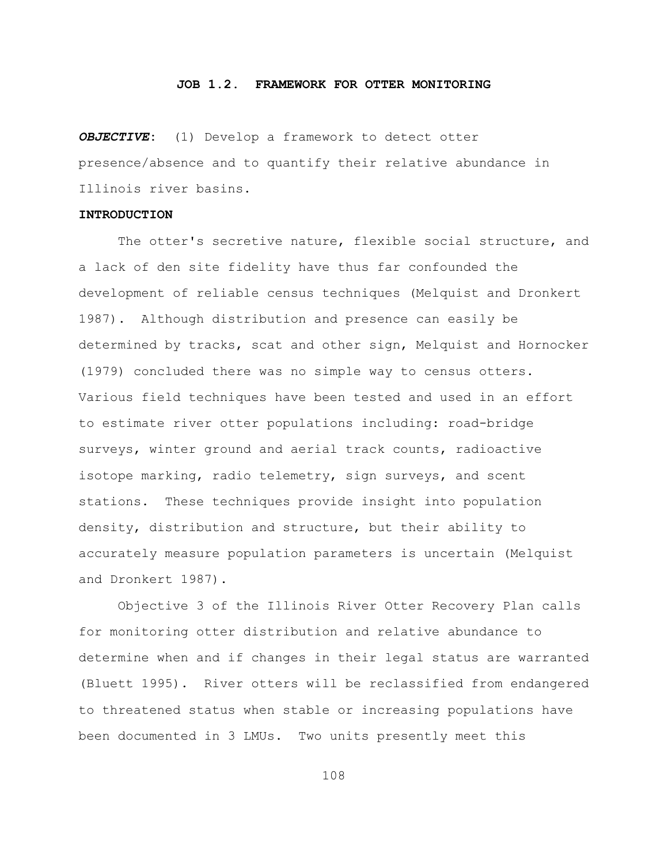#### **JOB 1.2. FRAMEWORK FOR OTTER MONITORING**

*OBJECTIVE***:** (1) Develop a framework to detect otter presence/absence and to quantify their relative abundance in Illinois river basins.

# **INTRODUCTION**

The otter's secretive nature, flexible social structure, and a lack of den site fidelity have thus far confounded the development of reliable census techniques (Melquist and Dronkert 1987). Although distribution and presence can easily be determined by tracks, scat and other sign, Melquist and Hornocker (1979) concluded there was no simple way to census otters. Various field techniques have been tested and used in an effort to estimate river otter populations including: road-bridge surveys, winter ground and aerial track counts, radioactive isotope marking, radio telemetry, sign surveys, and scent stations. These techniques provide insight into population density, distribution and structure, but their ability to accurately measure population parameters is uncertain (Melquist and Dronkert 1987).

Objective 3 of the Illinois River Otter Recovery Plan calls for monitoring otter distribution and relative abundance to determine when and if changes in their legal status are warranted (Bluett 1995). River otters will be reclassified from endangered to threatened status when stable or increasing populations have been documented in 3 LMUs. Two units presently meet this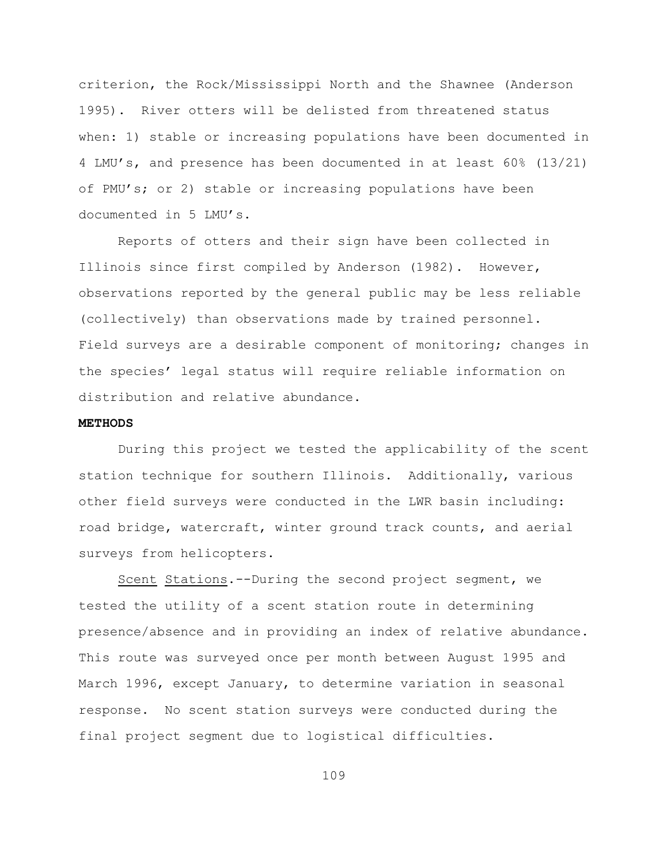criterion, the Rock/Mississippi North and the Shawnee (Anderson 1995). River otters will be delisted from threatened status when: 1) stable or increasing populations have been documented in 4 LMU's, and presence has been documented in at least 60% (13/21) of PMU's; or 2) stable or increasing populations have been documented in 5 LMU's.

Reports of otters and their sign have been collected in Illinois since first compiled by Anderson (1982). However, observations reported by the general public may be less reliable (collectively) than observations made by trained personnel. Field surveys are a desirable component of monitoring; changes in the species' legal status will require reliable information on distribution and relative abundance.

# **METHODS**

During this project we tested the applicability of the scent station technique for southern Illinois. Additionally, various other field surveys were conducted in the LWR basin including: road bridge, watercraft, winter ground track counts, and aerial surveys from helicopters.

Scent Stations.--During the second project segment, we tested the utility of a scent station route in determining presence/absence and in providing an index of relative abundance. This route was surveyed once per month between August 1995 and March 1996, except January, to determine variation in seasonal response. No scent station surveys were conducted during the final project segment due to logistical difficulties.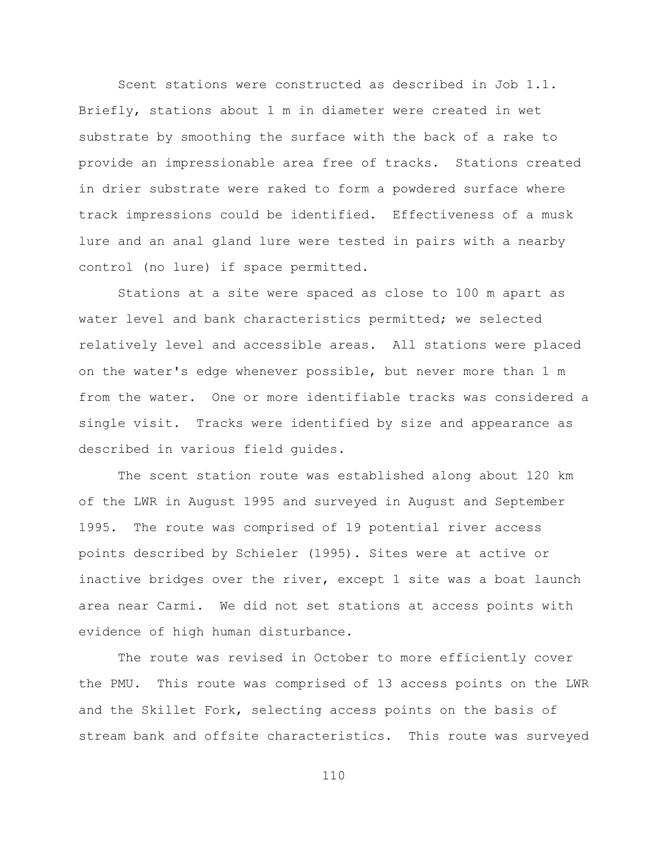Scent stations were constructed as described in Job 1.1. Briefly, stations about 1 m in diameter were created in wet substrate by smoothing the surface with the back of a rake to provide an impressionable area free of tracks. Stations created in drier substrate were raked to form a powdered surface where track impressions could be identified. Effectiveness of a musk lure and an anal gland lure were tested in pairs with a nearby control (no lure) if space permitted.

Stations at a site were spaced as close to 100 m apart as water level and bank characteristics permitted; we selected relatively level and accessible areas. All stations were placed on the water's edge whenever possible, but never more than 1 m from the water. One or more identifiable tracks was considered a single visit. Tracks were identified by size and appearance as described in various field guides.

The scent station route was established along about 120 km of the LWR in August 1995 and surveyed in August and September 1995. The route was comprised of 19 potential river access points described by Schieler (1995). Sites were at active or inactive bridges over the river, except 1 site was a boat launch area near Carmi. We did not set stations at access points with evidence of high human disturbance.

The route was revised in October to more efficiently cover the PMU. This route was comprised of 13 access points on the LWR and the Skillet Fork, selecting access points on the basis of stream bank and offsite characteristics. This route was surveyed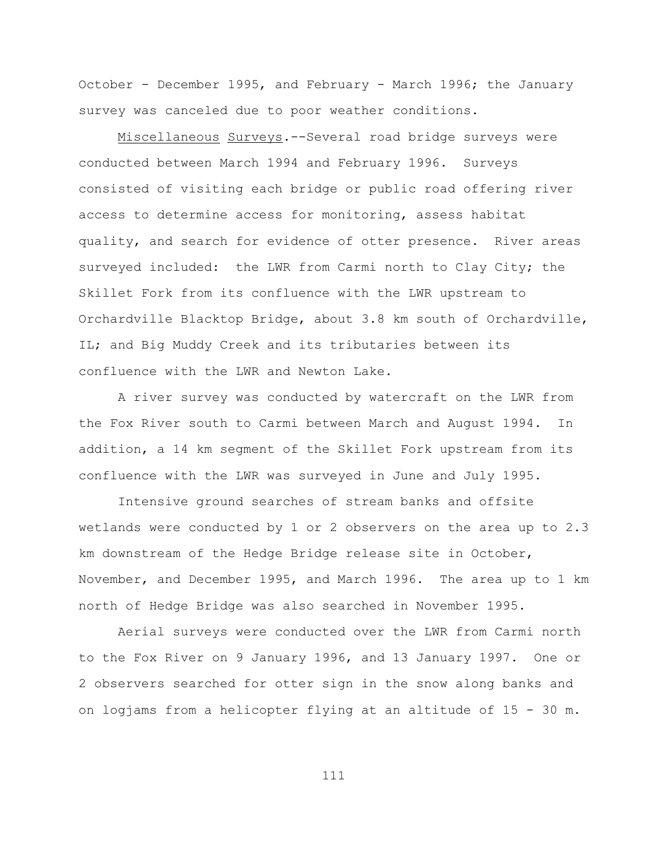October - December 1995, and February - March 1996; the January survey was canceled due to poor weather conditions.

Miscellaneous Surveys*.*--Several road bridge surveys were conducted between March 1994 and February 1996. Surveys consisted of visiting each bridge or public road offering river access to determine access for monitoring, assess habitat quality, and search for evidence of otter presence. River areas surveyed included: the LWR from Carmi north to Clay City; the Skillet Fork from its confluence with the LWR upstream to Orchardville Blacktop Bridge, about 3.8 km south of Orchardville, IL; and Big Muddy Creek and its tributaries between its confluence with the LWR and Newton Lake.

A river survey was conducted by watercraft on the LWR from the Fox River south to Carmi between March and August 1994. In addition, a 14 km segment of the Skillet Fork upstream from its confluence with the LWR was surveyed in June and July 1995.

Intensive ground searches of stream banks and offsite wetlands were conducted by 1 or 2 observers on the area up to 2.3 km downstream of the Hedge Bridge release site in October, November, and December 1995, and March 1996. The area up to 1 km north of Hedge Bridge was also searched in November 1995.

Aerial surveys were conducted over the LWR from Carmi north to the Fox River on 9 January 1996, and 13 January 1997. One or 2 observers searched for otter sign in the snow along banks and on logjams from a helicopter flying at an altitude of 15 - 30 m.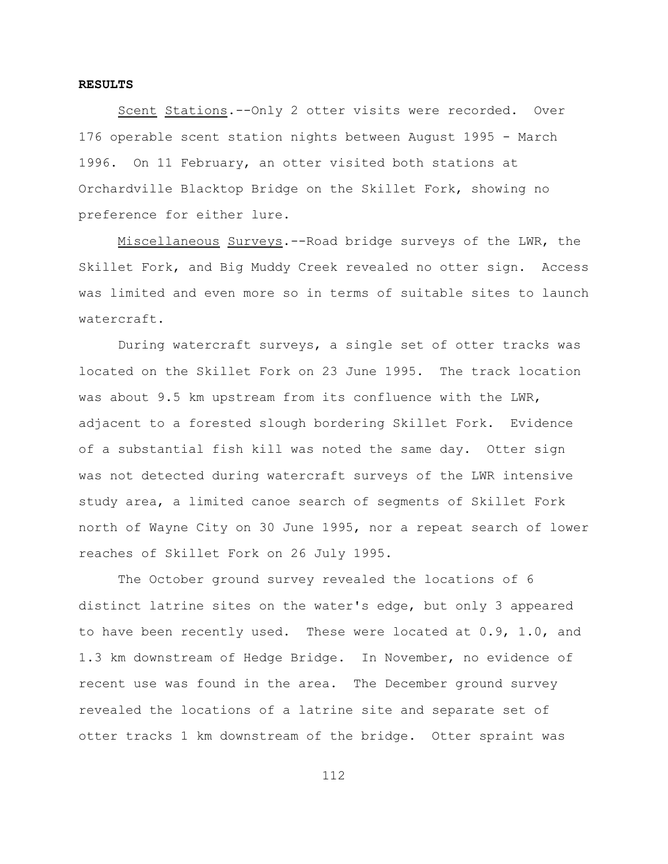#### **RESULTS**

Scent Stations.--Only 2 otter visits were recorded. Over 176 operable scent station nights between August 1995 - March 1996. On 11 February, an otter visited both stations at Orchardville Blacktop Bridge on the Skillet Fork, showing no preference for either lure.

Miscellaneous Surveys.--Road bridge surveys of the LWR, the Skillet Fork, and Big Muddy Creek revealed no otter sign. Access was limited and even more so in terms of suitable sites to launch watercraft.

During watercraft surveys, a single set of otter tracks was located on the Skillet Fork on 23 June 1995. The track location was about 9.5 km upstream from its confluence with the LWR, adjacent to a forested slough bordering Skillet Fork. Evidence of a substantial fish kill was noted the same day. Otter sign was not detected during watercraft surveys of the LWR intensive study area, a limited canoe search of segments of Skillet Fork north of Wayne City on 30 June 1995, nor a repeat search of lower reaches of Skillet Fork on 26 July 1995.

The October ground survey revealed the locations of 6 distinct latrine sites on the water's edge, but only 3 appeared to have been recently used. These were located at 0.9, 1.0, and 1.3 km downstream of Hedge Bridge. In November, no evidence of recent use was found in the area. The December ground survey revealed the locations of a latrine site and separate set of otter tracks 1 km downstream of the bridge. Otter spraint was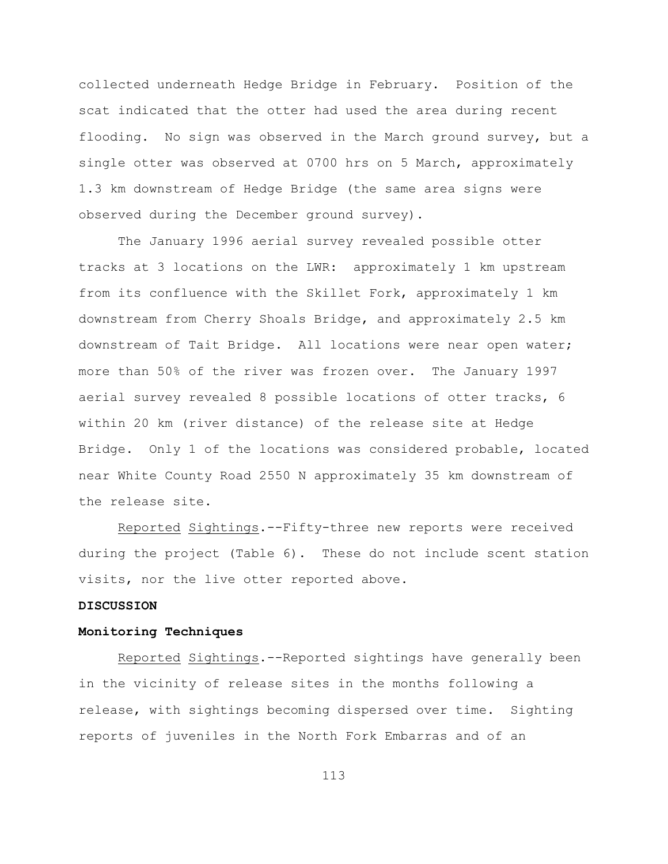collected underneath Hedge Bridge in February. Position of the scat indicated that the otter had used the area during recent flooding. No sign was observed in the March ground survey, but a single otter was observed at 0700 hrs on 5 March, approximately 1.3 km downstream of Hedge Bridge (the same area signs were observed during the December ground survey).

The January 1996 aerial survey revealed possible otter tracks at 3 locations on the LWR: approximately 1 km upstream from its confluence with the Skillet Fork, approximately 1 km downstream from Cherry Shoals Bridge, and approximately 2.5 km downstream of Tait Bridge. All locations were near open water; more than 50% of the river was frozen over. The January 1997 aerial survey revealed 8 possible locations of otter tracks, 6 within 20 km (river distance) of the release site at Hedge Bridge. Only 1 of the locations was considered probable, located near White County Road 2550 N approximately 35 km downstream of the release site.

Reported Sightings.--Fifty-three new reports were received during the project (Table 6). These do not include scent station visits, nor the live otter reported above.

# **DISCUSSION**

# **Monitoring Techniques**

Reported Sightings.--Reported sightings have generally been in the vicinity of release sites in the months following a release, with sightings becoming dispersed over time. Sighting reports of juveniles in the North Fork Embarras and of an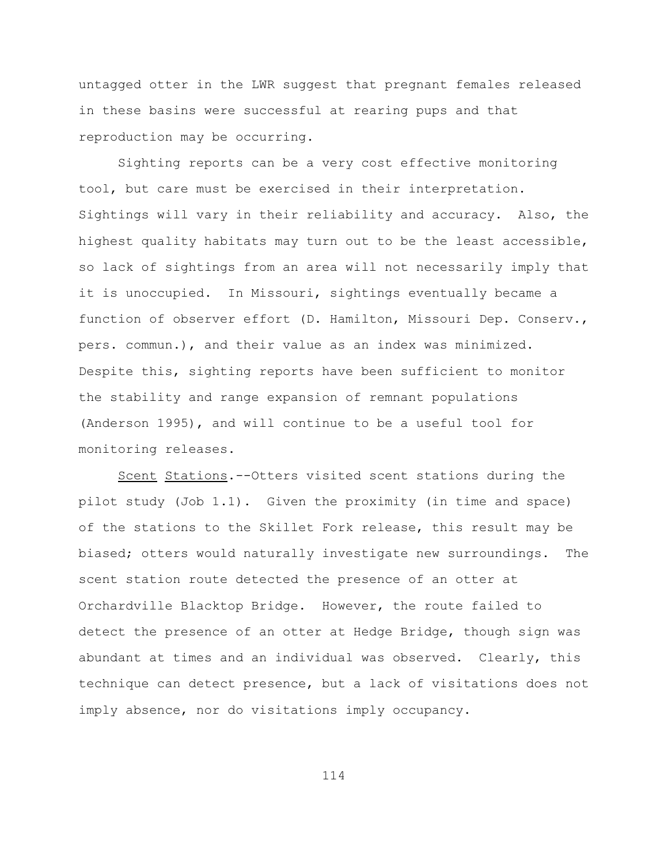untagged otter in the LWR suggest that pregnant females released in these basins were successful at rearing pups and that reproduction may be occurring.

Sighting reports can be a very cost effective monitoring tool, but care must be exercised in their interpretation. Sightings will vary in their reliability and accuracy. Also, the highest quality habitats may turn out to be the least accessible, so lack of sightings from an area will not necessarily imply that it is unoccupied. In Missouri, sightings eventually became a function of observer effort (D. Hamilton, Missouri Dep. Conserv., pers. commun.), and their value as an index was minimized. Despite this, sighting reports have been sufficient to monitor the stability and range expansion of remnant populations (Anderson 1995), and will continue to be a useful tool for monitoring releases.

Scent Stations.--Otters visited scent stations during the pilot study (Job 1.1). Given the proximity (in time and space) of the stations to the Skillet Fork release, this result may be biased; otters would naturally investigate new surroundings. The scent station route detected the presence of an otter at Orchardville Blacktop Bridge. However, the route failed to detect the presence of an otter at Hedge Bridge, though sign was abundant at times and an individual was observed. Clearly, this technique can detect presence, but a lack of visitations does not imply absence, nor do visitations imply occupancy.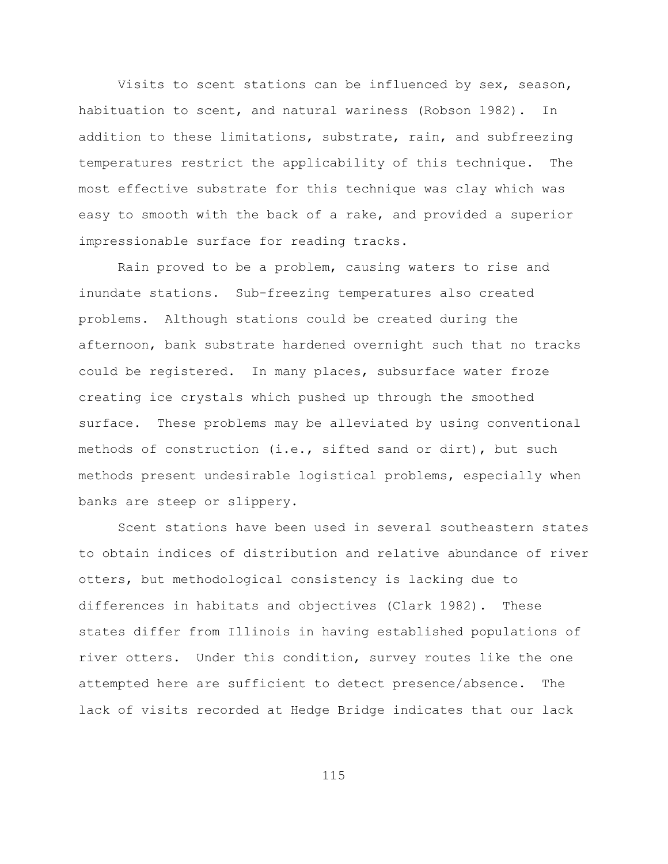Visits to scent stations can be influenced by sex, season, habituation to scent, and natural wariness (Robson 1982). In addition to these limitations, substrate, rain, and subfreezing temperatures restrict the applicability of this technique. The most effective substrate for this technique was clay which was easy to smooth with the back of a rake, and provided a superior impressionable surface for reading tracks.

Rain proved to be a problem, causing waters to rise and inundate stations. Sub-freezing temperatures also created problems. Although stations could be created during the afternoon, bank substrate hardened overnight such that no tracks could be registered. In many places, subsurface water froze creating ice crystals which pushed up through the smoothed surface. These problems may be alleviated by using conventional methods of construction (i.e., sifted sand or dirt), but such methods present undesirable logistical problems, especially when banks are steep or slippery.

Scent stations have been used in several southeastern states to obtain indices of distribution and relative abundance of river otters, but methodological consistency is lacking due to differences in habitats and objectives (Clark 1982). These states differ from Illinois in having established populations of river otters. Under this condition, survey routes like the one attempted here are sufficient to detect presence/absence. The lack of visits recorded at Hedge Bridge indicates that our lack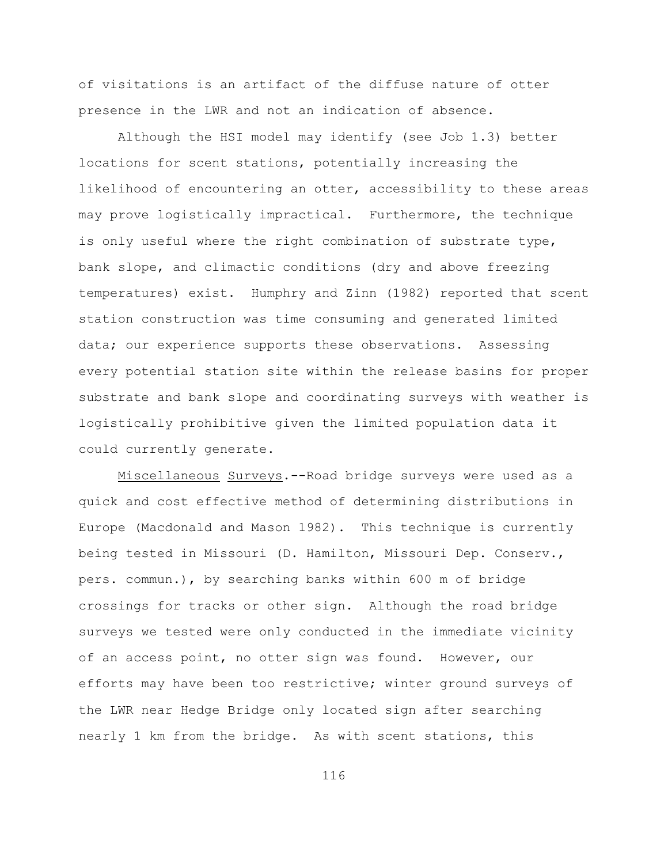of visitations is an artifact of the diffuse nature of otter presence in the LWR and not an indication of absence.

Although the HSI model may identify (see Job 1.3) better locations for scent stations, potentially increasing the likelihood of encountering an otter, accessibility to these areas may prove logistically impractical. Furthermore, the technique is only useful where the right combination of substrate type, bank slope, and climactic conditions (dry and above freezing temperatures) exist. Humphry and Zinn (1982) reported that scent station construction was time consuming and generated limited data; our experience supports these observations. Assessing every potential station site within the release basins for proper substrate and bank slope and coordinating surveys with weather is logistically prohibitive given the limited population data it could currently generate.

Miscellaneous Surveys.--Road bridge surveys were used as a quick and cost effective method of determining distributions in Europe (Macdonald and Mason 1982). This technique is currently being tested in Missouri (D. Hamilton, Missouri Dep. Conserv., pers. commun.), by searching banks within 600 m of bridge crossings for tracks or other sign. Although the road bridge surveys we tested were only conducted in the immediate vicinity of an access point, no otter sign was found. However, our efforts may have been too restrictive; winter ground surveys of the LWR near Hedge Bridge only located sign after searching nearly 1 km from the bridge. As with scent stations, this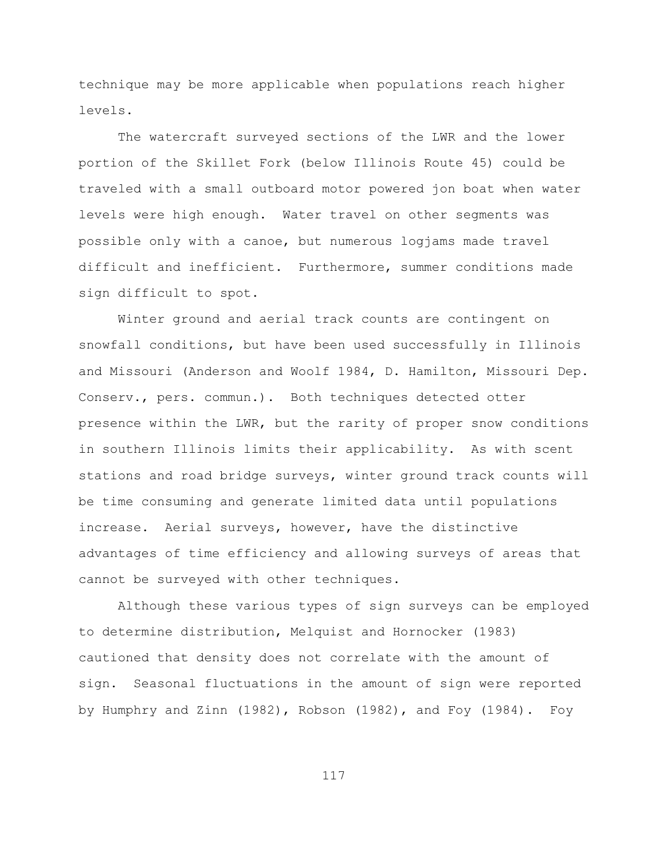technique may be more applicable when populations reach higher levels.

The watercraft surveyed sections of the LWR and the lower portion of the Skillet Fork (below Illinois Route 45) could be traveled with a small outboard motor powered jon boat when water levels were high enough. Water travel on other segments was possible only with a canoe, but numerous logjams made travel difficult and inefficient. Furthermore, summer conditions made sign difficult to spot.

Winter ground and aerial track counts are contingent on snowfall conditions, but have been used successfully in Illinois and Missouri (Anderson and Woolf 1984, D. Hamilton, Missouri Dep. Conserv., pers. commun.). Both techniques detected otter presence within the LWR, but the rarity of proper snow conditions in southern Illinois limits their applicability. As with scent stations and road bridge surveys, winter ground track counts will be time consuming and generate limited data until populations increase. Aerial surveys, however, have the distinctive advantages of time efficiency and allowing surveys of areas that cannot be surveyed with other techniques.

Although these various types of sign surveys can be employed to determine distribution, Melquist and Hornocker (1983) cautioned that density does not correlate with the amount of sign. Seasonal fluctuations in the amount of sign were reported by Humphry and Zinn (1982), Robson (1982), and Foy (1984). Foy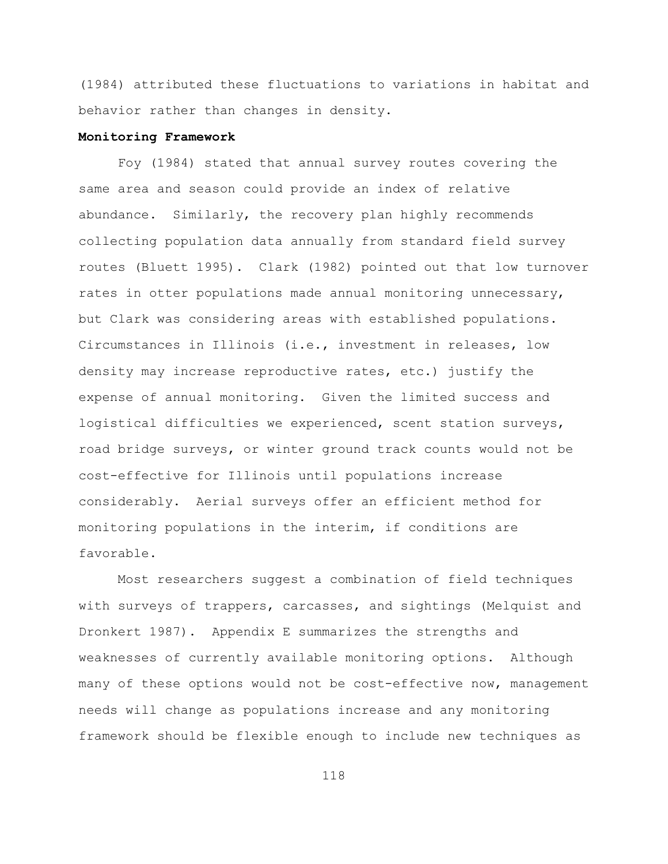(1984) attributed these fluctuations to variations in habitat and behavior rather than changes in density.

#### **Monitoring Framework**

Foy (1984) stated that annual survey routes covering the same area and season could provide an index of relative abundance. Similarly, the recovery plan highly recommends collecting population data annually from standard field survey routes (Bluett 1995). Clark (1982) pointed out that low turnover rates in otter populations made annual monitoring unnecessary, but Clark was considering areas with established populations. Circumstances in Illinois (i.e., investment in releases, low density may increase reproductive rates, etc.) justify the expense of annual monitoring. Given the limited success and logistical difficulties we experienced, scent station surveys, road bridge surveys, or winter ground track counts would not be cost-effective for Illinois until populations increase considerably. Aerial surveys offer an efficient method for monitoring populations in the interim, if conditions are favorable.

Most researchers suggest a combination of field techniques with surveys of trappers, carcasses, and sightings (Melquist and Dronkert 1987). Appendix E summarizes the strengths and weaknesses of currently available monitoring options. Although many of these options would not be cost-effective now, management needs will change as populations increase and any monitoring framework should be flexible enough to include new techniques as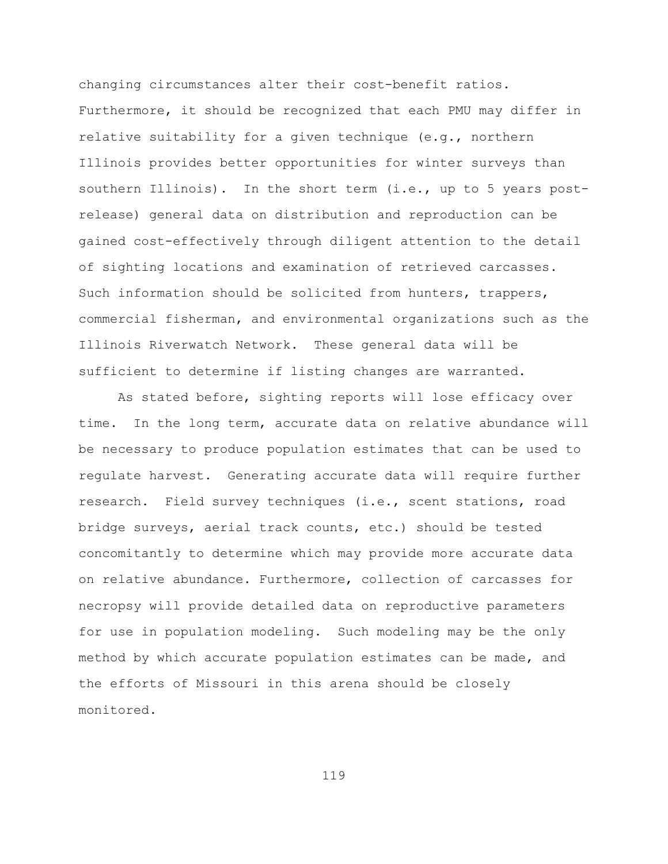changing circumstances alter their cost-benefit ratios. Furthermore, it should be recognized that each PMU may differ in relative suitability for a given technique (e.g., northern Illinois provides better opportunities for winter surveys than southern Illinois). In the short term (i.e., up to 5 years postrelease) general data on distribution and reproduction can be gained cost-effectively through diligent attention to the detail of sighting locations and examination of retrieved carcasses. Such information should be solicited from hunters, trappers, commercial fisherman, and environmental organizations such as the Illinois Riverwatch Network. These general data will be sufficient to determine if listing changes are warranted.

As stated before, sighting reports will lose efficacy over time. In the long term, accurate data on relative abundance will be necessary to produce population estimates that can be used to regulate harvest. Generating accurate data will require further research. Field survey techniques (i.e., scent stations, road bridge surveys, aerial track counts, etc.) should be tested concomitantly to determine which may provide more accurate data on relative abundance. Furthermore, collection of carcasses for necropsy will provide detailed data on reproductive parameters for use in population modeling. Such modeling may be the only method by which accurate population estimates can be made, and the efforts of Missouri in this arena should be closely monitored.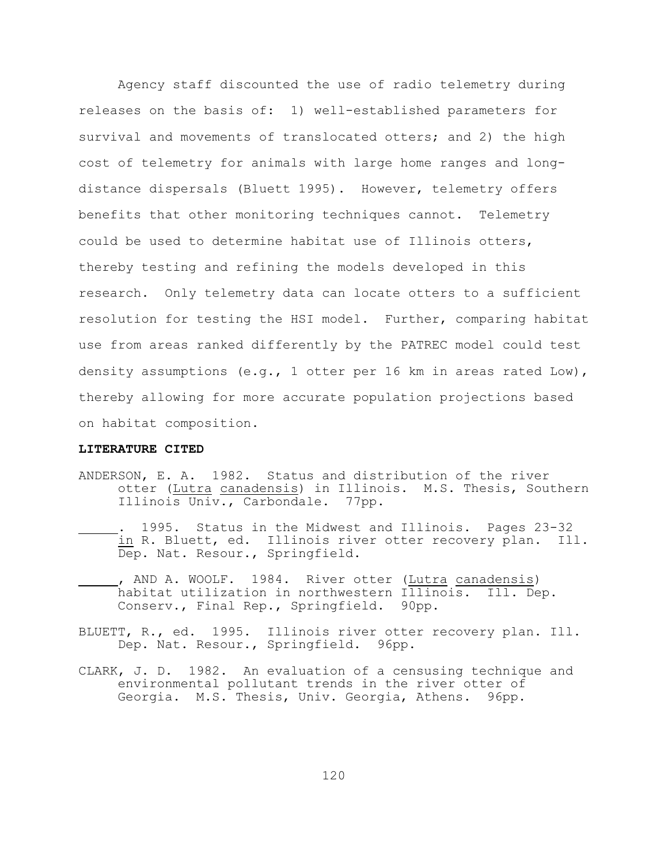Agency staff discounted the use of radio telemetry during releases on the basis of: 1) well-established parameters for survival and movements of translocated otters; and 2) the high cost of telemetry for animals with large home ranges and longdistance dispersals (Bluett 1995). However, telemetry offers benefits that other monitoring techniques cannot. Telemetry could be used to determine habitat use of Illinois otters, thereby testing and refining the models developed in this research. Only telemetry data can locate otters to a sufficient resolution for testing the HSI model. Further, comparing habitat use from areas ranked differently by the PATREC model could test density assumptions (e.g., 1 otter per 16 km in areas rated Low), thereby allowing for more accurate population projections based on habitat composition.

#### **LITERATURE CITED**

- ANDERSON, E. A. 1982. Status and distribution of the river otter (Lutra canadensis) in Illinois. M.S. Thesis, Southern Illinois Univ., Carbondale. 77pp.
- . 1995. Status in the Midwest and Illinois. Pages 23-32 in R. Bluett, ed. Illinois river otter recovery plan. Ill. Dep. Nat. Resour., Springfield.
- , AND A. WOOLF. 1984. River otter (Lutra canadensis) habitat utilization in northwestern Illinois. Ill. Dep. Conserv., Final Rep., Springfield. 90pp.
- BLUETT, R., ed. 1995. Illinois river otter recovery plan. Ill. Dep. Nat. Resour., Springfield. 96pp.
- CLARK, J. D. 1982. An evaluation of a censusing technique and environmental pollutant trends in the river otter of Georgia. M.S. Thesis, Univ. Georgia, Athens. 96pp.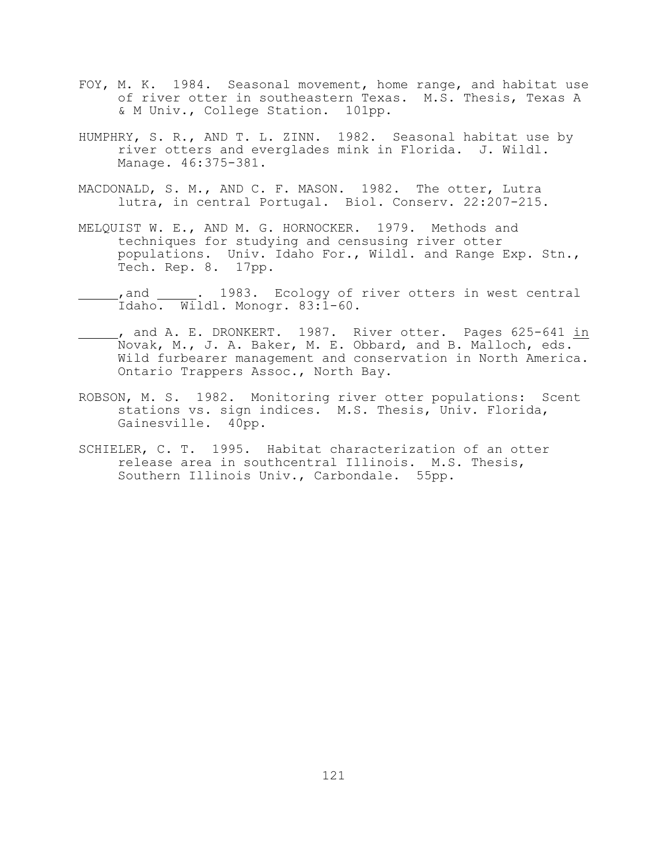- FOY, M. K. 1984. Seasonal movement, home range, and habitat use of river otter in southeastern Texas. M.S. Thesis, Texas A & M Univ., College Station. 101pp.
- HUMPHRY, S. R., AND T. L. ZINN. 1982. Seasonal habitat use by river otters and everglades mink in Florida. J. Wildl. Manage. 46:375-381.
- MACDONALD, S. M., AND C. F. MASON. 1982. The otter, Lutra lutra, in central Portugal. Biol. Conserv. 22:207-215.
- MELQUIST W. E., AND M. G. HORNOCKER. 1979. Methods and techniques for studying and censusing river otter populations. Univ. Idaho For., Wildl. and Range Exp. Stn., Tech. Rep. 8. 17pp.
- \_, and \_\_\_\_\_. 1983. Ecology of river otters in west central Idaho. Wildl. Monogr. 83:1-60.
- , and A. E. DRONKERT. 1987. River otter. Pages 625-641 in Novak, M., J. A. Baker, M. E. Obbard, and B. Malloch, eds. Wild furbearer management and conservation in North America. Ontario Trappers Assoc., North Bay.
- ROBSON, M. S. 1982. Monitoring river otter populations: Scent stations vs. sign indices. M.S. Thesis, Univ. Florida, Gainesville. 40pp.
- SCHIELER, C. T. 1995. Habitat characterization of an otter release area in southcentral Illinois. M.S. Thesis, Southern Illinois Univ., Carbondale. 55pp.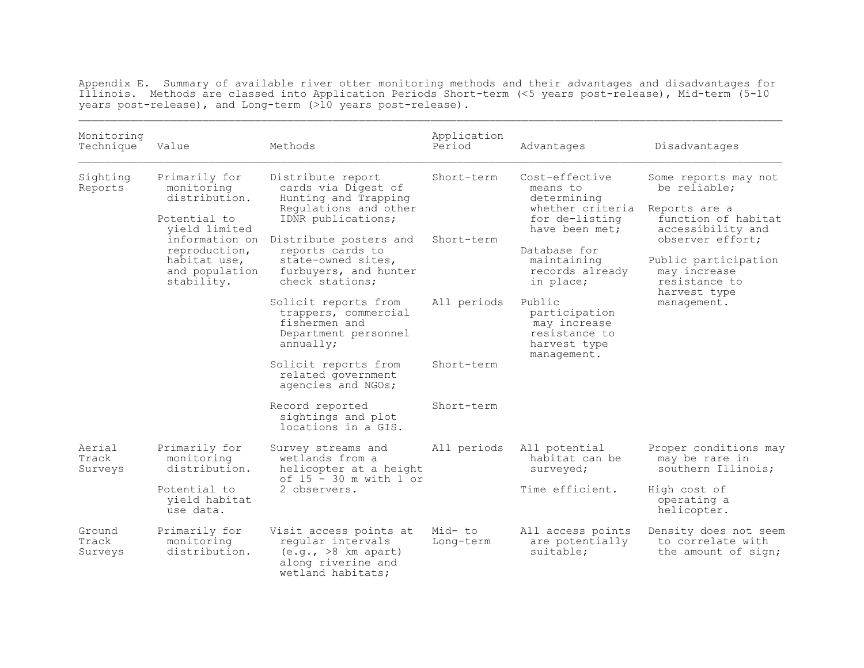Appendix E. Summary of available river otter monitoring methods and their advantages and disadvantages for Illinois. Methods are classed into Application Periods Short-term (<5 years post-release), Mid-term (5-10 years post-release), and Long-term (>10 years post-release).  $\mathcal{L}_\mathcal{L} = \mathcal{L}_\mathcal{L} = \mathcal{L}_\mathcal{L} = \mathcal{L}_\mathcal{L} = \mathcal{L}_\mathcal{L} = \mathcal{L}_\mathcal{L} = \mathcal{L}_\mathcal{L} = \mathcal{L}_\mathcal{L} = \mathcal{L}_\mathcal{L} = \mathcal{L}_\mathcal{L} = \mathcal{L}_\mathcal{L} = \mathcal{L}_\mathcal{L} = \mathcal{L}_\mathcal{L} = \mathcal{L}_\mathcal{L} = \mathcal{L}_\mathcal{L} = \mathcal{L}_\mathcal{L} = \mathcal{L}_\mathcal{L}$ 

| Monitoring<br>Technique    | Value                                                                                                                                                            | Methods                                                                                                         | Application<br>Period | Advantages                                                                                                                                                                                                                                                   | Disadvantages                                                                                  |                                                               |
|----------------------------|------------------------------------------------------------------------------------------------------------------------------------------------------------------|-----------------------------------------------------------------------------------------------------------------|-----------------------|--------------------------------------------------------------------------------------------------------------------------------------------------------------------------------------------------------------------------------------------------------------|------------------------------------------------------------------------------------------------|---------------------------------------------------------------|
| Sighting<br>Reports        | Primarily for<br>monitoring<br>distribution.<br>Potential to<br>vield limited<br>information on<br>reproduction,<br>habitat use,<br>and population<br>stability. | Distribute report<br>cards via Digest of<br>Hunting and Trapping<br>Requlations and other<br>IDNR publications; | Short-term            | Cost-effective<br>means to<br>determining<br>whether criteria<br>for de-listing<br>have been met;<br>Database for<br>maintaining<br>records already<br>in place;<br>harvest type<br>Public<br>participation<br>may increase<br>resistance to<br>harvest type | Some reports may not<br>be reliable:<br>Reports are a<br>function of habitat                   |                                                               |
|                            |                                                                                                                                                                  | Distribute posters and<br>reports cards to<br>state-owned sites,<br>furbuyers, and hunter<br>check stations;    | Short-term            |                                                                                                                                                                                                                                                              | accessibility and<br>observer effort;<br>Public participation<br>may increase<br>resistance to |                                                               |
|                            |                                                                                                                                                                  | Solicit reports from<br>trappers, commercial<br>fishermen and<br>Department personnel<br>annually;              | All periods           |                                                                                                                                                                                                                                                              | management.                                                                                    |                                                               |
|                            |                                                                                                                                                                  | Solicit reports from<br>related government<br>agencies and NGOs;                                                | Short-term            | management.                                                                                                                                                                                                                                                  |                                                                                                |                                                               |
|                            |                                                                                                                                                                  | Record reported<br>sightings and plot<br>locations in a GIS.                                                    | Short-term            |                                                                                                                                                                                                                                                              |                                                                                                |                                                               |
| Aerial<br>Track<br>Surveys | Primarily for<br>monitoring<br>distribution.                                                                                                                     | Survey streams and<br>wetlands from a<br>helicopter at a height<br>of 15 - 30 m with 1 or<br>2 observers.       |                       | All periods                                                                                                                                                                                                                                                  | All potential<br>habitat can be<br>surveyed;                                                   | Proper conditions may<br>may be rare in<br>southern Illinois: |
|                            | Potential to<br>vield habitat<br>use data.                                                                                                                       |                                                                                                                 |                       | Time efficient.                                                                                                                                                                                                                                              | High cost of<br>operating a<br>helicopter.                                                     |                                                               |
| Ground<br>Track<br>Surveys | Primarily for<br>monitoring<br>distribution.                                                                                                                     | Visit access points at<br>regular intervals<br>(e.g., >8 km apart)<br>along riverine and<br>wetland habitats;   | Mid- to<br>Long-term  | All access points<br>are potentially<br>suitable;                                                                                                                                                                                                            | Density does not seem<br>to correlate with<br>the amount of sign;                              |                                                               |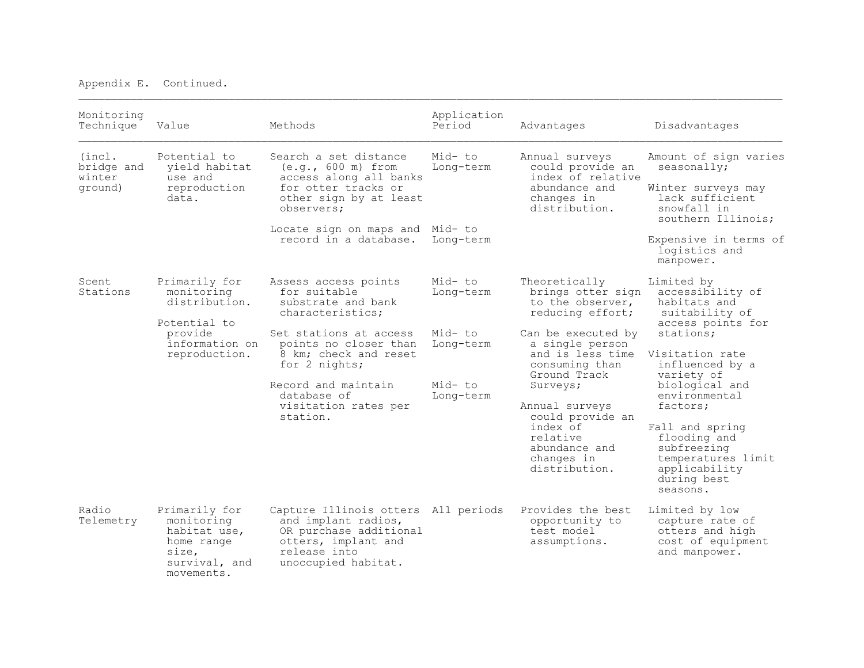| Monitoring<br>Technique                   | Value                                                                                                      | Methods                                                                                                                                                                                                                                               | Application<br>Period                                              | Advantages                                                                                                                                                                                                                                                                                          | Disadvantages                                                                                                                                                                                                                                                                                                                          |
|-------------------------------------------|------------------------------------------------------------------------------------------------------------|-------------------------------------------------------------------------------------------------------------------------------------------------------------------------------------------------------------------------------------------------------|--------------------------------------------------------------------|-----------------------------------------------------------------------------------------------------------------------------------------------------------------------------------------------------------------------------------------------------------------------------------------------------|----------------------------------------------------------------------------------------------------------------------------------------------------------------------------------------------------------------------------------------------------------------------------------------------------------------------------------------|
| (incl.<br>bridge and<br>winter<br>ground) | Potential to<br>yield habitat<br>use and<br>reproduction<br>data.                                          | Search a set distance<br>$(e,q, 600 m)$ from<br>access along all banks<br>for otter tracks or<br>other sign by at least<br>observers;<br>Locate sign on maps and Mid- to<br>record in a database.                                                     | Mid-to<br>Long-term<br>Long-term                                   | Annual surveys<br>could provide an<br>index of relative<br>abundance and<br>changes in<br>distribution.                                                                                                                                                                                             | Amount of sign varies<br>seasonally;<br>Winter surveys may<br>lack sufficient<br>snowfall in<br>southern Illinois;<br>Expensive in terms of<br>logistics and                                                                                                                                                                           |
| Scent<br>Stations                         | Primarily for<br>monitoring<br>distribution.<br>Potential to<br>provide<br>information on<br>reproduction. | Assess access points<br>for suitable<br>substrate and bank<br>characteristics;<br>Set stations at access<br>points no closer than<br>8 km; check and reset<br>for 2 nights;<br>Record and maintain<br>database of<br>visitation rates per<br>station. | Mid- to<br>Long-term<br>Mid-to<br>Long-term<br>Mid-to<br>Long-term | Theoretically<br>brings otter sign<br>to the observer,<br>reducing effort;<br>Can be executed by<br>a single person<br>and is less time<br>consuming than<br>Ground Track<br>Surveys;<br>Annual surveys<br>could provide an<br>index of<br>relative<br>abundance and<br>changes in<br>distribution. | manpower.<br>Limited by<br>accessibility of<br>habitats and<br>suitability of<br>access points for<br>stations:<br>Visitation rate<br>influenced by a<br>variety of<br>biological and<br>environmental<br>factors;<br>Fall and spring<br>flooding and<br>subfreezing<br>temperatures limit<br>applicability<br>during best<br>seasons. |
| Radio<br>Telemetry                        | Primarily for<br>monitoring<br>habitat use,<br>home range<br>size,<br>survival, and<br>movements.          | Capture Illinois otters All periods<br>and implant radios,<br>OR purchase additional<br>otters, implant and<br>release into<br>unoccupied habitat.                                                                                                    |                                                                    | Provides the best<br>opportunity to<br>test model<br>assumptions.                                                                                                                                                                                                                                   | Limited by low<br>capture rate of<br>otters and high<br>cost of equipment<br>and manpower.                                                                                                                                                                                                                                             |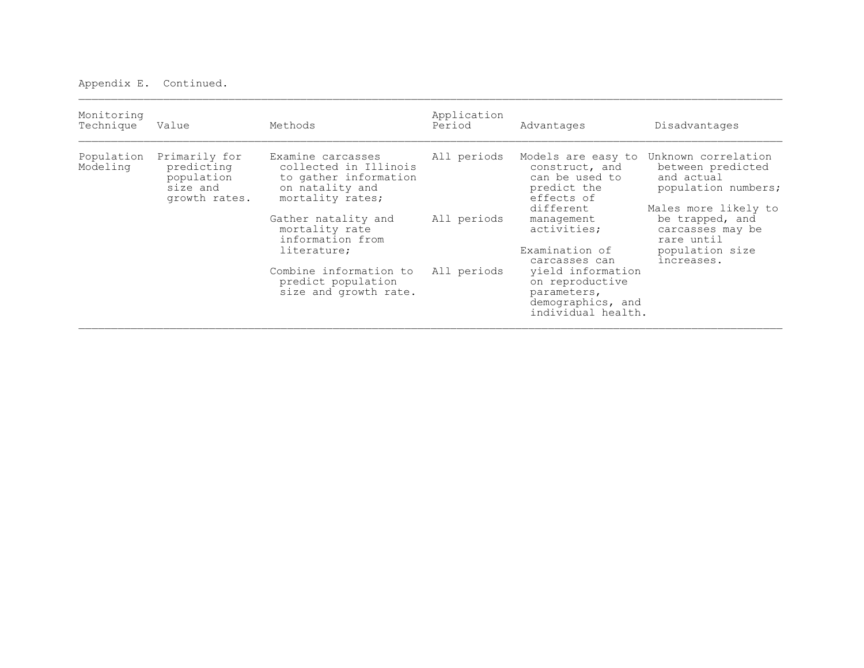| Monitoring<br>Technique | Value                                                                  | Methods                                                                                                    | Application<br>Period | Advantages                                                                                                                                                                                                                                                         | Disadvantages                                                                                                                                                                               |
|-------------------------|------------------------------------------------------------------------|------------------------------------------------------------------------------------------------------------|-----------------------|--------------------------------------------------------------------------------------------------------------------------------------------------------------------------------------------------------------------------------------------------------------------|---------------------------------------------------------------------------------------------------------------------------------------------------------------------------------------------|
| Population<br>Modeling  | Primarily for<br>predicting<br>population<br>size and<br>growth rates. | Examine carcasses<br>collected in Illinois<br>to gather information<br>on natality and<br>mortality rates; | All periods           | Models are easy to<br>construct, and<br>can be used to<br>predict the<br>effects of<br>different<br>management<br>activities;<br>Examination of<br>carcasses can<br>yield information<br>on reproductive<br>parameters,<br>demographics, and<br>individual health. | Unknown correlation<br>between predicted<br>and actual<br>population numbers;<br>Males more likely to<br>be trapped, and<br>carcasses may be<br>rare until<br>population size<br>increases. |
|                         |                                                                        | Gather natality and<br>mortality rate<br>information from<br>literature;                                   | All periods           |                                                                                                                                                                                                                                                                    |                                                                                                                                                                                             |
|                         |                                                                        | Combine information to<br>predict population<br>size and growth rate.                                      | All periods           |                                                                                                                                                                                                                                                                    |                                                                                                                                                                                             |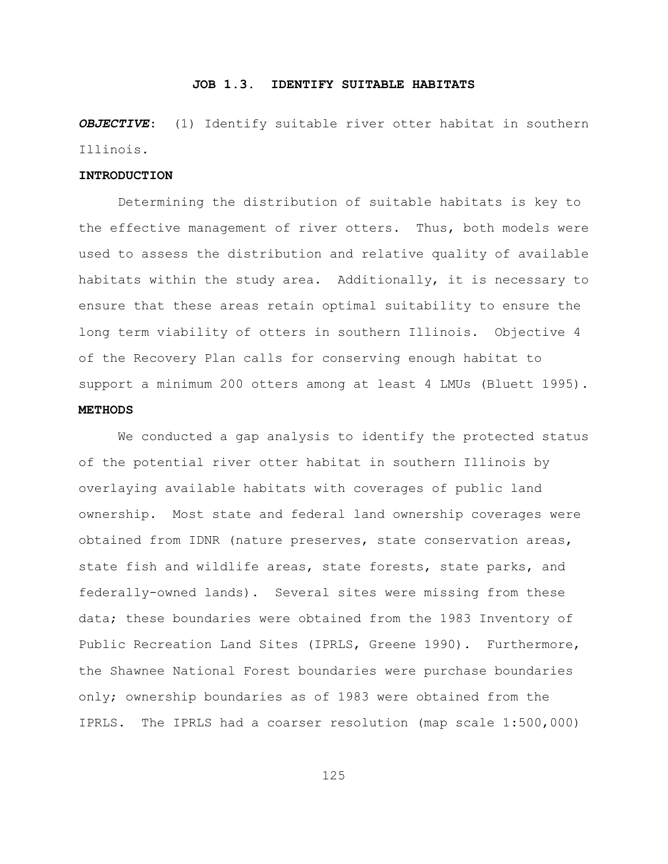#### **JOB 1.3. IDENTIFY SUITABLE HABITATS**

*OBJECTIVE*: (1) Identify suitable river otter habitat in southern Illinois.

#### **INTRODUCTION**

Determining the distribution of suitable habitats is key to the effective management of river otters. Thus, both models were used to assess the distribution and relative quality of available habitats within the study area. Additionally, it is necessary to ensure that these areas retain optimal suitability to ensure the long term viability of otters in southern Illinois. Objective 4 of the Recovery Plan calls for conserving enough habitat to support a minimum 200 otters among at least 4 LMUs (Bluett 1995). **METHODS**

We conducted a gap analysis to identify the protected status of the potential river otter habitat in southern Illinois by overlaying available habitats with coverages of public land ownership. Most state and federal land ownership coverages were obtained from IDNR (nature preserves, state conservation areas, state fish and wildlife areas, state forests, state parks, and federally-owned lands). Several sites were missing from these data; these boundaries were obtained from the 1983 Inventory of Public Recreation Land Sites (IPRLS, Greene 1990). Furthermore, the Shawnee National Forest boundaries were purchase boundaries only; ownership boundaries as of 1983 were obtained from the IPRLS. The IPRLS had a coarser resolution (map scale 1:500,000)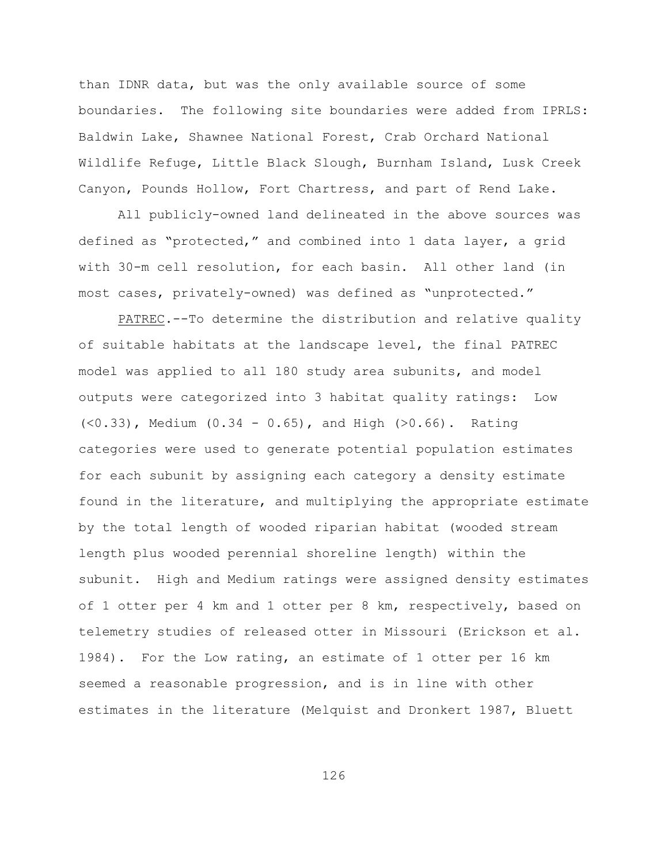than IDNR data, but was the only available source of some boundaries. The following site boundaries were added from IPRLS: Baldwin Lake, Shawnee National Forest, Crab Orchard National Wildlife Refuge, Little Black Slough, Burnham Island, Lusk Creek Canyon, Pounds Hollow, Fort Chartress, and part of Rend Lake.

All publicly-owned land delineated in the above sources was defined as "protected," and combined into 1 data layer, a grid with 30-m cell resolution, for each basin. All other land (in most cases, privately-owned) was defined as "unprotected."

PATREC.--To determine the distribution and relative quality of suitable habitats at the landscape level, the final PATREC model was applied to all 180 study area subunits, and model outputs were categorized into 3 habitat quality ratings: Low  $(<0.33)$ , Medium  $(0.34 - 0.65)$ , and High  $(>0.66)$ . Rating categories were used to generate potential population estimates for each subunit by assigning each category a density estimate found in the literature, and multiplying the appropriate estimate by the total length of wooded riparian habitat (wooded stream length plus wooded perennial shoreline length) within the subunit. High and Medium ratings were assigned density estimates of 1 otter per 4 km and 1 otter per 8 km, respectively, based on telemetry studies of released otter in Missouri (Erickson et al. 1984). For the Low rating, an estimate of 1 otter per 16 km seemed a reasonable progression, and is in line with other estimates in the literature (Melquist and Dronkert 1987, Bluett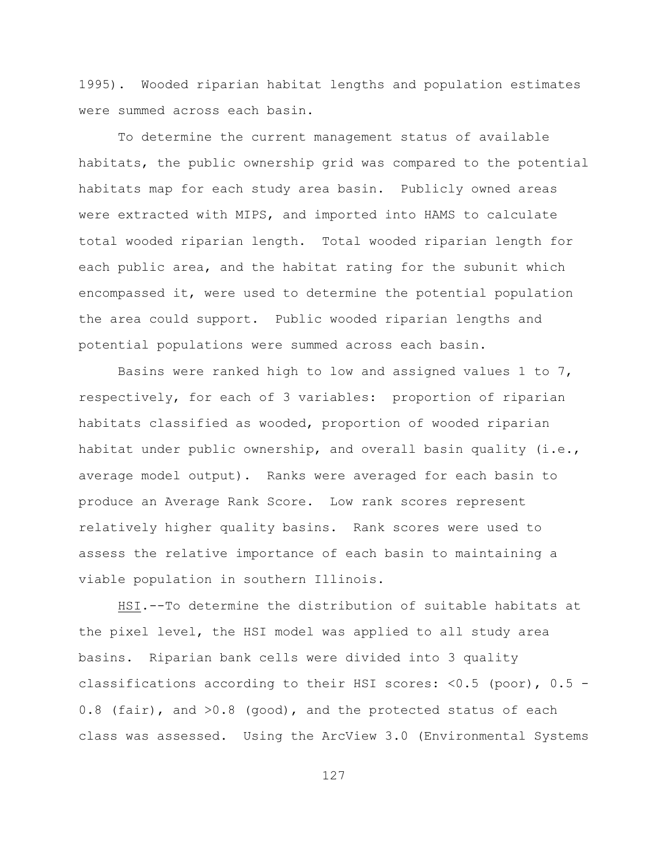1995). Wooded riparian habitat lengths and population estimates were summed across each basin.

To determine the current management status of available habitats, the public ownership grid was compared to the potential habitats map for each study area basin. Publicly owned areas were extracted with MIPS, and imported into HAMS to calculate total wooded riparian length. Total wooded riparian length for each public area, and the habitat rating for the subunit which encompassed it, were used to determine the potential population the area could support. Public wooded riparian lengths and potential populations were summed across each basin.

Basins were ranked high to low and assigned values 1 to 7, respectively, for each of 3 variables: proportion of riparian habitats classified as wooded, proportion of wooded riparian habitat under public ownership, and overall basin quality (i.e., average model output). Ranks were averaged for each basin to produce an Average Rank Score. Low rank scores represent relatively higher quality basins. Rank scores were used to assess the relative importance of each basin to maintaining a viable population in southern Illinois.

HSI.--To determine the distribution of suitable habitats at the pixel level, the HSI model was applied to all study area basins. Riparian bank cells were divided into 3 quality classifications according to their HSI scores: <0.5 (poor), 0.5 - 0.8 (fair), and >0.8 (good), and the protected status of each class was assessed. Using the ArcView 3.0 (Environmental Systems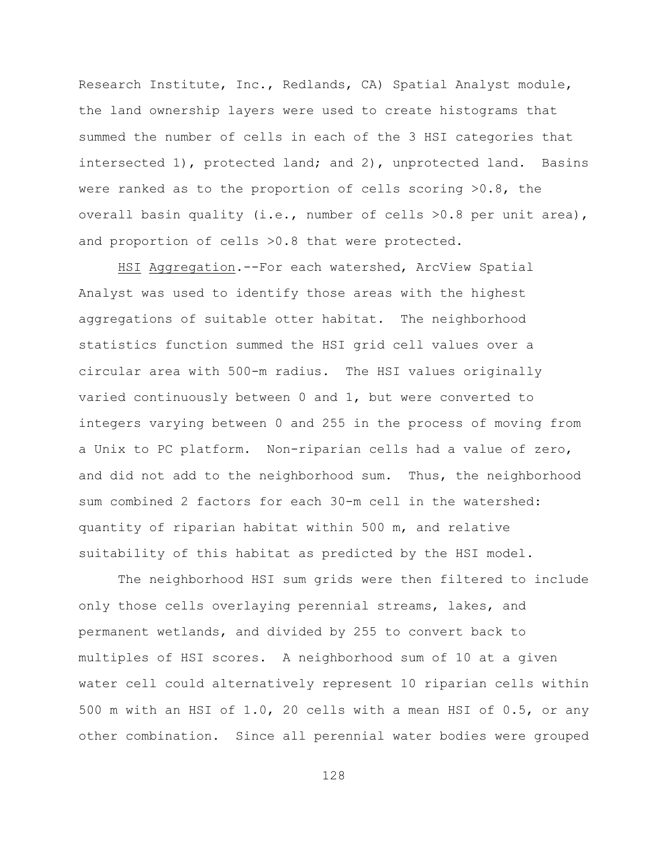Research Institute, Inc., Redlands, CA) Spatial Analyst module, the land ownership layers were used to create histograms that summed the number of cells in each of the 3 HSI categories that intersected 1), protected land; and 2), unprotected land. Basins were ranked as to the proportion of cells scoring >0.8, the overall basin quality (i.e., number of cells >0.8 per unit area), and proportion of cells >0.8 that were protected.

HSI Aggregation.--For each watershed, ArcView Spatial Analyst was used to identify those areas with the highest aggregations of suitable otter habitat. The neighborhood statistics function summed the HSI grid cell values over a circular area with 500-m radius. The HSI values originally varied continuously between 0 and 1, but were converted to integers varying between 0 and 255 in the process of moving from a Unix to PC platform. Non-riparian cells had a value of zero, and did not add to the neighborhood sum. Thus, the neighborhood sum combined 2 factors for each 30-m cell in the watershed: quantity of riparian habitat within 500 m, and relative suitability of this habitat as predicted by the HSI model.

The neighborhood HSI sum grids were then filtered to include only those cells overlaying perennial streams, lakes, and permanent wetlands, and divided by 255 to convert back to multiples of HSI scores. A neighborhood sum of 10 at a given water cell could alternatively represent 10 riparian cells within 500 m with an HSI of 1.0, 20 cells with a mean HSI of 0.5, or any other combination. Since all perennial water bodies were grouped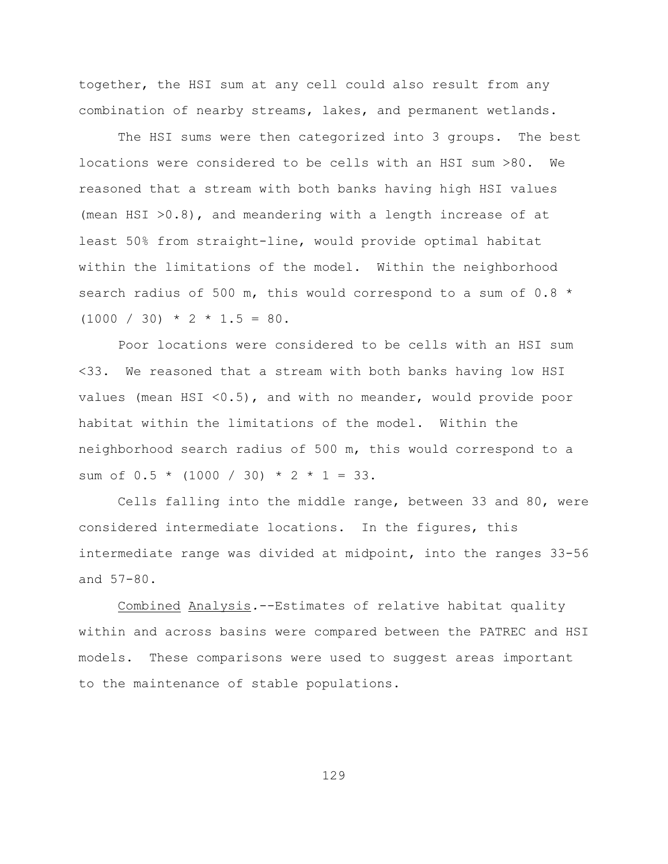together, the HSI sum at any cell could also result from any combination of nearby streams, lakes, and permanent wetlands.

The HSI sums were then categorized into 3 groups. The best locations were considered to be cells with an HSI sum >80. We reasoned that a stream with both banks having high HSI values (mean HSI  $>0.8$ ), and meandering with a length increase of at least 50% from straight-line, would provide optimal habitat within the limitations of the model. Within the neighborhood search radius of 500 m, this would correspond to a sum of 0.8 \*  $(1000 / 30) * 2 * 1.5 = 80.$ 

Poor locations were considered to be cells with an HSI sum <33. We reasoned that a stream with both banks having low HSI values (mean HSI <0.5), and with no meander, would provide poor habitat within the limitations of the model. Within the neighborhood search radius of 500 m, this would correspond to a sum of  $0.5 * (1000 / 30) * 2 * 1 = 33$ .

Cells falling into the middle range, between 33 and 80, were considered intermediate locations. In the figures, this intermediate range was divided at midpoint, into the ranges 33-56 and 57-80.

Combined Analysis*.*--Estimates of relative habitat quality within and across basins were compared between the PATREC and HSI models. These comparisons were used to suggest areas important to the maintenance of stable populations.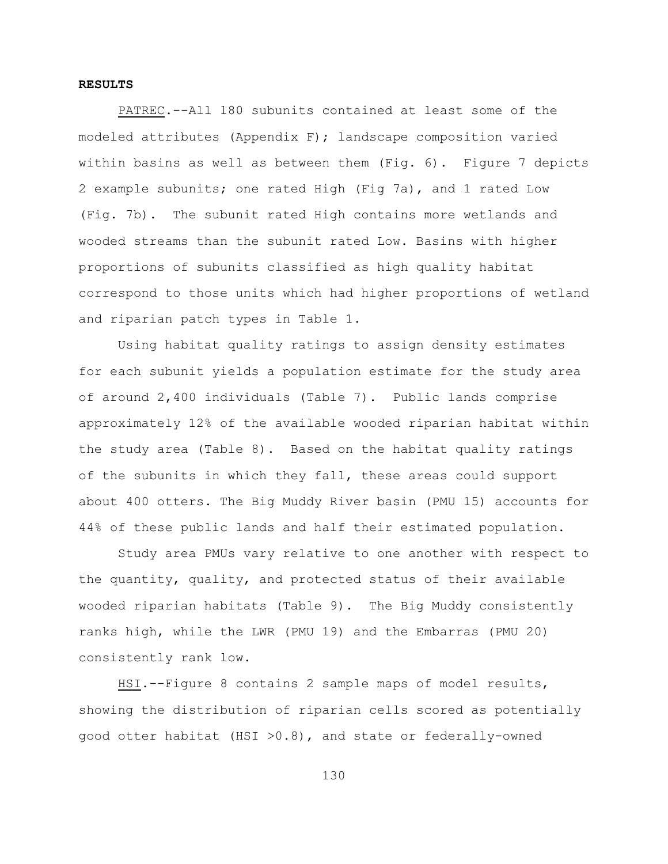#### **RESULTS**

PATREC.--All 180 subunits contained at least some of the modeled attributes (Appendix F); landscape composition varied within basins as well as between them (Fig. 6). Figure 7 depicts 2 example subunits; one rated High (Fig 7a), and 1 rated Low (Fig. 7b). The subunit rated High contains more wetlands and wooded streams than the subunit rated Low. Basins with higher proportions of subunits classified as high quality habitat correspond to those units which had higher proportions of wetland and riparian patch types in Table 1.

Using habitat quality ratings to assign density estimates for each subunit yields a population estimate for the study area of around 2,400 individuals (Table 7). Public lands comprise approximately 12% of the available wooded riparian habitat within the study area (Table 8). Based on the habitat quality ratings of the subunits in which they fall, these areas could support about 400 otters. The Big Muddy River basin (PMU 15) accounts for 44% of these public lands and half their estimated population.

Study area PMUs vary relative to one another with respect to the quantity, quality, and protected status of their available wooded riparian habitats (Table 9). The Big Muddy consistently ranks high, while the LWR (PMU 19) and the Embarras (PMU 20) consistently rank low.

HSI.--Figure 8 contains 2 sample maps of model results, showing the distribution of riparian cells scored as potentially good otter habitat (HSI >0.8), and state or federally-owned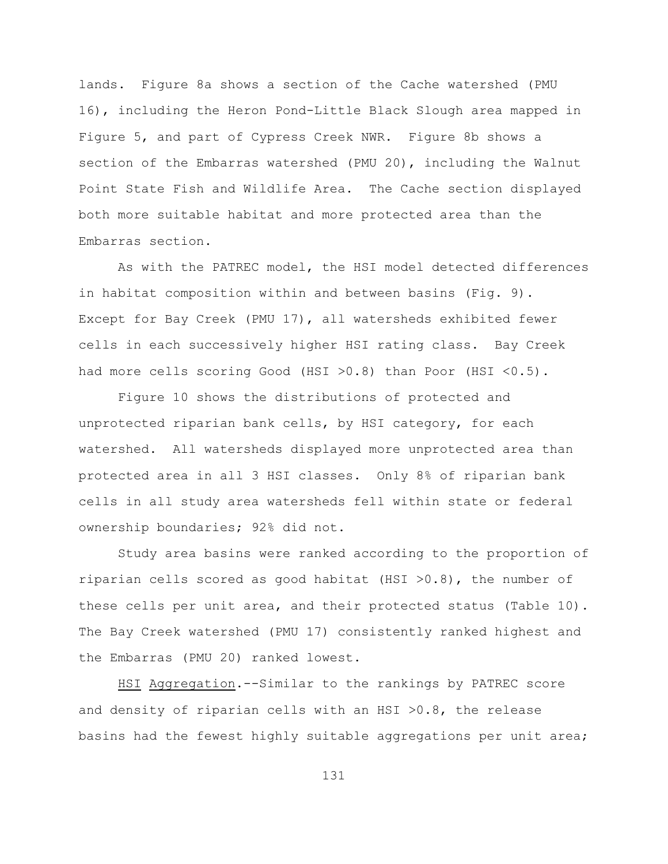lands. Figure 8a shows a section of the Cache watershed (PMU 16), including the Heron Pond-Little Black Slough area mapped in Figure 5, and part of Cypress Creek NWR. Figure 8b shows a section of the Embarras watershed (PMU 20), including the Walnut Point State Fish and Wildlife Area. The Cache section displayed both more suitable habitat and more protected area than the Embarras section.

As with the PATREC model, the HSI model detected differences in habitat composition within and between basins (Fig. 9). Except for Bay Creek (PMU 17), all watersheds exhibited fewer cells in each successively higher HSI rating class. Bay Creek had more cells scoring Good (HSI >0.8) than Poor (HSI <0.5).

Figure 10 shows the distributions of protected and unprotected riparian bank cells, by HSI category, for each watershed. All watersheds displayed more unprotected area than protected area in all 3 HSI classes. Only 8% of riparian bank cells in all study area watersheds fell within state or federal ownership boundaries; 92% did not.

Study area basins were ranked according to the proportion of riparian cells scored as good habitat (HSI  $>0.8$ ), the number of these cells per unit area, and their protected status (Table 10). The Bay Creek watershed (PMU 17) consistently ranked highest and the Embarras (PMU 20) ranked lowest.

HSI Aggregation.--Similar to the rankings by PATREC score and density of riparian cells with an HSI >0.8, the release basins had the fewest highly suitable aggregations per unit area;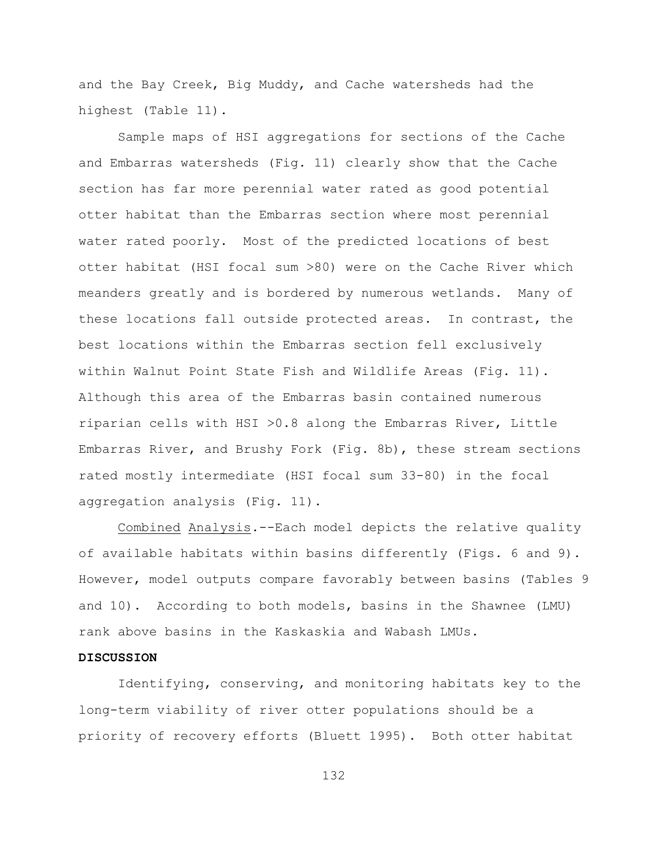and the Bay Creek, Big Muddy, and Cache watersheds had the highest (Table 11).

Sample maps of HSI aggregations for sections of the Cache and Embarras watersheds (Fig. 11) clearly show that the Cache section has far more perennial water rated as good potential otter habitat than the Embarras section where most perennial water rated poorly. Most of the predicted locations of best otter habitat (HSI focal sum >80) were on the Cache River which meanders greatly and is bordered by numerous wetlands. Many of these locations fall outside protected areas. In contrast, the best locations within the Embarras section fell exclusively within Walnut Point State Fish and Wildlife Areas (Fig. 11). Although this area of the Embarras basin contained numerous riparian cells with HSI >0.8 along the Embarras River, Little Embarras River, and Brushy Fork (Fig. 8b), these stream sections rated mostly intermediate (HSI focal sum 33-80) in the focal aggregation analysis (Fig. 11).

Combined Analysis.--Each model depicts the relative quality of available habitats within basins differently (Figs. 6 and 9). However, model outputs compare favorably between basins (Tables 9 and 10). According to both models, basins in the Shawnee (LMU) rank above basins in the Kaskaskia and Wabash LMUs.

#### **DISCUSSION**

Identifying, conserving, and monitoring habitats key to the long-term viability of river otter populations should be a priority of recovery efforts (Bluett 1995). Both otter habitat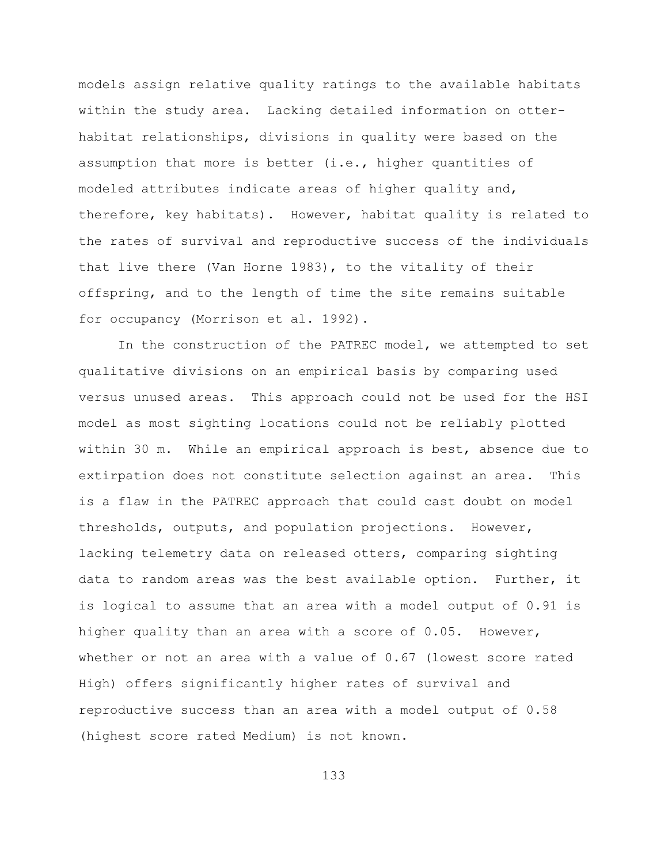models assign relative quality ratings to the available habitats within the study area. Lacking detailed information on otterhabitat relationships, divisions in quality were based on the assumption that more is better (i.e., higher quantities of modeled attributes indicate areas of higher quality and, therefore, key habitats). However, habitat quality is related to the rates of survival and reproductive success of the individuals that live there (Van Horne 1983), to the vitality of their offspring, and to the length of time the site remains suitable for occupancy (Morrison et al. 1992).

In the construction of the PATREC model, we attempted to set qualitative divisions on an empirical basis by comparing used versus unused areas. This approach could not be used for the HSI model as most sighting locations could not be reliably plotted within 30 m. While an empirical approach is best, absence due to extirpation does not constitute selection against an area. This is a flaw in the PATREC approach that could cast doubt on model thresholds, outputs, and population projections. However, lacking telemetry data on released otters, comparing sighting data to random areas was the best available option. Further, it is logical to assume that an area with a model output of 0.91 is higher quality than an area with a score of 0.05. However, whether or not an area with a value of 0.67 (lowest score rated High) offers significantly higher rates of survival and reproductive success than an area with a model output of 0.58 (highest score rated Medium) is not known.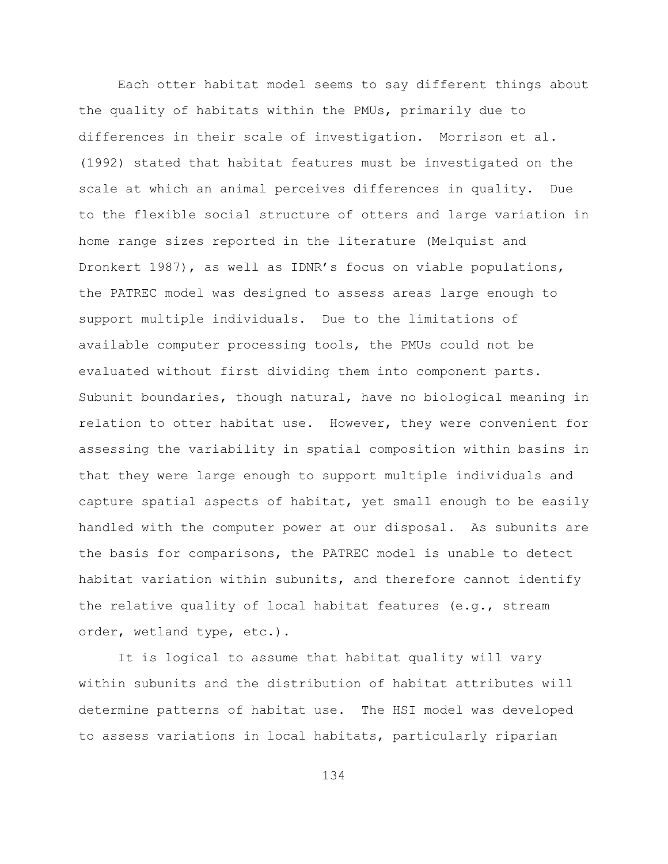Each otter habitat model seems to say different things about the quality of habitats within the PMUs, primarily due to differences in their scale of investigation. Morrison et al. (1992) stated that habitat features must be investigated on the scale at which an animal perceives differences in quality. Due to the flexible social structure of otters and large variation in home range sizes reported in the literature (Melquist and Dronkert 1987), as well as IDNR's focus on viable populations, the PATREC model was designed to assess areas large enough to support multiple individuals. Due to the limitations of available computer processing tools, the PMUs could not be evaluated without first dividing them into component parts. Subunit boundaries, though natural, have no biological meaning in relation to otter habitat use. However, they were convenient for assessing the variability in spatial composition within basins in that they were large enough to support multiple individuals and capture spatial aspects of habitat, yet small enough to be easily handled with the computer power at our disposal. As subunits are the basis for comparisons, the PATREC model is unable to detect habitat variation within subunits, and therefore cannot identify the relative quality of local habitat features (e.g., stream order, wetland type, etc.).

It is logical to assume that habitat quality will vary within subunits and the distribution of habitat attributes will determine patterns of habitat use. The HSI model was developed to assess variations in local habitats, particularly riparian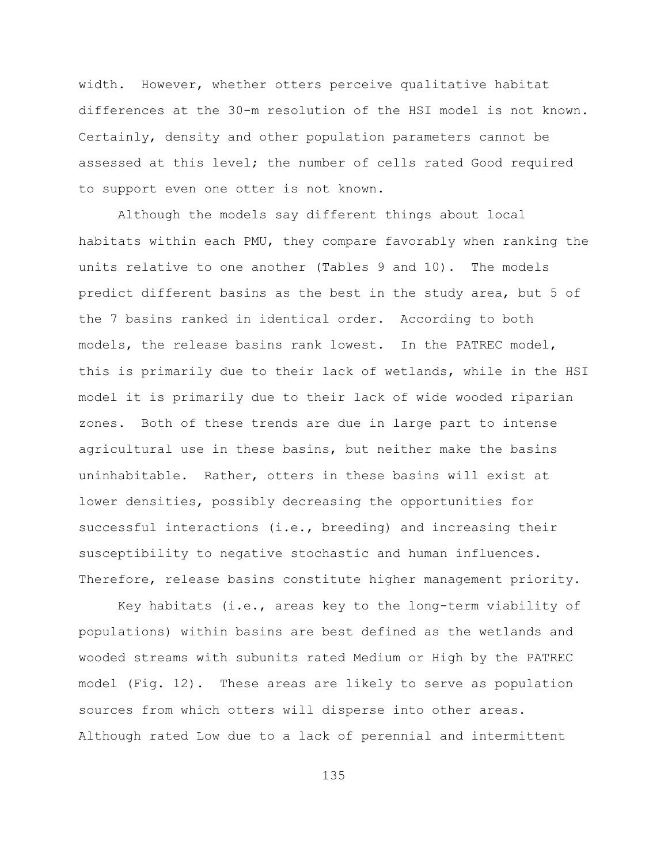width. However, whether otters perceive qualitative habitat differences at the 30-m resolution of the HSI model is not known. Certainly, density and other population parameters cannot be assessed at this level; the number of cells rated Good required to support even one otter is not known.

Although the models say different things about local habitats within each PMU, they compare favorably when ranking the units relative to one another (Tables 9 and 10). The models predict different basins as the best in the study area, but 5 of the 7 basins ranked in identical order. According to both models, the release basins rank lowest. In the PATREC model, this is primarily due to their lack of wetlands, while in the HSI model it is primarily due to their lack of wide wooded riparian zones. Both of these trends are due in large part to intense agricultural use in these basins, but neither make the basins uninhabitable. Rather, otters in these basins will exist at lower densities, possibly decreasing the opportunities for successful interactions (i.e., breeding) and increasing their susceptibility to negative stochastic and human influences. Therefore, release basins constitute higher management priority.

Key habitats (i.e., areas key to the long-term viability of populations) within basins are best defined as the wetlands and wooded streams with subunits rated Medium or High by the PATREC model (Fig. 12). These areas are likely to serve as population sources from which otters will disperse into other areas. Although rated Low due to a lack of perennial and intermittent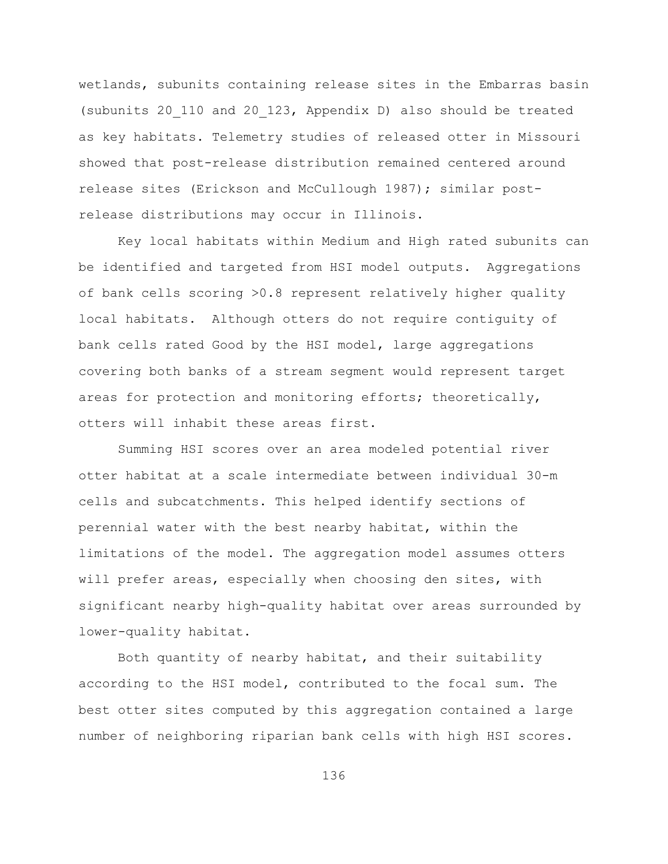wetlands, subunits containing release sites in the Embarras basin (subunits 20\_110 and 20\_123, Appendix D) also should be treated as key habitats. Telemetry studies of released otter in Missouri showed that post-release distribution remained centered around release sites (Erickson and McCullough 1987); similar postrelease distributions may occur in Illinois.

Key local habitats within Medium and High rated subunits can be identified and targeted from HSI model outputs. Aggregations of bank cells scoring >0.8 represent relatively higher quality local habitats. Although otters do not require contiguity of bank cells rated Good by the HSI model, large aggregations covering both banks of a stream segment would represent target areas for protection and monitoring efforts; theoretically, otters will inhabit these areas first.

Summing HSI scores over an area modeled potential river otter habitat at a scale intermediate between individual 30-m cells and subcatchments. This helped identify sections of perennial water with the best nearby habitat, within the limitations of the model. The aggregation model assumes otters will prefer areas, especially when choosing den sites, with significant nearby high-quality habitat over areas surrounded by lower-quality habitat.

Both quantity of nearby habitat, and their suitability according to the HSI model, contributed to the focal sum. The best otter sites computed by this aggregation contained a large number of neighboring riparian bank cells with high HSI scores.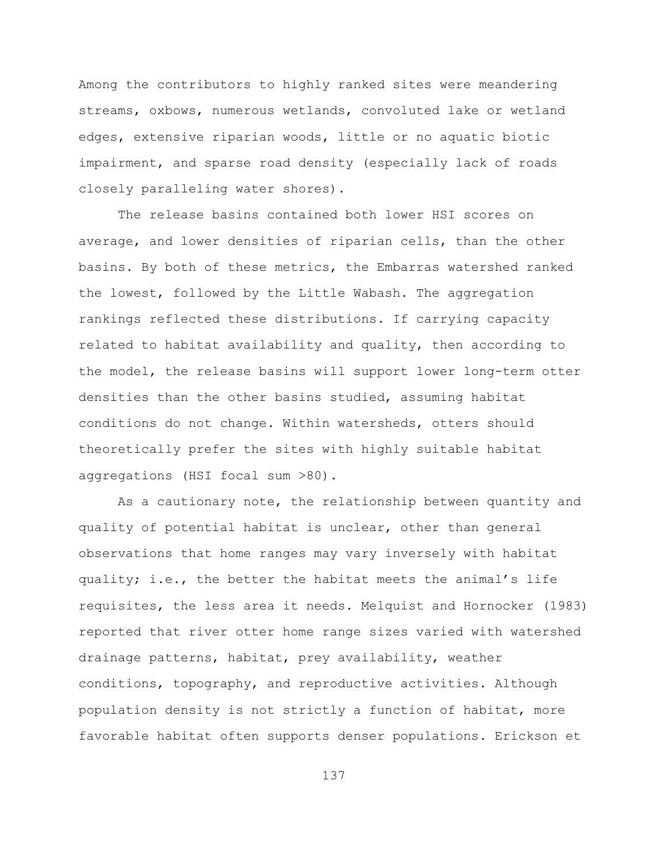Among the contributors to highly ranked sites were meandering streams, oxbows, numerous wetlands, convoluted lake or wetland edges, extensive riparian woods, little or no aquatic biotic impairment, and sparse road density (especially lack of roads closely paralleling water shores).

The release basins contained both lower HSI scores on average, and lower densities of riparian cells, than the other basins. By both of these metrics, the Embarras watershed ranked the lowest, followed by the Little Wabash. The aggregation rankings reflected these distributions. If carrying capacity related to habitat availability and quality, then according to the model, the release basins will support lower long-term otter densities than the other basins studied, assuming habitat conditions do not change. Within watersheds, otters should theoretically prefer the sites with highly suitable habitat aggregations (HSI focal sum >80).

As a cautionary note, the relationship between quantity and quality of potential habitat is unclear, other than general observations that home ranges may vary inversely with habitat quality; i.e., the better the habitat meets the animal's life requisites, the less area it needs. Melquist and Hornocker (1983) reported that river otter home range sizes varied with watershed drainage patterns, habitat, prey availability, weather conditions, topography, and reproductive activities. Although population density is not strictly a function of habitat, more favorable habitat often supports denser populations. Erickson et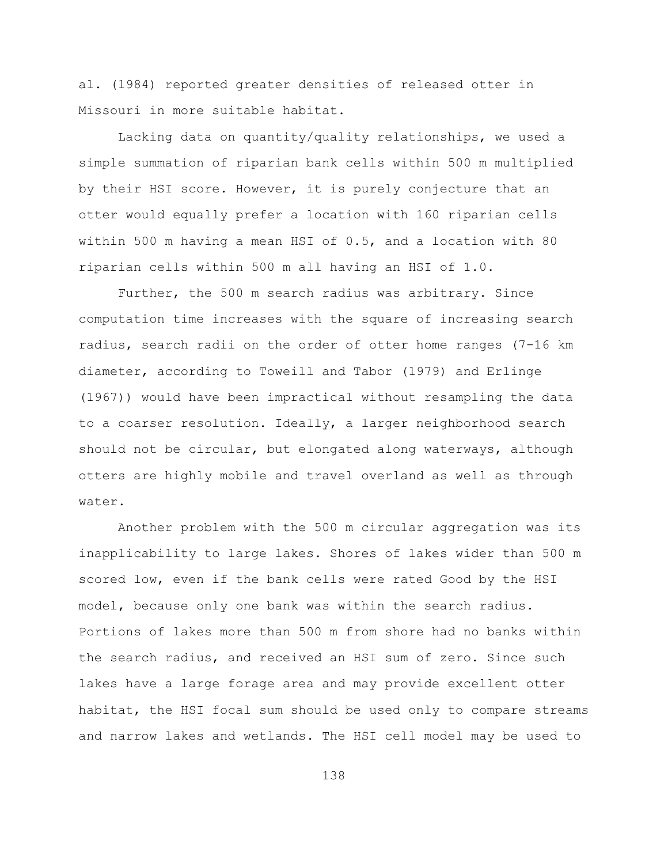al. (1984) reported greater densities of released otter in Missouri in more suitable habitat.

Lacking data on quantity/quality relationships, we used a simple summation of riparian bank cells within 500 m multiplied by their HSI score. However, it is purely conjecture that an otter would equally prefer a location with 160 riparian cells within 500 m having a mean HSI of 0.5, and a location with 80 riparian cells within 500 m all having an HSI of 1.0.

Further, the 500 m search radius was arbitrary. Since computation time increases with the square of increasing search radius, search radii on the order of otter home ranges (7-16 km diameter, according to Toweill and Tabor (1979) and Erlinge (1967)) would have been impractical without resampling the data to a coarser resolution. Ideally, a larger neighborhood search should not be circular, but elongated along waterways, although otters are highly mobile and travel overland as well as through water.

Another problem with the 500 m circular aggregation was its inapplicability to large lakes. Shores of lakes wider than 500 m scored low, even if the bank cells were rated Good by the HSI model, because only one bank was within the search radius. Portions of lakes more than 500 m from shore had no banks within the search radius, and received an HSI sum of zero. Since such lakes have a large forage area and may provide excellent otter habitat, the HSI focal sum should be used only to compare streams and narrow lakes and wetlands. The HSI cell model may be used to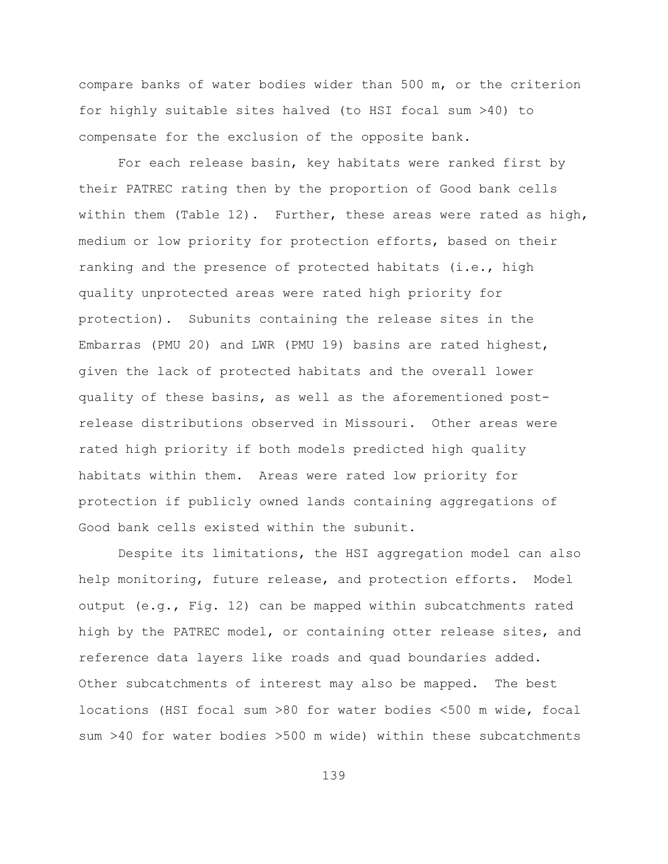compare banks of water bodies wider than 500 m, or the criterion for highly suitable sites halved (to HSI focal sum >40) to compensate for the exclusion of the opposite bank.

For each release basin, key habitats were ranked first by their PATREC rating then by the proportion of Good bank cells within them (Table 12). Further, these areas were rated as high, medium or low priority for protection efforts, based on their ranking and the presence of protected habitats (i.e., high quality unprotected areas were rated high priority for protection). Subunits containing the release sites in the Embarras (PMU 20) and LWR (PMU 19) basins are rated highest, given the lack of protected habitats and the overall lower quality of these basins, as well as the aforementioned postrelease distributions observed in Missouri. Other areas were rated high priority if both models predicted high quality habitats within them. Areas were rated low priority for protection if publicly owned lands containing aggregations of Good bank cells existed within the subunit.

Despite its limitations, the HSI aggregation model can also help monitoring, future release, and protection efforts. Model output (e.g., Fig. 12) can be mapped within subcatchments rated high by the PATREC model, or containing otter release sites, and reference data layers like roads and quad boundaries added. Other subcatchments of interest may also be mapped. The best locations (HSI focal sum >80 for water bodies <500 m wide, focal sum >40 for water bodies >500 m wide) within these subcatchments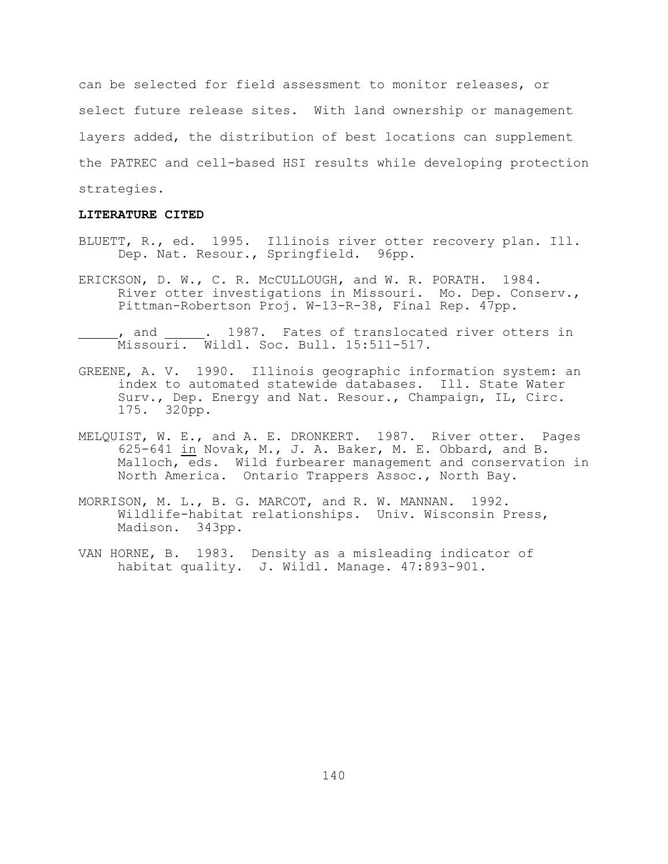can be selected for field assessment to monitor releases, or select future release sites. With land ownership or management layers added, the distribution of best locations can supplement the PATREC and cell-based HSI results while developing protection strategies.

## **LITERATURE CITED**

- BLUETT, R., ed. 1995. Illinois river otter recovery plan. Ill. Dep. Nat. Resour., Springfield. 96pp.
- ERICKSON, D. W., C. R. McCULLOUGH, and W. R. PORATH. 1984. River otter investigations in Missouri. Mo. Dep. Conserv., Pittman-Robertson Proj. W-13-R-38, Final Rep. 47pp.
- , and . 1987. Fates of translocated river otters in Missouri. Wildl. Soc. Bull. 15:511-517.
- GREENE, A. V. 1990. Illinois geographic information system: an index to automated statewide databases. Ill. State Water Surv., Dep. Energy and Nat. Resour., Champaign, IL, Circ. 175. 320pp.
- MELQUIST, W. E., and A. E. DRONKERT. 1987. River otter. Pages 625-641 in Novak, M., J. A. Baker, M. E. Obbard, and B. Malloch, eds. Wild furbearer management and conservation in North America. Ontario Trappers Assoc., North Bay.
- MORRISON, M. L., B. G. MARCOT, and R. W. MANNAN. 1992. Wildlife-habitat relationships. Univ. Wisconsin Press, Madison. 343pp.
- VAN HORNE, B. 1983. Density as a misleading indicator of habitat quality. J. Wildl. Manage. 47:893-901.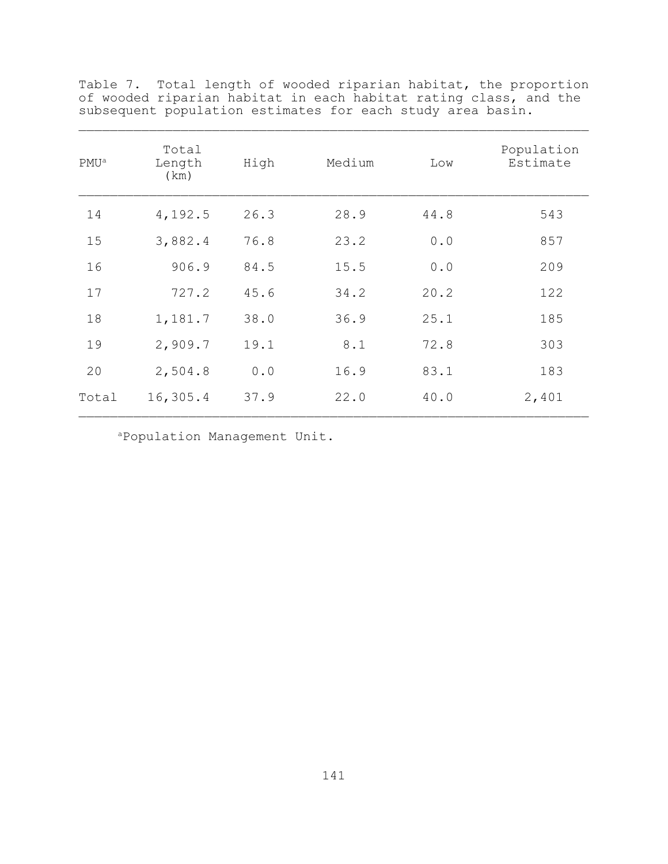| $PMU^a$ | Total<br>Length<br>(km) | High | Medium | Low  | Population<br>Estimate |
|---------|-------------------------|------|--------|------|------------------------|
| 14      | 4,192.5                 | 26.3 | 28.9   | 44.8 | 543                    |
| 15      | 3,882.4                 | 76.8 | 23.2   | 0.0  | 857                    |
| 16      | 906.9                   | 84.5 | 15.5   | 0.0  | 209                    |
| 17      | 727.2                   | 45.6 | 34.2   | 20.2 | 122                    |
| 18      | 1,181.7                 | 38.0 | 36.9   | 25.1 | 185                    |
| 19      | 2,909.7                 | 19.1 | 8.1    | 72.8 | 303                    |
| 20      | 2,504.8                 | 0.0  | 16.9   | 83.1 | 183                    |
| Total   | 16,305.4                | 37.9 | 22.0   | 40.0 | 2,401                  |

Table 7. Total length of wooded riparian habitat, the proportion of wooded riparian habitat in each habitat rating class, and the subsequent population estimates for each study area basin.

<sup>a</sup>Population Management Unit.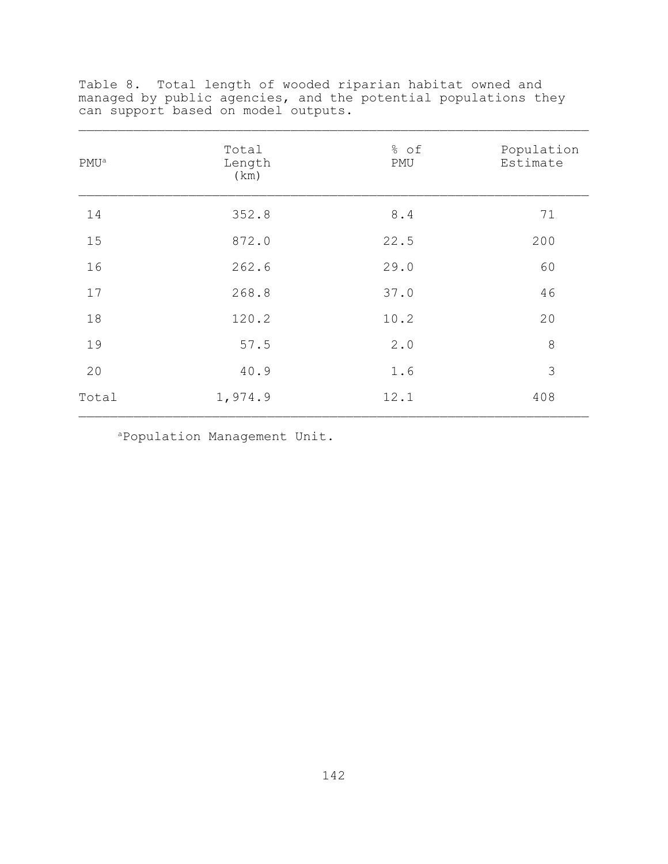| PMU <sup>a</sup> | Total<br>Length<br>(km) | % of<br>PMU | Population<br>Estimate |
|------------------|-------------------------|-------------|------------------------|
| 14               | 352.8                   | 8.4         | 71                     |
| 15               | 872.0                   | 22.5        | 200                    |
| 16               | 262.6                   | 29.0        | 60                     |
| 17               | 268.8                   | 37.0        | 46                     |
| 18               | 120.2                   | 10.2        | 20                     |
| 19               | 57.5                    | 2.0         | 8                      |
| 20               | 40.9                    | 1.6         | 3                      |
| Total            | 1,974.9                 | 12.1        | 408                    |

Table 8. Total length of wooded riparian habitat owned and managed by public agencies, and the potential populations they can support based on model outputs.

<sup>a</sup>Population Management Unit.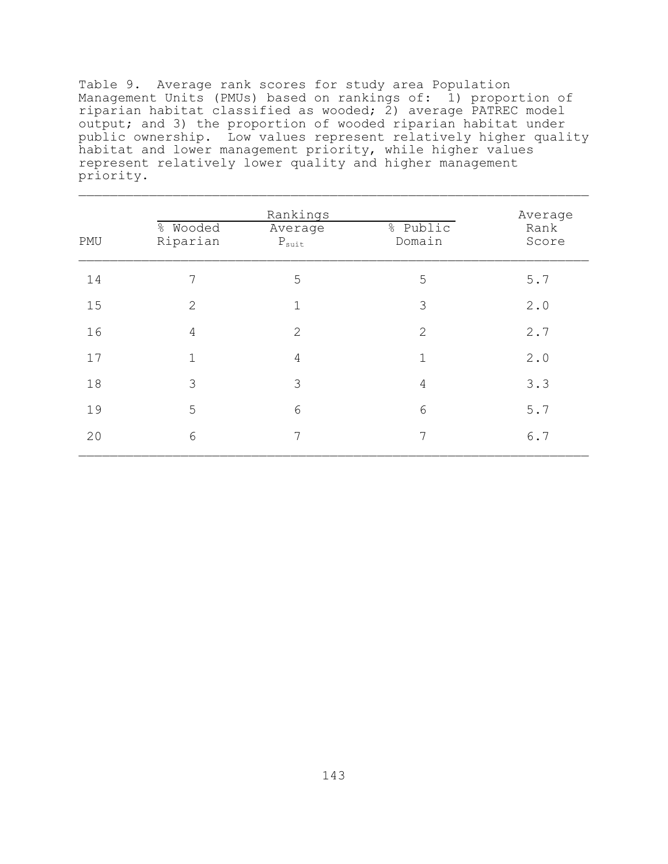Table 9. Average rank scores for study area Population Management Units (PMUs) based on rankings of: 1) proportion of riparian habitat classified as wooded;  $2)$  average PATREC model output; and 3) the proportion of wooded riparian habitat under public ownership. Low values represent relatively higher quality habitat and lower management priority, while higher values represent relatively lower quality and higher management priority.

|     |                      |                                                     | Average            |               |
|-----|----------------------|-----------------------------------------------------|--------------------|---------------|
| PMU | % Wooded<br>Riparian | Rankings<br>Average<br>$\mathbf{P}_{\texttt{suit}}$ | % Public<br>Domain | Rank<br>Score |
| 14  | 7                    | 5                                                   | 5                  | 5.7           |
| 15  | $\overline{2}$       | $\mathbf{1}$                                        | 3                  | 2.0           |
| 16  | 4                    | $\mathbf{2}$                                        | $\overline{2}$     | 2.7           |
| 17  | $\mathbf{1}$         | 4                                                   | $\mathbf{1}$       | 2.0           |
| 18  | 3                    | 3                                                   | $\overline{4}$     | 3.3           |
| 19  | 5                    | 6                                                   | 6                  | 5.7           |
| 20  | 6                    | 7                                                   | 7                  | 6.7           |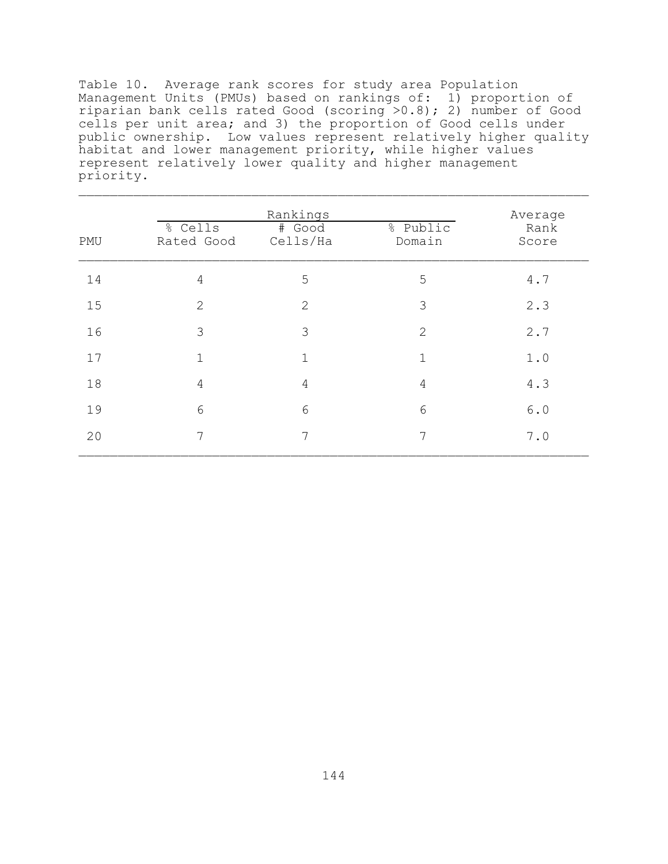Table 10. Average rank scores for study area Population Management Units (PMUs) based on rankings of: 1) proportion of riparian bank cells rated Good (scoring >0.8); 2) number of Good cells per unit area; and 3) the proportion of Good cells under public ownership. Low values represent relatively higher quality habitat and lower management priority, while higher values represent relatively lower quality and higher management priority.

|     | % Cells    | % Public           | Average<br>Rank |       |
|-----|------------|--------------------|-----------------|-------|
| PMU | Rated Good | # Good<br>Cells/Ha | Domain          | Score |
| 14  | 4          | 5                  | 5               | 4.7   |
| 15  | 2          | $\overline{2}$     | 3               | 2.3   |
| 16  | 3          | 3                  | $\overline{2}$  | 2.7   |
| 17  | 1          | 1                  | $\mathbf{1}$    | 1.0   |
| 18  | 4          | 4                  | $\overline{4}$  | 4.3   |
| 19  | 6          | 6                  | 6               | $6.0$ |
| 20  | 7          | 7                  | 7               | 7.0   |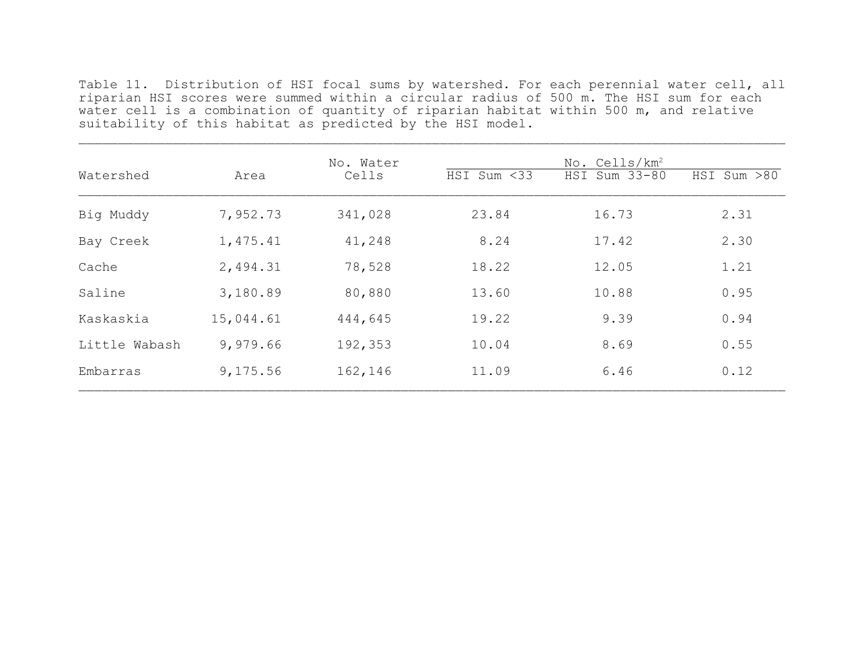Table 11. Distribution of HSI focal sums by watershed. For each perennial water cell, all riparian HSI scores were summed within a circular radius of 500 m. The HSI sum for each water cell is a combination of quantity of riparian habitat within 500 m, and relative suitability of this habitat as predicted by the HSI model.  $\mathcal{L}_\mathcal{L} = \mathcal{L}_\mathcal{L} = \mathcal{L}_\mathcal{L} = \mathcal{L}_\mathcal{L} = \mathcal{L}_\mathcal{L} = \mathcal{L}_\mathcal{L} = \mathcal{L}_\mathcal{L} = \mathcal{L}_\mathcal{L} = \mathcal{L}_\mathcal{L} = \mathcal{L}_\mathcal{L} = \mathcal{L}_\mathcal{L} = \mathcal{L}_\mathcal{L} = \mathcal{L}_\mathcal{L} = \mathcal{L}_\mathcal{L} = \mathcal{L}_\mathcal{L} = \mathcal{L}_\mathcal{L} = \mathcal{L}_\mathcal{L}$ 

| Watershed     | Area      | No. Water<br>Cells | HSI Sum <33 | No. Cells/km <sup>2</sup><br>HSI Sum 33-80 | HSI Sum >80 |
|---------------|-----------|--------------------|-------------|--------------------------------------------|-------------|
| Big Muddy     | 7,952.73  | 341,028            | 23.84       | 16.73                                      | 2.31        |
| Bay Creek     | 1,475.41  | 41,248             | 8.24        | 17.42                                      | 2.30        |
| Cache         | 2,494.31  | 78,528             | 18.22       | 12.05                                      | 1.21        |
| Saline        | 3,180.89  | 80,880             | 13.60       | 10.88                                      | 0.95        |
| Kaskaskia     | 15,044.61 | 444,645            | 19.22       | 9.39                                       | 0.94        |
| Little Wabash | 9,979.66  | 192,353            | 10.04       | 8.69                                       | 0.55        |
| Embarras      | 9,175.56  | 162,146            | 11.09       | 6.46                                       | 0.12        |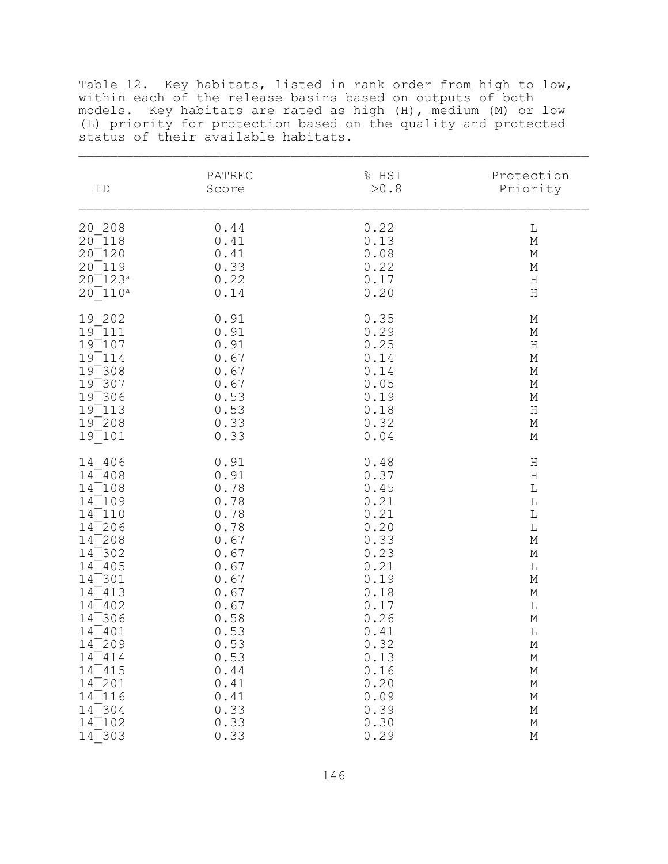Table 12. Key habitats, listed in rank order from high to low, within each of the release basins based on outputs of both models. Key habitats are rated as high (H), medium (M) or low (L) priority for protection based on the quality and protected status of their available habitats.

| ID          | PATREC | % HSI | Protection                |
|-------------|--------|-------|---------------------------|
|             | Score  | >0.8  | Priority                  |
| 20 208      | 0.44   | 0.22  | $\mathbb L$               |
| $20^-118$   | 0.41   | 0.13  | $\mathbb M$               |
| $20^-120$   | 0.41   | 0.08  | $\mathbb M$               |
| $20^-119$   | 0.33   | 0.22  | $\mathbb M$               |
| $20^-123^a$ | 0.22   | 0.17  | $\rm H$                   |
| $20^-110^a$ | 0.14   | 0.20  | $\rm H$                   |
| 19 202      | 0.91   | 0.35  | $\mathop{\rm M}\nolimits$ |
| $19^-111$   | 0.91   | 0.29  | $\mathbb M$               |
| $19^-107$   | 0.91   | 0.25  | $\rm H$                   |
| $19 - 114$  | 0.67   | 0.14  | $\mathbb M$               |
| $19^-308$   | 0.67   | 0.14  | $\mathbb M$               |
| $19^-307$   | 0.67   | 0.05  | $\mathbb M$               |
| $19^-306$   | 0.53   | 0.19  | $\mathbb M$               |
| $19 - 113$  | 0.53   | 0.18  | $\rm H$                   |
| $19^-208$   | 0.33   | 0.32  | $\mathbb M$               |
| $19^-101$   | 0.33   | 0.04  | $\mathbb M$               |
| 14 406      | 0.91   | 0.48  | $\rm H$                   |
| $14^{-}408$ | 0.91   | 0.37  | $\rm H$                   |
| $14^-108$   | 0.78   | 0.45  | $\mathbb L$               |
| $14^-109$   | 0.78   | 0.21  | $\mathbb L$               |
| $14^-110$   | 0.78   | 0.21  | $\mathbb L$               |
| $14^{-206}$ | 0.78   | 0.20  | $\mathbb L$               |
| $14^{-208}$ | 0.67   | 0.33  | $\mathbb M$               |
| $14^-302$   | 0.67   | 0.23  | $\mathbb M$               |
| $14^-$ 405  | 0.67   | 0.21  | $\mathbb L$               |
| $14^-301$   | 0.67   | 0.19  | $\mathbb M$               |
| $14^-413$   | 0.67   | 0.18  | $\mathbb M$               |
| $14^-402$   | 0.67   | 0.17  | $\mathbb L$               |
| $14^-306$   | 0.58   | 0.26  | $\mathbb M$               |
| $14^{-}401$ | 0.53   | 0.41  | $\mathbb L$               |
| $14^{-209}$ | 0.53   | 0.32  | $\mathbb M$               |
| $14^-414$   | 0.53   | 0.13  | М                         |
| $14^-415$   | 0.44   | 0.16  | $\mathop{\rm M}\nolimits$ |
| $14^{-201}$ | 0.41   | 0.20  | $\mathop{\rm M}\nolimits$ |
| $14^-116$   | 0.41   | 0.09  | $\mathbb M$               |
| $14^-304$   | 0.33   | 0.39  | $\mathbb M$               |
| $14^-102$   | 0.33   | 0.30  | $\mathbb M$               |
| $14^-303$   | 0.33   | 0.29  | $\mathbb M$               |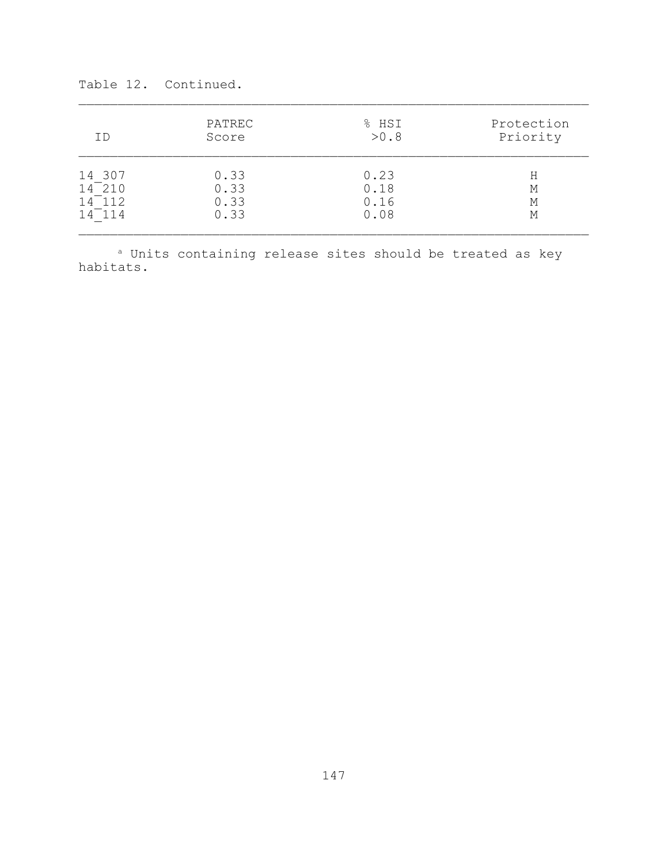| ΙD         | PATREC | % HSI | Protection |
|------------|--------|-------|------------|
|            | Score  | >0.8  | Priority   |
| 14 307     | 0.33   | 0.23  | Η          |
| $14^-$ 210 | 0.33   | 0.18  | M          |
| $14^-112$  | 0.33   | 0.16  | М          |
| $14^-114$  | 0.33   | 0.08  | М          |

Table 12. Continued.

a Units containing release sites should be treated as key habitats.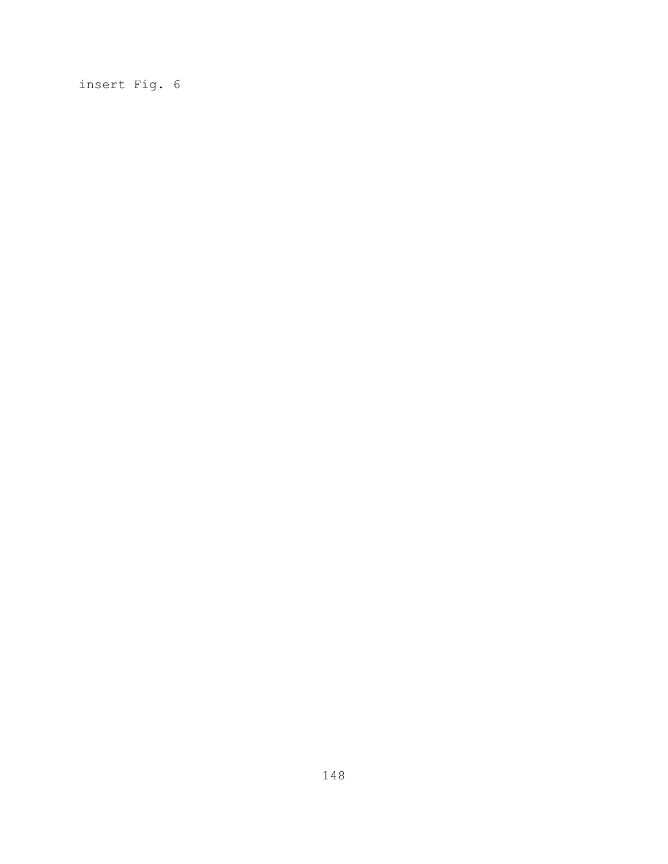insert Fig. 6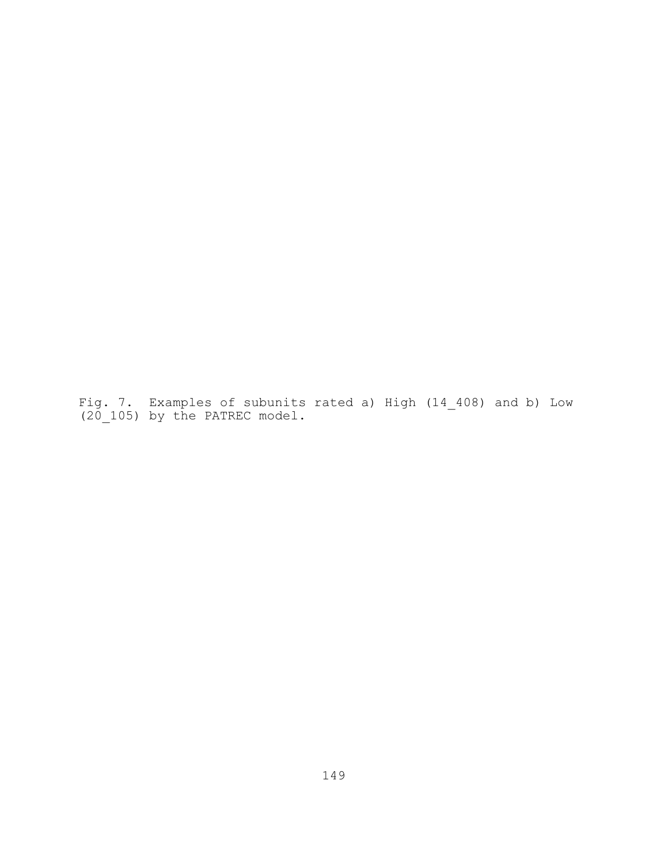Fig. 7. Examples of subunits rated a) High (14 408) and b) Low (20\_105) by the PATREC model.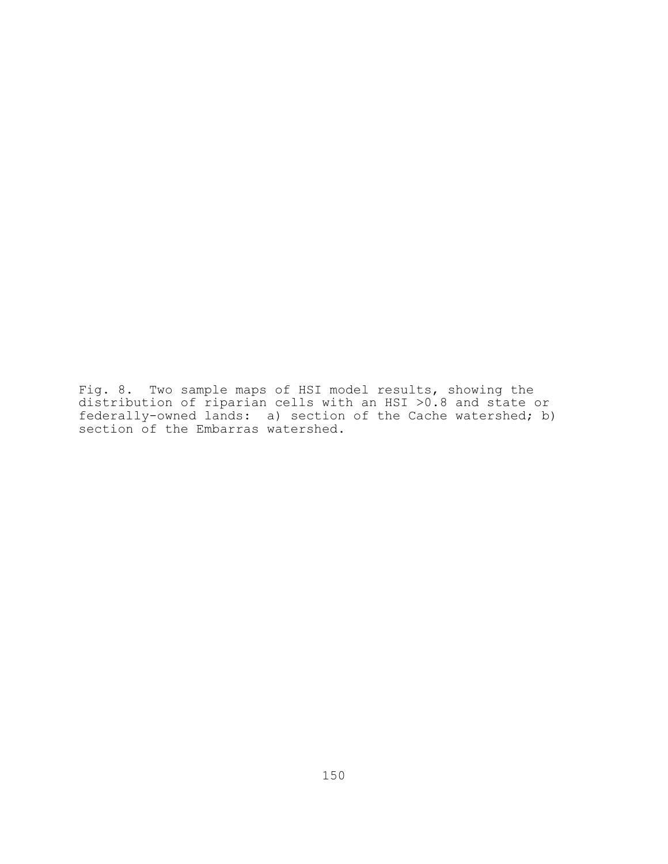Fig. 8. Two sample maps of HSI model results, showing the distribution of riparian cells with an HSI >0.8 and state or federally-owned lands: a) section of the Cache watershed; b) section of the Embarras watershed.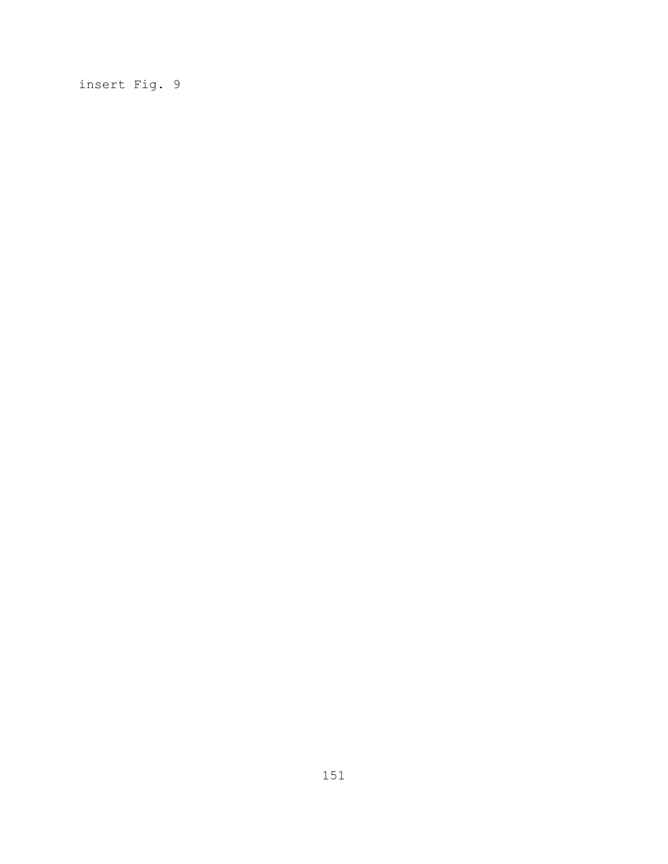insert Fig. 9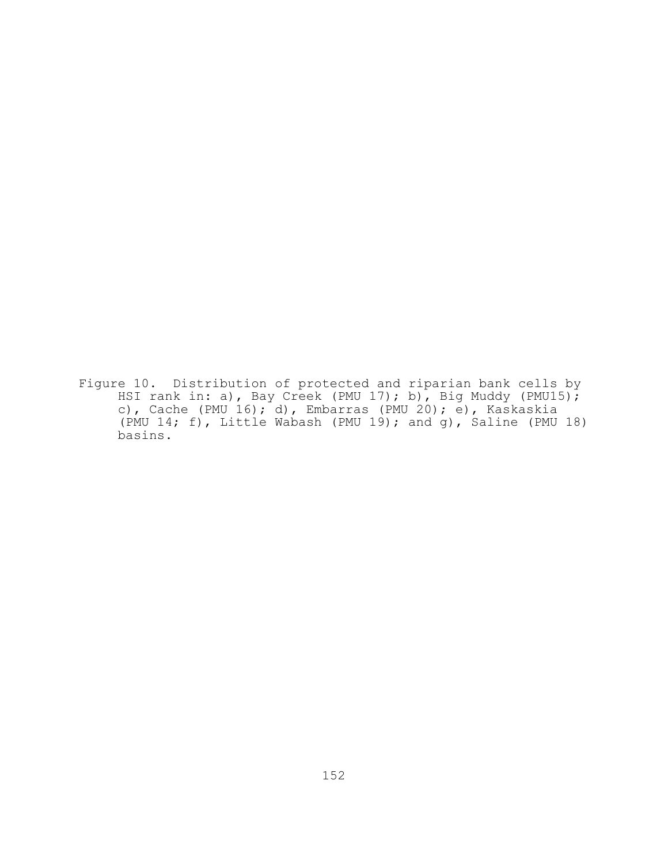Figure 10. Distribution of protected and riparian bank cells by HSI rank in: a), Bay Creek (PMU 17); b), Big Muddy (PMU15); c), Cache (PMU 16); d), Embarras (PMU 20); e), Kaskaskia (PMU 14; f), Little Wabash (PMU 19); and g), Saline (PMU 18) basins.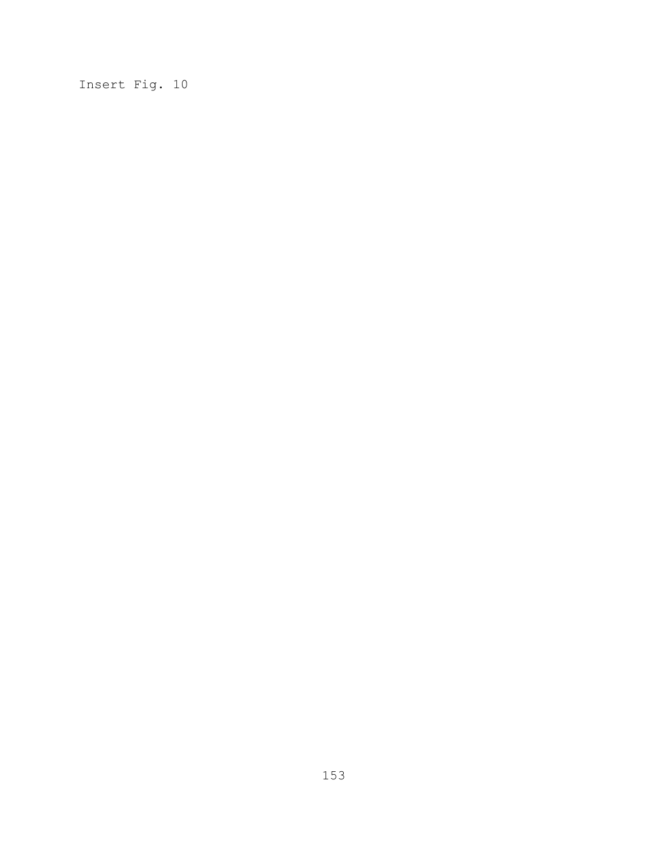Insert Fig. 10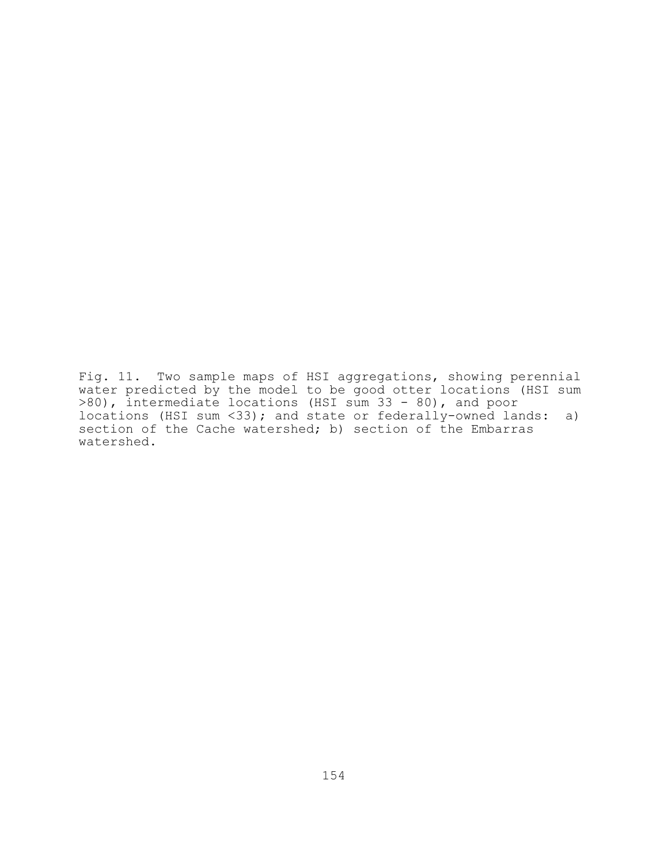Fig. 11. Two sample maps of HSI aggregations, showing perennial water predicted by the model to be good otter locations (HSI sum >80), intermediate locations (HSI sum 33 - 80), and poor locations (HSI sum <33); and state or federally-owned lands: a) section of the Cache watershed; b) section of the Embarras watershed.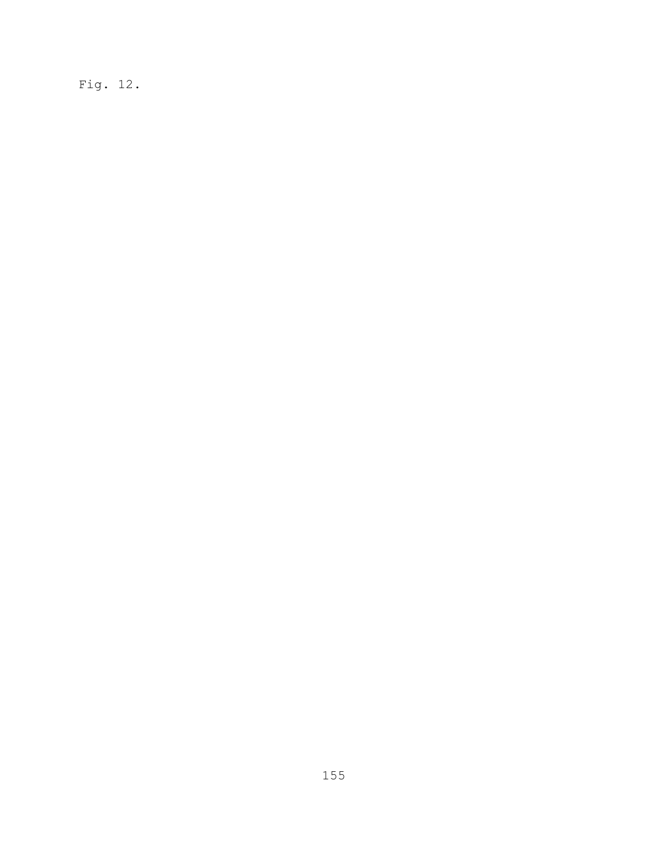Fig. 12.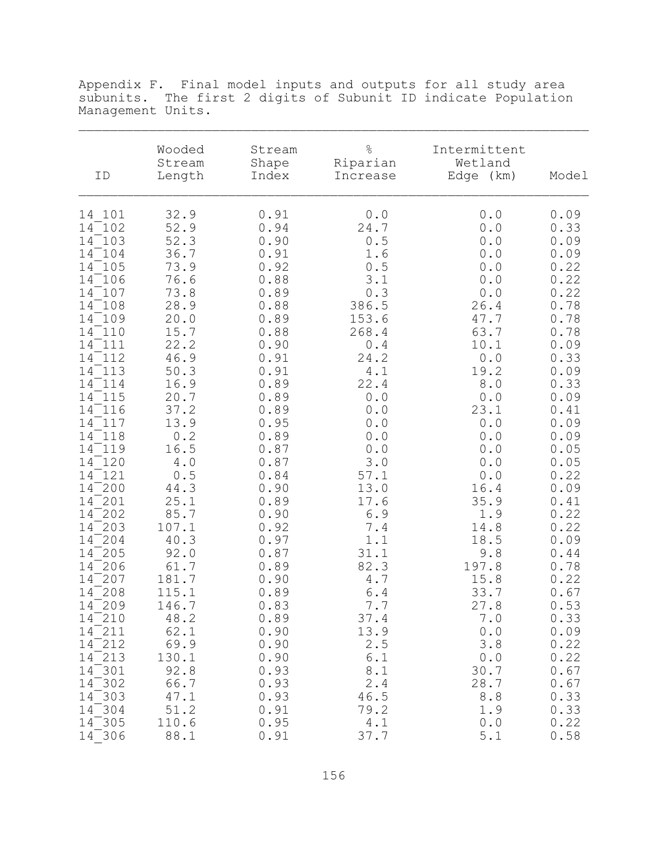| ID                                                                                                                                                                                                                                                                                                                                                                                                                                                                                                                                                              | Wooded<br>Stream<br>Length                                                                                                                                                                                                                                                                                             | Stream<br>Shape<br>Index                                                                                                                                                                                                                                                                                             | $\%$<br>Riparian<br>Increase                                                                                                                                                                                                                                                                                        | Intermittent<br>Wetland<br>Edge (km)                                                                                                                                                                                                                                                                                                             | Model                                                                                                                                                                                                                                                                                                                |
|-----------------------------------------------------------------------------------------------------------------------------------------------------------------------------------------------------------------------------------------------------------------------------------------------------------------------------------------------------------------------------------------------------------------------------------------------------------------------------------------------------------------------------------------------------------------|------------------------------------------------------------------------------------------------------------------------------------------------------------------------------------------------------------------------------------------------------------------------------------------------------------------------|----------------------------------------------------------------------------------------------------------------------------------------------------------------------------------------------------------------------------------------------------------------------------------------------------------------------|---------------------------------------------------------------------------------------------------------------------------------------------------------------------------------------------------------------------------------------------------------------------------------------------------------------------|--------------------------------------------------------------------------------------------------------------------------------------------------------------------------------------------------------------------------------------------------------------------------------------------------------------------------------------------------|----------------------------------------------------------------------------------------------------------------------------------------------------------------------------------------------------------------------------------------------------------------------------------------------------------------------|
| 14 101<br>$14^-102$<br>$14^-103$<br>$14^-104$<br>$14^-105$<br>$14^-106$<br>$14^-107$<br>$14^-108$<br>14 109<br>14 110<br>14 111<br>14 112<br>14 113<br>$14^-114$<br>14 115<br>14<br>116<br>14<br>117<br>14 118<br>119<br>14<br>$14^-120$<br>121<br>14<br>$14^{-200}$<br>$\sqrt{201}$<br>14<br>202<br>14<br>$\sqrt{203}$<br>14<br>$-204$<br>14<br>205<br>14<br>14<br>-206<br>$\sqrt{207}$<br>14<br>$\sqrt{208}$<br>14<br>$14^{-209}$<br>$\overline{210}$<br>14<br>14 211<br>$\sqrt{212}$<br>14<br>$14^-$ 213<br>$14^-301$<br>$14^-302$<br>$14^-303$<br>$14^-304$ | 32.9<br>52.9<br>52.3<br>36.7<br>73.9<br>76.6<br>73.8<br>28.9<br>20.0<br>15.7<br>22.2<br>46.9<br>50.3<br>16.9<br>20.7<br>37.2<br>13.9<br>0.2<br>16.5<br>4.0<br>0.5<br>44.3<br>25.1<br>85.7<br>107.1<br>40.3<br>92.0<br>61.7<br>181.7<br>115.1<br>146.7<br>48.2<br>62.1<br>69.9<br>130.1<br>92.8<br>66.7<br>47.1<br>51.2 | 0.91<br>0.94<br>0.90<br>0.91<br>0.92<br>0.88<br>0.89<br>0.88<br>0.89<br>0.88<br>0.90<br>0.91<br>0.91<br>0.89<br>0.89<br>0.89<br>0.95<br>0.89<br>0.87<br>0.87<br>0.84<br>0.90<br>0.89<br>0.90<br>0.92<br>0.97<br>0.87<br>0.89<br>0.90<br>0.89<br>0.83<br>0.89<br>0.90<br>0.90<br>0.90<br>0.93<br>0.93<br>0.93<br>0.91 | 0.0<br>24.7<br>0.5<br>1.6<br>$0.5\,$<br>3.1<br>0.3<br>386.5<br>153.6<br>268.4<br>0.4<br>24.2<br>4.1<br>22.4<br>$0.0$<br>0.0<br>0.0<br>0.0<br>0.0<br>$3.0$<br>57.1<br>13.0<br>17.6<br>6.9<br>7.4<br>1.1<br>31.1<br>82.3<br>$4\,$ . $7$<br>6.4<br>$7.7\,$<br>37.4<br>13.9<br>2.5<br>6.1<br>8.1<br>2.4<br>46.5<br>79.2 | 0.0<br>0.0<br>0.0<br>0.0<br>0.0<br>0.0<br>0.0<br>26.4<br>47.7<br>63.7<br>10.1<br>0.0<br>19.2<br>$8.0$<br>0.0<br>23.1<br>$\ensuremath{\mathbf 0}$ . $\ensuremath{\mathbf 0}$<br>0.0<br>0.0<br>0.0<br>0.0<br>16.4<br>35.9<br>1.9<br>14.8<br>18.5<br>9.8<br>197.8<br>15.8<br>33.7<br>27.8<br>7.0<br>0.0<br>3.8<br>0.0<br>30.7<br>28.7<br>8.8<br>1.9 | 0.09<br>0.33<br>0.09<br>0.09<br>0.22<br>0.22<br>0.22<br>0.78<br>0.78<br>0.78<br>0.09<br>0.33<br>0.09<br>0.33<br>0.09<br>0.41<br>0.09<br>0.09<br>0.05<br>0.05<br>0.22<br>0.09<br>0.41<br>0.22<br>0.22<br>0.09<br>0.44<br>0.78<br>0.22<br>0.67<br>0.53<br>0.33<br>0.09<br>0.22<br>0.22<br>0.67<br>0.67<br>0.33<br>0.33 |
| $14^-305$<br>$14^-306$                                                                                                                                                                                                                                                                                                                                                                                                                                                                                                                                          | 110.6<br>88.1                                                                                                                                                                                                                                                                                                          | 0.95<br>0.91                                                                                                                                                                                                                                                                                                         | 4.1<br>37.7                                                                                                                                                                                                                                                                                                         | 0.0<br>$5.1$                                                                                                                                                                                                                                                                                                                                     | 0.22<br>0.58                                                                                                                                                                                                                                                                                                         |

Appendix F. Final model inputs and outputs for all study area subunits. The first 2 digits of Subunit ID indicate Population Management Units.  $\mathcal{L}_\text{max} = \mathcal{L}_\text{max} = \mathcal{L}_\text{max} = \mathcal{L}_\text{max} = \mathcal{L}_\text{max} = \mathcal{L}_\text{max} = \mathcal{L}_\text{max} = \mathcal{L}_\text{max} = \mathcal{L}_\text{max} = \mathcal{L}_\text{max} = \mathcal{L}_\text{max} = \mathcal{L}_\text{max} = \mathcal{L}_\text{max} = \mathcal{L}_\text{max} = \mathcal{L}_\text{max} = \mathcal{L}_\text{max} = \mathcal{L}_\text{max} = \mathcal{L}_\text{max} = \mathcal{$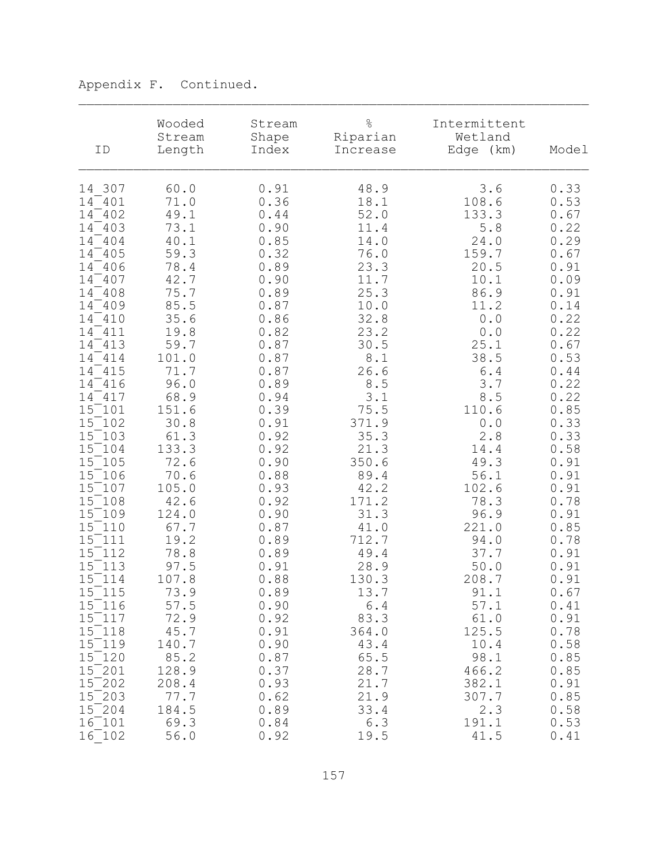| ID          | Wooded<br>Stream<br>Length | Stream<br>Shape<br>Index | $\frac{6}{\sqrt{2}}$<br>Riparian<br>Increase | Intermittent<br>Wetland<br>Edge (km)                | Model |
|-------------|----------------------------|--------------------------|----------------------------------------------|-----------------------------------------------------|-------|
| 14 307      | 60.0                       | 0.91                     | 48.9                                         | 3.6                                                 | 0.33  |
| 14 401      | 71.0                       | 0.36                     | 18.1                                         | 108.6                                               | 0.53  |
| 14 402      | 49.1                       | 0.44                     | 52.0                                         | 133.3                                               | 0.67  |
| $14^-$ 403  | 73.1                       | 0.90                     | 11.4                                         | 5.8                                                 | 0.22  |
| 14 404      | 40.1                       | 0.85                     | 14.0                                         | 24.0                                                | 0.29  |
| 14 405      | 59.3                       | 0.32                     | 76.0                                         | 159.7                                               | 0.67  |
| 14 406      | 78.4                       | 0.89                     | 23.3                                         | 20.5                                                | 0.91  |
| 14 407      | 42.7                       | 0.90                     | 11.7                                         | 10.1                                                | 0.09  |
| 14 408      | 75.7                       | 0.89                     | 25.3                                         | 86.9                                                | 0.91  |
| $14^{-}409$ | 85.5                       | 0.87                     | 10.0                                         | 11.2                                                | 0.14  |
| 14 410      | 35.6                       | 0.86                     | 32.8                                         | 0.0                                                 | 0.22  |
| 14 411      | 19.8                       | 0.82                     | 23.2                                         | 0.0                                                 | 0.22  |
| 14 413      | 59.7                       | 0.87                     | 30.5                                         | 25.1                                                | 0.67  |
| 14 414      | 101.0                      | 0.87                     | 8.1                                          | 38.5                                                | 0.53  |
| 14 415      | 71.7                       | 0.87                     | 26.6                                         | 6.4                                                 | 0.44  |
| $14^-416$   | 96.0                       | 0.89                     | 8.5                                          | 3.7                                                 | 0.22  |
| 14 417      | 68.9                       | 0.94                     | 3.1                                          | 8.5                                                 | 0.22  |
| $15^-101$   | 151.6                      | 0.39                     | 75.5                                         | 110.6                                               | 0.85  |
| $15^ 102$   | 30.8                       | 0.91                     | 371.9                                        | $\ensuremath{\mathbf 0}$ . $\ensuremath{\mathbf 0}$ | 0.33  |
| 15 103      | 61.3                       | 0.92                     | 35.3                                         | 2.8                                                 | 0.33  |
| 15 104      | 133.3                      | 0.92                     | 21.3                                         | 14.4                                                | 0.58  |
| $15^ 105$   | 72.6                       | 0.90                     | 350.6                                        | 49.3                                                | 0.91  |
| 15 106      | 70.6                       | 0.88                     | 89.4                                         | 56.1                                                | 0.91  |
| $15^-107$   | 105.0                      | 0.93                     | 42.2                                         | 102.6                                               | 0.91  |
| $15^ 108$   | 42.6                       | 0.92                     | 171.2                                        | 78.3                                                | 0.78  |
| 15 109      | 124.0                      | 0.90                     | 31.3                                         | 96.9                                                | 0.91  |
| $15^-110$   | 67.7                       | 0.87                     | 41.0                                         | 221.0                                               | 0.85  |
| $15^-111$   | 19.2                       | 0.89                     | 712.7                                        | 94.0                                                | 0.78  |
| 15 112      | 78.8                       | 0.89                     | 49.4                                         | 37.7                                                | 0.91  |
| $15^ 113$   | 97.5                       | 0.91                     | 28.9                                         | 50.0                                                | 0.91  |
| $15^-114$   | 107.8                      | 0.88                     | 130.3                                        | 208.7                                               | 0.91  |
| 15 115      | 73.9                       | 0.89                     | 13.7                                         | 91.1                                                | 0.67  |
| $15^-116$   | 57.5                       | 0.90                     | 6.4                                          | 57.1                                                | 0.41  |
| 15 117      | 72.9                       | 0.92                     | 83.3                                         | 61.0                                                | 0.91  |
| 15 118      | 45.7                       | 0.91                     | 364.0                                        | 125.5                                               | 0.78  |
| 15 119      | 140.7                      | 0.90                     | 43.4                                         | 10.4                                                | 0.58  |
| 15 120      | 85.2                       | 0.87                     | 65.5                                         | 98.1                                                | 0.85  |
| $15^ 201$   | 128.9                      | 0.37                     | 28.7                                         | 466.2                                               | 0.85  |
| $15^-$ 202  | 208.4                      | 0.93                     | 21.7                                         | 382.1                                               | 0.91  |
| $15^-$ 203  | 77.7                       | 0.62                     | 21.9                                         | 307.7                                               | 0.85  |
| $15^-$ 204  | 184.5                      | 0.89                     | 33.4                                         | 2.3                                                 | 0.58  |
| 16 101      | 69.3                       | 0.84                     | 6.3                                          | 191.1                                               | 0.53  |
| 16 102      | 56.0                       | 0.92                     | 19.5                                         | 41.5                                                | 0.41  |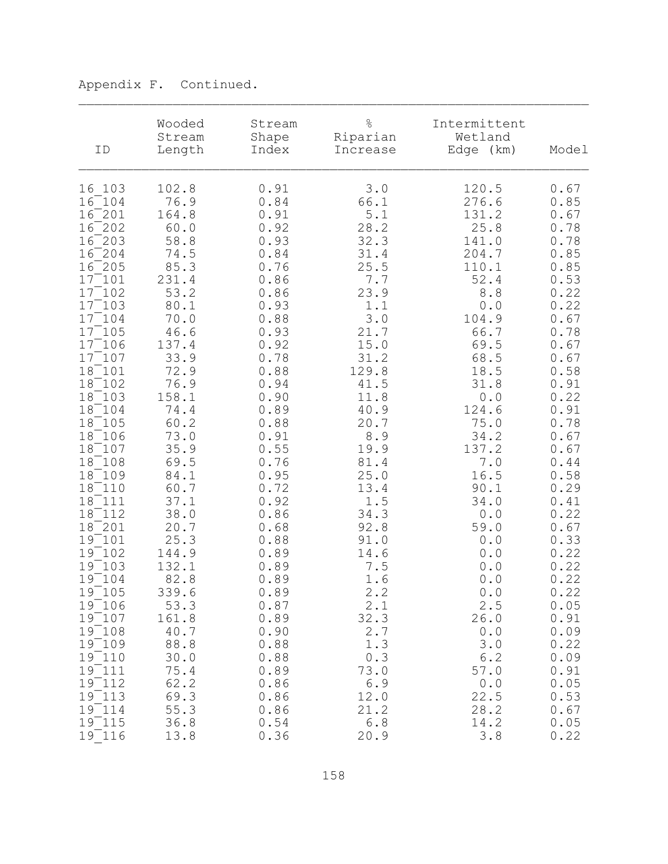| ID         | Wooded<br>Stream<br>Length | Stream<br>Shape<br>Index | $\frac{6}{\sqrt{2}}$<br>Riparian<br>Increase | Intermittent<br>Wetland<br>Edge (km) | Model |
|------------|----------------------------|--------------------------|----------------------------------------------|--------------------------------------|-------|
| 16 103     | 102.8                      | 0.91                     | 3.0                                          | 120.5                                | 0.67  |
| $16^ 104$  | 76.9                       | 0.84                     | 66.1                                         | 276.6                                | 0.85  |
| $16^ 201$  | 164.8                      | 0.91                     | 5.1                                          | 131.2                                | 0.67  |
| $16^ 202$  | 60.0                       | 0.92                     | 28.2                                         | 25.8                                 | 0.78  |
| $16^-$ 203 | 58.8                       | 0.93                     | 32.3                                         | 141.0                                | 0.78  |
| $16^ 204$  | 74.5                       | 0.84                     | 31.4                                         | 204.7                                | 0.85  |
| $16^ 205$  | 85.3                       | 0.76                     | 25.5                                         | 110.1                                | 0.85  |
| $17^-101$  | 231.4                      | 0.86                     | 7.7                                          | 52.4                                 | 0.53  |
| $17^-102$  | 53.2                       | 0.86                     | 23.9                                         | 8.8                                  | 0.22  |
| $17^-103$  | 80.1                       | 0.93                     | 1.1                                          | 0.0                                  | 0.22  |
| $17^-104$  | 70.0                       | 0.88                     | 3.0                                          | 104.9                                | 0.67  |
| 17 105     | 46.6                       | 0.93                     | 21.7                                         | 66.7                                 | 0.78  |
| $17^-106$  | 137.4                      | 0.92                     | 15.0                                         | 69.5                                 | 0.67  |
| $17^-107$  | 33.9                       | 0.78                     | 31.2                                         | 68.5                                 | 0.67  |
| $18^-101$  | 72.9                       | 0.88                     | 129.8                                        | 18.5                                 | 0.58  |
| 18 102     | 76.9                       | 0.94                     | 41.5                                         | 31.8                                 | 0.91  |
| 18 103     | 158.1                      | 0.90                     | 11.8                                         | 0.0                                  | 0.22  |
| 18 104     | 74.4                       | 0.89                     | 40.9                                         | 124.6                                | 0.91  |
| 18 105     | 60.2                       | 0.88                     | 20.7                                         | 75.0                                 | 0.78  |
| 18 106     | 73.0                       | 0.91                     | 8.9                                          | 34.2                                 | 0.67  |
| 18 107     | 35.9                       | 0.55                     | 19.9                                         | 137.2                                | 0.67  |
| 18 108     | 69.5                       | 0.76                     | 81.4                                         | 7.0                                  | 0.44  |
| 18 109     | 84.1                       | 0.95                     | 25.0                                         | 16.5                                 | 0.58  |
| 18 110     | 60.7                       | 0.72                     | 13.4                                         | 90.1                                 | 0.29  |
| 18 111     | 37.1                       | 0.92                     | 1.5                                          | 34.0                                 | 0.41  |
| 18 112     | 38.0                       | 0.86                     | 34.3                                         | 0.0                                  | 0.22  |
| 18 201     | 20.7                       | 0.68                     | 92.8                                         | 59.0                                 | 0.67  |
| 19 101     | 25.3                       | 0.88                     | 91.0                                         | 0.0                                  | 0.33  |
| $19^-102$  | 144.9                      | 0.89                     | 14.6                                         | 0.0                                  | 0.22  |
| $19^-103$  | 132.1                      | 0.89                     | 7.5                                          | 0.0                                  | 0.22  |
| $19^-104$  | 82.8                       | 0.89                     | 1.6                                          | 0.0                                  | 0.22  |
| 19 105     | 339.6                      | 0.89                     | 2.2                                          | 0.0                                  | 0.22  |
| 19 106     | 53.3                       | 0.87                     | 2.1                                          | 2.5                                  | 0.05  |
| $19^-107$  | 161.8                      | 0.89                     | 32.3                                         | 26.0                                 | 0.91  |
| 19 108     | 40.7                       | 0.90                     | 2.7                                          | 0.0                                  | 0.09  |
| $19^-109$  | 88.8                       | 0.88                     | 1.3                                          | 3.0                                  | 0.22  |
| 19 110     | 30.0                       | 0.88                     | 0.3                                          | 6.2                                  | 0.09  |
| 19 111     | 75.4                       | 0.89                     | 73.0                                         | 57.0                                 | 0.91  |
| 19 112     | 62.2                       | 0.86                     | 6.9                                          | 0.0                                  | 0.05  |
| 19 113     | 69.3                       | 0.86                     | 12.0                                         | 22.5                                 | 0.53  |
| $19^-114$  | 55.3                       | 0.86                     | 21.2                                         | 28.2                                 | 0.67  |
| $19^-115$  | 36.8                       | 0.54                     | 6.8                                          | 14.2                                 | 0.05  |
| 19 116     | 13.8                       | 0.36                     | 20.9                                         | 3.8                                  | 0.22  |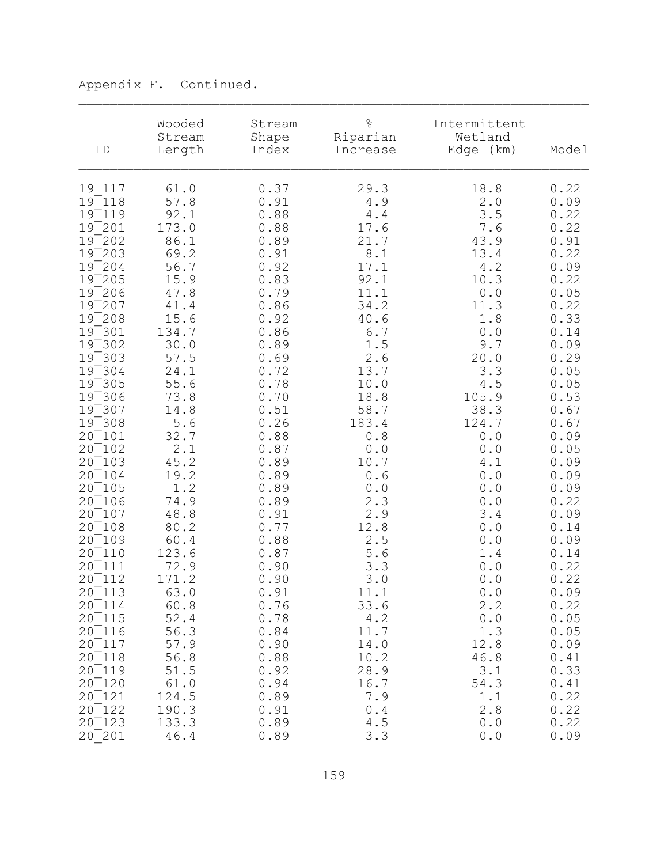| ID         | Wooded<br>Stream<br>Length | Stream<br>Shape<br>Index | $\frac{6}{\sqrt{2}}$<br>Riparian<br>Increase | Intermittent<br>Wetland<br>Edge (km) | Model |
|------------|----------------------------|--------------------------|----------------------------------------------|--------------------------------------|-------|
| 19 117     | 61.0                       | 0.37                     | 29.3                                         | 18.8                                 | 0.22  |
| $19 - 118$ | 57.8                       | 0.91                     | 4.9                                          | 2.0                                  | 0.09  |
| $19^-119$  | 92.1                       | 0.88                     | 4.4                                          | 3.5                                  | 0.22  |
| $19^ 201$  | 173.0                      | 0.88                     | 17.6                                         | 7.6                                  | 0.22  |
| $19^ 202$  | 86.1                       | 0.89                     | 21.7                                         | 43.9                                 | 0.91  |
| $19^-$ 203 | 69.2                       | 0.91                     | 8.1                                          | 13.4                                 | 0.22  |
| $19^-$ 204 | 56.7                       | 0.92                     | 17.1                                         | 4.2                                  | 0.09  |
| $19^-$ 205 | 15.9                       | 0.83                     | 92.1                                         | 10.3                                 | 0.22  |
| $19^-$ 206 | 47.8                       | 0.79                     | 11.1                                         | 0.0                                  | 0.05  |
| $19^ 207$  | 41.4                       | 0.86                     | 34.2                                         | 11.3                                 | 0.22  |
| $19^-$ 208 | 15.6                       | 0.92                     | 40.6                                         | 1.8                                  | 0.33  |
| $19^-301$  | 134.7                      | 0.86                     | 6.7                                          | 0.0                                  | 0.14  |
| $19^-302$  | 30.0                       | 0.89                     | 1.5                                          | 9.7                                  | 0.09  |
| $19^-303$  | 57.5                       | 0.69                     | 2.6                                          | 20.0                                 | 0.29  |
| $19^-304$  | 24.1                       | 0.72                     | 13.7                                         | 3.3                                  | 0.05  |
| $19^-305$  | 55.6                       | 0.78                     | 10.0                                         | 4.5                                  | 0.05  |
| $19^-306$  | 73.8                       | 0.70                     | 18.8                                         | 105.9                                | 0.53  |
| $19^-307$  | 14.8                       | 0.51                     | 58.7                                         | 38.3                                 | 0.67  |
| $19^-308$  | 5.6                        | 0.26                     | 183.4                                        | 124.7                                | 0.67  |
| 20 101     | 32.7                       | 0.88                     | 0.8                                          | 0.0                                  | 0.09  |
| 20 102     | 2.1                        | 0.87                     | 0.0                                          | $0.0$                                | 0.05  |
| $20^-103$  | 45.2                       | 0.89                     | 10.7                                         | 4.1                                  | 0.09  |
| 20 104     | 19.2                       | 0.89                     | 0.6                                          | $0.0$                                | 0.09  |
| $20^-105$  | 1.2                        | 0.89                     | 0.0                                          | 0.0                                  | 0.09  |
| 20 106     | 74.9                       | 0.89                     | 2.3                                          | $0.0$                                | 0.22  |
| 20 107     | 48.8                       | 0.91                     | 2.9                                          | 3.4                                  | 0.09  |
| $20^-108$  | 80.2                       | 0.77                     | 12.8                                         | 0.0                                  | 0.14  |
| 20 109     | 60.4                       | 0.88                     | 2.5                                          | $0.0$                                | 0.09  |
| 20 110     | 123.6                      | 0.87                     | 5.6                                          | 1.4                                  | 0.14  |
| $20^-111$  | 72.9                       | 0.90                     | 3.3                                          | 0.0                                  | 0.22  |
| $20^-112$  | 171.2                      | 0.90                     | 3.0                                          | 0.0                                  | 0.22  |
| 20 113     | 63.0                       | 0.91                     | 11.1                                         | 0.0                                  | 0.09  |
| 20 114     | 60.8                       | 0.76                     | 33.6                                         | 2.2                                  | 0.22  |
| 20 115     | 52.4                       | 0.78                     | 4.2                                          | 0.0                                  | 0.05  |
| 20 116     | 56.3                       | 0.84                     | 11.7                                         | 1.3                                  | 0.05  |
| $20^-117$  | 57.9                       | 0.90                     | 14.0                                         | 12.8                                 | 0.09  |
| 20 118     | 56.8                       | 0.88                     | 10.2                                         | 46.8                                 | 0.41  |
| 20 119     | 51.5                       | 0.92                     | 28.9                                         | 3.1                                  | 0.33  |
| $20^-120$  | 61.0                       | 0.94                     | 16.7                                         | 54.3                                 | 0.41  |
| $20^-121$  | 124.5                      | 0.89                     | 7.9                                          | 1.1                                  | 0.22  |
| $20^-122$  | 190.3                      | 0.91                     | 0.4                                          | 2.8                                  | 0.22  |
| $20^-123$  | 133.3                      | 0.89                     | 4.5                                          | 0.0                                  | 0.22  |
| 20 201     | $4\,6$ . $4$               | 0.89                     | 3.3                                          | 0.0                                  | 0.09  |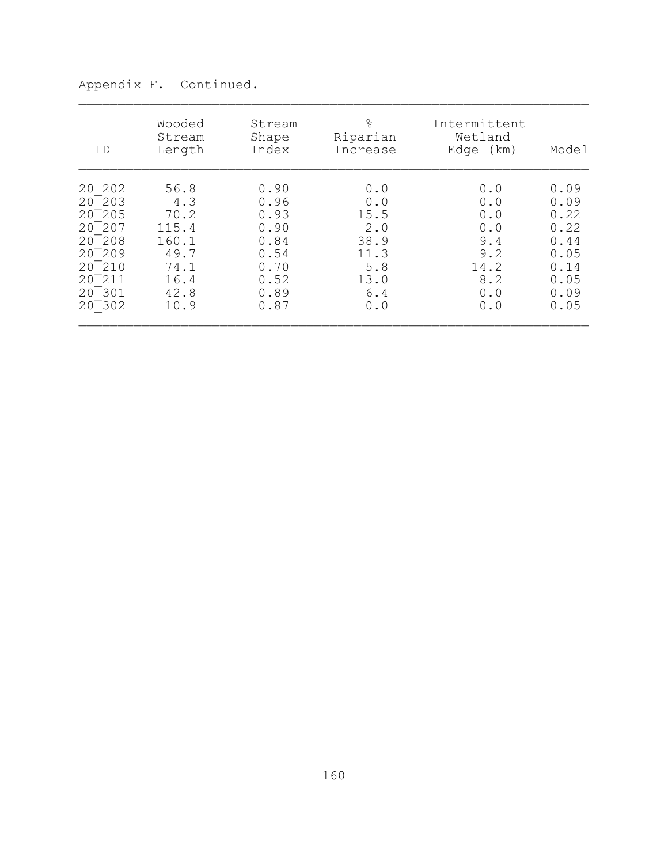| ID         | Wooded<br>Stream<br>Length | Stream<br>Shape<br>Index | $\frac{6}{6}$<br>Riparian<br>Increase | Intermittent<br>Wetland<br>Edge (km) | Model |
|------------|----------------------------|--------------------------|---------------------------------------|--------------------------------------|-------|
| 20 202     | 56.8                       | 0.90                     | 0.0                                   | 0.0                                  | 0.09  |
| 20 203     | 4.3                        | 0.96                     | 0.0                                   | 0.0                                  | 0.09  |
| 20 205     | 70.2                       | 0.93                     | 15.5                                  | 0.0                                  | 0.22  |
| $20^ 207$  | 115.4                      | 0.90                     | 2.0                                   | 0.0                                  | 0.22  |
| $20^-$ 208 | 160.1                      | 0.84                     | 38.9                                  | 9.4                                  | 0.44  |
| 20 209     | 49.7                       | 0.54                     | 11.3                                  | 9.2                                  | 0.05  |
| $20^-210$  | 74.1                       | 0.70                     | 5.8                                   | 14.2                                 | 0.14  |
| 20 211     | 16.4                       | 0.52                     | 13.0                                  | 8.2                                  | 0.05  |
| 20 301     | 42.8                       | 0.89                     | 6.4                                   | 0.0                                  | 0.09  |
| $20^-302$  | 10.9                       | 0.87                     | 0.0                                   | 0.0                                  | 0.05  |

Appendix F. Continued.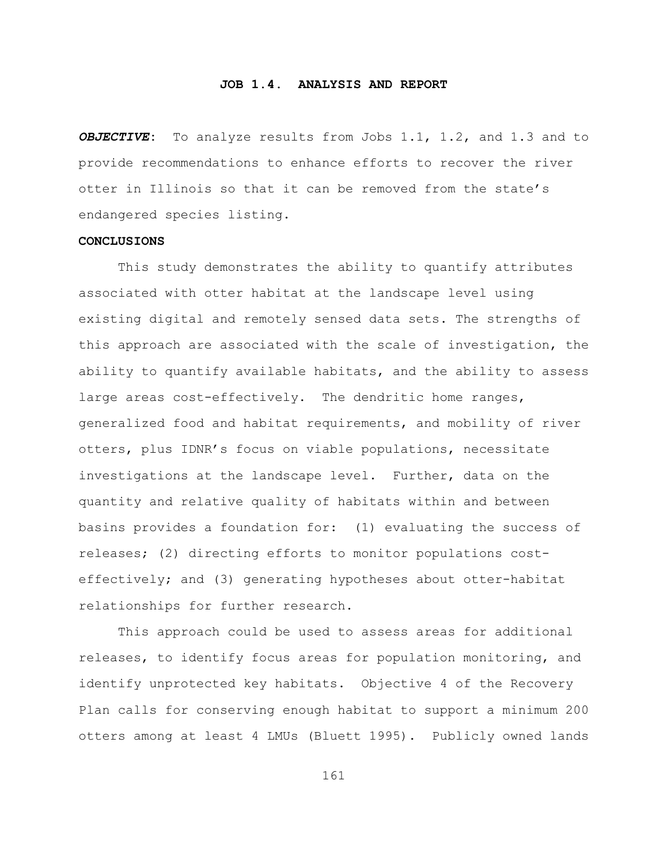## **JOB 1.4. ANALYSIS AND REPORT**

*OBJECTIVE***:** To analyze results from Jobs 1.1, 1.2, and 1.3 and to provide recommendations to enhance efforts to recover the river otter in Illinois so that it can be removed from the state's endangered species listing.

## **CONCLUSIONS**

This study demonstrates the ability to quantify attributes associated with otter habitat at the landscape level using existing digital and remotely sensed data sets. The strengths of this approach are associated with the scale of investigation, the ability to quantify available habitats, and the ability to assess large areas cost-effectively. The dendritic home ranges, generalized food and habitat requirements, and mobility of river otters, plus IDNR's focus on viable populations, necessitate investigations at the landscape level. Further, data on the quantity and relative quality of habitats within and between basins provides a foundation for: (1) evaluating the success of releases; (2) directing efforts to monitor populations costeffectively; and (3) generating hypotheses about otter-habitat relationships for further research.

This approach could be used to assess areas for additional releases, to identify focus areas for population monitoring, and identify unprotected key habitats. Objective 4 of the Recovery Plan calls for conserving enough habitat to support a minimum 200 otters among at least 4 LMUs (Bluett 1995). Publicly owned lands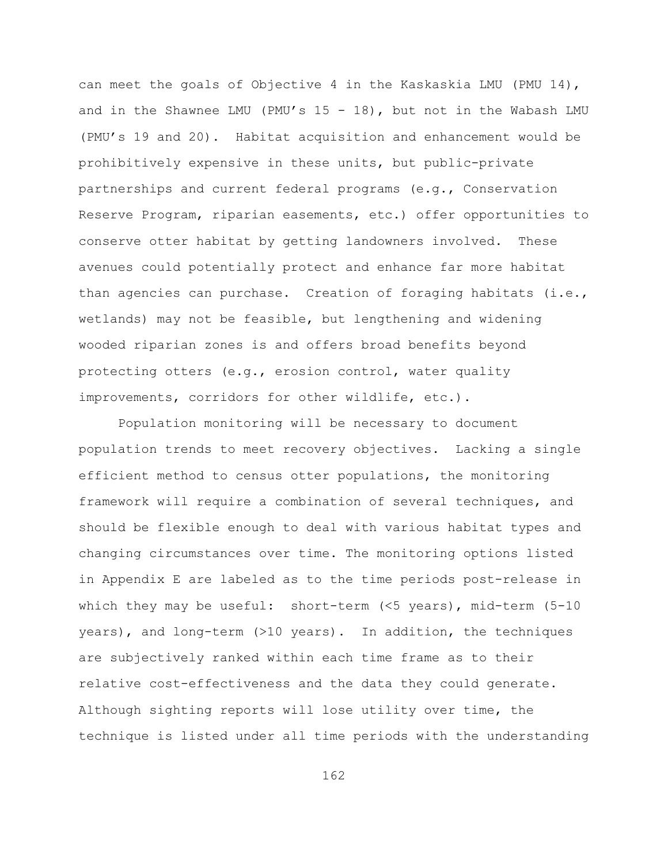can meet the goals of Objective 4 in the Kaskaskia LMU (PMU 14), and in the Shawnee LMU (PMU's  $15 - 18$ ), but not in the Wabash LMU (PMU's 19 and 20). Habitat acquisition and enhancement would be prohibitively expensive in these units, but public-private partnerships and current federal programs (e.g., Conservation Reserve Program, riparian easements, etc.) offer opportunities to conserve otter habitat by getting landowners involved. These avenues could potentially protect and enhance far more habitat than agencies can purchase. Creation of foraging habitats (i.e., wetlands) may not be feasible, but lengthening and widening wooded riparian zones is and offers broad benefits beyond protecting otters (e.g., erosion control, water quality improvements, corridors for other wildlife, etc.).

Population monitoring will be necessary to document population trends to meet recovery objectives. Lacking a single efficient method to census otter populations, the monitoring framework will require a combination of several techniques, and should be flexible enough to deal with various habitat types and changing circumstances over time. The monitoring options listed in Appendix E are labeled as to the time periods post-release in which they may be useful: short-term (<5 years), mid-term (5-10 years), and long-term (>10 years). In addition, the techniques are subjectively ranked within each time frame as to their relative cost-effectiveness and the data they could generate. Although sighting reports will lose utility over time, the technique is listed under all time periods with the understanding